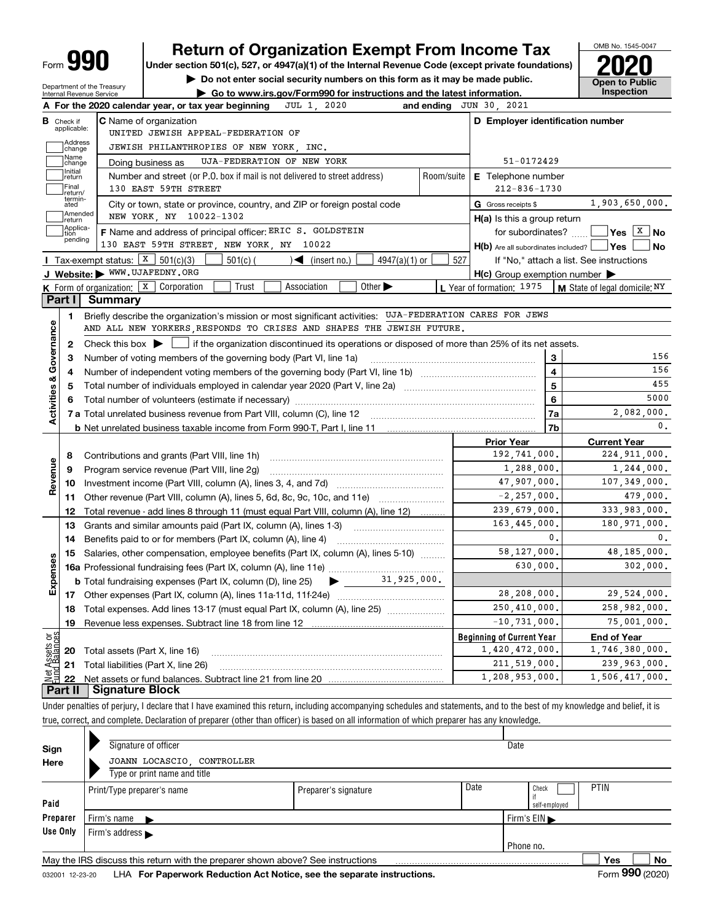# **990 Return of Organization Exempt From Income Tax Phone State of All Property Section 501(c), 527, or 4947(a)(1) of the Internal Revenue Code (except private foundations) <b>2020**

**1** Do not enter social security numbers on this form as it may be made public. **Open to Public** 



| <b>Open to Public</b><br>Department of the Treasury<br>► Go to www.irs.gov/Form990 for instructions and the latest information.<br>Internal Revenue Service |                                                                                 |                                                                                                                                           |            |                                                             |                       |  |  |  |  |  |  |
|-------------------------------------------------------------------------------------------------------------------------------------------------------------|---------------------------------------------------------------------------------|-------------------------------------------------------------------------------------------------------------------------------------------|------------|-------------------------------------------------------------|-----------------------|--|--|--|--|--|--|
|                                                                                                                                                             |                                                                                 | A For the 2020 calendar year, or tax year beginning<br>JUL 1, 2020<br>and ending                                                          |            | JUN 30, 2021                                                |                       |  |  |  |  |  |  |
| В                                                                                                                                                           | Check if<br>applicable:                                                         | <b>C</b> Name of organization<br>UNITED JEWISH APPEAL-FEDERATION OF                                                                       |            | D Employer identification number                            |                       |  |  |  |  |  |  |
| Address<br>JEWISH PHILANTHROPIES OF NEW YORK, INC.<br>change                                                                                                |                                                                                 |                                                                                                                                           |            |                                                             |                       |  |  |  |  |  |  |
|                                                                                                                                                             | Name<br>UJA-FEDERATION OF NEW YORK<br>51-0172429<br>Doing business as<br>change |                                                                                                                                           |            |                                                             |                       |  |  |  |  |  |  |
|                                                                                                                                                             | Initial                                                                         | Number and street (or P.O. box if mail is not delivered to street address)                                                                | Room/suite | E Telephone number                                          |                       |  |  |  |  |  |  |
| return<br>Final<br>130 EAST 59TH STREET<br>$212 - 836 - 1730$<br>return/                                                                                    |                                                                                 |                                                                                                                                           |            |                                                             |                       |  |  |  |  |  |  |
|                                                                                                                                                             | termin-<br>ated                                                                 | City or town, state or province, country, and ZIP or foreign postal code                                                                  |            | G Gross receipts \$                                         | 1,903,650,000.        |  |  |  |  |  |  |
|                                                                                                                                                             | Amended<br>return                                                               | NEW YORK, NY 10022-1302                                                                                                                   |            | H(a) Is this a group return                                 |                       |  |  |  |  |  |  |
|                                                                                                                                                             | Applica-<br>tion                                                                | F Name and address of principal officer: ERIC S. GOLDSTEIN                                                                                |            | for subordinates?                                           | __ Yes <u>│</u> X │No |  |  |  |  |  |  |
|                                                                                                                                                             | pending                                                                         | 130 EAST 59TH STREET, NEW YORK, NY 10022                                                                                                  |            | H(b) Are all subordinates included? Ves                     | <b>No</b>             |  |  |  |  |  |  |
|                                                                                                                                                             |                                                                                 | Tax-exempt status: $X \mid 501(c)(3)$<br>501(c) (<br>$4947(a)(1)$ or<br>$\sqrt{\frac{1}{1}}$ (insert no.)                                 | 527        | If "No," attach a list. See instructions                    |                       |  |  |  |  |  |  |
|                                                                                                                                                             |                                                                                 | J Website: WWW.UJAFEDNY.ORG                                                                                                               |            | $H(c)$ Group exemption number $\blacktriangleright$         |                       |  |  |  |  |  |  |
|                                                                                                                                                             |                                                                                 | K Form of organization: X Corporation<br>Trust<br>Association<br>Other $\blacktriangleright$                                              |            | L Year of formation: $1975$   M State of legal domicile: NY |                       |  |  |  |  |  |  |
|                                                                                                                                                             | Part I                                                                          | <b>Summary</b>                                                                                                                            |            |                                                             |                       |  |  |  |  |  |  |
|                                                                                                                                                             | 1                                                                               | Briefly describe the organization's mission or most significant activities: UJA-FEDERATION CARES FOR JEWS                                 |            |                                                             |                       |  |  |  |  |  |  |
|                                                                                                                                                             |                                                                                 | AND ALL NEW YORKERS RESPONDS TO CRISES AND SHAPES THE JEWISH FUTURE.                                                                      |            |                                                             |                       |  |  |  |  |  |  |
| Governance                                                                                                                                                  | 2                                                                               | Check this box $\blacktriangleright \Box$ if the organization discontinued its operations or disposed of more than 25% of its net assets. |            |                                                             |                       |  |  |  |  |  |  |
|                                                                                                                                                             | 3                                                                               | Number of voting members of the governing body (Part VI, line 1a)                                                                         |            | 3                                                           | 156                   |  |  |  |  |  |  |
|                                                                                                                                                             | 4                                                                               |                                                                                                                                           |            | $\overline{\mathbf{4}}$                                     | 156                   |  |  |  |  |  |  |
|                                                                                                                                                             | 5                                                                               |                                                                                                                                           |            | 5                                                           | 455                   |  |  |  |  |  |  |
| <b>Activities &amp;</b>                                                                                                                                     | 6                                                                               |                                                                                                                                           | 6          | 5000                                                        |                       |  |  |  |  |  |  |
|                                                                                                                                                             |                                                                                 |                                                                                                                                           | 7a         | 2,082,000.                                                  |                       |  |  |  |  |  |  |
|                                                                                                                                                             |                                                                                 |                                                                                                                                           |            | 7b                                                          | 0.                    |  |  |  |  |  |  |
|                                                                                                                                                             |                                                                                 |                                                                                                                                           |            | <b>Prior Year</b>                                           | <b>Current Year</b>   |  |  |  |  |  |  |
|                                                                                                                                                             | 8                                                                               | Contributions and grants (Part VIII, line 1h)                                                                                             |            | 192,741,000.                                                | 224, 911, 000.        |  |  |  |  |  |  |
| Revenue                                                                                                                                                     | 9                                                                               | Program service revenue (Part VIII, line 2g)                                                                                              |            | 1,288,000.                                                  | 1,244,000.            |  |  |  |  |  |  |
|                                                                                                                                                             | 10                                                                              |                                                                                                                                           |            | 47,907,000.                                                 | 107,349,000.          |  |  |  |  |  |  |
|                                                                                                                                                             | 11                                                                              | Other revenue (Part VIII, column (A), lines 5, 6d, 8c, 9c, 10c, and 11e)                                                                  |            | $-2, 257, 000.$                                             | 479,000.              |  |  |  |  |  |  |
|                                                                                                                                                             | 12                                                                              | Total revenue - add lines 8 through 11 (must equal Part VIII, column (A), line 12)                                                        |            | 239,679,000.                                                | 333,983,000.          |  |  |  |  |  |  |
|                                                                                                                                                             | 13                                                                              | Grants and similar amounts paid (Part IX, column (A), lines 1-3)                                                                          |            | 163,445,000.                                                | 180,971,000.          |  |  |  |  |  |  |
|                                                                                                                                                             | 14                                                                              | Benefits paid to or for members (Part IX, column (A), line 4)                                                                             |            | $\mathbf{0}$ .                                              | 0.                    |  |  |  |  |  |  |
|                                                                                                                                                             | 15                                                                              | Salaries, other compensation, employee benefits (Part IX, column (A), lines 5-10)                                                         |            | 58,127,000.                                                 | 48,185,000.           |  |  |  |  |  |  |
| Expenses                                                                                                                                                    |                                                                                 |                                                                                                                                           |            | 630,000.                                                    | 302,000.              |  |  |  |  |  |  |
|                                                                                                                                                             |                                                                                 | <b>b</b> Total fundraising expenses (Part IX, column (D), line 25) $\bullet$ 31, 925, 000.                                                |            |                                                             |                       |  |  |  |  |  |  |
|                                                                                                                                                             |                                                                                 |                                                                                                                                           |            | 28,208,000.                                                 | 29,524,000.           |  |  |  |  |  |  |
|                                                                                                                                                             | 18                                                                              | Total expenses. Add lines 13-17 (must equal Part IX, column (A), line 25)                                                                 |            | 250,410,000.                                                | 258,982,000.          |  |  |  |  |  |  |
|                                                                                                                                                             | 19                                                                              |                                                                                                                                           |            | $-10, 731, 000.$                                            | 75,001,000.           |  |  |  |  |  |  |
| Net Assets or<br>Eund Balances                                                                                                                              |                                                                                 |                                                                                                                                           |            | <b>Beginning of Current Year</b>                            | <b>End of Year</b>    |  |  |  |  |  |  |
|                                                                                                                                                             | 20                                                                              | Total assets (Part X, line 16)                                                                                                            |            | 1,420,472,000.                                              | 1,746,380,000.        |  |  |  |  |  |  |
|                                                                                                                                                             | 21                                                                              | Total liabilities (Part X, line 26)                                                                                                       |            | 211,519,000.                                                | 239,963,000.          |  |  |  |  |  |  |
|                                                                                                                                                             | 22                                                                              |                                                                                                                                           |            | 1,208,953,000.                                              | 1,506,417,000.        |  |  |  |  |  |  |
|                                                                                                                                                             | Part II                                                                         | <b>Signature Block</b>                                                                                                                    |            |                                                             |                       |  |  |  |  |  |  |

Under penalties of perjury, I declare that I have examined this return, including accompanying schedules and statements, and to the best of my knowledge and belief, it is true, correct, and complete. Declaration of preparer (other than officer) is based on all information of which preparer has any knowledge.

| Sign     | Signature of officer                                                                         |                      | Date |                      |  |  |  |  |  |  |  |  |  |
|----------|----------------------------------------------------------------------------------------------|----------------------|------|----------------------|--|--|--|--|--|--|--|--|--|
| Here     | JOANN LOCASCIO, CONTROLLER                                                                   |                      |      |                      |  |  |  |  |  |  |  |  |  |
|          | Type or print name and title                                                                 |                      |      |                      |  |  |  |  |  |  |  |  |  |
|          | Print/Type preparer's name                                                                   | Preparer's signature | Date | <b>PTIN</b><br>Check |  |  |  |  |  |  |  |  |  |
| Paid     |                                                                                              |                      |      | self-employed        |  |  |  |  |  |  |  |  |  |
| Preparer | . Firm's name                                                                                |                      |      | Firm's $EIN$         |  |  |  |  |  |  |  |  |  |
| Use Only | Firm's address                                                                               |                      |      |                      |  |  |  |  |  |  |  |  |  |
|          | Phone no.                                                                                    |                      |      |                      |  |  |  |  |  |  |  |  |  |
|          | May the IRS discuss this return with the preparer shown above? See instructions<br>Yes<br>No |                      |      |                      |  |  |  |  |  |  |  |  |  |
|          |                                                                                              |                      |      |                      |  |  |  |  |  |  |  |  |  |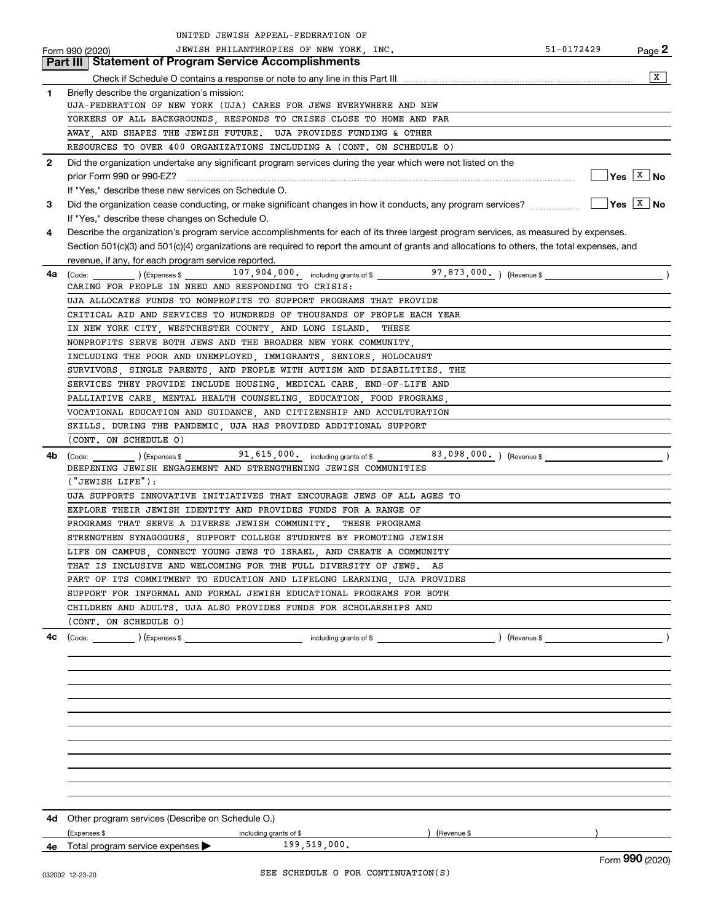| JEWISH PHILANTHROPIES OF NEW YORK, INC.<br>51-0172429<br>$Page$ 2<br>Form 990 (2020)<br>Part III   Statement of Program Service Accomplishments<br>X<br>Briefly describe the organization's mission:<br>1<br>UJA-FEDERATION OF NEW YORK (UJA) CARES FOR JEWS EVERYWHERE AND NEW<br>YORKERS OF ALL BACKGROUNDS, RESPONDS TO CRISES CLOSE TO HOME AND FAR<br>AWAY, AND SHAPES THE JEWISH FUTURE. UJA PROVIDES FUNDING & OTHER<br>RESOURCES TO OVER 400 ORGANIZATIONS INCLUDING A (CONT. ON SCHEDULE O)<br>Did the organization undertake any significant program services during the year which were not listed on the<br>$\mathbf{2}$<br>$\sqrt{Y}$ es $\boxed{X}$ No<br>If "Yes," describe these new services on Schedule O.<br>3<br>If "Yes," describe these changes on Schedule O.<br>Describe the organization's program service accomplishments for each of its three largest program services, as measured by expenses.<br>4<br>Section 501(c)(3) and 501(c)(4) organizations are required to report the amount of grants and allocations to others, the total expenses, and<br>revenue, if any, for each program service reported.<br>(Code: $($ ) (Expenses \$ 107, 904, 000 including grants of \$ 97, 873, 000 including grants of \$<br>$\overline{\phantom{a}}$<br>4a<br>CARING FOR PEOPLE IN NEED AND RESPONDING TO CRISIS:<br>UJA ALLOCATES FUNDS TO NONPROFITS TO SUPPORT PROGRAMS THAT PROVIDE<br>CRITICAL AID AND SERVICES TO HUNDREDS OF THOUSANDS OF PEOPLE EACH YEAR<br>IN NEW YORK CITY, WESTCHESTER COUNTY, AND LONG ISLAND. THESE<br>NONPROFITS SERVE BOTH JEWS AND THE BROADER NEW YORK COMMUNITY,<br>INCLUDING THE POOR AND UNEMPLOYED, IMMIGRANTS, SENIORS, HOLOCAUST<br>SURVIVORS, SINGLE PARENTS, AND PEOPLE WITH AUTISM AND DISABILITIES. THE<br>SERVICES THEY PROVIDE INCLUDE HOUSING, MEDICAL CARE, END-OF-LIFE AND<br>PALLIATIVE CARE, MENTAL HEALTH COUNSELING, EDUCATION, FOOD PROGRAMS,<br>VOCATIONAL EDUCATION AND GUIDANCE, AND CITIZENSHIP AND ACCULTURATION<br>SKILLS. DURING THE PANDEMIC, UJA HAS PROVIDED ADDITIONAL SUPPORT<br>(CONT. ON SCHEDULE O)<br>(Code: $($ ) (Expenses \$ 91, 615, 000. including grants of \$ 83, 098, 000. ) (Revenue \$<br>4b<br>DEEPENING JEWISH ENGAGEMENT AND STRENGTHENING JEWISH COMMUNITIES<br>('JEWISH LIFE');<br>UJA SUPPORTS INNOVATIVE INITIATIVES THAT ENCOURAGE JEWS OF ALL AGES TO<br>EXPLORE THEIR JEWISH IDENTITY AND PROVIDES FUNDS FOR A RANGE OF<br>PROGRAMS THAT SERVE A DIVERSE JEWISH COMMUNITY.<br>THESE PROGRAMS<br>STRENGTHEN SYNAGOGUES, SUPPORT COLLEGE STUDENTS BY PROMOTING JEWISH<br>LIFE ON CAMPUS, CONNECT YOUNG JEWS TO ISRAEL, AND CREATE A COMMUNITY<br>THAT IS INCLUSIVE AND WELCOMING FOR THE FULL DIVERSITY OF JEWS. AS<br>PART OF ITS COMMITMENT TO EDUCATION AND LIFELONG LEARNING, UJA PROVIDES<br>SUPPORT FOR INFORMAL AND FORMAL JEWISH EDUCATIONAL PROGRAMS FOR BOTH<br>CHILDREN AND ADULTS. UJA ALSO PROVIDES FUNDS FOR SCHOLARSHIPS AND<br>(CONT. ON SCHEDULE O)<br>(Code: ) (Expenses \$ including grants of \$<br>4c<br>) (Revenue \$<br>4d Other program services (Describe on Schedule O.)<br>(Expenses \$<br>including grants of \$<br>(Revenue \$<br>199,519,000.<br>4e Total program service expenses<br>Form 990 (2020) | UNITED JEWISH APPEAL-FEDERATION OF |  |
|---------------------------------------------------------------------------------------------------------------------------------------------------------------------------------------------------------------------------------------------------------------------------------------------------------------------------------------------------------------------------------------------------------------------------------------------------------------------------------------------------------------------------------------------------------------------------------------------------------------------------------------------------------------------------------------------------------------------------------------------------------------------------------------------------------------------------------------------------------------------------------------------------------------------------------------------------------------------------------------------------------------------------------------------------------------------------------------------------------------------------------------------------------------------------------------------------------------------------------------------------------------------------------------------------------------------------------------------------------------------------------------------------------------------------------------------------------------------------------------------------------------------------------------------------------------------------------------------------------------------------------------------------------------------------------------------------------------------------------------------------------------------------------------------------------------------------------------------------------------------------------------------------------------------------------------------------------------------------------------------------------------------------------------------------------------------------------------------------------------------------------------------------------------------------------------------------------------------------------------------------------------------------------------------------------------------------------------------------------------------------------------------------------------------------------------------------------------------------------------------------------------------------------------------------------------------------------------------------------------------------------------------------------------------------------------------------------------------------------------------------------------------------------------------------------------------------------------------------------------------------------------------------------------------------------------------------------------------------------------------------------------------------------------------------------------------------------------------------------------------------------------------------------------------------------------------------------------------------------------------------|------------------------------------|--|
|                                                                                                                                                                                                                                                                                                                                                                                                                                                                                                                                                                                                                                                                                                                                                                                                                                                                                                                                                                                                                                                                                                                                                                                                                                                                                                                                                                                                                                                                                                                                                                                                                                                                                                                                                                                                                                                                                                                                                                                                                                                                                                                                                                                                                                                                                                                                                                                                                                                                                                                                                                                                                                                                                                                                                                                                                                                                                                                                                                                                                                                                                                                                                                                                                                                   |                                    |  |
|                                                                                                                                                                                                                                                                                                                                                                                                                                                                                                                                                                                                                                                                                                                                                                                                                                                                                                                                                                                                                                                                                                                                                                                                                                                                                                                                                                                                                                                                                                                                                                                                                                                                                                                                                                                                                                                                                                                                                                                                                                                                                                                                                                                                                                                                                                                                                                                                                                                                                                                                                                                                                                                                                                                                                                                                                                                                                                                                                                                                                                                                                                                                                                                                                                                   |                                    |  |
|                                                                                                                                                                                                                                                                                                                                                                                                                                                                                                                                                                                                                                                                                                                                                                                                                                                                                                                                                                                                                                                                                                                                                                                                                                                                                                                                                                                                                                                                                                                                                                                                                                                                                                                                                                                                                                                                                                                                                                                                                                                                                                                                                                                                                                                                                                                                                                                                                                                                                                                                                                                                                                                                                                                                                                                                                                                                                                                                                                                                                                                                                                                                                                                                                                                   |                                    |  |
|                                                                                                                                                                                                                                                                                                                                                                                                                                                                                                                                                                                                                                                                                                                                                                                                                                                                                                                                                                                                                                                                                                                                                                                                                                                                                                                                                                                                                                                                                                                                                                                                                                                                                                                                                                                                                                                                                                                                                                                                                                                                                                                                                                                                                                                                                                                                                                                                                                                                                                                                                                                                                                                                                                                                                                                                                                                                                                                                                                                                                                                                                                                                                                                                                                                   |                                    |  |
|                                                                                                                                                                                                                                                                                                                                                                                                                                                                                                                                                                                                                                                                                                                                                                                                                                                                                                                                                                                                                                                                                                                                                                                                                                                                                                                                                                                                                                                                                                                                                                                                                                                                                                                                                                                                                                                                                                                                                                                                                                                                                                                                                                                                                                                                                                                                                                                                                                                                                                                                                                                                                                                                                                                                                                                                                                                                                                                                                                                                                                                                                                                                                                                                                                                   |                                    |  |
|                                                                                                                                                                                                                                                                                                                                                                                                                                                                                                                                                                                                                                                                                                                                                                                                                                                                                                                                                                                                                                                                                                                                                                                                                                                                                                                                                                                                                                                                                                                                                                                                                                                                                                                                                                                                                                                                                                                                                                                                                                                                                                                                                                                                                                                                                                                                                                                                                                                                                                                                                                                                                                                                                                                                                                                                                                                                                                                                                                                                                                                                                                                                                                                                                                                   |                                    |  |
|                                                                                                                                                                                                                                                                                                                                                                                                                                                                                                                                                                                                                                                                                                                                                                                                                                                                                                                                                                                                                                                                                                                                                                                                                                                                                                                                                                                                                                                                                                                                                                                                                                                                                                                                                                                                                                                                                                                                                                                                                                                                                                                                                                                                                                                                                                                                                                                                                                                                                                                                                                                                                                                                                                                                                                                                                                                                                                                                                                                                                                                                                                                                                                                                                                                   |                                    |  |
|                                                                                                                                                                                                                                                                                                                                                                                                                                                                                                                                                                                                                                                                                                                                                                                                                                                                                                                                                                                                                                                                                                                                                                                                                                                                                                                                                                                                                                                                                                                                                                                                                                                                                                                                                                                                                                                                                                                                                                                                                                                                                                                                                                                                                                                                                                                                                                                                                                                                                                                                                                                                                                                                                                                                                                                                                                                                                                                                                                                                                                                                                                                                                                                                                                                   |                                    |  |
|                                                                                                                                                                                                                                                                                                                                                                                                                                                                                                                                                                                                                                                                                                                                                                                                                                                                                                                                                                                                                                                                                                                                                                                                                                                                                                                                                                                                                                                                                                                                                                                                                                                                                                                                                                                                                                                                                                                                                                                                                                                                                                                                                                                                                                                                                                                                                                                                                                                                                                                                                                                                                                                                                                                                                                                                                                                                                                                                                                                                                                                                                                                                                                                                                                                   |                                    |  |
|                                                                                                                                                                                                                                                                                                                                                                                                                                                                                                                                                                                                                                                                                                                                                                                                                                                                                                                                                                                                                                                                                                                                                                                                                                                                                                                                                                                                                                                                                                                                                                                                                                                                                                                                                                                                                                                                                                                                                                                                                                                                                                                                                                                                                                                                                                                                                                                                                                                                                                                                                                                                                                                                                                                                                                                                                                                                                                                                                                                                                                                                                                                                                                                                                                                   |                                    |  |
|                                                                                                                                                                                                                                                                                                                                                                                                                                                                                                                                                                                                                                                                                                                                                                                                                                                                                                                                                                                                                                                                                                                                                                                                                                                                                                                                                                                                                                                                                                                                                                                                                                                                                                                                                                                                                                                                                                                                                                                                                                                                                                                                                                                                                                                                                                                                                                                                                                                                                                                                                                                                                                                                                                                                                                                                                                                                                                                                                                                                                                                                                                                                                                                                                                                   |                                    |  |
|                                                                                                                                                                                                                                                                                                                                                                                                                                                                                                                                                                                                                                                                                                                                                                                                                                                                                                                                                                                                                                                                                                                                                                                                                                                                                                                                                                                                                                                                                                                                                                                                                                                                                                                                                                                                                                                                                                                                                                                                                                                                                                                                                                                                                                                                                                                                                                                                                                                                                                                                                                                                                                                                                                                                                                                                                                                                                                                                                                                                                                                                                                                                                                                                                                                   |                                    |  |
|                                                                                                                                                                                                                                                                                                                                                                                                                                                                                                                                                                                                                                                                                                                                                                                                                                                                                                                                                                                                                                                                                                                                                                                                                                                                                                                                                                                                                                                                                                                                                                                                                                                                                                                                                                                                                                                                                                                                                                                                                                                                                                                                                                                                                                                                                                                                                                                                                                                                                                                                                                                                                                                                                                                                                                                                                                                                                                                                                                                                                                                                                                                                                                                                                                                   |                                    |  |
|                                                                                                                                                                                                                                                                                                                                                                                                                                                                                                                                                                                                                                                                                                                                                                                                                                                                                                                                                                                                                                                                                                                                                                                                                                                                                                                                                                                                                                                                                                                                                                                                                                                                                                                                                                                                                                                                                                                                                                                                                                                                                                                                                                                                                                                                                                                                                                                                                                                                                                                                                                                                                                                                                                                                                                                                                                                                                                                                                                                                                                                                                                                                                                                                                                                   |                                    |  |
|                                                                                                                                                                                                                                                                                                                                                                                                                                                                                                                                                                                                                                                                                                                                                                                                                                                                                                                                                                                                                                                                                                                                                                                                                                                                                                                                                                                                                                                                                                                                                                                                                                                                                                                                                                                                                                                                                                                                                                                                                                                                                                                                                                                                                                                                                                                                                                                                                                                                                                                                                                                                                                                                                                                                                                                                                                                                                                                                                                                                                                                                                                                                                                                                                                                   |                                    |  |
|                                                                                                                                                                                                                                                                                                                                                                                                                                                                                                                                                                                                                                                                                                                                                                                                                                                                                                                                                                                                                                                                                                                                                                                                                                                                                                                                                                                                                                                                                                                                                                                                                                                                                                                                                                                                                                                                                                                                                                                                                                                                                                                                                                                                                                                                                                                                                                                                                                                                                                                                                                                                                                                                                                                                                                                                                                                                                                                                                                                                                                                                                                                                                                                                                                                   |                                    |  |
|                                                                                                                                                                                                                                                                                                                                                                                                                                                                                                                                                                                                                                                                                                                                                                                                                                                                                                                                                                                                                                                                                                                                                                                                                                                                                                                                                                                                                                                                                                                                                                                                                                                                                                                                                                                                                                                                                                                                                                                                                                                                                                                                                                                                                                                                                                                                                                                                                                                                                                                                                                                                                                                                                                                                                                                                                                                                                                                                                                                                                                                                                                                                                                                                                                                   |                                    |  |
|                                                                                                                                                                                                                                                                                                                                                                                                                                                                                                                                                                                                                                                                                                                                                                                                                                                                                                                                                                                                                                                                                                                                                                                                                                                                                                                                                                                                                                                                                                                                                                                                                                                                                                                                                                                                                                                                                                                                                                                                                                                                                                                                                                                                                                                                                                                                                                                                                                                                                                                                                                                                                                                                                                                                                                                                                                                                                                                                                                                                                                                                                                                                                                                                                                                   |                                    |  |
|                                                                                                                                                                                                                                                                                                                                                                                                                                                                                                                                                                                                                                                                                                                                                                                                                                                                                                                                                                                                                                                                                                                                                                                                                                                                                                                                                                                                                                                                                                                                                                                                                                                                                                                                                                                                                                                                                                                                                                                                                                                                                                                                                                                                                                                                                                                                                                                                                                                                                                                                                                                                                                                                                                                                                                                                                                                                                                                                                                                                                                                                                                                                                                                                                                                   |                                    |  |
|                                                                                                                                                                                                                                                                                                                                                                                                                                                                                                                                                                                                                                                                                                                                                                                                                                                                                                                                                                                                                                                                                                                                                                                                                                                                                                                                                                                                                                                                                                                                                                                                                                                                                                                                                                                                                                                                                                                                                                                                                                                                                                                                                                                                                                                                                                                                                                                                                                                                                                                                                                                                                                                                                                                                                                                                                                                                                                                                                                                                                                                                                                                                                                                                                                                   |                                    |  |
|                                                                                                                                                                                                                                                                                                                                                                                                                                                                                                                                                                                                                                                                                                                                                                                                                                                                                                                                                                                                                                                                                                                                                                                                                                                                                                                                                                                                                                                                                                                                                                                                                                                                                                                                                                                                                                                                                                                                                                                                                                                                                                                                                                                                                                                                                                                                                                                                                                                                                                                                                                                                                                                                                                                                                                                                                                                                                                                                                                                                                                                                                                                                                                                                                                                   |                                    |  |
|                                                                                                                                                                                                                                                                                                                                                                                                                                                                                                                                                                                                                                                                                                                                                                                                                                                                                                                                                                                                                                                                                                                                                                                                                                                                                                                                                                                                                                                                                                                                                                                                                                                                                                                                                                                                                                                                                                                                                                                                                                                                                                                                                                                                                                                                                                                                                                                                                                                                                                                                                                                                                                                                                                                                                                                                                                                                                                                                                                                                                                                                                                                                                                                                                                                   |                                    |  |
|                                                                                                                                                                                                                                                                                                                                                                                                                                                                                                                                                                                                                                                                                                                                                                                                                                                                                                                                                                                                                                                                                                                                                                                                                                                                                                                                                                                                                                                                                                                                                                                                                                                                                                                                                                                                                                                                                                                                                                                                                                                                                                                                                                                                                                                                                                                                                                                                                                                                                                                                                                                                                                                                                                                                                                                                                                                                                                                                                                                                                                                                                                                                                                                                                                                   |                                    |  |
|                                                                                                                                                                                                                                                                                                                                                                                                                                                                                                                                                                                                                                                                                                                                                                                                                                                                                                                                                                                                                                                                                                                                                                                                                                                                                                                                                                                                                                                                                                                                                                                                                                                                                                                                                                                                                                                                                                                                                                                                                                                                                                                                                                                                                                                                                                                                                                                                                                                                                                                                                                                                                                                                                                                                                                                                                                                                                                                                                                                                                                                                                                                                                                                                                                                   |                                    |  |
|                                                                                                                                                                                                                                                                                                                                                                                                                                                                                                                                                                                                                                                                                                                                                                                                                                                                                                                                                                                                                                                                                                                                                                                                                                                                                                                                                                                                                                                                                                                                                                                                                                                                                                                                                                                                                                                                                                                                                                                                                                                                                                                                                                                                                                                                                                                                                                                                                                                                                                                                                                                                                                                                                                                                                                                                                                                                                                                                                                                                                                                                                                                                                                                                                                                   |                                    |  |
|                                                                                                                                                                                                                                                                                                                                                                                                                                                                                                                                                                                                                                                                                                                                                                                                                                                                                                                                                                                                                                                                                                                                                                                                                                                                                                                                                                                                                                                                                                                                                                                                                                                                                                                                                                                                                                                                                                                                                                                                                                                                                                                                                                                                                                                                                                                                                                                                                                                                                                                                                                                                                                                                                                                                                                                                                                                                                                                                                                                                                                                                                                                                                                                                                                                   |                                    |  |
|                                                                                                                                                                                                                                                                                                                                                                                                                                                                                                                                                                                                                                                                                                                                                                                                                                                                                                                                                                                                                                                                                                                                                                                                                                                                                                                                                                                                                                                                                                                                                                                                                                                                                                                                                                                                                                                                                                                                                                                                                                                                                                                                                                                                                                                                                                                                                                                                                                                                                                                                                                                                                                                                                                                                                                                                                                                                                                                                                                                                                                                                                                                                                                                                                                                   |                                    |  |
|                                                                                                                                                                                                                                                                                                                                                                                                                                                                                                                                                                                                                                                                                                                                                                                                                                                                                                                                                                                                                                                                                                                                                                                                                                                                                                                                                                                                                                                                                                                                                                                                                                                                                                                                                                                                                                                                                                                                                                                                                                                                                                                                                                                                                                                                                                                                                                                                                                                                                                                                                                                                                                                                                                                                                                                                                                                                                                                                                                                                                                                                                                                                                                                                                                                   |                                    |  |
|                                                                                                                                                                                                                                                                                                                                                                                                                                                                                                                                                                                                                                                                                                                                                                                                                                                                                                                                                                                                                                                                                                                                                                                                                                                                                                                                                                                                                                                                                                                                                                                                                                                                                                                                                                                                                                                                                                                                                                                                                                                                                                                                                                                                                                                                                                                                                                                                                                                                                                                                                                                                                                                                                                                                                                                                                                                                                                                                                                                                                                                                                                                                                                                                                                                   |                                    |  |
|                                                                                                                                                                                                                                                                                                                                                                                                                                                                                                                                                                                                                                                                                                                                                                                                                                                                                                                                                                                                                                                                                                                                                                                                                                                                                                                                                                                                                                                                                                                                                                                                                                                                                                                                                                                                                                                                                                                                                                                                                                                                                                                                                                                                                                                                                                                                                                                                                                                                                                                                                                                                                                                                                                                                                                                                                                                                                                                                                                                                                                                                                                                                                                                                                                                   |                                    |  |
|                                                                                                                                                                                                                                                                                                                                                                                                                                                                                                                                                                                                                                                                                                                                                                                                                                                                                                                                                                                                                                                                                                                                                                                                                                                                                                                                                                                                                                                                                                                                                                                                                                                                                                                                                                                                                                                                                                                                                                                                                                                                                                                                                                                                                                                                                                                                                                                                                                                                                                                                                                                                                                                                                                                                                                                                                                                                                                                                                                                                                                                                                                                                                                                                                                                   |                                    |  |
|                                                                                                                                                                                                                                                                                                                                                                                                                                                                                                                                                                                                                                                                                                                                                                                                                                                                                                                                                                                                                                                                                                                                                                                                                                                                                                                                                                                                                                                                                                                                                                                                                                                                                                                                                                                                                                                                                                                                                                                                                                                                                                                                                                                                                                                                                                                                                                                                                                                                                                                                                                                                                                                                                                                                                                                                                                                                                                                                                                                                                                                                                                                                                                                                                                                   |                                    |  |
|                                                                                                                                                                                                                                                                                                                                                                                                                                                                                                                                                                                                                                                                                                                                                                                                                                                                                                                                                                                                                                                                                                                                                                                                                                                                                                                                                                                                                                                                                                                                                                                                                                                                                                                                                                                                                                                                                                                                                                                                                                                                                                                                                                                                                                                                                                                                                                                                                                                                                                                                                                                                                                                                                                                                                                                                                                                                                                                                                                                                                                                                                                                                                                                                                                                   |                                    |  |
|                                                                                                                                                                                                                                                                                                                                                                                                                                                                                                                                                                                                                                                                                                                                                                                                                                                                                                                                                                                                                                                                                                                                                                                                                                                                                                                                                                                                                                                                                                                                                                                                                                                                                                                                                                                                                                                                                                                                                                                                                                                                                                                                                                                                                                                                                                                                                                                                                                                                                                                                                                                                                                                                                                                                                                                                                                                                                                                                                                                                                                                                                                                                                                                                                                                   |                                    |  |
|                                                                                                                                                                                                                                                                                                                                                                                                                                                                                                                                                                                                                                                                                                                                                                                                                                                                                                                                                                                                                                                                                                                                                                                                                                                                                                                                                                                                                                                                                                                                                                                                                                                                                                                                                                                                                                                                                                                                                                                                                                                                                                                                                                                                                                                                                                                                                                                                                                                                                                                                                                                                                                                                                                                                                                                                                                                                                                                                                                                                                                                                                                                                                                                                                                                   |                                    |  |
|                                                                                                                                                                                                                                                                                                                                                                                                                                                                                                                                                                                                                                                                                                                                                                                                                                                                                                                                                                                                                                                                                                                                                                                                                                                                                                                                                                                                                                                                                                                                                                                                                                                                                                                                                                                                                                                                                                                                                                                                                                                                                                                                                                                                                                                                                                                                                                                                                                                                                                                                                                                                                                                                                                                                                                                                                                                                                                                                                                                                                                                                                                                                                                                                                                                   |                                    |  |
|                                                                                                                                                                                                                                                                                                                                                                                                                                                                                                                                                                                                                                                                                                                                                                                                                                                                                                                                                                                                                                                                                                                                                                                                                                                                                                                                                                                                                                                                                                                                                                                                                                                                                                                                                                                                                                                                                                                                                                                                                                                                                                                                                                                                                                                                                                                                                                                                                                                                                                                                                                                                                                                                                                                                                                                                                                                                                                                                                                                                                                                                                                                                                                                                                                                   |                                    |  |
|                                                                                                                                                                                                                                                                                                                                                                                                                                                                                                                                                                                                                                                                                                                                                                                                                                                                                                                                                                                                                                                                                                                                                                                                                                                                                                                                                                                                                                                                                                                                                                                                                                                                                                                                                                                                                                                                                                                                                                                                                                                                                                                                                                                                                                                                                                                                                                                                                                                                                                                                                                                                                                                                                                                                                                                                                                                                                                                                                                                                                                                                                                                                                                                                                                                   |                                    |  |
|                                                                                                                                                                                                                                                                                                                                                                                                                                                                                                                                                                                                                                                                                                                                                                                                                                                                                                                                                                                                                                                                                                                                                                                                                                                                                                                                                                                                                                                                                                                                                                                                                                                                                                                                                                                                                                                                                                                                                                                                                                                                                                                                                                                                                                                                                                                                                                                                                                                                                                                                                                                                                                                                                                                                                                                                                                                                                                                                                                                                                                                                                                                                                                                                                                                   |                                    |  |
|                                                                                                                                                                                                                                                                                                                                                                                                                                                                                                                                                                                                                                                                                                                                                                                                                                                                                                                                                                                                                                                                                                                                                                                                                                                                                                                                                                                                                                                                                                                                                                                                                                                                                                                                                                                                                                                                                                                                                                                                                                                                                                                                                                                                                                                                                                                                                                                                                                                                                                                                                                                                                                                                                                                                                                                                                                                                                                                                                                                                                                                                                                                                                                                                                                                   |                                    |  |
|                                                                                                                                                                                                                                                                                                                                                                                                                                                                                                                                                                                                                                                                                                                                                                                                                                                                                                                                                                                                                                                                                                                                                                                                                                                                                                                                                                                                                                                                                                                                                                                                                                                                                                                                                                                                                                                                                                                                                                                                                                                                                                                                                                                                                                                                                                                                                                                                                                                                                                                                                                                                                                                                                                                                                                                                                                                                                                                                                                                                                                                                                                                                                                                                                                                   |                                    |  |
|                                                                                                                                                                                                                                                                                                                                                                                                                                                                                                                                                                                                                                                                                                                                                                                                                                                                                                                                                                                                                                                                                                                                                                                                                                                                                                                                                                                                                                                                                                                                                                                                                                                                                                                                                                                                                                                                                                                                                                                                                                                                                                                                                                                                                                                                                                                                                                                                                                                                                                                                                                                                                                                                                                                                                                                                                                                                                                                                                                                                                                                                                                                                                                                                                                                   |                                    |  |
|                                                                                                                                                                                                                                                                                                                                                                                                                                                                                                                                                                                                                                                                                                                                                                                                                                                                                                                                                                                                                                                                                                                                                                                                                                                                                                                                                                                                                                                                                                                                                                                                                                                                                                                                                                                                                                                                                                                                                                                                                                                                                                                                                                                                                                                                                                                                                                                                                                                                                                                                                                                                                                                                                                                                                                                                                                                                                                                                                                                                                                                                                                                                                                                                                                                   |                                    |  |
|                                                                                                                                                                                                                                                                                                                                                                                                                                                                                                                                                                                                                                                                                                                                                                                                                                                                                                                                                                                                                                                                                                                                                                                                                                                                                                                                                                                                                                                                                                                                                                                                                                                                                                                                                                                                                                                                                                                                                                                                                                                                                                                                                                                                                                                                                                                                                                                                                                                                                                                                                                                                                                                                                                                                                                                                                                                                                                                                                                                                                                                                                                                                                                                                                                                   |                                    |  |
|                                                                                                                                                                                                                                                                                                                                                                                                                                                                                                                                                                                                                                                                                                                                                                                                                                                                                                                                                                                                                                                                                                                                                                                                                                                                                                                                                                                                                                                                                                                                                                                                                                                                                                                                                                                                                                                                                                                                                                                                                                                                                                                                                                                                                                                                                                                                                                                                                                                                                                                                                                                                                                                                                                                                                                                                                                                                                                                                                                                                                                                                                                                                                                                                                                                   |                                    |  |
|                                                                                                                                                                                                                                                                                                                                                                                                                                                                                                                                                                                                                                                                                                                                                                                                                                                                                                                                                                                                                                                                                                                                                                                                                                                                                                                                                                                                                                                                                                                                                                                                                                                                                                                                                                                                                                                                                                                                                                                                                                                                                                                                                                                                                                                                                                                                                                                                                                                                                                                                                                                                                                                                                                                                                                                                                                                                                                                                                                                                                                                                                                                                                                                                                                                   |                                    |  |
|                                                                                                                                                                                                                                                                                                                                                                                                                                                                                                                                                                                                                                                                                                                                                                                                                                                                                                                                                                                                                                                                                                                                                                                                                                                                                                                                                                                                                                                                                                                                                                                                                                                                                                                                                                                                                                                                                                                                                                                                                                                                                                                                                                                                                                                                                                                                                                                                                                                                                                                                                                                                                                                                                                                                                                                                                                                                                                                                                                                                                                                                                                                                                                                                                                                   |                                    |  |
|                                                                                                                                                                                                                                                                                                                                                                                                                                                                                                                                                                                                                                                                                                                                                                                                                                                                                                                                                                                                                                                                                                                                                                                                                                                                                                                                                                                                                                                                                                                                                                                                                                                                                                                                                                                                                                                                                                                                                                                                                                                                                                                                                                                                                                                                                                                                                                                                                                                                                                                                                                                                                                                                                                                                                                                                                                                                                                                                                                                                                                                                                                                                                                                                                                                   |                                    |  |
|                                                                                                                                                                                                                                                                                                                                                                                                                                                                                                                                                                                                                                                                                                                                                                                                                                                                                                                                                                                                                                                                                                                                                                                                                                                                                                                                                                                                                                                                                                                                                                                                                                                                                                                                                                                                                                                                                                                                                                                                                                                                                                                                                                                                                                                                                                                                                                                                                                                                                                                                                                                                                                                                                                                                                                                                                                                                                                                                                                                                                                                                                                                                                                                                                                                   |                                    |  |
|                                                                                                                                                                                                                                                                                                                                                                                                                                                                                                                                                                                                                                                                                                                                                                                                                                                                                                                                                                                                                                                                                                                                                                                                                                                                                                                                                                                                                                                                                                                                                                                                                                                                                                                                                                                                                                                                                                                                                                                                                                                                                                                                                                                                                                                                                                                                                                                                                                                                                                                                                                                                                                                                                                                                                                                                                                                                                                                                                                                                                                                                                                                                                                                                                                                   |                                    |  |
|                                                                                                                                                                                                                                                                                                                                                                                                                                                                                                                                                                                                                                                                                                                                                                                                                                                                                                                                                                                                                                                                                                                                                                                                                                                                                                                                                                                                                                                                                                                                                                                                                                                                                                                                                                                                                                                                                                                                                                                                                                                                                                                                                                                                                                                                                                                                                                                                                                                                                                                                                                                                                                                                                                                                                                                                                                                                                                                                                                                                                                                                                                                                                                                                                                                   |                                    |  |
|                                                                                                                                                                                                                                                                                                                                                                                                                                                                                                                                                                                                                                                                                                                                                                                                                                                                                                                                                                                                                                                                                                                                                                                                                                                                                                                                                                                                                                                                                                                                                                                                                                                                                                                                                                                                                                                                                                                                                                                                                                                                                                                                                                                                                                                                                                                                                                                                                                                                                                                                                                                                                                                                                                                                                                                                                                                                                                                                                                                                                                                                                                                                                                                                                                                   |                                    |  |
|                                                                                                                                                                                                                                                                                                                                                                                                                                                                                                                                                                                                                                                                                                                                                                                                                                                                                                                                                                                                                                                                                                                                                                                                                                                                                                                                                                                                                                                                                                                                                                                                                                                                                                                                                                                                                                                                                                                                                                                                                                                                                                                                                                                                                                                                                                                                                                                                                                                                                                                                                                                                                                                                                                                                                                                                                                                                                                                                                                                                                                                                                                                                                                                                                                                   |                                    |  |
|                                                                                                                                                                                                                                                                                                                                                                                                                                                                                                                                                                                                                                                                                                                                                                                                                                                                                                                                                                                                                                                                                                                                                                                                                                                                                                                                                                                                                                                                                                                                                                                                                                                                                                                                                                                                                                                                                                                                                                                                                                                                                                                                                                                                                                                                                                                                                                                                                                                                                                                                                                                                                                                                                                                                                                                                                                                                                                                                                                                                                                                                                                                                                                                                                                                   |                                    |  |
|                                                                                                                                                                                                                                                                                                                                                                                                                                                                                                                                                                                                                                                                                                                                                                                                                                                                                                                                                                                                                                                                                                                                                                                                                                                                                                                                                                                                                                                                                                                                                                                                                                                                                                                                                                                                                                                                                                                                                                                                                                                                                                                                                                                                                                                                                                                                                                                                                                                                                                                                                                                                                                                                                                                                                                                                                                                                                                                                                                                                                                                                                                                                                                                                                                                   |                                    |  |
|                                                                                                                                                                                                                                                                                                                                                                                                                                                                                                                                                                                                                                                                                                                                                                                                                                                                                                                                                                                                                                                                                                                                                                                                                                                                                                                                                                                                                                                                                                                                                                                                                                                                                                                                                                                                                                                                                                                                                                                                                                                                                                                                                                                                                                                                                                                                                                                                                                                                                                                                                                                                                                                                                                                                                                                                                                                                                                                                                                                                                                                                                                                                                                                                                                                   |                                    |  |
|                                                                                                                                                                                                                                                                                                                                                                                                                                                                                                                                                                                                                                                                                                                                                                                                                                                                                                                                                                                                                                                                                                                                                                                                                                                                                                                                                                                                                                                                                                                                                                                                                                                                                                                                                                                                                                                                                                                                                                                                                                                                                                                                                                                                                                                                                                                                                                                                                                                                                                                                                                                                                                                                                                                                                                                                                                                                                                                                                                                                                                                                                                                                                                                                                                                   |                                    |  |
|                                                                                                                                                                                                                                                                                                                                                                                                                                                                                                                                                                                                                                                                                                                                                                                                                                                                                                                                                                                                                                                                                                                                                                                                                                                                                                                                                                                                                                                                                                                                                                                                                                                                                                                                                                                                                                                                                                                                                                                                                                                                                                                                                                                                                                                                                                                                                                                                                                                                                                                                                                                                                                                                                                                                                                                                                                                                                                                                                                                                                                                                                                                                                                                                                                                   |                                    |  |
|                                                                                                                                                                                                                                                                                                                                                                                                                                                                                                                                                                                                                                                                                                                                                                                                                                                                                                                                                                                                                                                                                                                                                                                                                                                                                                                                                                                                                                                                                                                                                                                                                                                                                                                                                                                                                                                                                                                                                                                                                                                                                                                                                                                                                                                                                                                                                                                                                                                                                                                                                                                                                                                                                                                                                                                                                                                                                                                                                                                                                                                                                                                                                                                                                                                   |                                    |  |
|                                                                                                                                                                                                                                                                                                                                                                                                                                                                                                                                                                                                                                                                                                                                                                                                                                                                                                                                                                                                                                                                                                                                                                                                                                                                                                                                                                                                                                                                                                                                                                                                                                                                                                                                                                                                                                                                                                                                                                                                                                                                                                                                                                                                                                                                                                                                                                                                                                                                                                                                                                                                                                                                                                                                                                                                                                                                                                                                                                                                                                                                                                                                                                                                                                                   |                                    |  |
|                                                                                                                                                                                                                                                                                                                                                                                                                                                                                                                                                                                                                                                                                                                                                                                                                                                                                                                                                                                                                                                                                                                                                                                                                                                                                                                                                                                                                                                                                                                                                                                                                                                                                                                                                                                                                                                                                                                                                                                                                                                                                                                                                                                                                                                                                                                                                                                                                                                                                                                                                                                                                                                                                                                                                                                                                                                                                                                                                                                                                                                                                                                                                                                                                                                   |                                    |  |

Form (2020) **990**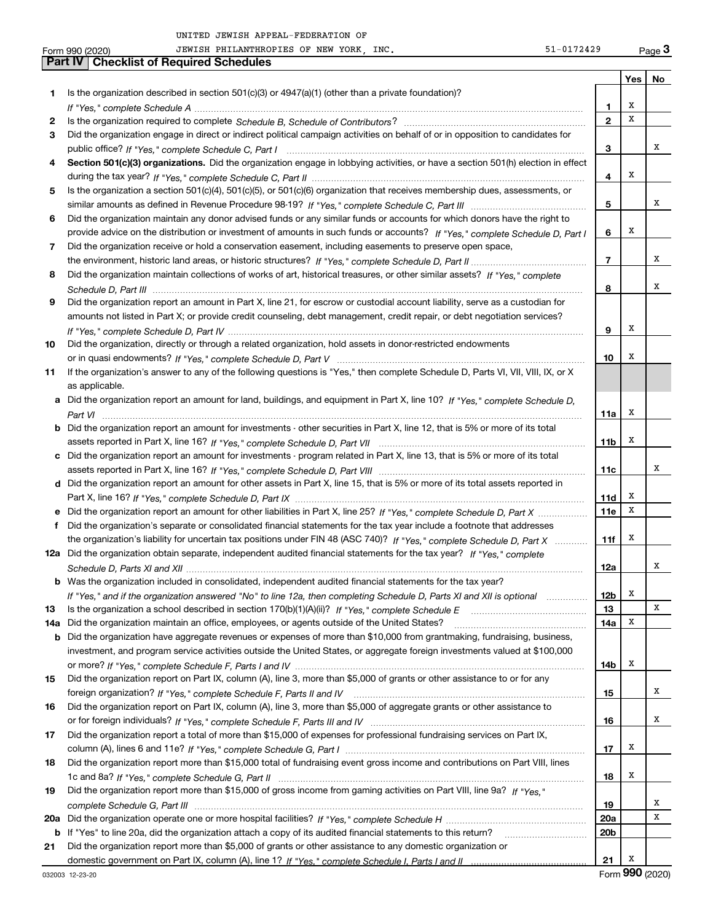|     | 51-0172429<br>JEWISH PHILANTHROPIES OF NEW YORK, INC.<br>Form 990 (2020)                                                              |                          |     | $_{\text{Page}}$ 3 |
|-----|---------------------------------------------------------------------------------------------------------------------------------------|--------------------------|-----|--------------------|
|     | <b>Checklist of Required Schedules</b><br>Part IV                                                                                     |                          |     |                    |
|     |                                                                                                                                       |                          | Yes | No                 |
| 1   | Is the organization described in section $501(c)(3)$ or $4947(a)(1)$ (other than a private foundation)?                               |                          |     |                    |
|     |                                                                                                                                       | 1                        | х   |                    |
| 2   |                                                                                                                                       | $\overline{2}$           | X   |                    |
| З   | Did the organization engage in direct or indirect political campaign activities on behalf of or in opposition to candidates for       |                          |     |                    |
|     |                                                                                                                                       | 3                        |     | x                  |
| 4   | Section 501(c)(3) organizations. Did the organization engage in lobbying activities, or have a section 501(h) election in effect      |                          |     |                    |
|     |                                                                                                                                       | 4                        | х   |                    |
| 5   | Is the organization a section 501(c)(4), 501(c)(5), or 501(c)(6) organization that receives membership dues, assessments, or          |                          |     |                    |
|     |                                                                                                                                       | 5                        |     | x                  |
| 6   | Did the organization maintain any donor advised funds or any similar funds or accounts for which donors have the right to             |                          |     |                    |
|     | provide advice on the distribution or investment of amounts in such funds or accounts? If "Yes," complete Schedule D, Part I          | 6                        | Х   |                    |
| 7   | Did the organization receive or hold a conservation easement, including easements to preserve open space,                             |                          |     |                    |
|     |                                                                                                                                       | $\overline{\phantom{a}}$ |     | x                  |
| 8   | Did the organization maintain collections of works of art, historical treasures, or other similar assets? If "Yes," complete          |                          |     |                    |
|     |                                                                                                                                       | 8                        |     | x                  |
| 9   | Did the organization report an amount in Part X, line 21, for escrow or custodial account liability, serve as a custodian for         |                          |     |                    |
|     | amounts not listed in Part X; or provide credit counseling, debt management, credit repair, or debt negotiation services?             |                          |     |                    |
|     |                                                                                                                                       | 9                        | Х   |                    |
| 10  | Did the organization, directly or through a related organization, hold assets in donor-restricted endowments                          |                          |     |                    |
|     |                                                                                                                                       | 10                       | х   |                    |
| 11  | If the organization's answer to any of the following questions is "Yes," then complete Schedule D, Parts VI, VII, VIII, IX, or X      |                          |     |                    |
|     | as applicable.                                                                                                                        |                          |     |                    |
|     | a Did the organization report an amount for land, buildings, and equipment in Part X, line 10? If "Yes," complete Schedule D,         |                          |     |                    |
|     | Part VI                                                                                                                               | 11a                      | Х   |                    |
|     | <b>b</b> Did the organization report an amount for investments - other securities in Part X, line 12, that is 5% or more of its total |                          |     |                    |
|     |                                                                                                                                       | 11 <sub>b</sub>          | Х   |                    |
|     | c Did the organization report an amount for investments - program related in Part X, line 13, that is 5% or more of its total         |                          |     |                    |
|     |                                                                                                                                       | 11c                      |     | x                  |
|     | d Did the organization report an amount for other assets in Part X, line 15, that is 5% or more of its total assets reported in       |                          |     |                    |
|     |                                                                                                                                       | 11d                      | x   |                    |
|     |                                                                                                                                       | 11e                      | X   |                    |
| f   | Did the organization's separate or consolidated financial statements for the tax year include a footnote that addresses               |                          |     |                    |
|     | the organization's liability for uncertain tax positions under FIN 48 (ASC 740)? If "Yes," complete Schedule D, Part X                | 11f                      | х   |                    |
|     | 12a Did the organization obtain separate, independent audited financial statements for the tax year? If "Yes," complete               |                          |     |                    |
|     |                                                                                                                                       | 12a                      |     | x                  |
|     | <b>b</b> Was the organization included in consolidated, independent audited financial statements for the tax year?                    |                          |     |                    |
|     | If "Yes," and if the organization answered "No" to line 12a, then completing Schedule D, Parts XI and XII is optional                 | 12b                      | х   |                    |
| 13  |                                                                                                                                       | 13                       |     | х                  |
| 14a | Did the organization maintain an office, employees, or agents outside of the United States?                                           | 14a                      | х   |                    |
| b   | Did the organization have aggregate revenues or expenses of more than \$10,000 from grantmaking, fundraising, business,               |                          |     |                    |
|     | investment, and program service activities outside the United States, or aggregate foreign investments valued at \$100,000            |                          |     |                    |
|     |                                                                                                                                       | 14b                      | х   |                    |
| 15  | Did the organization report on Part IX, column (A), line 3, more than \$5,000 of grants or other assistance to or for any             |                          |     |                    |
|     |                                                                                                                                       | 15                       |     | х                  |
| 16  | Did the organization report on Part IX, column (A), line 3, more than \$5,000 of aggregate grants or other assistance to              |                          |     |                    |
|     |                                                                                                                                       | 16                       |     | х                  |
| 17  | Did the organization report a total of more than \$15,000 of expenses for professional fundraising services on Part IX,               |                          |     |                    |
|     |                                                                                                                                       | 17                       | х   |                    |
| 18  | Did the organization report more than \$15,000 total of fundraising event gross income and contributions on Part VIII, lines          |                          |     |                    |
|     |                                                                                                                                       | 18                       | х   |                    |
| 19  | Did the organization report more than \$15,000 of gross income from gaming activities on Part VIII, line 9a? If "Yes."                |                          |     |                    |
|     |                                                                                                                                       | 19                       |     | x                  |
| 20a |                                                                                                                                       | <b>20a</b>               |     | х                  |
| b   | If "Yes" to line 20a, did the organization attach a copy of its audited financial statements to this return?                          | 20 <sub>b</sub>          |     |                    |
| 21  | Did the organization report more than \$5,000 of grants or other assistance to any domestic organization or                           |                          |     |                    |
|     |                                                                                                                                       | 21                       | x   |                    |

032003 12-23-20

Form (2020) **990**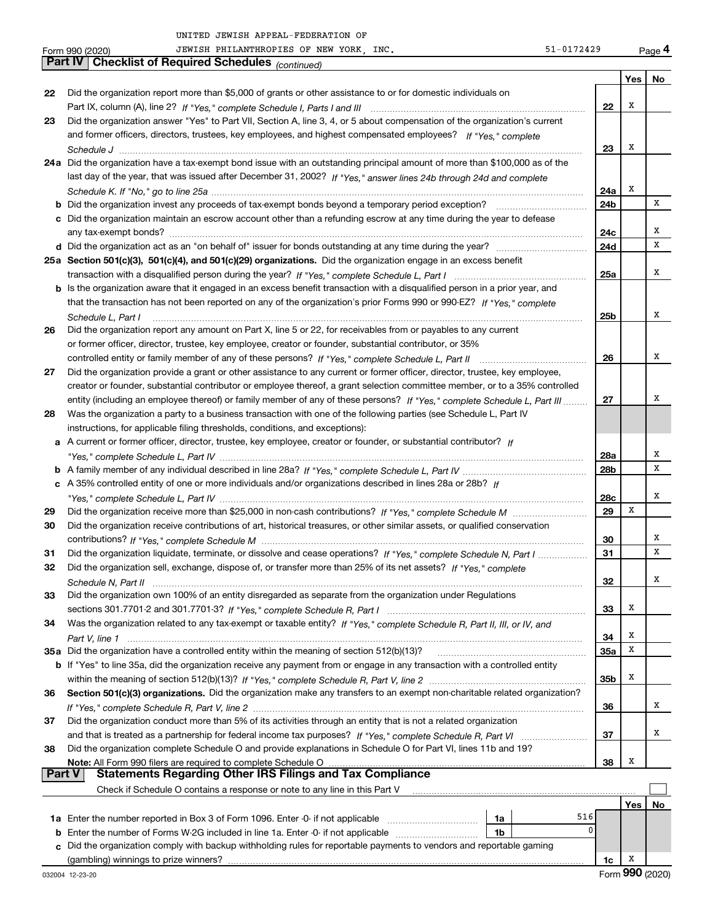|        | 51-0172429<br>JEWISH PHILANTHROPIES OF NEW YORK, INC.<br>Form 990 (2020)                                                     |            |         | Page 4 |
|--------|------------------------------------------------------------------------------------------------------------------------------|------------|---------|--------|
|        | Part IV   Checklist of Required Schedules (continued)                                                                        |            |         |        |
|        |                                                                                                                              |            | Yes $ $ | No     |
| 22     | Did the organization report more than \$5,000 of grants or other assistance to or for domestic individuals on                |            |         |        |
|        |                                                                                                                              | 22         | Х       |        |
| 23     | Did the organization answer "Yes" to Part VII, Section A, line 3, 4, or 5 about compensation of the organization's current   |            |         |        |
|        | and former officers, directors, trustees, key employees, and highest compensated employees? If "Yes," complete               |            |         |        |
|        |                                                                                                                              | 23         | Х       |        |
|        | 24a Did the organization have a tax-exempt bond issue with an outstanding principal amount of more than \$100,000 as of the  |            |         |        |
|        | last day of the year, that was issued after December 31, 2002? If "Yes," answer lines 24b through 24d and complete           |            |         |        |
|        |                                                                                                                              | 24a        | Х       |        |
|        |                                                                                                                              | 24b        |         | X      |
|        | c Did the organization maintain an escrow account other than a refunding escrow at any time during the year to defease       |            |         |        |
|        |                                                                                                                              | 24c        |         | Х      |
|        |                                                                                                                              | 24d        |         | х      |
|        | 25a Section 501(c)(3), 501(c)(4), and 501(c)(29) organizations. Did the organization engage in an excess benefit             |            |         |        |
|        |                                                                                                                              | 25a        |         | Χ      |
|        |                                                                                                                              |            |         |        |
|        | b Is the organization aware that it engaged in an excess benefit transaction with a disqualified person in a prior year, and |            |         |        |
|        | that the transaction has not been reported on any of the organization's prior Forms 990 or 990-EZ? If "Yes," complete        |            |         | Χ      |
|        | Schedule L. Part I                                                                                                           | 25b        |         |        |
| 26     | Did the organization report any amount on Part X, line 5 or 22, for receivables from or payables to any current              |            |         |        |
|        | or former officer, director, trustee, key employee, creator or founder, substantial contributor, or 35%                      |            |         | Χ      |
|        |                                                                                                                              | 26         |         |        |
| 27     | Did the organization provide a grant or other assistance to any current or former officer, director, trustee, key employee,  |            |         |        |
|        | creator or founder, substantial contributor or employee thereof, a grant selection committee member, or to a 35% controlled  |            |         |        |
|        | entity (including an employee thereof) or family member of any of these persons? If "Yes," complete Schedule L, Part III     | 27         |         | х      |
| 28     | Was the organization a party to a business transaction with one of the following parties (see Schedule L, Part IV            |            |         |        |
|        | instructions, for applicable filing thresholds, conditions, and exceptions):                                                 |            |         |        |
|        | a A current or former officer, director, trustee, key employee, creator or founder, or substantial contributor? If           |            |         |        |
|        |                                                                                                                              | 28a        |         | Х      |
|        |                                                                                                                              | 28b        |         | x      |
|        | c A 35% controlled entity of one or more individuals and/or organizations described in lines 28a or 28b? If                  |            |         |        |
|        |                                                                                                                              | 28c        |         | Х      |
| 29     |                                                                                                                              | 29         | х       |        |
| 30     | Did the organization receive contributions of art, historical treasures, or other similar assets, or qualified conservation  |            |         |        |
|        |                                                                                                                              | 30         |         | Х      |
| 31     | Did the organization liquidate, terminate, or dissolve and cease operations? If "Yes," complete Schedule N, Part I           | 31         |         | х      |
| 32     | Did the organization sell, exchange, dispose of, or transfer more than 25% of its net assets? If "Yes," complete             |            |         |        |
|        |                                                                                                                              | 32         |         | Х      |
| 33     | Did the organization own 100% of an entity disregarded as separate from the organization under Regulations                   |            |         |        |
|        |                                                                                                                              | 33         | х       |        |
| 34     | Was the organization related to any tax-exempt or taxable entity? If "Yes," complete Schedule R, Part II, III, or IV, and    |            |         |        |
|        |                                                                                                                              | 34         | х       |        |
|        | 35a Did the organization have a controlled entity within the meaning of section 512(b)(13)?                                  | <b>35a</b> | Х       |        |
|        | b If "Yes" to line 35a, did the organization receive any payment from or engage in any transaction with a controlled entity  |            |         |        |
|        |                                                                                                                              | 35b        | x       |        |
| 36     | Section 501(c)(3) organizations. Did the organization make any transfers to an exempt non-charitable related organization?   |            |         |        |
|        |                                                                                                                              | 36         |         | х      |
| 37     | Did the organization conduct more than 5% of its activities through an entity that is not a related organization             |            |         |        |
|        |                                                                                                                              | 37         |         | х      |
| 38     | Did the organization complete Schedule O and provide explanations in Schedule O for Part VI, lines 11b and 19?               |            |         |        |
|        | Note: All Form 990 filers are required to complete Schedule O                                                                | 38         | х       |        |
| Part V | <b>Statements Regarding Other IRS Filings and Tax Compliance</b>                                                             |            |         |        |
|        | Check if Schedule O contains a response or note to any line in this Part V                                                   |            |         |        |
|        |                                                                                                                              |            | Yes     | No     |
|        |                                                                                                                              | 516        |         |        |
|        | 1a<br>1b                                                                                                                     | $\Omega$   |         |        |
|        | c Did the organization comply with backup withholding rules for reportable payments to vendors and reportable gaming         |            |         |        |
|        |                                                                                                                              |            |         |        |

(gambling) winnings to prize winners?

**1c** X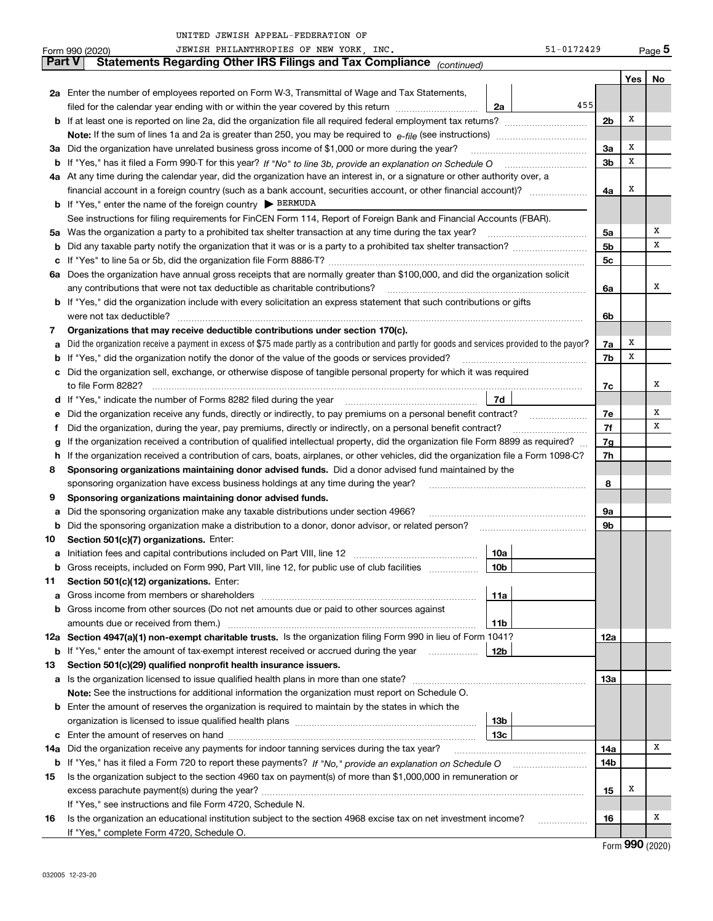|               | JEWISH PHILANTHROPIES OF NEW YORK, INC.<br>51-0172429<br>Form 990 (2020)                                                                                        |                |            | <u>Page</u> 5 |  |  |  |  |
|---------------|-----------------------------------------------------------------------------------------------------------------------------------------------------------------|----------------|------------|---------------|--|--|--|--|
| <b>Part V</b> | Statements Regarding Other IRS Filings and Tax Compliance (continued)                                                                                           |                |            |               |  |  |  |  |
|               |                                                                                                                                                                 |                | <b>Yes</b> | No            |  |  |  |  |
|               | 2a Enter the number of employees reported on Form W-3, Transmittal of Wage and Tax Statements,                                                                  |                |            |               |  |  |  |  |
|               | 455<br>filed for the calendar year ending with or within the year covered by this return<br>2a                                                                  |                |            |               |  |  |  |  |
|               | <b>b</b> If at least one is reported on line 2a, did the organization file all required federal employment tax returns?                                         | 2 <sub>b</sub> | X          |               |  |  |  |  |
|               |                                                                                                                                                                 |                |            |               |  |  |  |  |
| За            | Did the organization have unrelated business gross income of \$1,000 or more during the year?                                                                   | 3a             | X          |               |  |  |  |  |
| b             |                                                                                                                                                                 | 3b             | x          |               |  |  |  |  |
|               | 4a At any time during the calendar year, did the organization have an interest in, or a signature or other authority over, a                                    |                |            |               |  |  |  |  |
|               |                                                                                                                                                                 | 4a             | X          |               |  |  |  |  |
|               | <b>b</b> If "Yes," enter the name of the foreign country $\triangleright$ <b>BERMUDA</b>                                                                        |                |            |               |  |  |  |  |
|               | See instructions for filing requirements for FinCEN Form 114, Report of Foreign Bank and Financial Accounts (FBAR).                                             |                |            |               |  |  |  |  |
| 5a            | Was the organization a party to a prohibited tax shelter transaction at any time during the tax year?                                                           | 5a             |            | х             |  |  |  |  |
| b             |                                                                                                                                                                 | 5 <sub>b</sub> |            | X             |  |  |  |  |
| c             |                                                                                                                                                                 | 5 <sub>c</sub> |            |               |  |  |  |  |
|               | 6a Does the organization have annual gross receipts that are normally greater than \$100,000, and did the organization solicit                                  |                |            |               |  |  |  |  |
|               | any contributions that were not tax deductible as charitable contributions?                                                                                     | 6a             |            | х             |  |  |  |  |
| b             | If "Yes," did the organization include with every solicitation an express statement that such contributions or gifts                                            |                |            |               |  |  |  |  |
|               | were not tax deductible?                                                                                                                                        | 6b             |            |               |  |  |  |  |
| 7             | Organizations that may receive deductible contributions under section 170(c).                                                                                   |                |            |               |  |  |  |  |
| а             | Did the organization receive a payment in excess of \$75 made partly as a contribution and partly for goods and services provided to the payor?                 | 7a             | X          |               |  |  |  |  |
| b             | If "Yes," did the organization notify the donor of the value of the goods or services provided?                                                                 | 7b             | x          |               |  |  |  |  |
| c             | Did the organization sell, exchange, or otherwise dispose of tangible personal property for which it was required                                               |                |            |               |  |  |  |  |
|               | to file Form 8282?                                                                                                                                              | 7c             |            | х             |  |  |  |  |
| d             | 7d                                                                                                                                                              |                |            |               |  |  |  |  |
| е             | Did the organization receive any funds, directly or indirectly, to pay premiums on a personal benefit contract?                                                 | 7e             |            | Х             |  |  |  |  |
| f             | Did the organization, during the year, pay premiums, directly or indirectly, on a personal benefit contract?                                                    | 7f             |            | X             |  |  |  |  |
| g             | If the organization received a contribution of qualified intellectual property, did the organization file Form 8899 as required?                                |                |            |               |  |  |  |  |
| h             | If the organization received a contribution of cars, boats, airplanes, or other vehicles, did the organization file a Form 1098-C?                              |                |            |               |  |  |  |  |
| 8             | Sponsoring organizations maintaining donor advised funds. Did a donor advised fund maintained by the                                                            | 7h             |            |               |  |  |  |  |
|               | sponsoring organization have excess business holdings at any time during the year?                                                                              | 8              |            |               |  |  |  |  |
| 9             | Sponsoring organizations maintaining donor advised funds.                                                                                                       |                |            |               |  |  |  |  |
| а             | Did the sponsoring organization make any taxable distributions under section 4966?                                                                              | 9a             |            |               |  |  |  |  |
| b             | Did the sponsoring organization make a distribution to a donor, donor advisor, or related person?                                                               | 9b             |            |               |  |  |  |  |
| 10            | Section 501(c)(7) organizations. Enter:                                                                                                                         |                |            |               |  |  |  |  |
|               | 10a<br>Initiation fees and capital contributions included on Part VIII, line 12 [100] [100] [100] [100] [100] [100] [                                           |                |            |               |  |  |  |  |
| а             | Gross receipts, included on Form 990, Part VIII, line 12, for public use of club facilities                                                                     |                |            |               |  |  |  |  |
| b<br>11       | 10b                                                                                                                                                             |                |            |               |  |  |  |  |
|               | Section 501(c)(12) organizations. Enter:<br>11a<br>Gross income from members or shareholders                                                                    |                |            |               |  |  |  |  |
| а<br>b        | Gross income from other sources (Do not net amounts due or paid to other sources against                                                                        |                |            |               |  |  |  |  |
|               | amounts due or received from them.)<br>11b                                                                                                                      |                |            |               |  |  |  |  |
|               | 12a Section 4947(a)(1) non-exempt charitable trusts. Is the organization filing Form 990 in lieu of Form 1041?                                                  | 12a            |            |               |  |  |  |  |
|               | 12b                                                                                                                                                             |                |            |               |  |  |  |  |
| b<br>13       | If "Yes," enter the amount of tax-exempt interest received or accrued during the year manu-<br>Section 501(c)(29) qualified nonprofit health insurance issuers. |                |            |               |  |  |  |  |
|               | Is the organization licensed to issue qualified health plans in more than one state?                                                                            | 13а            |            |               |  |  |  |  |
| а             | Note: See the instructions for additional information the organization must report on Schedule O.                                                               |                |            |               |  |  |  |  |
|               |                                                                                                                                                                 |                |            |               |  |  |  |  |
| b             | Enter the amount of reserves the organization is required to maintain by the states in which the<br>13 <sub>b</sub>                                             |                |            |               |  |  |  |  |
|               | 13 <sub>c</sub>                                                                                                                                                 |                |            |               |  |  |  |  |
| с             |                                                                                                                                                                 |                |            | Х             |  |  |  |  |
| 14a           | Did the organization receive any payments for indoor tanning services during the tax year?                                                                      | 14a            |            |               |  |  |  |  |
| b             |                                                                                                                                                                 | 14b            |            |               |  |  |  |  |
| 15            | Is the organization subject to the section 4960 tax on payment(s) of more than \$1,000,000 in remuneration or                                                   |                | x          |               |  |  |  |  |
|               |                                                                                                                                                                 | 15             |            |               |  |  |  |  |
|               | If "Yes," see instructions and file Form 4720, Schedule N.                                                                                                      |                |            | х             |  |  |  |  |
| 16            | Is the organization an educational institution subject to the section 4968 excise tax on net investment income?                                                 | 16             |            |               |  |  |  |  |

Form (2020) **990**

If "Yes," complete Form 4720, Schedule O.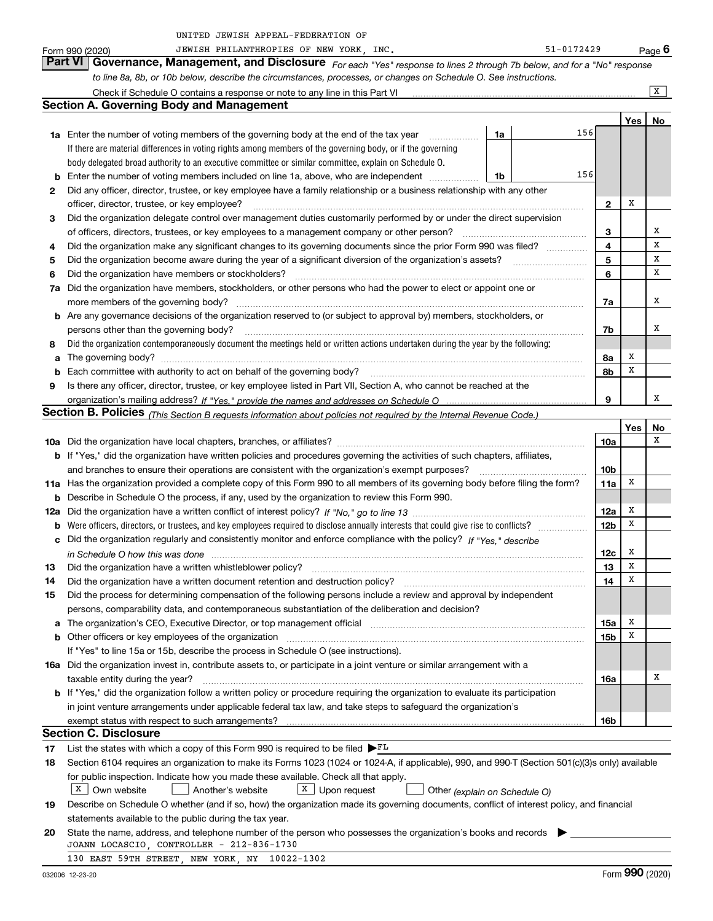|  | UNITED JEWISH APPEAL-FEDERATION OF |  |
|--|------------------------------------|--|
|  |                                    |  |

|         | UNITED JEWISH APPEAL-FEDERATION OF                                                                                                                                                                                             |                 |     |                |
|---------|--------------------------------------------------------------------------------------------------------------------------------------------------------------------------------------------------------------------------------|-----------------|-----|----------------|
|         | 51-0172429<br>JEWISH PHILANTHROPIES OF NEW YORK, INC.<br>Form 990 (2020)                                                                                                                                                       |                 |     | Page $6$       |
|         | Part VI   Governance, Management, and Disclosure For each "Yes" response to lines 2 through 7b below, and for a "No" response                                                                                                  |                 |     |                |
|         | to line 8a, 8b, or 10b below, describe the circumstances, processes, or changes on Schedule O. See instructions.                                                                                                               |                 |     |                |
|         | Check if Schedule O contains a response or note to any line in this Part VI                                                                                                                                                    |                 |     | $\overline{X}$ |
|         | <b>Section A. Governing Body and Management</b>                                                                                                                                                                                |                 |     |                |
|         |                                                                                                                                                                                                                                |                 | Yes | No             |
|         | 156<br>1a<br><b>1a</b> Enter the number of voting members of the governing body at the end of the tax year                                                                                                                     |                 |     |                |
|         | If there are material differences in voting rights among members of the governing body, or if the governing                                                                                                                    |                 |     |                |
|         | body delegated broad authority to an executive committee or similar committee, explain on Schedule O.                                                                                                                          |                 |     |                |
| b       | 156<br>Enter the number of voting members included on line 1a, above, who are independent<br>1b                                                                                                                                |                 |     |                |
| 2       | Did any officer, director, trustee, or key employee have a family relationship or a business relationship with any other                                                                                                       |                 |     |                |
|         | officer, director, trustee, or key employee?                                                                                                                                                                                   | $\mathbf{2}$    | х   |                |
| 3       | Did the organization delegate control over management duties customarily performed by or under the direct supervision                                                                                                          |                 |     | х              |
|         | of officers, directors, trustees, or key employees to a management company or other person?                                                                                                                                    | 3               |     | X              |
| 4       | Did the organization make any significant changes to its governing documents since the prior Form 990 was filed?                                                                                                               | 4<br>5          |     | X              |
| 5       | Did the organization become aware during the year of a significant diversion of the organization's assets?                                                                                                                     | 6               |     | x              |
| 6<br>7a | Did the organization have members or stockholders?<br>Did the organization have members, stockholders, or other persons who had the power to elect or appoint one or                                                           |                 |     |                |
|         | more members of the governing body?                                                                                                                                                                                            | 7a              |     | X              |
|         | b Are any governance decisions of the organization reserved to (or subject to approval by) members, stockholders, or                                                                                                           |                 |     |                |
|         | persons other than the governing body?                                                                                                                                                                                         | 7b              |     | X              |
| 8       | Did the organization contemporaneously document the meetings held or written actions undertaken during the year by the following:                                                                                              |                 |     |                |
| a       | The governing body?                                                                                                                                                                                                            | 8a              | х   |                |
| b       | Each committee with authority to act on behalf of the governing body?                                                                                                                                                          | 8b              | х   |                |
| 9       | Is there any officer, director, trustee, or key employee listed in Part VII, Section A, who cannot be reached at the                                                                                                           |                 |     |                |
|         |                                                                                                                                                                                                                                | 9               |     | x              |
|         | Section B. Policies (This Section B requests information about policies not required by the Internal Revenue Code.)                                                                                                            |                 |     |                |
|         |                                                                                                                                                                                                                                |                 | Yes | No             |
|         |                                                                                                                                                                                                                                | 10a             |     | x              |
|         | <b>b</b> If "Yes," did the organization have written policies and procedures governing the activities of such chapters, affiliates,                                                                                            |                 |     |                |
|         | and branches to ensure their operations are consistent with the organization's exempt purposes?                                                                                                                                | 10 <sub>b</sub> |     |                |
|         | 11a Has the organization provided a complete copy of this Form 990 to all members of its governing body before filing the form?                                                                                                | 11a             | х   |                |
| b       | Describe in Schedule O the process, if any, used by the organization to review this Form 990.                                                                                                                                  |                 |     |                |
| 12a     |                                                                                                                                                                                                                                | 12a             | х   |                |
|         | <b>b</b> Were officers, directors, or trustees, and key employees required to disclose annually interests that could give rise to conflicts?                                                                                   | 12 <sub>b</sub> | х   |                |
|         | c Did the organization regularly and consistently monitor and enforce compliance with the policy? If "Yes," describe                                                                                                           |                 |     |                |
|         | in Schedule O how this was done                                                                                                                                                                                                | 12c             | х   |                |
| 13      | Did the organization have a written whistleblower policy? [11] manufaction material manufaction material manufaction material manufaction material material material material material material material material material mat | 13              | х   |                |
| 14      | Did the organization have a written document retention and destruction policy?                                                                                                                                                 | 14              | х   |                |
| 15      | Did the process for determining compensation of the following persons include a review and approval by independent                                                                                                             |                 |     |                |
|         | persons, comparability data, and contemporaneous substantiation of the deliberation and decision?                                                                                                                              |                 |     |                |
| а       | The organization's CEO, Executive Director, or top management official manufactured content content of the organization's CEO, Executive Director, or top management official manufactured content of the organization's CEO,  | 15a             | х   |                |
| b       | Other officers or key employees of the organization manufaction manufacture of the contraction of the organization                                                                                                             | 15b             | х   |                |
|         | If "Yes" to line 15a or 15b, describe the process in Schedule O (see instructions).                                                                                                                                            |                 |     |                |
|         | 16a Did the organization invest in, contribute assets to, or participate in a joint venture or similar arrangement with a                                                                                                      |                 |     | х              |
|         | taxable entity during the year?                                                                                                                                                                                                | 16a             |     |                |
|         | <b>b</b> If "Yes," did the organization follow a written policy or procedure requiring the organization to evaluate its participation                                                                                          |                 |     |                |
|         | in joint venture arrangements under applicable federal tax law, and take steps to safeguard the organization's                                                                                                                 |                 |     |                |
|         | <b>Section C. Disclosure</b>                                                                                                                                                                                                   | 16b             |     |                |
| 17      | List the states with which a copy of this Form 990 is required to be filed $\blacktriangleright^{\text{FL}}$                                                                                                                   |                 |     |                |
| 18      | Section 6104 requires an organization to make its Forms 1023 (1024 or 1024-A, if applicable), 990, and 990-T (Section 501(c)(3)s only) available                                                                               |                 |     |                |
|         | for public inspection. Indicate how you made these available. Check all that apply.                                                                                                                                            |                 |     |                |
|         | $X$ Own website<br>$X$ Upon request<br>Another's website<br>Other (explain on Schedule O)                                                                                                                                      |                 |     |                |
| 19      | Describe on Schedule O whether (and if so, how) the organization made its governing documents, conflict of interest policy, and financial                                                                                      |                 |     |                |
|         | statements available to the public during the tax year.                                                                                                                                                                        |                 |     |                |
|         |                                                                                                                                                                                                                                |                 |     |                |

**20** State the name, address, and telephone number of the person who possesses the organization's books and records  $\blacktriangleright$ JOANN LOCASCIO, CONTROLLER - 212-836-1730

130 EAST 59TH STREET, NEW YORK, NY 10022-1302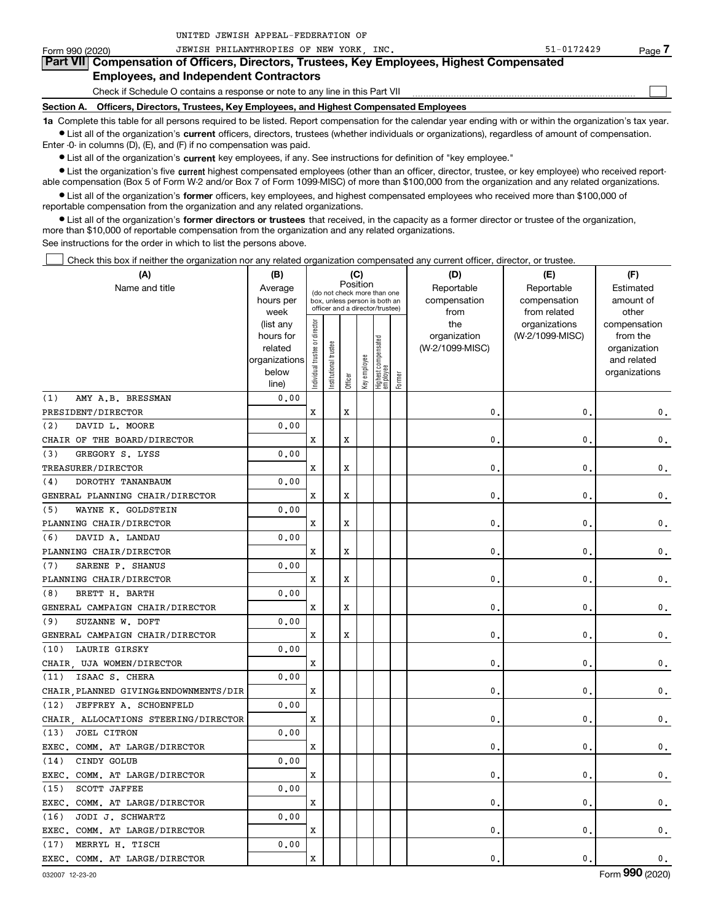**7**

 $\begin{array}{c} \hline \end{array}$ 

Form 990 (2020) Page JEWISH PHILANTHROPIES OF NEW YORK, INC. 51-0172429 **Part VII Compensation of Officers, Directors, Trustees, Key Employees, Highest Compensated Employees, and Independent Contractors**

Check if Schedule O contains a response or note to any line in this Part VII

**Section A. Officers, Directors, Trustees, Key Employees, and Highest Compensated Employees**

**1a**  Complete this table for all persons required to be listed. Report compensation for the calendar year ending with or within the organization's tax year.  $\bullet$  List all of the organization's current officers, directors, trustees (whether individuals or organizations), regardless of amount of compensation.

Enter -0- in columns (D), (E), and (F) if no compensation was paid.

**•** List all of the organization's current key employees, if any. See instructions for definition of "key employee."

**•** List the organization's five current highest compensated employees (other than an officer, director, trustee, or key employee) who received reportable compensation (Box 5 of Form W-2 and/or Box 7 of Form 1099-MISC) of more than \$100,000 from the organization and any related organizations.

 $\bullet$  List all of the organization's former officers, key employees, and highest compensated employees who received more than \$100,000 of reportable compensation from the organization and any related organizations.

**•** List all of the organization's former directors or trustees that received, in the capacity as a former director or trustee of the organization, more than \$10,000 of reportable compensation from the organization and any related organizations.

See instructions for the order in which to list the persons above.

Check this box if neither the organization nor any related organization compensated any current officer, director, or trustee.  $\Box$ 

| (A)                                  | (B)                  |                                         |                 |         | (C)          |                                                                  |        | (D)                             | (E)             | (F)                      |  |  |
|--------------------------------------|----------------------|-----------------------------------------|-----------------|---------|--------------|------------------------------------------------------------------|--------|---------------------------------|-----------------|--------------------------|--|--|
| Name and title                       | Average              | Position<br>(do not check more than one |                 |         |              |                                                                  |        | Reportable                      | Reportable      | Estimated                |  |  |
|                                      | hours per            |                                         |                 |         |              | box, unless person is both an<br>officer and a director/trustee) |        | compensation                    | compensation    | amount of                |  |  |
|                                      | week                 |                                         |                 |         |              |                                                                  |        | from                            | from related    | other                    |  |  |
|                                      | (list any            |                                         |                 |         |              |                                                                  |        | the                             | organizations   | compensation             |  |  |
|                                      | hours for<br>related |                                         |                 |         |              |                                                                  |        | organization<br>(W-2/1099-MISC) | (W-2/1099-MISC) | from the<br>organization |  |  |
|                                      | organizations        |                                         | trustee         |         |              |                                                                  |        |                                 |                 | and related              |  |  |
|                                      | below                |                                         |                 |         |              |                                                                  |        |                                 |                 | organizations            |  |  |
|                                      | line)                | Individual trustee or director          | Institutional t | Officer | Key employee | Highest compensated<br>employee                                  | Former |                                 |                 |                          |  |  |
| (1)<br>AMY A.B. BRESSMAN             | 0.00                 |                                         |                 |         |              |                                                                  |        |                                 |                 |                          |  |  |
| PRESIDENT/DIRECTOR                   |                      | x                                       |                 | X       |              |                                                                  |        | 0                               | 0               | $\mathbf 0$ .            |  |  |
| (2)<br>DAVID L. MOORE                | 0.00                 |                                         |                 |         |              |                                                                  |        |                                 |                 |                          |  |  |
| CHAIR OF THE BOARD/DIRECTOR          |                      | X                                       |                 | x       |              |                                                                  |        | 0                               | 0               | $\mathbf 0$ .            |  |  |
| (3)<br>GREGORY S. LYSS               | 0.00                 |                                         |                 |         |              |                                                                  |        |                                 |                 |                          |  |  |
| TREASURER/DIRECTOR                   |                      | x                                       |                 | x       |              |                                                                  |        | 0                               | 0               | $\mathbf{0}$ .           |  |  |
| DOROTHY TANANBAUM<br>(4)             | 0.00                 |                                         |                 |         |              |                                                                  |        |                                 |                 |                          |  |  |
| GENERAL PLANNING CHAIR/DIRECTOR      |                      | x                                       |                 | x       |              |                                                                  |        | $\mathbf{0}$                    | 0               | $\mathbf{0}$ .           |  |  |
| WAYNE K. GOLDSTEIN<br>(5)            | 0.00                 |                                         |                 |         |              |                                                                  |        |                                 |                 |                          |  |  |
| PLANNING CHAIR/DIRECTOR              |                      | x                                       |                 | x       |              |                                                                  |        | $\mathbf{0}$                    | 0               | $\mathbf{0}$ .           |  |  |
| (6)<br>DAVID A. LANDAU               | 0.00                 |                                         |                 |         |              |                                                                  |        |                                 |                 |                          |  |  |
| PLANNING CHAIR/DIRECTOR              |                      | x                                       |                 | X       |              |                                                                  |        | 0                               | 0               | $\mathbf{0}$ .           |  |  |
| (7)<br>SARENE P. SHANUS              | 0.00                 |                                         |                 |         |              |                                                                  |        |                                 |                 |                          |  |  |
| PLANNING CHAIR/DIRECTOR              |                      | x                                       |                 | X       |              |                                                                  |        | 0                               | 0               | $\mathbf{0}$ .           |  |  |
| BRETT H. BARTH<br>(8)                | 0.00                 |                                         |                 |         |              |                                                                  |        |                                 |                 |                          |  |  |
| GENERAL CAMPAIGN CHAIR/DIRECTOR      |                      | x                                       |                 | X       |              |                                                                  |        | $\mathbf{0}$                    | 0               | $\mathbf{0}$ .           |  |  |
| (9)<br>SUZANNE W. DOFT               | 0.00                 |                                         |                 |         |              |                                                                  |        |                                 |                 |                          |  |  |
| GENERAL CAMPAIGN CHAIR/DIRECTOR      |                      | x                                       |                 | X       |              |                                                                  |        | $\mathbf{0}$ .                  | $\mathbf{0}$    | $\mathbf{0}$ .           |  |  |
| LAURIE GIRSKY<br>(10)                | 0.00                 |                                         |                 |         |              |                                                                  |        |                                 |                 |                          |  |  |
| CHAIR UJA WOMEN/DIRECTOR             |                      | x                                       |                 |         |              |                                                                  |        | $\mathbf{0}$                    | 0               | 0.                       |  |  |
| ISAAC S. CHERA<br>(11)               | 0.00                 |                                         |                 |         |              |                                                                  |        |                                 |                 |                          |  |  |
| CHAIR PLANNED GIVING&ENDOWNMENTS/DIR |                      | x                                       |                 |         |              |                                                                  |        | $\mathbf{0}$ .                  | 0               | $\mathbf 0$ .            |  |  |
| JEFFREY A. SCHOENFELD<br>(12)        | 0.00                 |                                         |                 |         |              |                                                                  |        |                                 |                 |                          |  |  |
| CHAIR ALLOCATIONS STEERING/DIRECTOR  |                      | x                                       |                 |         |              |                                                                  |        | $\mathbf{0}$ .                  | 0               | $\mathbf{0}$ .           |  |  |
| <b>JOEL CITRON</b><br>(13)           | 0.00                 |                                         |                 |         |              |                                                                  |        |                                 |                 |                          |  |  |
| COMM. AT LARGE/DIRECTOR<br>EXEC.     |                      | x                                       |                 |         |              |                                                                  |        | 0.                              | $\mathbf{0}$    | $\mathbf 0$ .            |  |  |
| CINDY GOLUB<br>(14)                  | 0.00                 |                                         |                 |         |              |                                                                  |        |                                 |                 |                          |  |  |
| EXEC. COMM. AT LARGE/DIRECTOR        |                      | x                                       |                 |         |              |                                                                  |        | 0.                              | $\mathbf{0}$    | 0.                       |  |  |
| <b>SCOTT JAFFEE</b><br>(15)          | 0.00                 |                                         |                 |         |              |                                                                  |        |                                 |                 |                          |  |  |
| EXEC. COMM. AT LARGE/DIRECTOR        |                      | x                                       |                 |         |              |                                                                  |        | 0.                              | $\mathbf{0}$    | $\mathsf{0}\,.$          |  |  |
| JODI J. SCHWARTZ<br>(16)             | 0.00                 |                                         |                 |         |              |                                                                  |        |                                 |                 |                          |  |  |
| EXEC. COMM. AT LARGE/DIRECTOR        |                      | x                                       |                 |         |              |                                                                  |        | $\mathbf{0}$ .                  | $\mathbf{0}$    | $\mathbf 0$ .            |  |  |
| MERRYL H. TISCH<br>(17)              | 0.00                 |                                         |                 |         |              |                                                                  |        |                                 |                 |                          |  |  |
| EXEC. COMM. AT LARGE/DIRECTOR        |                      | X                                       |                 |         |              |                                                                  |        | $\mathbf{0}$ .                  | $\mathbf{0}$    | $\mathsf{0}\,.$          |  |  |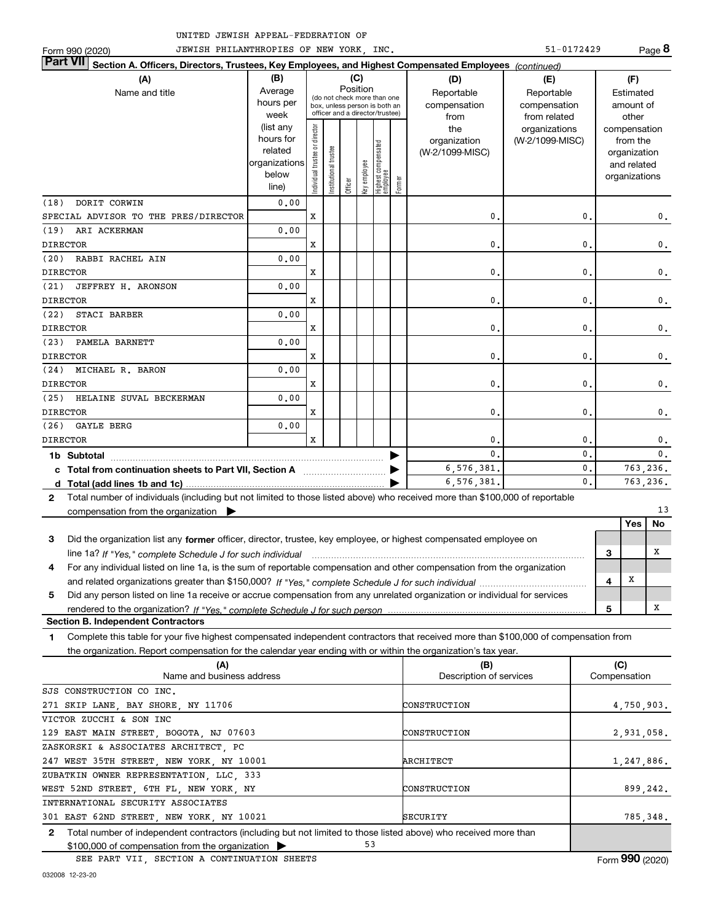Form 990 (2020) TEWISH PHILANTHROPIES OF NEW YORK, INC. The State of the S1-0172429 Page 51-0172429 **8 Section A. Officers, Directors, Trustees, Key Employees, and Highest Compensated Employees**  *(continued)* **Part VII (A) (B) (C) (D) (E) (F)** Average Position Name and title **Reportable Reportable Reportable Reportable** Reportable Estimated (do not check more than one hours per compensation compensation amount of box, unless person is both an officer and a director/trustee) week from from related other (list any trustee or director Individual trustee or director the organizations compensation hours for organization (W-2/1099-MISC) from the Highest compensated<br>employee Highest compensated related Institutional trustee (W-2/1099-MISC) organization organizations Key employee and related below ndividual organizations fficer Former line) (18) DORIT CORWIN 0.00 SPECIAL ADVISOR TO THE PRES/DIRECTOR X 0. 0. 0. (19) ARI ACKERMAN 0.00 X 0. 0. 0. DIRECTOR (20) RABBI RACHEL AIN 0.00 X 0. 0. 0. DIRECTOR (21) JEFFREY H. ARONSON 0.00 DIRECTOR X 0. 0. 0. (22) STACI BARBER 0.00 DIRECTOR X 0. 0. 0. (23) PAMELA BARNETT 0.00 DIRECTOR X 0. 0. 0. (24) MICHAEL R. BARON 0.00 DIRECTOR X 0. 0. 0. (25) HELAINE SUVAL BECKERMAN 0.00 X 0. 0. 0. DIRECTOR 0.00 (26) GAYLE BERG DIRECTOR X 0. 0. 0.  $\begin{array}{ccc} 0. & \hspace{1.1cm} 0. & \hspace{1.1cm} 0. \end{array}$ **1b Subtotal** ~~~~~~~~~~~~~~~~~~~~~~~~~~~~~~~~~ | 6,576,381. 0. 763,236. **c** Total from continuation sheets to Part Ⅶ, Section A ────────────── ▶ 6,576,381. 0. 763,236. **d Total (add lines 1b and 1c)** | Total number of individuals (including but not limited to those listed above) who received more than \$100,000 of reportable **2** compensation from the organization | 13 **Yes No 3** Did the organization list any former officer, director, trustee, key employee, or highest compensated employee on X **3** line 1a? *If "Yes,"* complete Schedule J for such individual *macroofficeral communications* and the setting of the **4** For any individual listed on line 1a, is the sum of reportable compensation and other compensation from the organization X *If "Yes," complete Schedule J for such individual* and related organizations greater than \$150,000? ~~~~~~~~~~~~~ **4 5** Did any person listed on line 1a receive or accrue compensation from any unrelated organization or individual for services X *If "Yes," complete Schedule J for such person* rendered to the organization? **5 Section B. Independent Contractors** Complete this table for your five highest compensated independent contractors that received more than \$100,000 of compensation from **1** the organization. Report compensation for the calendar year ending with or within the organization's tax year.

**(A) (B) (C) 2** Name and business address Network Compensation **Description of services** Network Compensation Total number of independent contractors (including but not limited to those listed above) who received more than \$100,000 of compensation from the organization 271 SKIP LANE, BAY SHORE, NY 11706 129 EAST MAIN STREET, BOGOTA, NJ 07603 247 WEST 35TH STREET, NEW YORK, NY 10001 WEST 52ND STREET, 6TH FL, NEW YORK, NY 301 EAST 62ND STREET, NEW YORK, NY 10021 53 SJS CONSTRUCTION CO INC. VICTOR ZUCCHI & SON INC ZASKORSKI & ASSOCIATES ARCHITECT, PC ZUBATKIN OWNER REPRESENTATION, LLC, 333 INTERNATIONAL SECURITY ASSOCIATES CONSTRUCTION CONSTRUCTION **ARCHITECT** CONSTRUCTION SECURITY 4,750,903. 2,931,058. 1,247,886. 899,242. 785,348.

SEE PART VII, SECTION A CONTINUATION SHEETS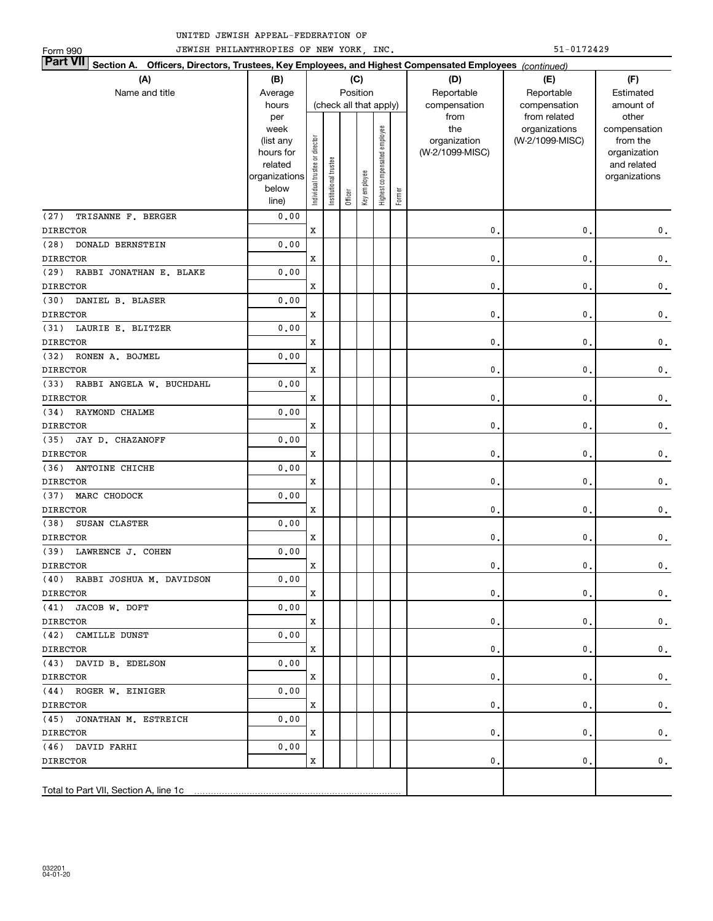| JEWISH PHILANTHROPIES OF NEW YORK, INC.<br>51-0172429<br>Form 990 |                                                                                                                           |                                |                        |         |              |                              |        |                                 |                 |                          |  |
|-------------------------------------------------------------------|---------------------------------------------------------------------------------------------------------------------------|--------------------------------|------------------------|---------|--------------|------------------------------|--------|---------------------------------|-----------------|--------------------------|--|
|                                                                   | <b>Part VII</b><br>Section A. Officers, Directors, Trustees, Key Employees, and Highest Compensated Employees (continued) |                                |                        |         |              |                              |        |                                 |                 |                          |  |
| (A)                                                               | (B)                                                                                                                       |                                |                        |         | (C)          |                              |        | (D)                             | (E)             | (F)                      |  |
| Name and title                                                    | Average                                                                                                                   |                                |                        |         | Position     |                              |        | Reportable                      | Reportable      | Estimated                |  |
|                                                                   | hours                                                                                                                     |                                | (check all that apply) |         |              |                              |        | compensation                    | compensation    | amount of                |  |
|                                                                   | per                                                                                                                       |                                |                        |         |              |                              |        | from                            | from related    | other                    |  |
|                                                                   | week                                                                                                                      |                                |                        |         |              |                              |        | the                             | organizations   | compensation             |  |
|                                                                   | (list any<br>hours for                                                                                                    |                                |                        |         |              |                              |        | organization<br>(W-2/1099-MISC) | (W-2/1099-MISC) | from the<br>organization |  |
|                                                                   | related                                                                                                                   |                                |                        |         |              |                              |        |                                 |                 | and related              |  |
|                                                                   | organizations                                                                                                             | Individual trustee or director | nstitutional trustee   |         |              | Highest compensated employee |        |                                 |                 | organizations            |  |
|                                                                   | below                                                                                                                     |                                |                        |         | Key employee |                              |        |                                 |                 |                          |  |
|                                                                   | line)                                                                                                                     |                                |                        | Officer |              |                              | Former |                                 |                 |                          |  |
| (27)<br>TRISANNE F. BERGER                                        | 0.00                                                                                                                      |                                |                        |         |              |                              |        |                                 |                 |                          |  |
| <b>DIRECTOR</b>                                                   |                                                                                                                           | X                              |                        |         |              |                              |        | $\mathbf 0$                     | $\mathbf{0}$    | $\mathbf 0$ .            |  |
| (28)<br>DONALD BERNSTEIN                                          | 0.00                                                                                                                      |                                |                        |         |              |                              |        |                                 |                 |                          |  |
| <b>DIRECTOR</b>                                                   |                                                                                                                           | X                              |                        |         |              |                              |        | $\mathbf 0$                     | 0               | $\mathbf 0$ .            |  |
| (29) RABBI JONATHAN E. BLAKE                                      | 0.00                                                                                                                      |                                |                        |         |              |                              |        |                                 |                 |                          |  |
| <b>DIRECTOR</b>                                                   |                                                                                                                           | X                              |                        |         |              |                              |        | $\mathbf 0$                     | 0               | $\mathbf 0$ .            |  |
| (30) DANIEL B. BLASER                                             | 0.00                                                                                                                      |                                |                        |         |              |                              |        |                                 |                 |                          |  |
| <b>DIRECTOR</b>                                                   |                                                                                                                           | X                              |                        |         |              |                              |        | $\mathbf 0$                     | 0               | $\mathbf 0$ .            |  |
| (31) LAURIE E. BLITZER                                            | 0.00                                                                                                                      |                                |                        |         |              |                              |        |                                 |                 |                          |  |
| <b>DIRECTOR</b>                                                   |                                                                                                                           | X                              |                        |         |              |                              |        | $\mathbf 0$                     | 0               | $\mathbf 0$ .            |  |
| (32) RONEN A. BOJMEL                                              | 0.00                                                                                                                      |                                |                        |         |              |                              |        |                                 |                 |                          |  |
| <b>DIRECTOR</b>                                                   |                                                                                                                           | X                              |                        |         |              |                              |        | $\mathbf 0$                     | 0               | $\mathbf 0$ .            |  |
| (33) RABBI ANGELA W. BUCHDAHL                                     | 0.00                                                                                                                      |                                |                        |         |              |                              |        |                                 |                 |                          |  |
| <b>DIRECTOR</b>                                                   |                                                                                                                           | X                              |                        |         |              |                              |        | $\mathbf 0$                     | 0               | $\mathbf 0$ .            |  |
| (34) RAYMOND CHALME                                               | 0.00                                                                                                                      |                                |                        |         |              |                              |        |                                 |                 |                          |  |
| <b>DIRECTOR</b>                                                   |                                                                                                                           | X                              |                        |         |              |                              |        | $\mathbf 0$                     | 0               | $\mathbf 0$ .            |  |
| (35) JAY D. CHAZANOFF                                             | 0.00                                                                                                                      |                                |                        |         |              |                              |        |                                 |                 |                          |  |
| <b>DIRECTOR</b>                                                   |                                                                                                                           | X                              |                        |         |              |                              |        | $\mathbf 0$                     | 0               | $\mathbf 0$ .            |  |
| (36)<br>ANTOINE CHICHE                                            | 0.00                                                                                                                      |                                |                        |         |              |                              |        |                                 |                 |                          |  |
| <b>DIRECTOR</b>                                                   |                                                                                                                           | X                              |                        |         |              |                              |        | $\mathbf 0$                     | 0               | $\mathbf 0$ .            |  |
| (37)<br>MARC CHODOCK                                              | 0.00                                                                                                                      |                                |                        |         |              |                              |        |                                 |                 |                          |  |
| <b>DIRECTOR</b>                                                   |                                                                                                                           | x                              |                        |         |              |                              |        | $\mathbf 0$                     | $\mathbf{0}$    | $\mathbf 0$ .            |  |
| SUSAN CLASTER<br>(38)                                             | 0.00                                                                                                                      |                                |                        |         |              |                              |        |                                 |                 |                          |  |
| <b>DIRECTOR</b>                                                   |                                                                                                                           | x                              |                        |         |              |                              |        | 0                               | 0,              | $\mathbf 0$ .            |  |
| (39) LAWRENCE J. COHEN                                            | 0.00                                                                                                                      |                                |                        |         |              |                              |        |                                 |                 |                          |  |
| <b>DIRECTOR</b>                                                   |                                                                                                                           | x                              |                        |         |              |                              |        | 0.                              | 0.              | $\mathbf 0$ .            |  |
| (40) RABBI JOSHUA M. DAVIDSON                                     | 0.00                                                                                                                      |                                |                        |         |              |                              |        |                                 |                 |                          |  |
| <b>DIRECTOR</b>                                                   |                                                                                                                           | x                              |                        |         |              |                              |        | 0.                              | 0.              | $\mathbf 0$ .            |  |
| (41) JACOB W. DOFT                                                | 0.00                                                                                                                      |                                |                        |         |              |                              |        |                                 |                 |                          |  |
| <b>DIRECTOR</b>                                                   |                                                                                                                           | x                              |                        |         |              |                              |        | 0.                              | $\mathbf{0}$    | $\mathbf 0$ .            |  |
| (42) CAMILLE DUNST                                                | 0.00                                                                                                                      |                                |                        |         |              |                              |        |                                 |                 |                          |  |
| <b>DIRECTOR</b>                                                   |                                                                                                                           | x                              |                        |         |              |                              |        | 0.                              | $\mathbf{0}$    | $\mathbf 0$ .            |  |
| (43) DAVID B. EDELSON                                             | 0.00                                                                                                                      |                                |                        |         |              |                              |        |                                 |                 |                          |  |
| <b>DIRECTOR</b>                                                   |                                                                                                                           | x                              |                        |         |              |                              |        | 0.                              | $\mathbf{0}$    | $\mathbf 0$ .            |  |
| (44) ROGER W. EINIGER                                             | 0.00                                                                                                                      |                                |                        |         |              |                              |        |                                 |                 |                          |  |
| <b>DIRECTOR</b>                                                   |                                                                                                                           | x                              |                        |         |              |                              |        | 0.                              | $\mathbf 0$     | $\mathbf 0$ .            |  |
| (45) JONATHAN M. ESTREICH                                         | 0.00                                                                                                                      |                                |                        |         |              |                              |        |                                 |                 |                          |  |
| <b>DIRECTOR</b>                                                   |                                                                                                                           | x                              |                        |         |              |                              |        | 0.                              | $\mathbf 0$     | 0.                       |  |
| (46) DAVID FARHI                                                  | 0.00                                                                                                                      |                                |                        |         |              |                              |        |                                 |                 |                          |  |
| <b>DIRECTOR</b>                                                   |                                                                                                                           | x                              |                        |         |              |                              |        | 0.                              | $\mathbf 0$     | 0.                       |  |
|                                                                   |                                                                                                                           |                                |                        |         |              |                              |        |                                 |                 |                          |  |
| Total to Part VII, Section A, line 1c                             |                                                                                                                           |                                |                        |         |              |                              |        |                                 |                 |                          |  |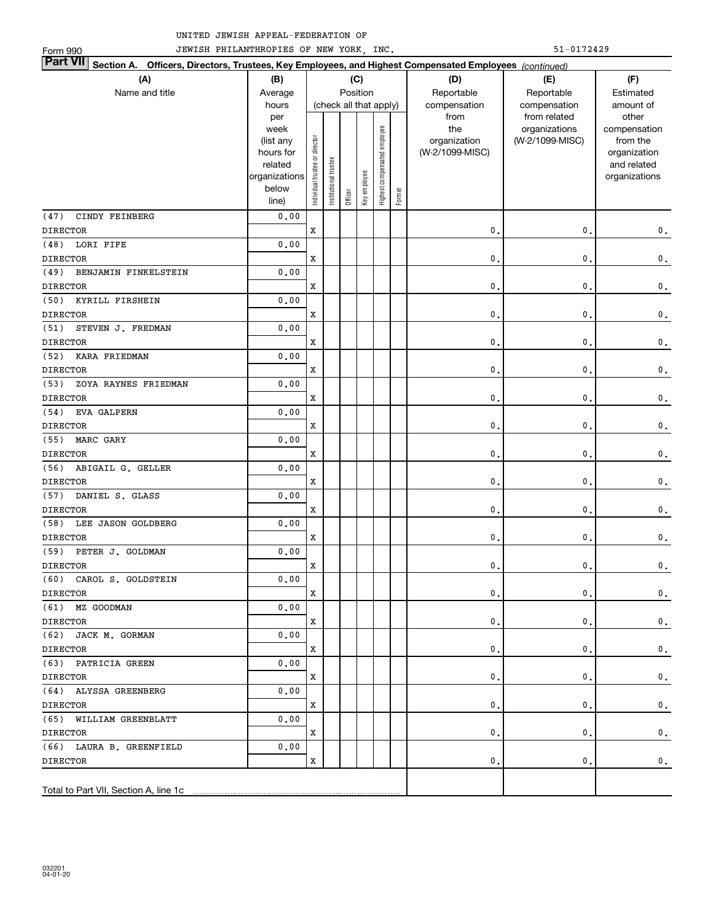| JEWISH PHILANTHROPIES OF NEW YORK, INC.<br>51-0172429<br>Form 990                                                         |                      |                                |                       |                        |              |                              |        |                 |                  |                              |
|---------------------------------------------------------------------------------------------------------------------------|----------------------|--------------------------------|-----------------------|------------------------|--------------|------------------------------|--------|-----------------|------------------|------------------------------|
| <b>Part VII</b><br>Section A. Officers, Directors, Trustees, Key Employees, and Highest Compensated Employees (continued) |                      |                                |                       |                        |              |                              |        |                 |                  |                              |
| (A)                                                                                                                       | (B)                  |                                |                       |                        | (C)          |                              |        | (D)             | (E)              | (F)                          |
| Name and title                                                                                                            | Average              |                                |                       | Position               |              |                              |        | Reportable      | Reportable       | Estimated                    |
|                                                                                                                           | hours                |                                |                       | (check all that apply) |              |                              |        | compensation    | compensation     | amount of                    |
|                                                                                                                           | per                  |                                |                       |                        |              |                              |        | from            | from related     | other                        |
|                                                                                                                           | week                 |                                |                       |                        |              |                              |        | the             | organizations    | compensation                 |
|                                                                                                                           | (list any            |                                |                       |                        |              |                              |        | organization    | (W-2/1099-MISC)  | from the                     |
|                                                                                                                           | hours for<br>related |                                |                       |                        |              |                              |        | (W-2/1099-MISC) |                  | organization                 |
|                                                                                                                           | organizations        |                                |                       |                        |              |                              |        |                 |                  | and related<br>organizations |
|                                                                                                                           | below                |                                |                       |                        |              |                              |        |                 |                  |                              |
|                                                                                                                           | line)                | Individual trustee or director | Institutional trustee | Officer                | Key employee | Highest compensated employee | Former |                 |                  |                              |
| CINDY FEINBERG<br>(47)                                                                                                    | 0.00                 |                                |                       |                        |              |                              |        |                 |                  |                              |
| <b>DIRECTOR</b>                                                                                                           |                      | X                              |                       |                        |              |                              |        | 0.              | 0.               | $\mathbf 0$ .                |
| LORI FIFE<br>(48)                                                                                                         | 0.00                 |                                |                       |                        |              |                              |        |                 |                  |                              |
| <b>DIRECTOR</b>                                                                                                           |                      | X                              |                       |                        |              |                              |        | 0.              | 0.               | $\mathbf 0$ .                |
| (49)<br>BENJAMIN FINKELSTEIN                                                                                              | 0.00                 |                                |                       |                        |              |                              |        |                 |                  |                              |
| <b>DIRECTOR</b>                                                                                                           |                      | X                              |                       |                        |              |                              |        | 0.              | 0.               | $\mathbf 0$ .                |
| (50)<br>KYRILL FIRSHEIN                                                                                                   | 0.00                 |                                |                       |                        |              |                              |        |                 |                  |                              |
| <b>DIRECTOR</b>                                                                                                           |                      | X                              |                       |                        |              |                              |        | 0.              | 0.               | $\mathbf 0$ .                |
| (51)<br>STEVEN J. FREDMAN                                                                                                 | 0.00                 |                                |                       |                        |              |                              |        |                 |                  |                              |
| <b>DIRECTOR</b>                                                                                                           |                      | X                              |                       |                        |              |                              |        | 0.              | 0.               | $\mathbf 0$ .                |
| (52)<br><b>KARA FRIEDMAN</b>                                                                                              | 0.00                 |                                |                       |                        |              |                              |        |                 |                  |                              |
| <b>DIRECTOR</b>                                                                                                           |                      | X                              |                       |                        |              |                              |        | 0.              | 0.               | $\mathbf 0$ .                |
| ZOYA RAYNES FRIEDMAN<br>(53)                                                                                              | 0.00                 |                                |                       |                        |              |                              |        |                 |                  |                              |
| <b>DIRECTOR</b>                                                                                                           |                      | X                              |                       |                        |              |                              |        | 0.              | 0.               | $\mathbf 0$ .                |
| EVA GALPERN<br>(54)                                                                                                       | 0.00                 |                                |                       |                        |              |                              |        |                 |                  |                              |
| <b>DIRECTOR</b>                                                                                                           |                      | X                              |                       |                        |              |                              |        | 0.              | 0.               | $\mathbf 0$ .                |
| MARC GARY<br>(55)                                                                                                         | 0.00                 |                                |                       |                        |              |                              |        |                 |                  |                              |
| <b>DIRECTOR</b>                                                                                                           |                      | X                              |                       |                        |              |                              |        | 0.              | 0.               | $\mathbf 0$ .                |
| ABIGAIL G. GELLER<br>(56)<br><b>DIRECTOR</b>                                                                              | 0.00                 | X                              |                       |                        |              |                              |        | 0.              | 0.               |                              |
| DANIEL S. GLASS<br>(57)                                                                                                   | 0.00                 |                                |                       |                        |              |                              |        |                 |                  | $\mathbf 0$ .                |
| <b>DIRECTOR</b>                                                                                                           |                      | X                              |                       |                        |              |                              |        | 0.              | 0.               |                              |
| (58)<br>LEE JASON GOLDBERG                                                                                                | 0.00                 |                                |                       |                        |              |                              |        |                 |                  | $\mathbf 0$ .                |
| <b>DIRECTOR</b>                                                                                                           |                      | X                              |                       |                        |              |                              |        | 0.              | 0.               | $\mathbf 0$ .                |
| (59) PETER J. GOLDMAN                                                                                                     | 0.00                 |                                |                       |                        |              |                              |        |                 |                  |                              |
| <b>DIRECTOR</b>                                                                                                           |                      |                                |                       |                        |              |                              |        | 0.              | $\mathfrak{o}$ . | $\mathbf{0}$ .               |
| (60) CAROL S. GOLDSTEIN                                                                                                   | 0.00                 | x                              |                       |                        |              |                              |        |                 |                  |                              |
| DIRECTOR                                                                                                                  |                      | x                              |                       |                        |              |                              |        | 0.              | 0.               | $\mathbf 0$ .                |
| (61) MZ GOODMAN                                                                                                           | 0.00                 |                                |                       |                        |              |                              |        |                 |                  |                              |
| DIRECTOR                                                                                                                  |                      | x                              |                       |                        |              |                              |        | 0.              | 0.               | 0.                           |
| (62) JACK M. GORMAN                                                                                                       | 0.00                 |                                |                       |                        |              |                              |        |                 |                  |                              |
| DIRECTOR                                                                                                                  |                      | x                              |                       |                        |              |                              |        | 0.              | 0.               | $\mathbf 0$ .                |
| (63) PATRICIA GREEN                                                                                                       | 0.00                 |                                |                       |                        |              |                              |        |                 |                  |                              |
| DIRECTOR                                                                                                                  |                      | x                              |                       |                        |              |                              |        | 0.              | 0.               | $\mathbf 0$ .                |
| (64) ALYSSA GREENBERG                                                                                                     | 0.00                 |                                |                       |                        |              |                              |        |                 |                  |                              |
| <b>DIRECTOR</b>                                                                                                           |                      | x                              |                       |                        |              |                              |        | 0.              | 0.               | $\mathbf 0$ .                |
| (65) WILLIAM GREENBLATT                                                                                                   | 0.00                 |                                |                       |                        |              |                              |        |                 |                  |                              |
| <b>DIRECTOR</b>                                                                                                           |                      | x                              |                       |                        |              |                              |        | 0.              | 0.               | 0.                           |
| (66) LAURA B. GREENFIELD                                                                                                  | 0.00                 |                                |                       |                        |              |                              |        |                 |                  |                              |
| <b>DIRECTOR</b>                                                                                                           |                      | x                              |                       |                        |              |                              |        | 0.              | 0.               | 0.                           |
|                                                                                                                           |                      |                                |                       |                        |              |                              |        |                 |                  |                              |
| Total to Part VII, Section A, line 1c                                                                                     |                      |                                |                       |                        |              |                              |        |                 |                  |                              |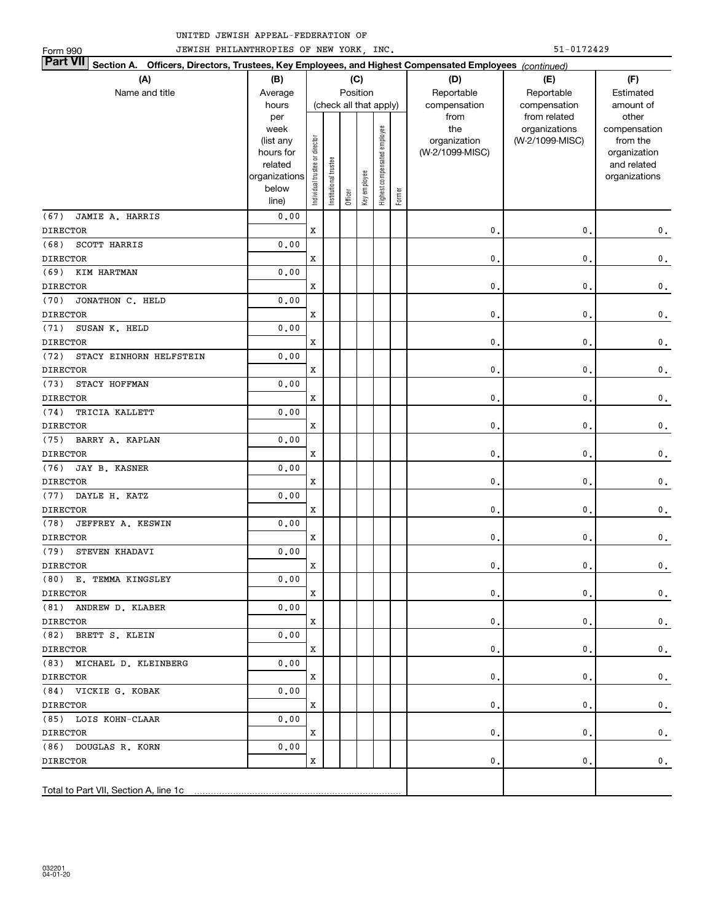| JEWISH PHILANTHROPIES OF NEW YORK, INC.<br>51-0172429<br>Form 990                                                         |                      |                                |                        |          |              |                              |        |                 |                 |                              |  |
|---------------------------------------------------------------------------------------------------------------------------|----------------------|--------------------------------|------------------------|----------|--------------|------------------------------|--------|-----------------|-----------------|------------------------------|--|
| <b>Part VII</b><br>Section A. Officers, Directors, Trustees, Key Employees, and Highest Compensated Employees (continued) |                      |                                |                        |          |              |                              |        |                 |                 |                              |  |
| (A)                                                                                                                       | (B)                  |                                |                        |          | (C)          |                              |        | (D)             | (E)             | (F)                          |  |
| Name and title                                                                                                            | Average              |                                |                        | Position |              |                              |        | Reportable      | Reportable      | Estimated                    |  |
|                                                                                                                           | hours                |                                | (check all that apply) |          |              |                              |        | compensation    | compensation    | amount of                    |  |
|                                                                                                                           | per                  |                                |                        |          |              |                              |        | from            | from related    | other                        |  |
|                                                                                                                           | week                 |                                |                        |          |              |                              |        | the             | organizations   | compensation                 |  |
|                                                                                                                           | (list any            |                                |                        |          |              |                              |        | organization    | (W-2/1099-MISC) | from the                     |  |
|                                                                                                                           | hours for<br>related |                                |                        |          |              |                              |        | (W-2/1099-MISC) |                 | organization                 |  |
|                                                                                                                           | organizations        |                                |                        |          |              |                              |        |                 |                 | and related<br>organizations |  |
|                                                                                                                           | below                |                                |                        |          |              |                              |        |                 |                 |                              |  |
|                                                                                                                           | line)                | Individual trustee or director | Institutional trustee  | Officer  | Key employee | Highest compensated employee | Former |                 |                 |                              |  |
| (67)<br>JAMIE A. HARRIS                                                                                                   | 0.00                 |                                |                        |          |              |                              |        |                 |                 |                              |  |
| <b>DIRECTOR</b>                                                                                                           |                      | X                              |                        |          |              |                              |        | 0.              | 0.              | $\mathbf 0$ .                |  |
| SCOTT HARRIS<br>(68)                                                                                                      | 0.00                 |                                |                        |          |              |                              |        |                 |                 |                              |  |
| <b>DIRECTOR</b>                                                                                                           |                      | X                              |                        |          |              |                              |        | 0.              | 0.              | $\mathbf 0$ .                |  |
| (69)<br>KIM HARTMAN                                                                                                       | 0.00                 |                                |                        |          |              |                              |        |                 |                 |                              |  |
| <b>DIRECTOR</b>                                                                                                           |                      | X                              |                        |          |              |                              |        | 0.              | 0.              | $\mathbf 0$ .                |  |
| JONATHON C. HELD<br>(70)                                                                                                  | 0.00                 |                                |                        |          |              |                              |        |                 |                 |                              |  |
| <b>DIRECTOR</b>                                                                                                           |                      | X                              |                        |          |              |                              |        | 0.              | 0.              | $\mathbf 0$ .                |  |
| (71)<br>SUSAN K. HELD                                                                                                     | 0.00                 |                                |                        |          |              |                              |        |                 |                 |                              |  |
| <b>DIRECTOR</b>                                                                                                           |                      | X                              |                        |          |              |                              |        | 0.              | 0.              | $\mathbf 0$ .                |  |
| (72)<br>STACY EINHORN HELFSTEIN                                                                                           | 0.00                 |                                |                        |          |              |                              |        |                 |                 |                              |  |
| <b>DIRECTOR</b>                                                                                                           |                      | X                              |                        |          |              |                              |        | 0.              | 0.              | $\mathbf 0$ .                |  |
| STACY HOFFMAN<br>(73)                                                                                                     | 0.00                 |                                |                        |          |              |                              |        |                 |                 |                              |  |
| <b>DIRECTOR</b>                                                                                                           |                      | X                              |                        |          |              |                              |        | 0.              | 0.              | $\mathbf 0$ .                |  |
| TRICIA KALLETT<br>(74)                                                                                                    | 0.00                 |                                |                        |          |              |                              |        |                 |                 |                              |  |
| <b>DIRECTOR</b>                                                                                                           |                      | X                              |                        |          |              |                              |        | 0.              | 0.              | $\mathbf 0$ .                |  |
| (75)<br>BARRY A. KAPLAN                                                                                                   | 0.00                 |                                |                        |          |              |                              |        |                 |                 |                              |  |
| <b>DIRECTOR</b>                                                                                                           |                      | X                              |                        |          |              |                              |        | $\mathbf 0$ .   | 0.              | $\mathbf 0$ .                |  |
| JAY B. KASNER<br>(76)                                                                                                     | 0.00                 |                                |                        |          |              |                              |        |                 |                 |                              |  |
| <b>DIRECTOR</b>                                                                                                           |                      | X                              |                        |          |              |                              |        | $\mathbf 0$ .   | 0.              | $\mathbf 0$ .                |  |
| DAYLE H. KATZ<br>(77)                                                                                                     | 0.00                 |                                |                        |          |              |                              |        |                 |                 |                              |  |
| <b>DIRECTOR</b>                                                                                                           |                      | X                              |                        |          |              |                              |        | $\mathbf 0$ .   | 0.              | $\mathbf 0$ .                |  |
| (78)<br>JEFFREY A. KESWIN<br><b>DIRECTOR</b>                                                                              | 0.00                 | X                              |                        |          |              |                              |        |                 |                 |                              |  |
| STEVEN KHADAVI                                                                                                            | 0.00                 |                                |                        |          |              |                              |        | 0.              | 0.              | $\mathbf 0$ .                |  |
| (79)                                                                                                                      |                      |                                |                        |          |              |                              |        |                 |                 |                              |  |
| <b>DIRECTOR</b><br>(80) E. TEMMA KINGSLEY                                                                                 | 0.00                 | x                              |                        |          |              |                              |        | 0.              | υ.              | $\mathbf{0}$ .               |  |
| <b>DIRECTOR</b>                                                                                                           |                      | x                              |                        |          |              |                              |        | 0.              | 0.              | $\mathbf 0$ .                |  |
| (81) ANDREW D. KLABER                                                                                                     | 0.00                 |                                |                        |          |              |                              |        |                 |                 |                              |  |
| DIRECTOR                                                                                                                  |                      | x                              |                        |          |              |                              |        | 0.              | 0.              | 0.                           |  |
| (82) BRETT S. KLEIN                                                                                                       | 0.00                 |                                |                        |          |              |                              |        |                 |                 |                              |  |
| DIRECTOR                                                                                                                  |                      | x                              |                        |          |              |                              |        | 0.              | 0.              | $\mathbf{0}$ .               |  |
| (83) MICHAEL D. KLEINBERG                                                                                                 | 0.00                 |                                |                        |          |              |                              |        |                 |                 |                              |  |
| <b>DIRECTOR</b>                                                                                                           |                      | x                              |                        |          |              |                              |        | 0.              | 0.              | $\mathbf{0}$ .               |  |
| (84) VICKIE G. KOBAK                                                                                                      | 0.00                 |                                |                        |          |              |                              |        |                 |                 |                              |  |
| <b>DIRECTOR</b>                                                                                                           |                      | x                              |                        |          |              |                              |        | 0.              | 0.              | $\mathbf{0}$ .               |  |
| (85) LOIS KOHN-CLAAR                                                                                                      | 0.00                 |                                |                        |          |              |                              |        |                 |                 |                              |  |
| <b>DIRECTOR</b>                                                                                                           |                      | x                              |                        |          |              |                              |        | 0.              | 0.              | 0.                           |  |
| (86) DOUGLAS R. KORN                                                                                                      | 0.00                 |                                |                        |          |              |                              |        |                 |                 |                              |  |
| <b>DIRECTOR</b>                                                                                                           |                      | x                              |                        |          |              |                              |        | 0.              | 0.              | 0.                           |  |
|                                                                                                                           |                      |                                |                        |          |              |                              |        |                 |                 |                              |  |
| Total to Part VII, Section A, line 1c                                                                                     |                      |                                |                        |          |              |                              |        |                 |                 |                              |  |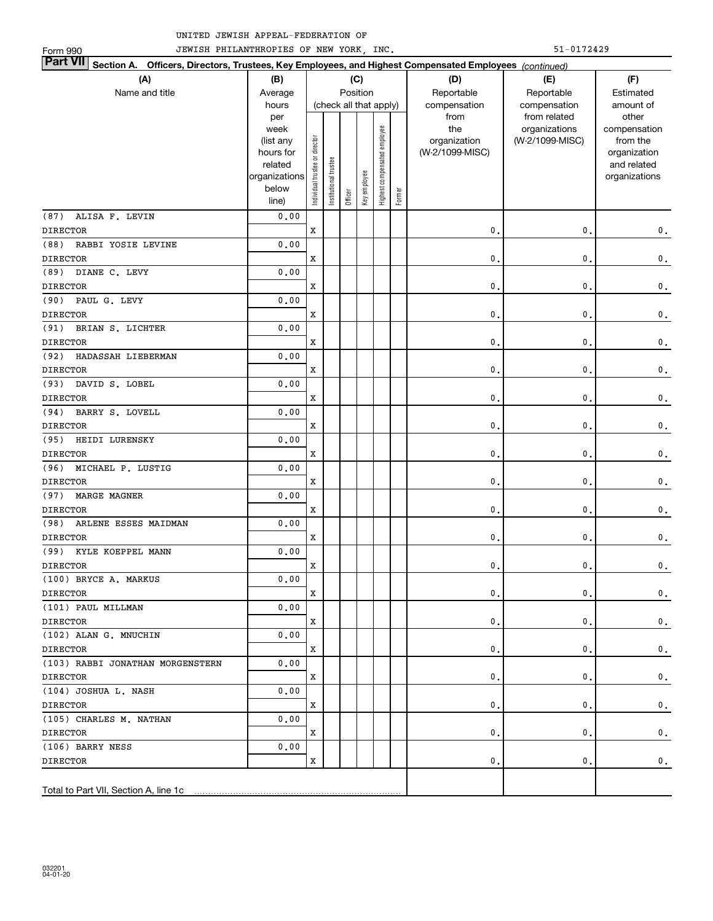| JEWISH PHILANTHROPIES OF NEW YORK, INC.<br>51-0172429<br>Form 990                                                         |                        |                                |                       |         |                        |                              |        |                                 |                 |                             |  |  |  |  |
|---------------------------------------------------------------------------------------------------------------------------|------------------------|--------------------------------|-----------------------|---------|------------------------|------------------------------|--------|---------------------------------|-----------------|-----------------------------|--|--|--|--|
| <b>Part VII</b><br>Section A. Officers, Directors, Trustees, Key Employees, and Highest Compensated Employees (continued) |                        |                                |                       |         |                        |                              |        |                                 |                 |                             |  |  |  |  |
| (A)                                                                                                                       | (B)                    |                                |                       |         | (C)                    | (D)<br>(F)<br>(E)            |        |                                 |                 |                             |  |  |  |  |
| Name and title                                                                                                            | Average                |                                |                       |         | Position               |                              |        | Reportable                      | Reportable      | Estimated                   |  |  |  |  |
|                                                                                                                           | hours                  |                                |                       |         | (check all that apply) |                              |        | compensation                    | compensation    | amount of                   |  |  |  |  |
|                                                                                                                           | per                    |                                |                       |         |                        |                              |        | from                            | from related    | other                       |  |  |  |  |
|                                                                                                                           | week                   |                                |                       |         |                        |                              |        | the                             | organizations   | compensation                |  |  |  |  |
|                                                                                                                           | (list any<br>hours for |                                |                       |         |                        |                              |        | organization<br>(W-2/1099-MISC) | (W-2/1099-MISC) | from the                    |  |  |  |  |
|                                                                                                                           | related                |                                |                       |         |                        |                              |        |                                 |                 | organization<br>and related |  |  |  |  |
|                                                                                                                           | organizations          |                                |                       |         |                        |                              |        |                                 |                 | organizations               |  |  |  |  |
|                                                                                                                           | below                  | Individual trustee or director | Institutional trustee |         | Key employee           | Highest compensated employee |        |                                 |                 |                             |  |  |  |  |
|                                                                                                                           | line)                  |                                |                       | Officer |                        |                              | Former |                                 |                 |                             |  |  |  |  |
| (87)<br>ALISA F. LEVIN                                                                                                    | 0.00                   |                                |                       |         |                        |                              |        |                                 |                 |                             |  |  |  |  |
| <b>DIRECTOR</b>                                                                                                           |                        | X                              |                       |         |                        |                              |        | $\mathbf{0}$ .                  | $\mathbf{0}$ .  | $\mathbf 0$ .               |  |  |  |  |
| RABBI YOSIE LEVINE<br>(88)                                                                                                | 0.00                   |                                |                       |         |                        |                              |        |                                 |                 |                             |  |  |  |  |
| <b>DIRECTOR</b>                                                                                                           |                        | X                              |                       |         |                        |                              |        | $\mathbf 0$ .                   | $\mathbf{0}$    | $\mathbf 0$ .               |  |  |  |  |
| DIANE C. LEVY<br>(89)                                                                                                     | 0.00                   |                                |                       |         |                        |                              |        |                                 |                 |                             |  |  |  |  |
| <b>DIRECTOR</b>                                                                                                           |                        | X                              |                       |         |                        |                              |        | $\mathbf 0$ .                   | $\mathbf{0}$    | $\mathbf 0$ .               |  |  |  |  |
| PAUL G. LEVY<br>(90)                                                                                                      | 0.00                   |                                |                       |         |                        |                              |        |                                 |                 |                             |  |  |  |  |
| <b>DIRECTOR</b>                                                                                                           |                        | X                              |                       |         |                        |                              |        | $\mathbf 0$ .                   | $\mathbf{0}$    | $\mathbf 0$ .               |  |  |  |  |
| BRIAN S. LICHTER<br>(91)                                                                                                  | 0.00                   |                                |                       |         |                        |                              |        |                                 |                 |                             |  |  |  |  |
| <b>DIRECTOR</b>                                                                                                           |                        | X                              |                       |         |                        |                              |        | $\mathbf 0$ .                   | $\mathbf{0}$    | $\mathbf 0$ .               |  |  |  |  |
| HADASSAH LIEBERMAN<br>(92)                                                                                                | 0.00                   |                                |                       |         |                        |                              |        |                                 |                 |                             |  |  |  |  |
| <b>DIRECTOR</b>                                                                                                           |                        | X                              |                       |         |                        |                              |        | 0.                              | $\mathbf{0}$    | $\mathbf 0$ .               |  |  |  |  |
| DAVID S. LOBEL<br>(93)                                                                                                    | 0.00                   |                                |                       |         |                        |                              |        |                                 |                 |                             |  |  |  |  |
| <b>DIRECTOR</b>                                                                                                           |                        | X                              |                       |         |                        |                              |        | 0.                              | $\mathbf{0}$    | $\mathbf 0$ .               |  |  |  |  |
| BARRY S. LOVELL<br>(94)                                                                                                   | 0.00                   |                                |                       |         |                        |                              |        |                                 |                 |                             |  |  |  |  |
| <b>DIRECTOR</b>                                                                                                           |                        | X                              |                       |         |                        |                              |        | 0.                              | $\mathbf{0}$    | $\mathbf 0$ .               |  |  |  |  |
| (95)<br>HEIDI LURENSKY                                                                                                    | 0.00                   |                                |                       |         |                        |                              |        |                                 |                 |                             |  |  |  |  |
| <b>DIRECTOR</b>                                                                                                           |                        | X                              |                       |         |                        |                              |        | 0.                              | $\mathbf{0}$ .  | $\mathbf 0$ .               |  |  |  |  |
| MICHAEL P. LUSTIG<br>(96)                                                                                                 | 0.00                   |                                |                       |         |                        |                              |        |                                 |                 |                             |  |  |  |  |
| <b>DIRECTOR</b>                                                                                                           |                        | X                              |                       |         |                        |                              |        | 0.                              | $\mathbf{0}$ .  | $\mathbf 0$ .               |  |  |  |  |
| (97)<br>MARGE MAGNER                                                                                                      | 0.00                   |                                |                       |         |                        |                              |        |                                 |                 |                             |  |  |  |  |
| <b>DIRECTOR</b>                                                                                                           |                        | X                              |                       |         |                        |                              |        | 0.                              | $\mathbf{0}$ .  | $\mathbf 0$ .               |  |  |  |  |
| (98)<br>ARLENE ESSES MAIDMAN                                                                                              | 0.00                   |                                |                       |         |                        |                              |        |                                 |                 |                             |  |  |  |  |
| <b>DIRECTOR</b>                                                                                                           |                        | X                              |                       |         |                        |                              |        | $\mathbf{0}$ .                  | 0.              | $\mathbf 0$ .               |  |  |  |  |
| (99) KYLE KOEPPEL MANN                                                                                                    | 0.00                   |                                |                       |         |                        |                              |        |                                 |                 |                             |  |  |  |  |
| <b>DIRECTOR</b>                                                                                                           |                        | x                              |                       |         |                        |                              |        | 0.                              | υ.              | 0.                          |  |  |  |  |
| (100) BRYCE A. MARKUS                                                                                                     | 0.00                   |                                |                       |         |                        |                              |        |                                 |                 |                             |  |  |  |  |
| <b>DIRECTOR</b>                                                                                                           |                        | x                              |                       |         |                        |                              |        | 0.                              | 0,              | $\mathbf 0$ .               |  |  |  |  |
| (101) PAUL MILLMAN                                                                                                        | 0.00                   |                                |                       |         |                        |                              |        |                                 |                 |                             |  |  |  |  |
| <b>DIRECTOR</b>                                                                                                           |                        | x                              |                       |         |                        |                              |        | 0.                              | $\mathbf 0$     | $\mathbf 0$ .               |  |  |  |  |
| (102) ALAN G. MNUCHIN                                                                                                     | 0.00                   |                                |                       |         |                        |                              |        |                                 |                 |                             |  |  |  |  |
| <b>DIRECTOR</b>                                                                                                           |                        | x                              |                       |         |                        |                              |        | 0.                              | $\mathbf 0$     | $\mathbf 0$ .               |  |  |  |  |
| (103) RABBI JONATHAN MORGENSTERN                                                                                          | 0.00                   |                                |                       |         |                        |                              |        |                                 |                 |                             |  |  |  |  |
| <b>DIRECTOR</b>                                                                                                           |                        | x                              |                       |         |                        |                              |        | 0.                              | $\mathbf 0$ .   | $\mathbf 0$ .               |  |  |  |  |
| (104) JOSHUA L. NASH                                                                                                      | 0.00                   |                                |                       |         |                        |                              |        |                                 |                 |                             |  |  |  |  |
| <b>DIRECTOR</b>                                                                                                           |                        | x                              |                       |         |                        |                              |        | 0.                              | $\mathbf 0$     | $\mathbf 0$ .               |  |  |  |  |
| (105) CHARLES M. NATHAN                                                                                                   | 0.00                   |                                |                       |         |                        |                              |        |                                 |                 |                             |  |  |  |  |
| <b>DIRECTOR</b>                                                                                                           |                        | x                              |                       |         |                        |                              |        | 0.                              | $\mathbf 0$     | $\mathbf 0$ .               |  |  |  |  |
| (106) BARRY NESS                                                                                                          | 0.00                   |                                |                       |         |                        |                              |        |                                 |                 |                             |  |  |  |  |
| <b>DIRECTOR</b>                                                                                                           |                        | x                              |                       |         |                        |                              |        | 0.                              | $\mathbf 0$     | 0.                          |  |  |  |  |
|                                                                                                                           |                        |                                |                       |         |                        |                              |        |                                 |                 |                             |  |  |  |  |
|                                                                                                                           |                        |                                |                       |         |                        |                              |        |                                 |                 |                             |  |  |  |  |
| Total to Part VII, Section A, line 1c                                                                                     |                        |                                |                       |         |                        |                              |        |                                 |                 |                             |  |  |  |  |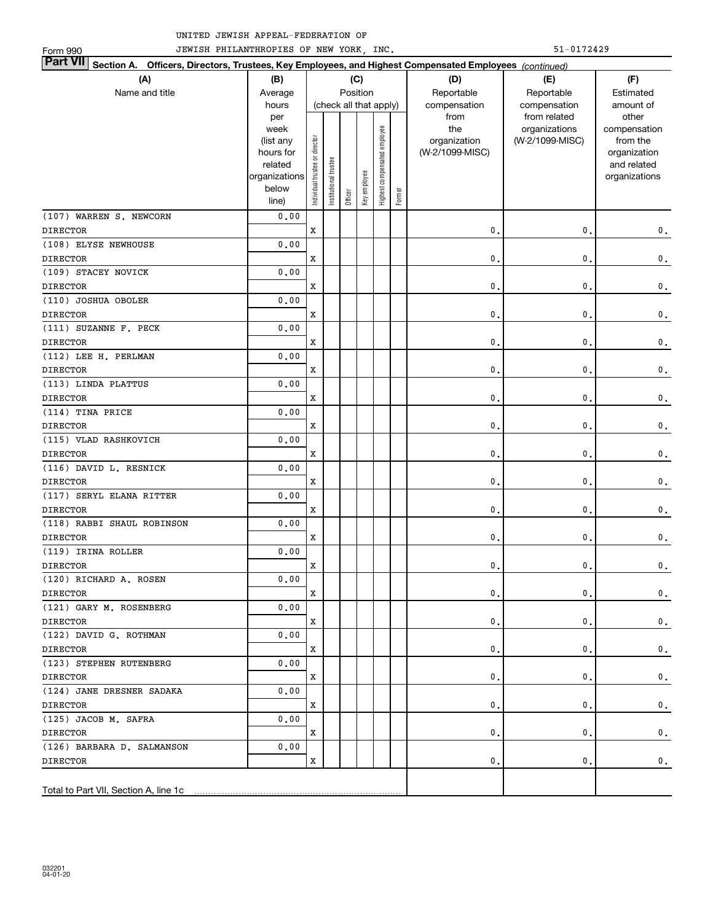| JEWISH PHILANTHROPIES OF NEW YORK, INC.<br>51-0172429<br>Form 990                                                         |                      |                                |                       |                        |              |                              |        |                 |                  |                             |  |
|---------------------------------------------------------------------------------------------------------------------------|----------------------|--------------------------------|-----------------------|------------------------|--------------|------------------------------|--------|-----------------|------------------|-----------------------------|--|
| <b>Part VII</b><br>Section A. Officers, Directors, Trustees, Key Employees, and Highest Compensated Employees (continued) |                      |                                |                       |                        |              |                              |        |                 |                  |                             |  |
| (A)                                                                                                                       | (B)                  | (C)<br>(D)<br>(F)<br>(E)       |                       |                        |              |                              |        |                 |                  |                             |  |
| Name and title                                                                                                            | Average              |                                |                       | Position               |              |                              |        | Reportable      | Reportable       | Estimated                   |  |
|                                                                                                                           | hours                |                                |                       | (check all that apply) |              |                              |        | compensation    | compensation     | amount of                   |  |
|                                                                                                                           | per                  |                                |                       |                        |              |                              |        | from            | from related     | other                       |  |
|                                                                                                                           | week                 |                                |                       |                        |              |                              |        | the             | organizations    | compensation                |  |
|                                                                                                                           | (list any            |                                |                       |                        |              |                              |        | organization    | (W-2/1099-MISC)  | from the                    |  |
|                                                                                                                           | hours for<br>related |                                |                       |                        |              |                              |        | (W-2/1099-MISC) |                  | organization<br>and related |  |
|                                                                                                                           | organizations        | Individual trustee or director | Institutional trustee |                        |              | Highest compensated employee |        |                 |                  | organizations               |  |
|                                                                                                                           | below                |                                |                       |                        | Key employee |                              |        |                 |                  |                             |  |
|                                                                                                                           | line)                |                                |                       | Officer                |              |                              | Former |                 |                  |                             |  |
| (107) WARREN S. NEWCORN                                                                                                   | 0.00                 |                                |                       |                        |              |                              |        |                 |                  |                             |  |
| <b>DIRECTOR</b>                                                                                                           |                      | X                              |                       |                        |              |                              |        | 0.              | 0.               | $\mathbf 0$ .               |  |
| (108) ELYSE NEWHOUSE                                                                                                      | 0.00                 |                                |                       |                        |              |                              |        |                 |                  |                             |  |
| <b>DIRECTOR</b>                                                                                                           |                      | X                              |                       |                        |              |                              |        | 0.              | 0.               | $\mathbf 0$ .               |  |
| (109) STACEY NOVICK                                                                                                       | 0.00                 |                                |                       |                        |              |                              |        |                 |                  |                             |  |
| <b>DIRECTOR</b>                                                                                                           |                      | X                              |                       |                        |              |                              |        | 0.              | 0.               | $\mathbf 0$ .               |  |
| (110) JOSHUA OBOLER                                                                                                       | 0.00                 |                                |                       |                        |              |                              |        |                 |                  |                             |  |
| <b>DIRECTOR</b>                                                                                                           |                      | X                              |                       |                        |              |                              |        | 0.              | 0.               | $\mathbf 0$ .               |  |
| (111) SUZANNE F. PECK                                                                                                     | 0.00                 |                                |                       |                        |              |                              |        |                 |                  |                             |  |
| <b>DIRECTOR</b>                                                                                                           |                      | X                              |                       |                        |              |                              |        | 0.              | 0.               | $\mathbf 0$ .               |  |
| (112) LEE H. PERLMAN                                                                                                      | 0.00                 |                                |                       |                        |              |                              |        |                 |                  |                             |  |
| <b>DIRECTOR</b>                                                                                                           |                      | X                              |                       |                        |              |                              |        | 0.              | 0.               | $\mathbf 0$ .               |  |
| (113) LINDA PLATTUS                                                                                                       | 0.00                 |                                |                       |                        |              |                              |        |                 |                  |                             |  |
| <b>DIRECTOR</b>                                                                                                           |                      | X                              |                       |                        |              |                              |        | 0.              | 0.               | $\mathbf 0$ .               |  |
| (114) TINA PRICE                                                                                                          | 0.00                 |                                |                       |                        |              |                              |        |                 |                  |                             |  |
| <b>DIRECTOR</b>                                                                                                           |                      | X                              |                       |                        |              |                              |        | 0.              | 0.               | $\mathbf 0$ .               |  |
| (115) VLAD RASHKOVICH                                                                                                     | 0.00                 |                                |                       |                        |              |                              |        |                 |                  |                             |  |
| <b>DIRECTOR</b>                                                                                                           |                      | X                              |                       |                        |              |                              |        | 0.              | 0.               | $\mathbf 0$ .               |  |
| (116) DAVID L. RESNICK                                                                                                    | 0.00                 |                                |                       |                        |              |                              |        |                 |                  |                             |  |
| <b>DIRECTOR</b>                                                                                                           |                      | X                              |                       |                        |              |                              |        | 0.              | 0.               | $\mathbf 0$ .               |  |
| (117) SERYL ELANA RITTER                                                                                                  | 0.00                 |                                |                       |                        |              |                              |        |                 |                  |                             |  |
| <b>DIRECTOR</b>                                                                                                           |                      | X                              |                       |                        |              |                              |        | 0.              | 0.               | $\mathbf 0$ .               |  |
| (118) RABBI SHAUL ROBINSON                                                                                                | 0.00                 |                                |                       |                        |              |                              |        |                 |                  |                             |  |
| <b>DIRECTOR</b>                                                                                                           |                      | X                              |                       |                        |              |                              |        | 0.              | 0.               | $\mathbf 0$ .               |  |
| (119) IRINA ROLLER                                                                                                        | 0.00                 |                                |                       |                        |              |                              |        |                 |                  |                             |  |
| <b>DIRECTOR</b>                                                                                                           |                      | x                              |                       |                        |              |                              |        | 0.              | $\mathfrak{o}$ . | 0.                          |  |
| (120) RICHARD A. ROSEN                                                                                                    | 0.00                 |                                |                       |                        |              |                              |        |                 |                  |                             |  |
| <b>DIRECTOR</b>                                                                                                           |                      | x                              |                       |                        |              |                              |        | 0.              | 0.               | 0.                          |  |
| (121) GARY M. ROSENBERG                                                                                                   | 0.00                 |                                |                       |                        |              |                              |        |                 |                  |                             |  |
| <b>DIRECTOR</b>                                                                                                           |                      | x                              |                       |                        |              |                              |        | 0.              | 0.               | 0.                          |  |
| (122) DAVID G. ROTHMAN                                                                                                    | 0.00                 |                                |                       |                        |              |                              |        |                 |                  |                             |  |
| <b>DIRECTOR</b>                                                                                                           |                      | x                              |                       |                        |              |                              |        | 0.              | 0.               | 0.                          |  |
| (123) STEPHEN RUTENBERG                                                                                                   | 0.00                 |                                |                       |                        |              |                              |        |                 |                  |                             |  |
| <b>DIRECTOR</b>                                                                                                           |                      | x                              |                       |                        |              |                              |        | 0.              | 0.               | 0.                          |  |
| (124) JANE DRESNER SADAKA                                                                                                 | 0.00                 |                                |                       |                        |              |                              |        |                 |                  |                             |  |
| <b>DIRECTOR</b>                                                                                                           |                      | x                              |                       |                        |              |                              |        | 0.              | 0.               | 0.                          |  |
| (125) JACOB M. SAFRA                                                                                                      | 0.00                 |                                |                       |                        |              |                              |        |                 |                  |                             |  |
| <b>DIRECTOR</b>                                                                                                           |                      | x                              |                       |                        |              |                              |        | 0.              | 0.               | 0.                          |  |
| (126) BARBARA D. SALMANSON                                                                                                | 0.00                 |                                |                       |                        |              |                              |        |                 |                  |                             |  |
| <b>DIRECTOR</b>                                                                                                           |                      | x                              |                       |                        |              |                              |        | 0.              | 0.               | 0.                          |  |
|                                                                                                                           |                      |                                |                       |                        |              |                              |        |                 |                  |                             |  |
| Total to Part VII, Section A, line 1c                                                                                     |                      |                                |                       |                        |              |                              |        |                 |                  |                             |  |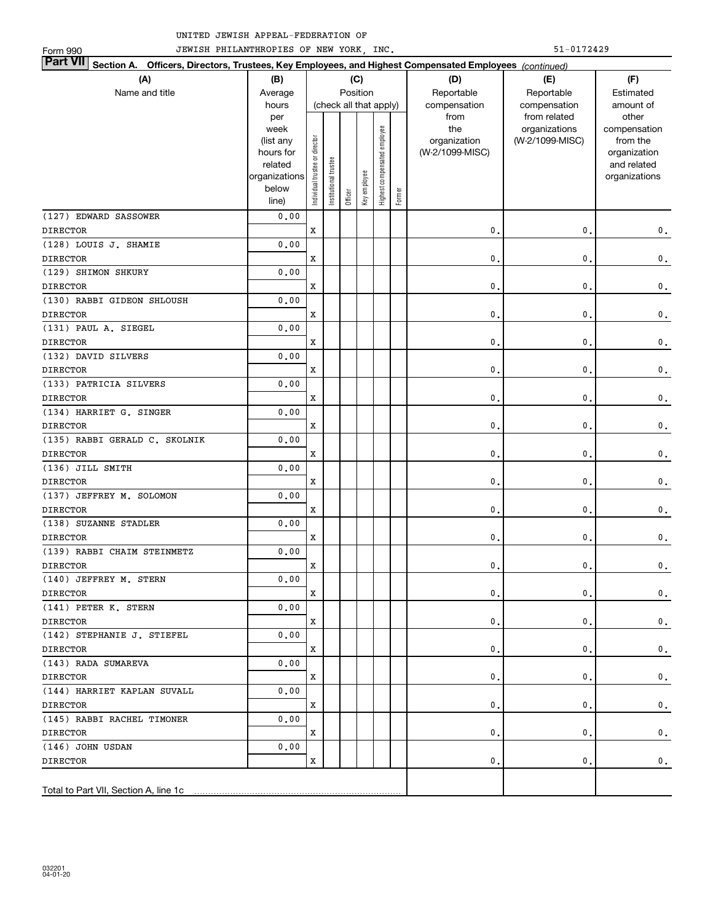| JEWISH PHILANTHROPIES OF NEW YORK, INC.<br>51-0172429<br>Form 990                                                         |                        |                                |                       |                          |                        |                              |        |                                 |                 |                          |  |  |  |
|---------------------------------------------------------------------------------------------------------------------------|------------------------|--------------------------------|-----------------------|--------------------------|------------------------|------------------------------|--------|---------------------------------|-----------------|--------------------------|--|--|--|
| <b>Part VII</b><br>Section A. Officers, Directors, Trustees, Key Employees, and Highest Compensated Employees (continued) |                        |                                |                       |                          |                        |                              |        |                                 |                 |                          |  |  |  |
| (A)                                                                                                                       | (B)                    |                                |                       | (C)<br>(D)<br>(F)<br>(E) |                        |                              |        |                                 |                 |                          |  |  |  |
| Name and title                                                                                                            | Average                |                                |                       |                          | Position               |                              |        | Reportable                      | Reportable      | Estimated                |  |  |  |
|                                                                                                                           | hours                  |                                |                       |                          | (check all that apply) |                              |        | compensation                    | compensation    | amount of                |  |  |  |
|                                                                                                                           | per                    |                                |                       |                          |                        |                              |        | from                            | from related    | other                    |  |  |  |
|                                                                                                                           | week                   |                                |                       |                          |                        |                              |        | the                             | organizations   | compensation             |  |  |  |
|                                                                                                                           | (list any<br>hours for |                                |                       |                          |                        |                              |        | organization<br>(W-2/1099-MISC) | (W-2/1099-MISC) | from the<br>organization |  |  |  |
|                                                                                                                           | related                |                                |                       |                          |                        |                              |        |                                 |                 | and related              |  |  |  |
|                                                                                                                           | organizations          |                                |                       |                          |                        |                              |        |                                 |                 | organizations            |  |  |  |
|                                                                                                                           | below                  | Individual trustee or director | Institutional trustee |                          | Key employee           | Highest compensated employee |        |                                 |                 |                          |  |  |  |
|                                                                                                                           | line)                  |                                |                       | Officer                  |                        |                              | Former |                                 |                 |                          |  |  |  |
| (127) EDWARD SASSOWER                                                                                                     | 0.00                   |                                |                       |                          |                        |                              |        |                                 |                 |                          |  |  |  |
| <b>DIRECTOR</b>                                                                                                           |                        | X                              |                       |                          |                        |                              |        | $\mathbf{0}$ .                  | $\mathbf{0}$ .  | $\mathbf 0$ .            |  |  |  |
| (128) LOUIS J. SHAMIE                                                                                                     | 0.00                   |                                |                       |                          |                        |                              |        |                                 |                 |                          |  |  |  |
| <b>DIRECTOR</b>                                                                                                           |                        | X                              |                       |                          |                        |                              |        | 0.                              | $\mathbf{0}$    | $\mathbf 0$ .            |  |  |  |
| (129) SHIMON SHKURY                                                                                                       | 0.00                   |                                |                       |                          |                        |                              |        |                                 |                 |                          |  |  |  |
| <b>DIRECTOR</b>                                                                                                           |                        | X                              |                       |                          |                        |                              |        | 0.                              | $\mathbf{0}$    | $\mathbf 0$ .            |  |  |  |
| (130) RABBI GIDEON SHLOUSH                                                                                                | 0.00                   |                                |                       |                          |                        |                              |        |                                 |                 |                          |  |  |  |
| <b>DIRECTOR</b>                                                                                                           |                        | X                              |                       |                          |                        |                              |        | 0.                              | $\mathbf{0}$    | $\mathbf 0$ .            |  |  |  |
| (131) PAUL A. SIEGEL                                                                                                      | 0.00                   |                                |                       |                          |                        |                              |        |                                 |                 |                          |  |  |  |
| <b>DIRECTOR</b>                                                                                                           |                        | X                              |                       |                          |                        |                              |        | 0.                              | $\mathbf{0}$    | $\mathbf 0$ .            |  |  |  |
| (132) DAVID SILVERS                                                                                                       | 0.00                   |                                |                       |                          |                        |                              |        |                                 |                 |                          |  |  |  |
| <b>DIRECTOR</b>                                                                                                           |                        | X                              |                       |                          |                        |                              |        | 0.                              | $\mathbf{0}$    | $\mathbf 0$ .            |  |  |  |
| (133) PATRICIA SILVERS                                                                                                    | 0.00                   |                                |                       |                          |                        |                              |        |                                 |                 |                          |  |  |  |
| <b>DIRECTOR</b>                                                                                                           |                        | X                              |                       |                          |                        |                              |        | 0.                              | $\mathbf{0}$    | $\mathbf 0$ .            |  |  |  |
| (134) HARRIET G. SINGER                                                                                                   | 0.00                   |                                |                       |                          |                        |                              |        |                                 |                 |                          |  |  |  |
| <b>DIRECTOR</b>                                                                                                           |                        | X                              |                       |                          |                        |                              |        | 0.                              | $\mathbf{0}$    | $\mathbf 0$ .            |  |  |  |
| (135) RABBI GERALD C. SKOLNIK                                                                                             | 0.00                   |                                |                       |                          |                        |                              |        |                                 |                 |                          |  |  |  |
| <b>DIRECTOR</b>                                                                                                           |                        | X                              |                       |                          |                        |                              |        | 0.                              | $\mathbf{0}$ .  | $\mathbf 0$ .            |  |  |  |
| (136) JILL SMITH                                                                                                          | 0.00                   |                                |                       |                          |                        |                              |        |                                 |                 |                          |  |  |  |
| <b>DIRECTOR</b>                                                                                                           |                        | X                              |                       |                          |                        |                              |        | 0.                              | 0.              | $\mathbf 0$ .            |  |  |  |
| (137) JEFFREY M. SOLOMON                                                                                                  | 0.00                   |                                |                       |                          |                        |                              |        |                                 |                 |                          |  |  |  |
| <b>DIRECTOR</b>                                                                                                           |                        | X                              |                       |                          |                        |                              |        | 0.                              | 0.              | $\mathbf 0$ .            |  |  |  |
| (138) SUZANNE STADLER                                                                                                     | 0.00                   |                                |                       |                          |                        |                              |        |                                 |                 |                          |  |  |  |
| <b>DIRECTOR</b>                                                                                                           |                        | X                              |                       |                          |                        |                              |        | 0.                              | 0.              | $\mathbf 0$ .            |  |  |  |
| (139) RABBI CHAIM STEINMETZ                                                                                               | 0.00                   |                                |                       |                          |                        |                              |        |                                 |                 |                          |  |  |  |
| <b>DIRECTOR</b>                                                                                                           |                        | x                              |                       |                          |                        |                              |        | 0.                              | υ.              | 0.                       |  |  |  |
| (140) JEFFREY M. STERN                                                                                                    | 0.00                   |                                |                       |                          |                        |                              |        |                                 |                 |                          |  |  |  |
| <b>DIRECTOR</b>                                                                                                           |                        | x                              |                       |                          |                        |                              |        | 0.                              | 0.              | 0.                       |  |  |  |
| (141) PETER K. STERN                                                                                                      | 0.00                   |                                |                       |                          |                        |                              |        |                                 |                 |                          |  |  |  |
| <b>DIRECTOR</b>                                                                                                           |                        | x                              |                       |                          |                        |                              |        | 0.                              | $\mathbf{0}$    | $\mathbf 0$ .            |  |  |  |
| (142) STEPHANIE J. STIEFEL                                                                                                | 0.00                   |                                |                       |                          |                        |                              |        |                                 |                 |                          |  |  |  |
| <b>DIRECTOR</b>                                                                                                           |                        | x                              |                       |                          |                        |                              |        | 0.                              | $\mathbf{0}$    | $\mathbf 0$ .            |  |  |  |
| (143) RADA SUMAREVA                                                                                                       | 0.00                   |                                |                       |                          |                        |                              |        |                                 |                 |                          |  |  |  |
| <b>DIRECTOR</b>                                                                                                           |                        | x                              |                       |                          |                        |                              |        | 0.                              | $\mathbf{0}$    | $\mathbf 0$ .            |  |  |  |
| (144) HARRIET KAPLAN SUVALL                                                                                               | 0.00                   |                                |                       |                          |                        |                              |        |                                 |                 |                          |  |  |  |
| <b>DIRECTOR</b>                                                                                                           |                        | x                              |                       |                          |                        |                              |        | 0.                              | $\mathbf 0$     | $\mathbf 0$ .            |  |  |  |
| (145) RABBI RACHEL TIMONER                                                                                                | 0.00                   | x                              |                       |                          |                        |                              |        | 0.                              | $\mathbf 0$     |                          |  |  |  |
| <b>DIRECTOR</b><br>(146) JOHN USDAN                                                                                       | 0.00                   |                                |                       |                          |                        |                              |        |                                 |                 | $\mathbf 0$ .            |  |  |  |
| <b>DIRECTOR</b>                                                                                                           |                        | x                              |                       |                          |                        |                              |        | 0.                              | $\mathbf{0}$    | 0.                       |  |  |  |
|                                                                                                                           |                        |                                |                       |                          |                        |                              |        |                                 |                 |                          |  |  |  |
| Total to Part VII, Section A, line 1c                                                                                     |                        |                                |                       |                          |                        |                              |        |                                 |                 |                          |  |  |  |
|                                                                                                                           |                        |                                |                       |                          |                        |                              |        |                                 |                 |                          |  |  |  |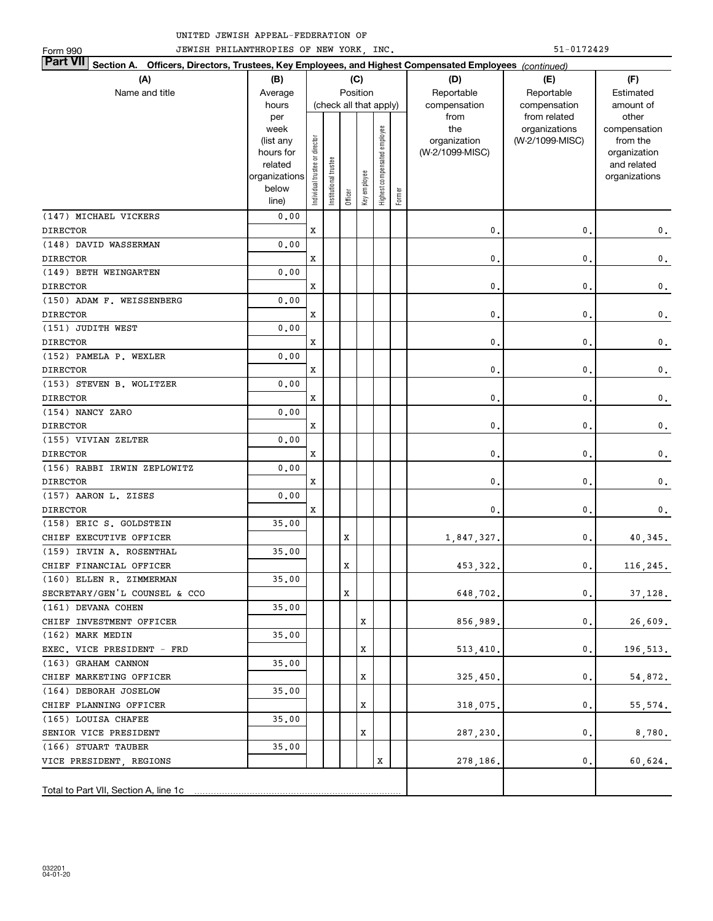| 51-0172429<br>JEWISH PHILANTHROPIES OF NEW YORK, INC.<br>Form 990                                                            |                        |                                |                       |                        |              |                              |        |                 |                 |               |  |  |
|------------------------------------------------------------------------------------------------------------------------------|------------------------|--------------------------------|-----------------------|------------------------|--------------|------------------------------|--------|-----------------|-----------------|---------------|--|--|
| <b>Part VII</b><br>Section A.<br>Officers, Directors, Trustees, Key Employees, and Highest Compensated Employees (continued) |                        |                                |                       |                        |              |                              |        |                 |                 |               |  |  |
| (A)                                                                                                                          | (B)                    |                                |                       |                        | (C)          |                              |        | (D)             | (E)             | (F)           |  |  |
| Name and title                                                                                                               | Average                |                                |                       | Position               |              |                              |        | Reportable      | Reportable      | Estimated     |  |  |
|                                                                                                                              | hours                  |                                |                       | (check all that apply) |              |                              |        | compensation    | compensation    | amount of     |  |  |
|                                                                                                                              | per                    |                                |                       |                        |              |                              |        | from            | from related    | other         |  |  |
|                                                                                                                              | week                   |                                |                       |                        |              |                              |        | the             | organizations   | compensation  |  |  |
|                                                                                                                              | (list any              |                                |                       |                        |              |                              |        | organization    | (W-2/1099-MISC) | from the      |  |  |
|                                                                                                                              | hours for              |                                |                       |                        |              |                              |        | (W-2/1099-MISC) |                 | organization  |  |  |
|                                                                                                                              | related                |                                |                       |                        |              |                              |        |                 |                 | and related   |  |  |
|                                                                                                                              | organizations<br>below |                                |                       |                        |              |                              |        |                 |                 | organizations |  |  |
|                                                                                                                              | line)                  | Individual trustee or director | Institutional trustee | Officer                | Key employee | Highest compensated employee | Former |                 |                 |               |  |  |
| (147) MICHAEL VICKERS                                                                                                        | 0.00                   |                                |                       |                        |              |                              |        |                 |                 |               |  |  |
| <b>DIRECTOR</b>                                                                                                              |                        | $\mathbf x$                    |                       |                        |              |                              |        | 0.              | 0.              | $\mathbf 0$ . |  |  |
| (148) DAVID WASSERMAN                                                                                                        | 0.00                   |                                |                       |                        |              |                              |        |                 |                 |               |  |  |
| <b>DIRECTOR</b>                                                                                                              |                        | $\mathbf x$                    |                       |                        |              |                              |        | 0.              | $\mathbf{0}$ .  | $\mathbf 0$ . |  |  |
| (149) BETH WEINGARTEN                                                                                                        | 0.00                   |                                |                       |                        |              |                              |        |                 |                 |               |  |  |
| <b>DIRECTOR</b>                                                                                                              |                        | $\mathbf x$                    |                       |                        |              |                              |        | 0.              | $\mathbf{0}$ .  | $\mathbf 0$ . |  |  |
| (150) ADAM F. WEISSENBERG                                                                                                    | 0.00                   |                                |                       |                        |              |                              |        |                 |                 |               |  |  |
| <b>DIRECTOR</b>                                                                                                              |                        | $\mathbf x$                    |                       |                        |              |                              |        | 0.              | $\mathbf{0}$ .  | $\mathbf 0$ . |  |  |
| (151) JUDITH WEST                                                                                                            | 0.00                   |                                |                       |                        |              |                              |        |                 |                 |               |  |  |
| <b>DIRECTOR</b>                                                                                                              |                        | $\mathbf x$                    |                       |                        |              |                              |        | 0.              | $\mathbf{0}$ .  | $\mathbf 0$ . |  |  |
| (152) PAMELA P. WEXLER                                                                                                       | 0.00                   |                                |                       |                        |              |                              |        |                 |                 |               |  |  |
| <b>DIRECTOR</b>                                                                                                              |                        | $\mathbf x$                    |                       |                        |              |                              |        | 0.              | $\mathbf{0}$ .  | $\mathbf 0$ . |  |  |
| (153) STEVEN B. WOLITZER                                                                                                     | 0.00                   |                                |                       |                        |              |                              |        |                 |                 |               |  |  |
| <b>DIRECTOR</b>                                                                                                              |                        | $\mathbf x$                    |                       |                        |              |                              |        | 0.              | $\mathbf{0}$ .  | $\mathbf 0$ . |  |  |
| (154) NANCY ZARO                                                                                                             | 0.00                   |                                |                       |                        |              |                              |        |                 |                 |               |  |  |
| <b>DIRECTOR</b>                                                                                                              |                        | $\mathbf x$                    |                       |                        |              |                              |        | 0.              | $\mathbf{0}$ .  | $\mathbf 0$ . |  |  |
| (155) VIVIAN ZELTER                                                                                                          | 0.00                   |                                |                       |                        |              |                              |        |                 |                 |               |  |  |
| <b>DIRECTOR</b>                                                                                                              |                        | $\mathbf x$                    |                       |                        |              |                              |        | 0.              | $\mathbf{0}$ .  | $\mathbf 0$ . |  |  |
| (156) RABBI IRWIN ZEPLOWITZ                                                                                                  | 0.00                   |                                |                       |                        |              |                              |        |                 |                 |               |  |  |
| <b>DIRECTOR</b>                                                                                                              |                        | $\mathbf x$                    |                       |                        |              |                              |        | 0.              | 0.              | $\mathbf 0$ . |  |  |
| (157) AARON L. ZISES                                                                                                         | 0.00                   |                                |                       |                        |              |                              |        |                 |                 |               |  |  |
| <b>DIRECTOR</b>                                                                                                              |                        | $\mathbf x$                    |                       |                        |              |                              |        | 0.              | 0.              | $\mathbf 0$ . |  |  |
| (158) ERIC S. GOLDSTEIN                                                                                                      | 35.00                  |                                |                       |                        |              |                              |        |                 |                 |               |  |  |
| CHIEF EXECUTIVE OFFICER                                                                                                      |                        |                                |                       | X                      |              |                              |        | 1,847,327.      | 0.              | 40,345.       |  |  |
| (159) IRVIN A. ROSENTHAL                                                                                                     | 35.00                  |                                |                       |                        |              |                              |        |                 |                 |               |  |  |
| CHIEF FINANCIAL OFFICER                                                                                                      |                        |                                |                       | Χ                      |              |                              |        | 453, 322.       | $\mathbf 0$ .   | 116,245.      |  |  |
| (160) ELLEN R. ZIMMERMAN                                                                                                     | 35.00                  |                                |                       |                        |              |                              |        |                 |                 |               |  |  |
| SECRETARY/GEN'L COUNSEL & CCO                                                                                                |                        |                                |                       | X                      |              |                              |        | 648,702.        | 0.              | 37,128.       |  |  |
| (161) DEVANA COHEN                                                                                                           | 35.00                  |                                |                       |                        |              |                              |        |                 |                 |               |  |  |
| CHIEF INVESTMENT OFFICER                                                                                                     |                        |                                |                       |                        | х            |                              |        | 856,989.        | 0.              | 26,609.       |  |  |
| (162) MARK MEDIN                                                                                                             | 35.00                  |                                |                       |                        |              |                              |        |                 |                 |               |  |  |
| EXEC. VICE PRESIDENT - FRD                                                                                                   |                        |                                |                       |                        | x            |                              |        | 513,410.        | 0.              | 196,513.      |  |  |
| (163) GRAHAM CANNON<br>CHIEF MARKETING OFFICER                                                                               | 35.00                  |                                |                       |                        |              |                              |        |                 |                 |               |  |  |
| (164) DEBORAH JOSELOW                                                                                                        | 35.00                  |                                |                       |                        | x            |                              |        | 325,450.        | 0.              | 54,872.       |  |  |
| CHIEF PLANNING OFFICER                                                                                                       |                        |                                |                       |                        | x            |                              |        |                 | 0.              | 55, 574.      |  |  |
| (165) LOUISA CHAFEE                                                                                                          | 35.00                  |                                |                       |                        |              |                              |        | 318,075.        |                 |               |  |  |
| SENIOR VICE PRESIDENT                                                                                                        |                        |                                |                       |                        | X            |                              |        | 287,230.        | 0.              | 8,780.        |  |  |
| (166) STUART TAUBER                                                                                                          | 35.00                  |                                |                       |                        |              |                              |        |                 |                 |               |  |  |
| VICE PRESIDENT, REGIONS                                                                                                      |                        |                                |                       |                        |              | X                            |        | 278,186.        | 0.              | 60,624.       |  |  |
|                                                                                                                              |                        |                                |                       |                        |              |                              |        |                 |                 |               |  |  |
| Total to Part VII, Section A, line 1c                                                                                        |                        |                                |                       |                        |              |                              |        |                 |                 |               |  |  |
|                                                                                                                              |                        |                                |                       |                        |              |                              |        |                 |                 |               |  |  |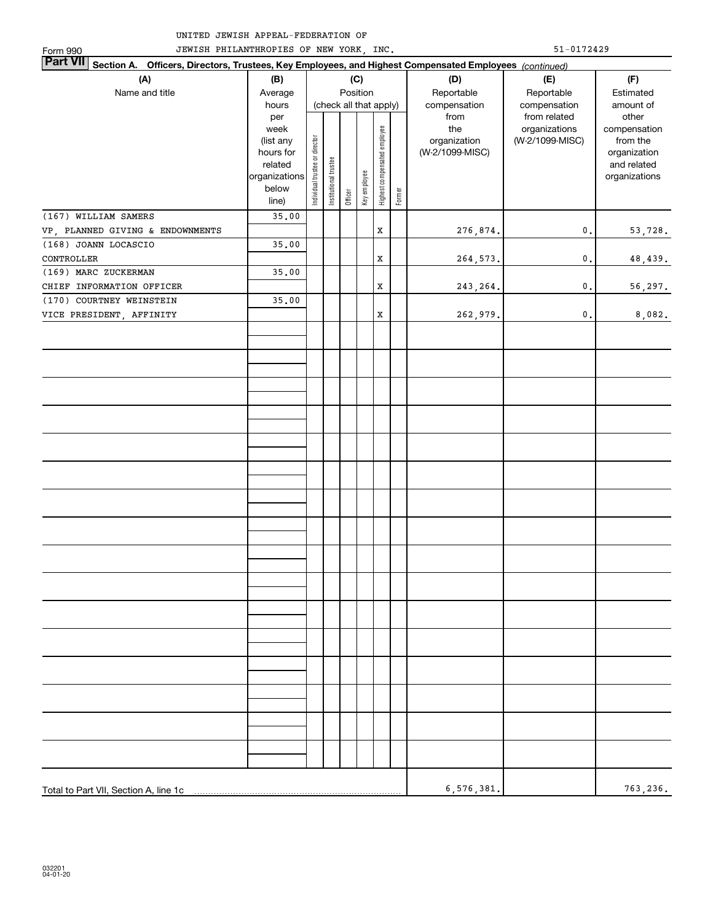| JEWISH PHILANTHROPIES OF NEW YORK, INC.<br>Form 990                                                                       | $51 - 0172429$         |                                |                       |         |                              |                        |        |                                 |                 |                          |  |
|---------------------------------------------------------------------------------------------------------------------------|------------------------|--------------------------------|-----------------------|---------|------------------------------|------------------------|--------|---------------------------------|-----------------|--------------------------|--|
| <b>Part VII</b><br>Section A. Officers, Directors, Trustees, Key Employees, and Highest Compensated Employees (continued) |                        |                                |                       |         |                              |                        |        |                                 |                 |                          |  |
| (A)                                                                                                                       | (B)                    |                                |                       |         | (C)                          |                        |        | (D)                             | (E)             | (F)                      |  |
| Name and title                                                                                                            | Average                |                                |                       |         | Position                     |                        |        | Reportable                      | Reportable      | Estimated                |  |
|                                                                                                                           | hours                  |                                |                       |         |                              | (check all that apply) |        | compensation                    | compensation    | amount of                |  |
|                                                                                                                           | per                    |                                |                       |         |                              |                        |        | from                            | from related    | other                    |  |
|                                                                                                                           | week                   |                                |                       |         |                              |                        |        | the                             | organizations   | compensation             |  |
|                                                                                                                           | (list any<br>hours for |                                |                       |         |                              |                        |        | organization<br>(W-2/1099-MISC) | (W-2/1099-MISC) | from the<br>organization |  |
|                                                                                                                           | related                |                                |                       |         |                              |                        |        |                                 |                 | and related              |  |
|                                                                                                                           | organizations          | Individual trustee or director | Institutional trustee |         | Highest compensated employee |                        |        |                                 | organizations   |                          |  |
|                                                                                                                           | below                  |                                |                       |         | Key employee                 |                        |        |                                 |                 |                          |  |
|                                                                                                                           | line)                  |                                |                       | Officer |                              |                        | Former |                                 |                 |                          |  |
| (167) WILLIAM SAMERS                                                                                                      | 35.00                  |                                |                       |         |                              |                        |        |                                 |                 |                          |  |
| VP, PLANNED GIVING & ENDOWNMENTS                                                                                          |                        |                                |                       |         |                              | $\mathbf x$            |        | 276,874.                        | $\mathbf{0}$ .  | 53,728.                  |  |
| (168) JOANN LOCASCIO                                                                                                      | 35.00                  |                                |                       |         |                              |                        |        |                                 |                 |                          |  |
| CONTROLLER                                                                                                                |                        |                                |                       |         |                              | $\mathbf x$            |        | 264,573.                        | $\mathbf{0}$ .  | 48,439.                  |  |
| (169) MARC ZUCKERMAN                                                                                                      | 35.00                  |                                |                       |         |                              |                        |        |                                 |                 |                          |  |
| CHIEF INFORMATION OFFICER                                                                                                 |                        |                                |                       |         |                              | $\mathbf x$            |        | 243, 264.                       | $\mathbf{0}$ .  | 56,297.                  |  |
| (170) COURTNEY WEINSTEIN                                                                                                  | 35.00                  |                                |                       |         |                              |                        |        |                                 |                 |                          |  |
| VICE PRESIDENT, AFFINITY                                                                                                  |                        |                                |                       |         |                              | $\mathbf x$            |        | 262,979.                        | $\mathsf{0}\,.$ | 8,082.                   |  |
|                                                                                                                           |                        |                                |                       |         |                              |                        |        |                                 |                 |                          |  |
|                                                                                                                           |                        |                                |                       |         |                              |                        |        |                                 |                 |                          |  |
|                                                                                                                           |                        |                                |                       |         |                              |                        |        |                                 |                 |                          |  |
|                                                                                                                           |                        |                                |                       |         |                              |                        |        |                                 |                 |                          |  |
|                                                                                                                           |                        |                                |                       |         |                              |                        |        |                                 |                 |                          |  |
|                                                                                                                           |                        |                                |                       |         |                              |                        |        |                                 |                 |                          |  |
|                                                                                                                           |                        |                                |                       |         |                              |                        |        |                                 |                 |                          |  |
|                                                                                                                           |                        |                                |                       |         |                              |                        |        |                                 |                 |                          |  |
|                                                                                                                           |                        |                                |                       |         |                              |                        |        |                                 |                 |                          |  |
|                                                                                                                           |                        |                                |                       |         |                              |                        |        |                                 |                 |                          |  |
|                                                                                                                           |                        |                                |                       |         |                              |                        |        |                                 |                 |                          |  |
|                                                                                                                           |                        |                                |                       |         |                              |                        |        |                                 |                 |                          |  |
|                                                                                                                           |                        |                                |                       |         |                              |                        |        |                                 |                 |                          |  |
|                                                                                                                           |                        |                                |                       |         |                              |                        |        |                                 |                 |                          |  |
|                                                                                                                           |                        |                                |                       |         |                              |                        |        |                                 |                 |                          |  |
|                                                                                                                           |                        |                                |                       |         |                              |                        |        |                                 |                 |                          |  |
|                                                                                                                           |                        |                                |                       |         |                              |                        |        |                                 |                 |                          |  |
|                                                                                                                           |                        |                                |                       |         |                              |                        |        |                                 |                 |                          |  |
|                                                                                                                           |                        |                                |                       |         |                              |                        |        |                                 |                 |                          |  |
|                                                                                                                           |                        |                                |                       |         |                              |                        |        |                                 |                 |                          |  |
|                                                                                                                           |                        |                                |                       |         |                              |                        |        |                                 |                 |                          |  |
|                                                                                                                           |                        |                                |                       |         |                              |                        |        |                                 |                 |                          |  |
|                                                                                                                           |                        |                                |                       |         |                              |                        |        |                                 |                 |                          |  |
|                                                                                                                           |                        |                                |                       |         |                              |                        |        |                                 |                 |                          |  |
|                                                                                                                           |                        |                                |                       |         |                              |                        |        |                                 |                 |                          |  |
|                                                                                                                           |                        |                                |                       |         |                              |                        |        |                                 |                 |                          |  |
|                                                                                                                           |                        |                                |                       |         |                              |                        |        |                                 |                 |                          |  |
|                                                                                                                           |                        |                                |                       |         |                              |                        |        |                                 |                 |                          |  |
|                                                                                                                           |                        |                                |                       |         |                              |                        |        |                                 |                 |                          |  |
|                                                                                                                           |                        |                                |                       |         |                              |                        |        |                                 |                 |                          |  |
|                                                                                                                           |                        |                                |                       |         |                              |                        |        |                                 |                 |                          |  |
|                                                                                                                           |                        |                                |                       |         |                              |                        |        |                                 |                 |                          |  |
|                                                                                                                           | 6,576,381.             |                                | 763,236.              |         |                              |                        |        |                                 |                 |                          |  |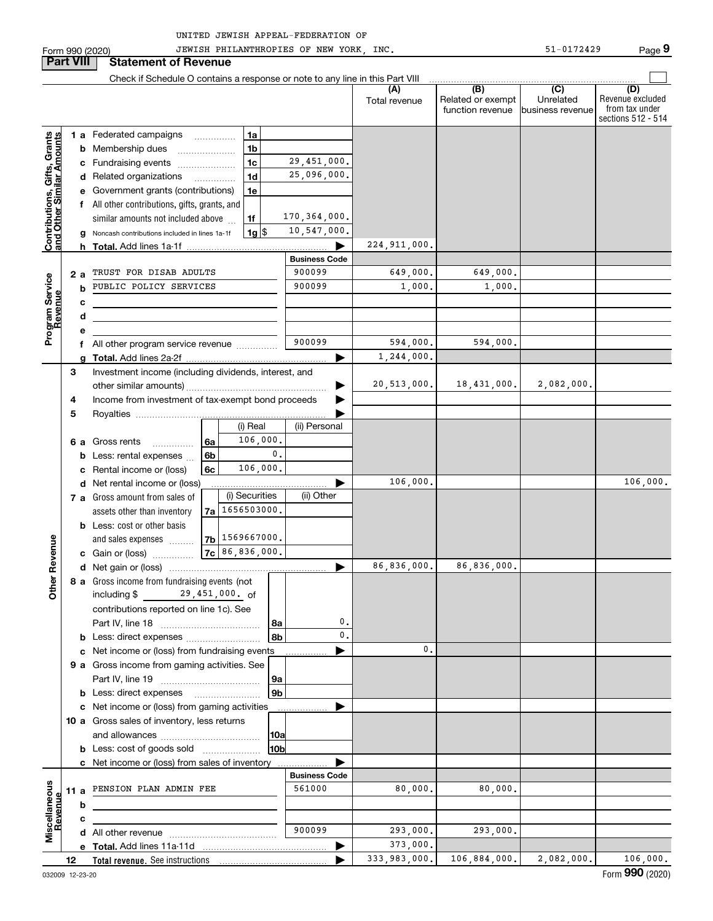| UNITED JEWISH APPEAL-FEDERATION OF |  |
|------------------------------------|--|
|------------------------------------|--|

Form 990 (2020) JEWISH\_PHILANTHROPIES\_OF\_NEW\_YORK,\_INC. 51-0172429 Page JEWISH PHILANTHROPIES OF NEW YORK, INC. 51-0172429

**9**

|                                                           | <b>Part VIII</b> |   | <b>Statement of Revenue</b>                                                   |                                            |                      |                      |                                                           |                                       |                                                                 |
|-----------------------------------------------------------|------------------|---|-------------------------------------------------------------------------------|--------------------------------------------|----------------------|----------------------|-----------------------------------------------------------|---------------------------------------|-----------------------------------------------------------------|
|                                                           |                  |   | Check if Schedule O contains a response or note to any line in this Part VIII |                                            |                      |                      |                                                           |                                       |                                                                 |
|                                                           |                  |   |                                                                               |                                            |                      | (A)<br>Total revenue | $\overline{(B)}$<br>Related or exempt<br>function revenue | (C)<br>Unrelated<br> business revenue | (D)<br>Revenue excluded<br>from tax under<br>sections 512 - 514 |
|                                                           |                  |   | 1 a Federated campaigns                                                       | 1a                                         |                      |                      |                                                           |                                       |                                                                 |
| Contributions, Gifts, Grants<br>and Other Similar Amounts |                  |   | <b>b</b> Membership dues                                                      | 1 <sub>b</sub>                             |                      |                      |                                                           |                                       |                                                                 |
|                                                           |                  |   | c Fundraising events                                                          | 1 <sub>c</sub>                             | 29,451,000.          |                      |                                                           |                                       |                                                                 |
|                                                           |                  |   | d Related organizations                                                       | 1 <sub>d</sub><br>$\overline{\phantom{a}}$ | 25,096,000.          |                      |                                                           |                                       |                                                                 |
|                                                           |                  |   | e Government grants (contributions)                                           | 1e                                         |                      |                      |                                                           |                                       |                                                                 |
|                                                           |                  |   | f All other contributions, gifts, grants, and                                 |                                            |                      |                      |                                                           |                                       |                                                                 |
|                                                           |                  |   | similar amounts not included above                                            | 1f                                         | 170,364,000.         |                      |                                                           |                                       |                                                                 |
|                                                           |                  |   | g Noncash contributions included in lines 1a-1f                               | $1g$ $\frac{1}{3}$                         | 10,547,000.          |                      |                                                           |                                       |                                                                 |
|                                                           |                  |   | <b>Total.</b> Add lines 1a 1f                                                 |                                            |                      | 224, 911, 000.       |                                                           |                                       |                                                                 |
|                                                           |                  |   |                                                                               |                                            | <b>Business Code</b> |                      |                                                           |                                       |                                                                 |
|                                                           | 2a               |   | TRUST FOR DISAB ADULTS                                                        |                                            | 900099               | 649,000.             | 649,000.                                                  |                                       |                                                                 |
| Program Service<br>Revenue                                |                  | b | PUBLIC POLICY SERVICES                                                        |                                            | 900099               | 1,000.               | 1,000.                                                    |                                       |                                                                 |
|                                                           |                  | с | <u> 1989 - Johann Barn, mars eta bat erroman e</u>                            |                                            |                      |                      |                                                           |                                       |                                                                 |
|                                                           |                  | d |                                                                               |                                            |                      |                      |                                                           |                                       |                                                                 |
|                                                           |                  | е |                                                                               |                                            |                      |                      |                                                           |                                       |                                                                 |
|                                                           |                  |   | All other program service revenue                                             |                                            | 900099               | 594.000.             | 594,000.                                                  |                                       |                                                                 |
|                                                           |                  |   |                                                                               |                                            | ▶                    | 1, 244, 000.         |                                                           |                                       |                                                                 |
|                                                           | 3                |   | Investment income (including dividends, interest, and                         |                                            |                      |                      |                                                           |                                       |                                                                 |
|                                                           |                  |   |                                                                               |                                            | ▶                    | 20, 513, 000.        | 18,431,000.                                               | 2,082,000.                            |                                                                 |
|                                                           | 4                |   | Income from investment of tax-exempt bond proceeds                            |                                            |                      |                      |                                                           |                                       |                                                                 |
|                                                           | 5                |   |                                                                               | (i) Real                                   | (ii) Personal        |                      |                                                           |                                       |                                                                 |
|                                                           |                  |   | 6 a Gross rents                                                               | 106,000.<br>6a                             |                      |                      |                                                           |                                       |                                                                 |
|                                                           |                  | b | Less: rental expenses                                                         | 6b                                         | $\mathbf{0}$ .       |                      |                                                           |                                       |                                                                 |
|                                                           |                  |   | c Rental income or (loss)                                                     | 106,000.<br>6с                             |                      |                      |                                                           |                                       |                                                                 |
|                                                           |                  |   | d Net rental income or (loss)                                                 |                                            |                      | 106,000.             |                                                           |                                       | 106,000.                                                        |
|                                                           |                  |   | 7 a Gross amount from sales of                                                | (i) Securities                             | (ii) Other           |                      |                                                           |                                       |                                                                 |
|                                                           |                  |   | assets other than inventory                                                   | 7a   1656503000.                           |                      |                      |                                                           |                                       |                                                                 |
|                                                           |                  |   | <b>b</b> Less: cost or other basis                                            |                                            |                      |                      |                                                           |                                       |                                                                 |
|                                                           |                  |   | and sales expenses                                                            | 7b   1569667000.                           |                      |                      |                                                           |                                       |                                                                 |
| Revenue                                                   |                  |   | c Gain or (loss)                                                              | $7c$ 86,836,000.                           |                      |                      |                                                           |                                       |                                                                 |
|                                                           |                  |   |                                                                               |                                            | ▶                    | 86, 836, 000.        | 86,836,000.                                               |                                       |                                                                 |
|                                                           |                  |   | 8 a Gross income from fundraising events (not                                 |                                            |                      |                      |                                                           |                                       |                                                                 |
| <b>Other</b>                                              |                  |   | including \$                                                                  | 29,451,000. of                             |                      |                      |                                                           |                                       |                                                                 |
|                                                           |                  |   | contributions reported on line 1c). See                                       |                                            |                      |                      |                                                           |                                       |                                                                 |
|                                                           |                  |   |                                                                               |                                            | $\mathbf 0$ .<br>∣8a |                      |                                                           |                                       |                                                                 |
|                                                           |                  |   |                                                                               |                                            | 0.<br>8 <sub>b</sub> |                      |                                                           |                                       |                                                                 |
|                                                           |                  |   | c Net income or (loss) from fundraising events                                |                                            |                      | 0.                   |                                                           |                                       |                                                                 |
|                                                           |                  |   | 9 a Gross income from gaming activities. See                                  |                                            |                      |                      |                                                           |                                       |                                                                 |
|                                                           |                  |   |                                                                               |                                            | 9a                   |                      |                                                           |                                       |                                                                 |
|                                                           |                  |   | <b>b</b> Less: direct expenses <b>manually</b>                                |                                            | 9b                   |                      |                                                           |                                       |                                                                 |
|                                                           |                  |   | c Net income or (loss) from gaming activities                                 |                                            |                      |                      |                                                           |                                       |                                                                 |
|                                                           |                  |   | 10 a Gross sales of inventory, less returns                                   |                                            | 10a                  |                      |                                                           |                                       |                                                                 |
|                                                           |                  |   | <b>b</b> Less: cost of goods sold                                             |                                            | 10b                  |                      |                                                           |                                       |                                                                 |
|                                                           |                  |   | c Net income or (loss) from sales of inventory.                               |                                            |                      |                      |                                                           |                                       |                                                                 |
|                                                           |                  |   |                                                                               |                                            | <b>Business Code</b> |                      |                                                           |                                       |                                                                 |
|                                                           | 11 a             |   | PENSION PLAN ADMIN FEE                                                        |                                            | 561000               | 80,000.              | 80,000.                                                   |                                       |                                                                 |
|                                                           |                  | b |                                                                               |                                            |                      |                      |                                                           |                                       |                                                                 |
| Miscellaneous<br>Revenue                                  |                  | с |                                                                               |                                            |                      |                      |                                                           |                                       |                                                                 |
|                                                           |                  |   |                                                                               |                                            | 900099               | 293,000.             | 293,000.                                                  |                                       |                                                                 |
|                                                           |                  |   |                                                                               |                                            |                      | 373,000.             |                                                           |                                       |                                                                 |
|                                                           | 12               |   |                                                                               |                                            | ь                    | 333,983,000.         | 106,884,000.                                              | 2,082,000.                            | 106,000.                                                        |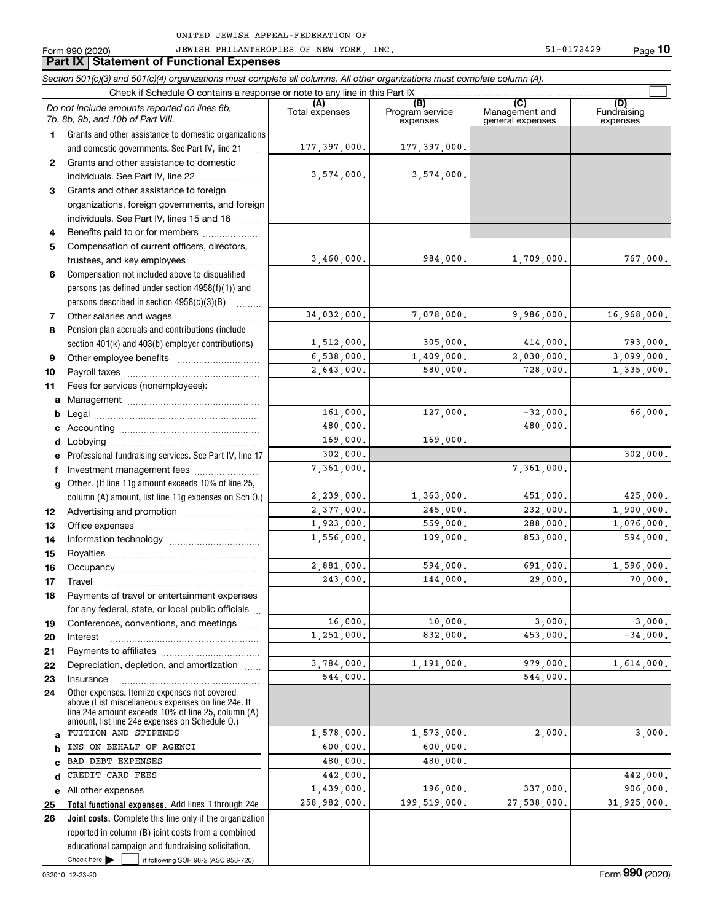JEWISH PHILANTHROPIES OF NEW YORK, INC. 51-0172429

|    | JEWISH PHILANTHROPIES OF NEW YORK, INC.<br>Form 990 (2020)<br><b>Part IX   Statement of Functional Expenses</b>                                                                                            |                       |                                    | 51-0172429                                | Page 10                        |
|----|------------------------------------------------------------------------------------------------------------------------------------------------------------------------------------------------------------|-----------------------|------------------------------------|-------------------------------------------|--------------------------------|
|    | Section 501(c)(3) and 501(c)(4) organizations must complete all columns. All other organizations must complete column (A).                                                                                 |                       |                                    |                                           |                                |
|    | Check if Schedule O contains a response or note to any line in this Part IX                                                                                                                                |                       |                                    |                                           |                                |
|    | Do not include amounts reported on lines 6b,<br>7b, 8b, 9b, and 10b of Part VIII.                                                                                                                          | (A)<br>Total expenses | (B)<br>Program service<br>expenses | (C)<br>Management and<br>general expenses | (D)<br>Fundraising<br>expenses |
| 1. | Grants and other assistance to domestic organizations                                                                                                                                                      |                       |                                    |                                           |                                |
|    | and domestic governments. See Part IV, line 21<br>$\dddotsc$                                                                                                                                               | 177,397,000.          | 177,397,000.                       |                                           |                                |
| 2  | Grants and other assistance to domestic                                                                                                                                                                    |                       |                                    |                                           |                                |
|    |                                                                                                                                                                                                            | 3,574,000.            | 3,574,000.                         |                                           |                                |
| 3  | Grants and other assistance to foreign                                                                                                                                                                     |                       |                                    |                                           |                                |
|    | organizations, foreign governments, and foreign                                                                                                                                                            |                       |                                    |                                           |                                |
|    | individuals. See Part IV, lines 15 and 16                                                                                                                                                                  |                       |                                    |                                           |                                |
| 4  | Benefits paid to or for members                                                                                                                                                                            |                       |                                    |                                           |                                |
| 5  | Compensation of current officers, directors,                                                                                                                                                               |                       |                                    |                                           |                                |
|    | trustees, and key employees                                                                                                                                                                                | 3,460,000.            | 984,000.                           | 1,709,000.                                | 767,000.                       |
| 6  | Compensation not included above to disqualified                                                                                                                                                            |                       |                                    |                                           |                                |
|    | persons (as defined under section 4958(f)(1)) and                                                                                                                                                          |                       |                                    |                                           |                                |
|    | persons described in section $4958(c)(3)(B)$                                                                                                                                                               |                       |                                    |                                           |                                |
| 7  |                                                                                                                                                                                                            | 34,032,000.           | 7,078,000.                         | 9,986,000.                                | 16,968,000.                    |
| 8  | Pension plan accruals and contributions (include                                                                                                                                                           |                       |                                    |                                           |                                |
|    | section 401(k) and 403(b) employer contributions)                                                                                                                                                          | 1,512,000.            | 305,000.                           | 414,000.                                  | 793,000.                       |
| 9  |                                                                                                                                                                                                            | 6,538,000.            | 1,409,000.                         | 2,030,000.                                | 3,099,000.                     |
|    |                                                                                                                                                                                                            | 2,643,000.            | 580,000.                           | 728,000.                                  | 1,335,000.                     |
| 10 |                                                                                                                                                                                                            |                       |                                    |                                           |                                |
| 11 | Fees for services (nonemployees):                                                                                                                                                                          |                       |                                    |                                           |                                |
|    |                                                                                                                                                                                                            | 161,000.              | 127,000.                           | $-32,000$ .                               | 66,000.                        |
|    |                                                                                                                                                                                                            | 480,000.              |                                    | 480,000,                                  |                                |
|    |                                                                                                                                                                                                            | 169,000.              | 169,000.                           |                                           |                                |
| d  |                                                                                                                                                                                                            |                       |                                    |                                           |                                |
|    | e Professional fundraising services. See Part IV, line 17                                                                                                                                                  | 302,000.              |                                    |                                           | 302,000.                       |
| f  | Investment management fees                                                                                                                                                                                 | 7,361,000.            |                                    | 7,361,000.                                |                                |
| g  | Other. (If line 11g amount exceeds 10% of line 25,                                                                                                                                                         |                       |                                    |                                           |                                |
|    | column (A) amount, list line 11g expenses on Sch O.)                                                                                                                                                       | 2,239,000.            | 1,363,000.                         | 451,000.                                  | 425,000.                       |
| 12 |                                                                                                                                                                                                            | 2,377,000.            | 245,000.                           | 232,000.                                  | 1,900,000.                     |
| 13 |                                                                                                                                                                                                            | 1,923,000.            | 559,000.                           | 288,000.                                  | 1,076,000.                     |
| 14 |                                                                                                                                                                                                            | 1,556,000.            | 109,000.                           | 853,000.                                  | 594,000.                       |
| 15 |                                                                                                                                                                                                            |                       |                                    |                                           |                                |
| 16 | Occupancy                                                                                                                                                                                                  | 2.881.000.            | 594,000.                           | 691,000.                                  | 1,596,000.                     |
| 17 | Travel                                                                                                                                                                                                     | 243,000.              | 144,000.                           | 29,000.                                   | 70,000.                        |
| 18 | Payments of travel or entertainment expenses                                                                                                                                                               |                       |                                    |                                           |                                |
|    | for any federal, state, or local public officials                                                                                                                                                          |                       |                                    |                                           |                                |
| 19 | Conferences, conventions, and meetings                                                                                                                                                                     | 16,000.               | 10,000.                            | 3,000.                                    | 3,000.                         |
| 20 | Interest                                                                                                                                                                                                   | 1,251,000.            | 832,000.                           | 453,000.                                  | $-34,000.$                     |
| 21 |                                                                                                                                                                                                            |                       |                                    |                                           |                                |
| 22 | Depreciation, depletion, and amortization                                                                                                                                                                  | 3,784,000.            | 1,191,000.                         | 979,000.                                  | 1,614,000.                     |
| 23 | Insurance                                                                                                                                                                                                  | 544,000.              |                                    | 544,000.                                  |                                |
| 24 | Other expenses. Itemize expenses not covered<br>above (List miscellaneous expenses on line 24e. If<br>line 24e amount exceeds 10% of line 25, column (A)<br>amount, list line 24e expenses on Schedule O.) |                       |                                    |                                           |                                |
|    | TUITION AND STIPENDS                                                                                                                                                                                       | 1,578,000.            | 1,573,000.                         | 2,000.                                    | 3,000.                         |
|    | INS ON BEHALF OF AGENCI                                                                                                                                                                                    | 600,000.              | 600,000.                           |                                           |                                |
|    | BAD DEBT EXPENSES                                                                                                                                                                                          | 480,000.              | 480,000.                           |                                           |                                |
|    | CREDIT CARD FEES                                                                                                                                                                                           | 442,000.              |                                    |                                           | 442,000.                       |
|    | e All other expenses                                                                                                                                                                                       | 1,439,000.            | 196,000.                           | 337,000.                                  | 906,000.                       |
| 25 | Total functional expenses. Add lines 1 through 24e                                                                                                                                                         | 258,982,000.          | 199,519,000.                       | 27,538,000.                               | 31,925,000.                    |
| 26 | Joint costs. Complete this line only if the organization                                                                                                                                                   |                       |                                    |                                           |                                |
|    | reported in column (B) joint costs from a combined                                                                                                                                                         |                       |                                    |                                           |                                |
|    | educational campaign and fundraising solicitation.                                                                                                                                                         |                       |                                    |                                           |                                |
|    | Check here<br>if following SOP 98-2 (ASC 958-720)                                                                                                                                                          |                       |                                    |                                           |                                |

**10**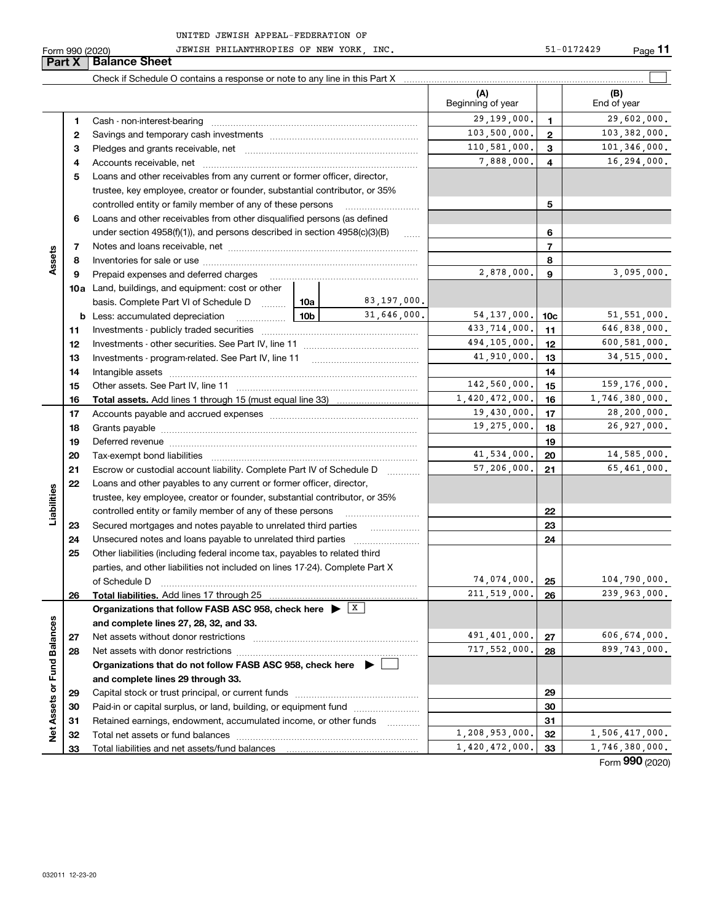Form 990 (2020) Page JEWISH PHILANTHROPIES OF NEW YORK, INC. 51-0172429

|                             |    | <b>Part X   Balance Sheet</b>                                                               |                |                   |                          |                |                                  |
|-----------------------------|----|---------------------------------------------------------------------------------------------|----------------|-------------------|--------------------------|----------------|----------------------------------|
|                             |    |                                                                                             |                |                   |                          |                |                                  |
|                             |    |                                                                                             |                |                   | (A)<br>Beginning of year |                | (B)<br>End of year               |
|                             | 1  |                                                                                             |                |                   | 29,199,000.              | 1              | 29,602,000.                      |
|                             | 2  |                                                                                             |                |                   | 103,500,000.             | $\mathbf{2}$   | 103,382,000.                     |
|                             | з  |                                                                                             |                |                   | 110,581,000.             | 3              | 101,346,000.                     |
|                             | 4  |                                                                                             |                |                   | 7,888,000.               | 4              | 16, 294, 000.                    |
|                             | 5  | Loans and other receivables from any current or former officer, director,                   |                |                   |                          |                |                                  |
|                             |    | trustee, key employee, creator or founder, substantial contributor, or 35%                  |                |                   |                          |                |                                  |
|                             |    | controlled entity or family member of any of these persons                                  |                |                   |                          | 5              |                                  |
|                             | 6  | Loans and other receivables from other disqualified persons (as defined                     |                |                   |                          |                |                                  |
|                             |    | under section $4958(f)(1)$ , and persons described in section $4958(c)(3)(B)$               |                | 6                 |                          |                |                                  |
|                             | 7  |                                                                                             |                | <b>September</b>  |                          | $\overline{7}$ |                                  |
| Assets                      | 8  |                                                                                             |                |                   | 8                        |                |                                  |
|                             | 9  | Prepaid expenses and deferred charges                                                       |                | 2,878,000.        | 9                        | 3,095,000.     |                                  |
|                             |    | <b>10a</b> Land, buildings, and equipment: cost or other                                    |                |                   |                          |                |                                  |
|                             |    | basis. Complete Part VI of Schedule D  10a                                                  | 83,197,000.    |                   |                          |                |                                  |
|                             |    | $\frac{10}{100}$<br><b>b</b> Less: accumulated depreciation                                 | 31,646,000.    | 54, 137, 000.     | 10 <sub>c</sub>          | 51, 551, 000.  |                                  |
|                             | 11 |                                                                                             |                | 433,714,000.      | 11                       | 646,838,000.   |                                  |
|                             | 12 |                                                                                             | 494,105,000.   | 12                | 600,581,000.             |                |                                  |
|                             | 13 |                                                                                             | 41,910,000.    | 13                | 34,515,000.              |                |                                  |
|                             | 14 |                                                                                             |                |                   | 14                       |                |                                  |
|                             | 15 |                                                                                             |                |                   | 142,560,000.             | 15             | 159,176,000.                     |
|                             | 16 |                                                                                             | 1,420,472,000. | 16                | 1,746,380,000.           |                |                                  |
|                             | 17 |                                                                                             |                |                   | 19,430,000.              | 17             | 28,200,000.                      |
|                             | 18 |                                                                                             |                |                   | 19,275,000.              | 18             | 26,927,000.                      |
|                             | 19 |                                                                                             |                |                   | 19                       |                |                                  |
|                             | 20 |                                                                                             |                |                   | 41,534,000.              | 20             | 14,585,000.                      |
|                             | 21 | Escrow or custodial account liability. Complete Part IV of Schedule D                       |                | 1.1.1.1.1.1.1.1.1 | 57,206,000.              | 21             | 65,461,000.                      |
|                             | 22 | Loans and other payables to any current or former officer, director,                        |                |                   |                          |                |                                  |
| Liabilities                 |    | trustee, key employee, creator or founder, substantial contributor, or 35%                  |                |                   |                          |                |                                  |
|                             |    | controlled entity or family member of any of these persons                                  |                |                   |                          | 22             |                                  |
|                             | 23 | Secured mortgages and notes payable to unrelated third parties                              |                |                   |                          | 23             |                                  |
|                             | 24 |                                                                                             |                |                   |                          | 24             |                                  |
|                             | 25 | Other liabilities (including federal income tax, payables to related third                  |                |                   |                          |                |                                  |
|                             |    | parties, and other liabilities not included on lines 17-24). Complete Part X                |                |                   |                          |                |                                  |
|                             |    | of Schedule D                                                                               |                |                   | 74,074,000.              | 25             | 104,790,000.                     |
|                             | 26 | <b>Total liabilities.</b> Add lines 17 through 25                                           |                |                   | 211,519,000.             | 26             | 239,963,000.                     |
|                             |    | Organizations that follow FASB ASC 958, check here $\blacktriangleright$ $\boxed{\text{X}}$ |                |                   |                          |                |                                  |
|                             |    | and complete lines 27, 28, 32, and 33.                                                      |                |                   |                          |                |                                  |
|                             | 27 | Net assets without donor restrictions                                                       |                |                   | 491,401,000.             | 27             | 606,674,000.                     |
|                             | 28 |                                                                                             |                | 717,552,000.      | 28                       | 899,743,000.   |                                  |
|                             |    | Organizations that do not follow FASB ASC 958, check here $\blacktriangleright$             |                |                   |                          |                |                                  |
|                             |    | and complete lines 29 through 33.                                                           |                |                   |                          |                |                                  |
| Net Assets or Fund Balances | 29 |                                                                                             |                |                   |                          | 29             |                                  |
|                             | 30 | Paid-in or capital surplus, or land, building, or equipment fund                            |                |                   |                          | 30             |                                  |
|                             | 31 | Retained earnings, endowment, accumulated income, or other funds                            |                |                   | 1,208,953,000.           | 31             |                                  |
|                             | 32 |                                                                                             |                |                   |                          | 32             | 1,506,417,000.                   |
|                             | 33 |                                                                                             |                |                   | 1,420,472,000.           | 33             | 1,746,380,000.<br>$\overline{2}$ |

Form (2020) **990**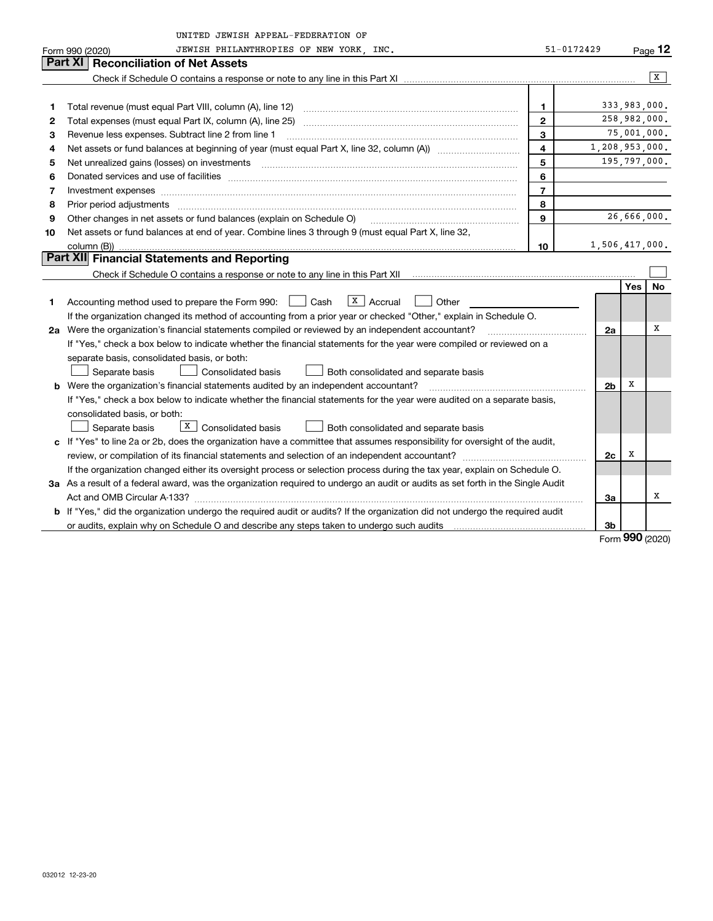|    | UNITED JEWISH APPEAL-FEDERATION OF                                                                                              |                         |                |              |         |  |  |  |  |  |  |
|----|---------------------------------------------------------------------------------------------------------------------------------|-------------------------|----------------|--------------|---------|--|--|--|--|--|--|
|    | JEWISH PHILANTHROPIES OF NEW YORK, INC.<br>Form 990 (2020)                                                                      | $51 - 0172429$          |                |              | Page 12 |  |  |  |  |  |  |
|    | <b>Part XI</b><br><b>Reconciliation of Net Assets</b>                                                                           |                         |                |              |         |  |  |  |  |  |  |
|    |                                                                                                                                 |                         |                |              | X       |  |  |  |  |  |  |
|    |                                                                                                                                 |                         |                |              |         |  |  |  |  |  |  |
| 1  | Total revenue (must equal Part VIII, column (A), line 12)                                                                       | 1                       |                | 333,983,000. |         |  |  |  |  |  |  |
| 2  |                                                                                                                                 | $\mathbf{2}$            |                | 258,982,000. |         |  |  |  |  |  |  |
| З  | Revenue less expenses. Subtract line 2 from line 1                                                                              | $\mathbf{3}$            |                | 75,001,000.  |         |  |  |  |  |  |  |
| 4  |                                                                                                                                 | $\overline{\mathbf{4}}$ | 1,208,953,000. |              |         |  |  |  |  |  |  |
| 5  | Net unrealized gains (losses) on investments                                                                                    | 5                       |                | 195,797,000. |         |  |  |  |  |  |  |
| 6  |                                                                                                                                 | 6                       |                |              |         |  |  |  |  |  |  |
| 7  | Investment expenses www.communication.com/www.communication.com/www.communication.com/www.communication.com/ww                  | $\overline{7}$          |                |              |         |  |  |  |  |  |  |
| 8  | Prior period adjustments                                                                                                        | 8                       |                |              |         |  |  |  |  |  |  |
| 9  | Other changes in net assets or fund balances (explain on Schedule O)                                                            | $\mathbf{Q}$            |                | 26,666,000.  |         |  |  |  |  |  |  |
| 10 | Net assets or fund balances at end of year. Combine lines 3 through 9 (must equal Part X, line 32,                              |                         |                |              |         |  |  |  |  |  |  |
|    | column (B))                                                                                                                     | 10                      | 1,506,417,000. |              |         |  |  |  |  |  |  |
|    | <b>Part XII</b> Financial Statements and Reporting                                                                              |                         |                |              |         |  |  |  |  |  |  |
|    |                                                                                                                                 |                         |                |              |         |  |  |  |  |  |  |
|    |                                                                                                                                 |                         |                | <b>Yes</b>   | No      |  |  |  |  |  |  |
| 1  | $\vert X \vert$ Accrual<br>Accounting method used to prepare the Form 990: <u>June</u> Cash<br>Other                            |                         |                |              |         |  |  |  |  |  |  |
|    | If the organization changed its method of accounting from a prior year or checked "Other," explain in Schedule O.               |                         |                |              |         |  |  |  |  |  |  |
|    | 2a Were the organization's financial statements compiled or reviewed by an independent accountant?                              |                         | 2a             |              | х       |  |  |  |  |  |  |
|    | If "Yes," check a box below to indicate whether the financial statements for the year were compiled or reviewed on a            |                         |                |              |         |  |  |  |  |  |  |
|    | separate basis, consolidated basis, or both:                                                                                    |                         |                |              |         |  |  |  |  |  |  |
|    | Separate basis<br>Consolidated basis<br>Both consolidated and separate basis                                                    |                         |                |              |         |  |  |  |  |  |  |
| b  | Were the organization's financial statements audited by an independent accountant?                                              |                         | 2 <sub>b</sub> | X            |         |  |  |  |  |  |  |
|    | If "Yes," check a box below to indicate whether the financial statements for the year were audited on a separate basis,         |                         |                |              |         |  |  |  |  |  |  |
|    | consolidated basis, or both:                                                                                                    |                         |                |              |         |  |  |  |  |  |  |
|    | $\lfloor x \rfloor$ Consolidated basis<br>Separate basis<br>Both consolidated and separate basis                                |                         |                |              |         |  |  |  |  |  |  |
|    | c If "Yes" to line 2a or 2b, does the organization have a committee that assumes responsibility for oversight of the audit,     |                         |                | X            |         |  |  |  |  |  |  |
|    |                                                                                                                                 |                         | 2c             |              |         |  |  |  |  |  |  |
|    | If the organization changed either its oversight process or selection process during the tax year, explain on Schedule O.       |                         |                |              |         |  |  |  |  |  |  |
|    | 3a As a result of a federal award, was the organization required to undergo an audit or audits as set forth in the Single Audit |                         |                |              | x       |  |  |  |  |  |  |
|    |                                                                                                                                 |                         | За             |              |         |  |  |  |  |  |  |
|    | b If "Yes," did the organization undergo the required audit or audits? If the organization did not undergo the required audit   |                         |                |              |         |  |  |  |  |  |  |
|    |                                                                                                                                 |                         | 3 <sub>b</sub> |              |         |  |  |  |  |  |  |

Form (2020) **990**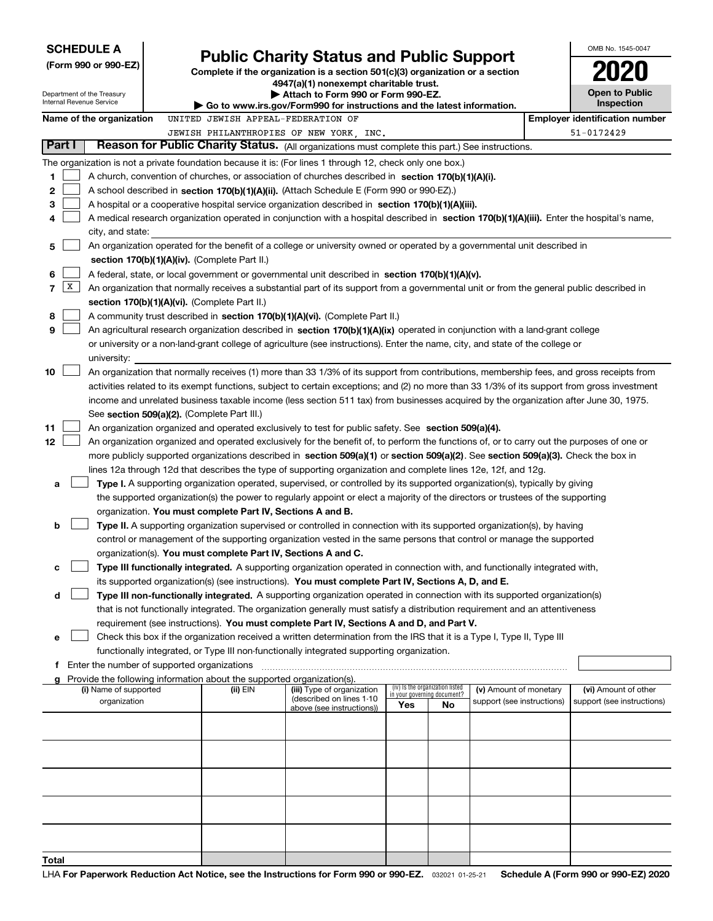| Internal Revenue Service | <b>SCHEDULE A</b><br>(Form 990 or 990-EZ)<br>Department of the Treasury                                                                                                                                                                                                                                                                                                                                                                                                                                                                                                                                                                                                                            |  |                                                                          | <b>Public Charity Status and Public Support</b><br>Complete if the organization is a section 501(c)(3) organization or a section<br>4947(a)(1) nonexempt charitable trust.<br>Attach to Form 990 or Form 990-EZ.<br>▶ Go to www.irs.gov/Form990 for instructions and the latest information.                                                                                                                                                                                                                                                                                                                                                                                                    | OMB No. 1545-0047<br><b>Open to Public</b><br><b>Inspection</b> |    |                            |  |                                       |  |  |
|--------------------------|----------------------------------------------------------------------------------------------------------------------------------------------------------------------------------------------------------------------------------------------------------------------------------------------------------------------------------------------------------------------------------------------------------------------------------------------------------------------------------------------------------------------------------------------------------------------------------------------------------------------------------------------------------------------------------------------------|--|--------------------------------------------------------------------------|-------------------------------------------------------------------------------------------------------------------------------------------------------------------------------------------------------------------------------------------------------------------------------------------------------------------------------------------------------------------------------------------------------------------------------------------------------------------------------------------------------------------------------------------------------------------------------------------------------------------------------------------------------------------------------------------------|-----------------------------------------------------------------|----|----------------------------|--|---------------------------------------|--|--|
|                          | Name of the organization                                                                                                                                                                                                                                                                                                                                                                                                                                                                                                                                                                                                                                                                           |  | UNITED JEWISH APPEAL-FEDERATION OF                                       |                                                                                                                                                                                                                                                                                                                                                                                                                                                                                                                                                                                                                                                                                                 |                                                                 |    |                            |  | <b>Employer identification number</b> |  |  |
|                          |                                                                                                                                                                                                                                                                                                                                                                                                                                                                                                                                                                                                                                                                                                    |  |                                                                          |                                                                                                                                                                                                                                                                                                                                                                                                                                                                                                                                                                                                                                                                                                 |                                                                 |    |                            |  |                                       |  |  |
| Part I                   |                                                                                                                                                                                                                                                                                                                                                                                                                                                                                                                                                                                                                                                                                                    |  |                                                                          | JEWISH PHILANTHROPIES OF NEW YORK, INC.                                                                                                                                                                                                                                                                                                                                                                                                                                                                                                                                                                                                                                                         |                                                                 |    |                            |  | 51-0172429                            |  |  |
|                          |                                                                                                                                                                                                                                                                                                                                                                                                                                                                                                                                                                                                                                                                                                    |  |                                                                          | Reason for Public Charity Status. (All organizations must complete this part.) See instructions.                                                                                                                                                                                                                                                                                                                                                                                                                                                                                                                                                                                                |                                                                 |    |                            |  |                                       |  |  |
| 1<br>2<br>з<br>4<br>5    | city, and state:                                                                                                                                                                                                                                                                                                                                                                                                                                                                                                                                                                                                                                                                                   |  |                                                                          | The organization is not a private foundation because it is: (For lines 1 through 12, check only one box.)<br>A church, convention of churches, or association of churches described in section 170(b)(1)(A)(i).<br>A school described in section 170(b)(1)(A)(ii). (Attach Schedule E (Form 990 or 990-EZ).)<br>A hospital or a cooperative hospital service organization described in section $170(b)(1)(A)(iii)$ .<br>A medical research organization operated in conjunction with a hospital described in section 170(b)(1)(A)(iii). Enter the hospital's name,<br>An organization operated for the benefit of a college or university owned or operated by a governmental unit described in |                                                                 |    |                            |  |                                       |  |  |
|                          |                                                                                                                                                                                                                                                                                                                                                                                                                                                                                                                                                                                                                                                                                                    |  |                                                                          |                                                                                                                                                                                                                                                                                                                                                                                                                                                                                                                                                                                                                                                                                                 |                                                                 |    |                            |  |                                       |  |  |
| 6<br> X <br>7<br>8<br>9  | section 170(b)(1)(A)(iv). (Complete Part II.)<br>A federal, state, or local government or governmental unit described in section 170(b)(1)(A)(v).<br>An organization that normally receives a substantial part of its support from a governmental unit or from the general public described in<br>section 170(b)(1)(A)(vi). (Complete Part II.)<br>A community trust described in section 170(b)(1)(A)(vi). (Complete Part II.)<br>An agricultural research organization described in section 170(b)(1)(A)(ix) operated in conjunction with a land-grant college<br>or university or a non-land-grant college of agriculture (see instructions). Enter the name, city, and state of the college or |  |                                                                          |                                                                                                                                                                                                                                                                                                                                                                                                                                                                                                                                                                                                                                                                                                 |                                                                 |    |                            |  |                                       |  |  |
|                          | university:                                                                                                                                                                                                                                                                                                                                                                                                                                                                                                                                                                                                                                                                                        |  |                                                                          |                                                                                                                                                                                                                                                                                                                                                                                                                                                                                                                                                                                                                                                                                                 |                                                                 |    |                            |  |                                       |  |  |
| 10                       | An organization that normally receives (1) more than 33 1/3% of its support from contributions, membership fees, and gross receipts from<br>activities related to its exempt functions, subject to certain exceptions; and (2) no more than 33 1/3% of its support from gross investment<br>income and unrelated business taxable income (less section 511 tax) from businesses acquired by the organization after June 30, 1975.<br>See section 509(a)(2). (Complete Part III.)                                                                                                                                                                                                                   |  |                                                                          |                                                                                                                                                                                                                                                                                                                                                                                                                                                                                                                                                                                                                                                                                                 |                                                                 |    |                            |  |                                       |  |  |
| 11                       |                                                                                                                                                                                                                                                                                                                                                                                                                                                                                                                                                                                                                                                                                                    |  |                                                                          | An organization organized and operated exclusively to test for public safety. See section 509(a)(4).                                                                                                                                                                                                                                                                                                                                                                                                                                                                                                                                                                                            |                                                                 |    |                            |  |                                       |  |  |
| 12                       |                                                                                                                                                                                                                                                                                                                                                                                                                                                                                                                                                                                                                                                                                                    |  |                                                                          | An organization organized and operated exclusively for the benefit of, to perform the functions of, or to carry out the purposes of one or                                                                                                                                                                                                                                                                                                                                                                                                                                                                                                                                                      |                                                                 |    |                            |  |                                       |  |  |
|                          |                                                                                                                                                                                                                                                                                                                                                                                                                                                                                                                                                                                                                                                                                                    |  |                                                                          | more publicly supported organizations described in section 509(a)(1) or section 509(a)(2). See section 509(a)(3). Check the box in                                                                                                                                                                                                                                                                                                                                                                                                                                                                                                                                                              |                                                                 |    |                            |  |                                       |  |  |
|                          |                                                                                                                                                                                                                                                                                                                                                                                                                                                                                                                                                                                                                                                                                                    |  |                                                                          | lines 12a through 12d that describes the type of supporting organization and complete lines 12e, 12f, and 12g.                                                                                                                                                                                                                                                                                                                                                                                                                                                                                                                                                                                  |                                                                 |    |                            |  |                                       |  |  |
|                          |                                                                                                                                                                                                                                                                                                                                                                                                                                                                                                                                                                                                                                                                                                    |  |                                                                          |                                                                                                                                                                                                                                                                                                                                                                                                                                                                                                                                                                                                                                                                                                 |                                                                 |    |                            |  |                                       |  |  |
| a                        |                                                                                                                                                                                                                                                                                                                                                                                                                                                                                                                                                                                                                                                                                                    |  |                                                                          | Type I. A supporting organization operated, supervised, or controlled by its supported organization(s), typically by giving                                                                                                                                                                                                                                                                                                                                                                                                                                                                                                                                                                     |                                                                 |    |                            |  |                                       |  |  |
|                          |                                                                                                                                                                                                                                                                                                                                                                                                                                                                                                                                                                                                                                                                                                    |  |                                                                          | the supported organization(s) the power to regularly appoint or elect a majority of the directors or trustees of the supporting                                                                                                                                                                                                                                                                                                                                                                                                                                                                                                                                                                 |                                                                 |    |                            |  |                                       |  |  |
|                          |                                                                                                                                                                                                                                                                                                                                                                                                                                                                                                                                                                                                                                                                                                    |  | organization. You must complete Part IV, Sections A and B.               |                                                                                                                                                                                                                                                                                                                                                                                                                                                                                                                                                                                                                                                                                                 |                                                                 |    |                            |  |                                       |  |  |
| b                        |                                                                                                                                                                                                                                                                                                                                                                                                                                                                                                                                                                                                                                                                                                    |  |                                                                          | Type II. A supporting organization supervised or controlled in connection with its supported organization(s), by having                                                                                                                                                                                                                                                                                                                                                                                                                                                                                                                                                                         |                                                                 |    |                            |  |                                       |  |  |
|                          |                                                                                                                                                                                                                                                                                                                                                                                                                                                                                                                                                                                                                                                                                                    |  |                                                                          | control or management of the supporting organization vested in the same persons that control or manage the supported                                                                                                                                                                                                                                                                                                                                                                                                                                                                                                                                                                            |                                                                 |    |                            |  |                                       |  |  |
|                          |                                                                                                                                                                                                                                                                                                                                                                                                                                                                                                                                                                                                                                                                                                    |  | organization(s). You must complete Part IV, Sections A and C.            |                                                                                                                                                                                                                                                                                                                                                                                                                                                                                                                                                                                                                                                                                                 |                                                                 |    |                            |  |                                       |  |  |
| c                        |                                                                                                                                                                                                                                                                                                                                                                                                                                                                                                                                                                                                                                                                                                    |  |                                                                          | Type III functionally integrated. A supporting organization operated in connection with, and functionally integrated with,                                                                                                                                                                                                                                                                                                                                                                                                                                                                                                                                                                      |                                                                 |    |                            |  |                                       |  |  |
|                          |                                                                                                                                                                                                                                                                                                                                                                                                                                                                                                                                                                                                                                                                                                    |  |                                                                          | its supported organization(s) (see instructions). You must complete Part IV, Sections A, D, and E.                                                                                                                                                                                                                                                                                                                                                                                                                                                                                                                                                                                              |                                                                 |    |                            |  |                                       |  |  |
| d                        |                                                                                                                                                                                                                                                                                                                                                                                                                                                                                                                                                                                                                                                                                                    |  |                                                                          | Type III non-functionally integrated. A supporting organization operated in connection with its supported organization(s)                                                                                                                                                                                                                                                                                                                                                                                                                                                                                                                                                                       |                                                                 |    |                            |  |                                       |  |  |
|                          |                                                                                                                                                                                                                                                                                                                                                                                                                                                                                                                                                                                                                                                                                                    |  |                                                                          | that is not functionally integrated. The organization generally must satisfy a distribution requirement and an attentiveness                                                                                                                                                                                                                                                                                                                                                                                                                                                                                                                                                                    |                                                                 |    |                            |  |                                       |  |  |
|                          |                                                                                                                                                                                                                                                                                                                                                                                                                                                                                                                                                                                                                                                                                                    |  |                                                                          | requirement (see instructions). You must complete Part IV, Sections A and D, and Part V.                                                                                                                                                                                                                                                                                                                                                                                                                                                                                                                                                                                                        |                                                                 |    |                            |  |                                       |  |  |
|                          |                                                                                                                                                                                                                                                                                                                                                                                                                                                                                                                                                                                                                                                                                                    |  |                                                                          | Check this box if the organization received a written determination from the IRS that it is a Type I, Type II, Type III                                                                                                                                                                                                                                                                                                                                                                                                                                                                                                                                                                         |                                                                 |    |                            |  |                                       |  |  |
| е                        |                                                                                                                                                                                                                                                                                                                                                                                                                                                                                                                                                                                                                                                                                                    |  |                                                                          | functionally integrated, or Type III non-functionally integrated supporting organization.                                                                                                                                                                                                                                                                                                                                                                                                                                                                                                                                                                                                       |                                                                 |    |                            |  |                                       |  |  |
|                          |                                                                                                                                                                                                                                                                                                                                                                                                                                                                                                                                                                                                                                                                                                    |  |                                                                          |                                                                                                                                                                                                                                                                                                                                                                                                                                                                                                                                                                                                                                                                                                 |                                                                 |    |                            |  |                                       |  |  |
|                          |                                                                                                                                                                                                                                                                                                                                                                                                                                                                                                                                                                                                                                                                                                    |  | g Provide the following information about the supported organization(s). |                                                                                                                                                                                                                                                                                                                                                                                                                                                                                                                                                                                                                                                                                                 |                                                                 |    |                            |  |                                       |  |  |
|                          | (i) Name of supported                                                                                                                                                                                                                                                                                                                                                                                                                                                                                                                                                                                                                                                                              |  | (ii) EIN                                                                 | (iii) Type of organization                                                                                                                                                                                                                                                                                                                                                                                                                                                                                                                                                                                                                                                                      | (iv) Is the organization listed                                 |    | (v) Amount of monetary     |  | (vi) Amount of other                  |  |  |
|                          | organization                                                                                                                                                                                                                                                                                                                                                                                                                                                                                                                                                                                                                                                                                       |  |                                                                          | (described on lines 1-10                                                                                                                                                                                                                                                                                                                                                                                                                                                                                                                                                                                                                                                                        | in your governing document?<br>Yes                              | No | support (see instructions) |  | support (see instructions)            |  |  |
|                          |                                                                                                                                                                                                                                                                                                                                                                                                                                                                                                                                                                                                                                                                                                    |  |                                                                          | above (see instructions))                                                                                                                                                                                                                                                                                                                                                                                                                                                                                                                                                                                                                                                                       |                                                                 |    |                            |  |                                       |  |  |
|                          |                                                                                                                                                                                                                                                                                                                                                                                                                                                                                                                                                                                                                                                                                                    |  |                                                                          |                                                                                                                                                                                                                                                                                                                                                                                                                                                                                                                                                                                                                                                                                                 |                                                                 |    |                            |  |                                       |  |  |
|                          |                                                                                                                                                                                                                                                                                                                                                                                                                                                                                                                                                                                                                                                                                                    |  |                                                                          |                                                                                                                                                                                                                                                                                                                                                                                                                                                                                                                                                                                                                                                                                                 |                                                                 |    |                            |  |                                       |  |  |
|                          |                                                                                                                                                                                                                                                                                                                                                                                                                                                                                                                                                                                                                                                                                                    |  |                                                                          |                                                                                                                                                                                                                                                                                                                                                                                                                                                                                                                                                                                                                                                                                                 |                                                                 |    |                            |  |                                       |  |  |
|                          |                                                                                                                                                                                                                                                                                                                                                                                                                                                                                                                                                                                                                                                                                                    |  |                                                                          |                                                                                                                                                                                                                                                                                                                                                                                                                                                                                                                                                                                                                                                                                                 |                                                                 |    |                            |  |                                       |  |  |
|                          |                                                                                                                                                                                                                                                                                                                                                                                                                                                                                                                                                                                                                                                                                                    |  |                                                                          |                                                                                                                                                                                                                                                                                                                                                                                                                                                                                                                                                                                                                                                                                                 |                                                                 |    |                            |  |                                       |  |  |
|                          |                                                                                                                                                                                                                                                                                                                                                                                                                                                                                                                                                                                                                                                                                                    |  |                                                                          |                                                                                                                                                                                                                                                                                                                                                                                                                                                                                                                                                                                                                                                                                                 |                                                                 |    |                            |  |                                       |  |  |
|                          |                                                                                                                                                                                                                                                                                                                                                                                                                                                                                                                                                                                                                                                                                                    |  |                                                                          |                                                                                                                                                                                                                                                                                                                                                                                                                                                                                                                                                                                                                                                                                                 |                                                                 |    |                            |  |                                       |  |  |
| Total                    |                                                                                                                                                                                                                                                                                                                                                                                                                                                                                                                                                                                                                                                                                                    |  |                                                                          |                                                                                                                                                                                                                                                                                                                                                                                                                                                                                                                                                                                                                                                                                                 |                                                                 |    |                            |  |                                       |  |  |
|                          |                                                                                                                                                                                                                                                                                                                                                                                                                                                                                                                                                                                                                                                                                                    |  |                                                                          |                                                                                                                                                                                                                                                                                                                                                                                                                                                                                                                                                                                                                                                                                                 |                                                                 |    |                            |  |                                       |  |  |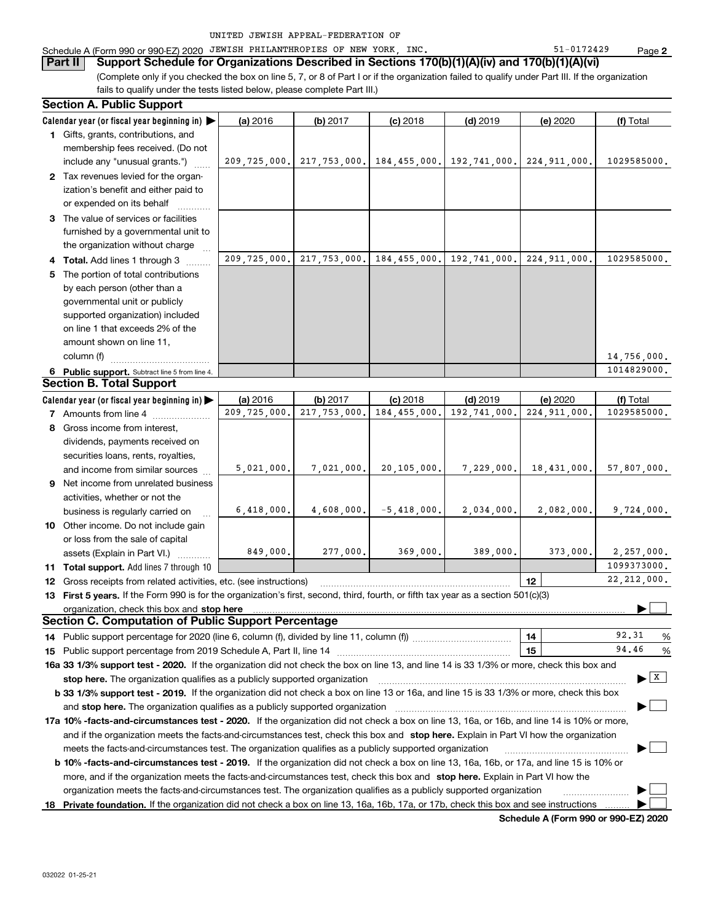|  | UNITED JEWISH APPEAL-FEDERATION OF |  |
|--|------------------------------------|--|
|  |                                    |  |

## Schedule A (Form 990 or 990-EZ) 2020 JEWISH PHILANTHROPIES OF NEW YORK, INC. Same that the state of 1-0172429

**Part II** Support Schedule for Organizations Described in Sections 170(b)(1)(A)(iv) and 170(b)(1)(A)(vi)

(Complete only if you checked the box on line 5, 7, or 8 of Part I or if the organization failed to qualify under Part III. If the organization fails to qualify under the tests listed below, please complete Part III.)

| <b>Section A. Public Support</b>                                                                                                               |                |              |                            |                                                                  |                 |                                       |
|------------------------------------------------------------------------------------------------------------------------------------------------|----------------|--------------|----------------------------|------------------------------------------------------------------|-----------------|---------------------------------------|
| Calendar year (or fiscal year beginning in)                                                                                                    | (a) 2016       | (b) 2017     | $(c)$ 2018                 | $(d)$ 2019                                                       | (e) 2020        | (f) Total                             |
| 1 Gifts, grants, contributions, and                                                                                                            |                |              |                            |                                                                  |                 |                                       |
| membership fees received. (Do not                                                                                                              |                |              |                            |                                                                  |                 |                                       |
| include any "unusual grants.")                                                                                                                 |                |              |                            | 209,725,000. 217,753,000. 184,455,000. 192,741,000. 224,911,000. |                 | 1029585000.                           |
| 2 Tax revenues levied for the organ-                                                                                                           |                |              |                            |                                                                  |                 |                                       |
| ization's benefit and either paid to                                                                                                           |                |              |                            |                                                                  |                 |                                       |
| or expended on its behalf                                                                                                                      |                |              |                            |                                                                  |                 |                                       |
| 3 The value of services or facilities                                                                                                          |                |              |                            |                                                                  |                 |                                       |
| furnished by a governmental unit to                                                                                                            |                |              |                            |                                                                  |                 |                                       |
| the organization without charge                                                                                                                |                |              |                            |                                                                  |                 |                                       |
| 4 Total. Add lines 1 through 3                                                                                                                 |                |              |                            | 209,725,000. 217,753,000. 184,455,000. 192,741,000. 224,911,000. |                 | 1029585000.                           |
| 5 The portion of total contributions                                                                                                           |                |              |                            |                                                                  |                 |                                       |
| by each person (other than a                                                                                                                   |                |              |                            |                                                                  |                 |                                       |
| governmental unit or publicly                                                                                                                  |                |              |                            |                                                                  |                 |                                       |
| supported organization) included                                                                                                               |                |              |                            |                                                                  |                 |                                       |
| on line 1 that exceeds 2% of the                                                                                                               |                |              |                            |                                                                  |                 |                                       |
| amount shown on line 11,                                                                                                                       |                |              |                            |                                                                  |                 |                                       |
| column (f)                                                                                                                                     |                |              |                            |                                                                  |                 | 14,756,000.                           |
| 6 Public support. Subtract line 5 from line 4.                                                                                                 |                |              |                            |                                                                  |                 | 1014829000.                           |
| <b>Section B. Total Support</b>                                                                                                                |                |              |                            |                                                                  |                 |                                       |
| Calendar year (or fiscal year beginning in)                                                                                                    | (a) 2016       | (b) 2017     | $(c)$ 2018                 | $(d)$ 2019                                                       | (e) 2020        | (f) Total                             |
| 7 Amounts from line 4                                                                                                                          | 209, 725, 000. | 217,753,000. | 184,455,000.               | 192,741,000.                                                     | 224,911,000.    | 1029585000.                           |
| 8 Gross income from interest,                                                                                                                  |                |              |                            |                                                                  |                 |                                       |
| dividends, payments received on                                                                                                                |                |              |                            |                                                                  |                 |                                       |
| securities loans, rents, royalties,                                                                                                            |                |              |                            |                                                                  |                 |                                       |
| and income from similar sources                                                                                                                | 5,021,000.     | 7,021,000.   | 20,105,000.                | 7,229,000.                                                       | 18,431,000.     | 57,807,000.                           |
| <b>9</b> Net income from unrelated business                                                                                                    |                |              |                            |                                                                  |                 |                                       |
| activities, whether or not the                                                                                                                 |                |              |                            |                                                                  |                 |                                       |
| business is regularly carried on                                                                                                               | 6,418,000.     |              | $4,608,000.$ $-5,418,000.$ | 2,034,000.                                                       | 2,082,000.      | 9,724,000.                            |
| 10 Other income. Do not include gain                                                                                                           |                |              |                            |                                                                  |                 |                                       |
| or loss from the sale of capital                                                                                                               |                |              |                            |                                                                  |                 |                                       |
| assets (Explain in Part VI.)                                                                                                                   | 849,000.       | 277,000.     | 369,000.                   | 389,000.                                                         | 373,000.        | 2,257,000.                            |
| 11 Total support. Add lines 7 through 10                                                                                                       |                |              |                            |                                                                  |                 | 1099373000.                           |
| 12 Gross receipts from related activities, etc. (see instructions)                                                                             |                |              |                            |                                                                  | 12 <sub>2</sub> | 22, 212, 000.                         |
| 13 First 5 years. If the Form 990 is for the organization's first, second, third, fourth, or fifth tax year as a section 501(c)(3)             |                |              |                            |                                                                  |                 |                                       |
|                                                                                                                                                |                |              |                            |                                                                  |                 |                                       |
| Section C. Computation of Public Support Percentage                                                                                            |                |              |                            |                                                                  |                 |                                       |
|                                                                                                                                                |                |              |                            |                                                                  | 14              | 92.31<br>%                            |
|                                                                                                                                                |                |              |                            |                                                                  | 15              | 94.46<br>%                            |
| 16a 33 1/3% support test - 2020. If the organization did not check the box on line 13, and line 14 is 33 1/3% or more, check this box and      |                |              |                            |                                                                  |                 |                                       |
| stop here. The organization qualifies as a publicly supported organization                                                                     |                |              |                            |                                                                  |                 | $\blacktriangleright$ $\mid$ X $\mid$ |
| b 33 1/3% support test - 2019. If the organization did not check a box on line 13 or 16a, and line 15 is 33 1/3% or more, check this box       |                |              |                            |                                                                  |                 |                                       |
| and stop here. The organization qualifies as a publicly supported organization                                                                 |                |              |                            |                                                                  |                 |                                       |
| 17a 10% -facts-and-circumstances test - 2020. If the organization did not check a box on line 13, 16a, or 16b, and line 14 is 10% or more,     |                |              |                            |                                                                  |                 |                                       |
| and if the organization meets the facts-and-circumstances test, check this box and stop here. Explain in Part VI how the organization          |                |              |                            |                                                                  |                 |                                       |
| meets the facts-and-circumstances test. The organization qualifies as a publicly supported organization                                        |                |              |                            |                                                                  |                 |                                       |
| <b>b 10% -facts-and-circumstances test - 2019.</b> If the organization did not check a box on line 13, 16a, 16b, or 17a, and line 15 is 10% or |                |              |                            |                                                                  |                 |                                       |
| more, and if the organization meets the facts-and-circumstances test, check this box and stop here. Explain in Part VI how the                 |                |              |                            |                                                                  |                 |                                       |
| organization meets the facts-and-circumstances test. The organization qualifies as a publicly supported organization                           |                |              |                            |                                                                  |                 |                                       |
|                                                                                                                                                |                |              |                            |                                                                  |                 |                                       |
| 18 Private foundation. If the organization did not check a box on line 13, 16a, 16b, 17a, or 17b, check this box and see instructions          |                |              |                            |                                                                  |                 |                                       |

**Schedule A (Form 990 or 990-EZ) 2020**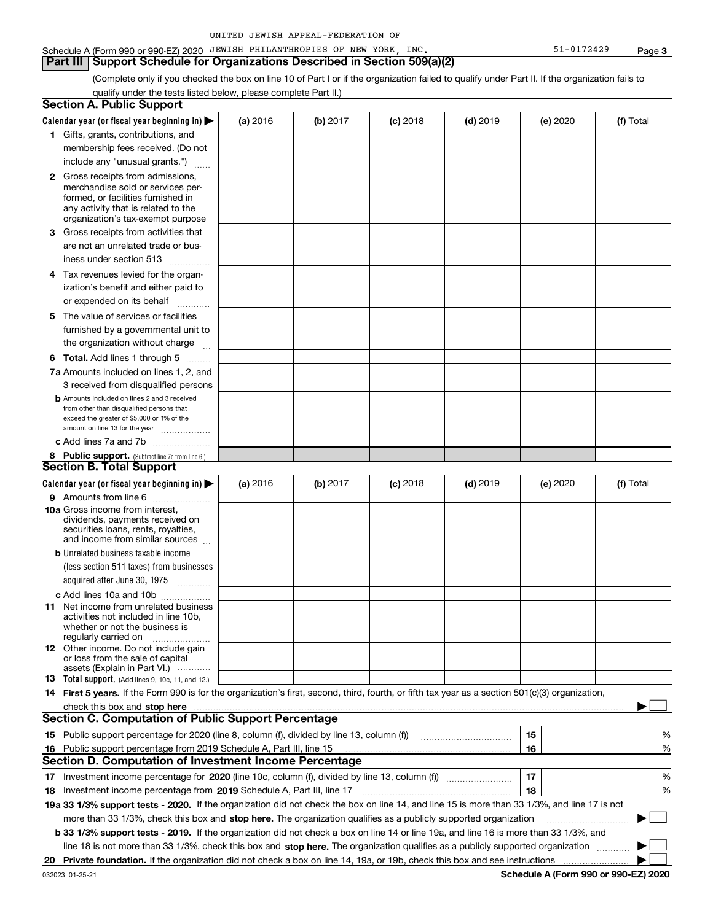#### **Page 3**

#### Schedule A (Form 990 or 990-EZ) 2020 JEWISH PHILANTHROPIES OF NEW YORK, INC. Same that the state of 1-0172429 **Part III | Support Schedule for Organizations Described in Section 509(a)(2)**

(Complete only if you checked the box on line 10 of Part I or if the organization failed to qualify under Part II. If the organization fails to qualify under the tests listed below, please complete Part II.)

|     | <b>Section A. Public Support</b>                                                                                                                 |          |          |                 |            |          |           |
|-----|--------------------------------------------------------------------------------------------------------------------------------------------------|----------|----------|-----------------|------------|----------|-----------|
|     | Calendar year (or fiscal year beginning in) $\blacktriangleright$                                                                                | (a) 2016 | (b) 2017 | <b>(c)</b> 2018 | $(d)$ 2019 | (e) 2020 | (f) Total |
|     | 1 Gifts, grants, contributions, and                                                                                                              |          |          |                 |            |          |           |
|     | membership fees received. (Do not                                                                                                                |          |          |                 |            |          |           |
|     | include any "unusual grants.")                                                                                                                   |          |          |                 |            |          |           |
|     | <b>2</b> Gross receipts from admissions,                                                                                                         |          |          |                 |            |          |           |
|     | merchandise sold or services per-                                                                                                                |          |          |                 |            |          |           |
|     | formed, or facilities furnished in                                                                                                               |          |          |                 |            |          |           |
|     | any activity that is related to the                                                                                                              |          |          |                 |            |          |           |
|     | organization's tax-exempt purpose                                                                                                                |          |          |                 |            |          |           |
|     | <b>3</b> Gross receipts from activities that                                                                                                     |          |          |                 |            |          |           |
|     | are not an unrelated trade or bus-                                                                                                               |          |          |                 |            |          |           |
|     | iness under section 513                                                                                                                          |          |          |                 |            |          |           |
| 4   | Tax revenues levied for the organ-                                                                                                               |          |          |                 |            |          |           |
|     | ization's benefit and either paid to                                                                                                             |          |          |                 |            |          |           |
|     | or expended on its behalf                                                                                                                        |          |          |                 |            |          |           |
| 5.  | The value of services or facilities                                                                                                              |          |          |                 |            |          |           |
|     | furnished by a governmental unit to                                                                                                              |          |          |                 |            |          |           |
|     | the organization without charge                                                                                                                  |          |          |                 |            |          |           |
|     | <b>6 Total.</b> Add lines 1 through 5 $\dots$                                                                                                    |          |          |                 |            |          |           |
|     | 7a Amounts included on lines 1, 2, and                                                                                                           |          |          |                 |            |          |           |
|     | 3 received from disqualified persons                                                                                                             |          |          |                 |            |          |           |
|     | <b>b</b> Amounts included on lines 2 and 3 received                                                                                              |          |          |                 |            |          |           |
|     | from other than disqualified persons that                                                                                                        |          |          |                 |            |          |           |
|     | exceed the greater of \$5,000 or 1% of the<br>amount on line 13 for the year                                                                     |          |          |                 |            |          |           |
|     | c Add lines 7a and 7b                                                                                                                            |          |          |                 |            |          |           |
|     | 8 Public support. (Subtract line 7c from line 6.)                                                                                                |          |          |                 |            |          |           |
|     | <b>Section B. Total Support</b>                                                                                                                  |          |          |                 |            |          |           |
|     | Calendar year (or fiscal year beginning in)                                                                                                      | (a) 2016 | (b) 2017 | <b>(c)</b> 2018 | $(d)$ 2019 | (e) 2020 | (f) Total |
|     | 9 Amounts from line 6                                                                                                                            |          |          |                 |            |          |           |
|     | 10a Gross income from interest,                                                                                                                  |          |          |                 |            |          |           |
|     | dividends, payments received on                                                                                                                  |          |          |                 |            |          |           |
|     | securities loans, rents, royalties,                                                                                                              |          |          |                 |            |          |           |
|     | and income from similar sources                                                                                                                  |          |          |                 |            |          |           |
|     | <b>b</b> Unrelated business taxable income                                                                                                       |          |          |                 |            |          |           |
|     | (less section 511 taxes) from businesses                                                                                                         |          |          |                 |            |          |           |
|     | acquired after June 30, 1975<br>$\overline{\phantom{a}}$                                                                                         |          |          |                 |            |          |           |
|     | c Add lines 10a and 10b                                                                                                                          |          |          |                 |            |          |           |
| 11. | Net income from unrelated business<br>activities not included in line 10b,                                                                       |          |          |                 |            |          |           |
|     | whether or not the business is                                                                                                                   |          |          |                 |            |          |           |
|     | regularly carried on                                                                                                                             |          |          |                 |            |          |           |
|     | <b>12</b> Other income. Do not include gain                                                                                                      |          |          |                 |            |          |           |
|     | or loss from the sale of capital<br>assets (Explain in Part VI.)                                                                                 |          |          |                 |            |          |           |
|     | <b>13 Total support.</b> (Add lines 9, 10c, 11, and 12.)                                                                                         |          |          |                 |            |          |           |
|     | 14 First 5 years. If the Form 990 is for the organization's first, second, third, fourth, or fifth tax year as a section 501(c)(3) organization, |          |          |                 |            |          |           |
|     |                                                                                                                                                  |          |          |                 |            |          |           |
|     | <b>Section C. Computation of Public Support Percentage</b>                                                                                       |          |          |                 |            |          |           |
|     |                                                                                                                                                  |          |          |                 |            | 15       | %         |
| 16  | Public support percentage from 2019 Schedule A, Part III, line 15                                                                                |          |          |                 |            | 16       | %         |
|     | <b>Section D. Computation of Investment Income Percentage</b>                                                                                    |          |          |                 |            |          |           |
|     |                                                                                                                                                  |          |          |                 |            | 17       | %         |
|     | 18 Investment income percentage from 2019 Schedule A, Part III, line 17                                                                          |          |          |                 |            | 18       | %         |
|     | 19a 33 1/3% support tests - 2020. If the organization did not check the box on line 14, and line 15 is more than 33 1/3%, and line 17 is not     |          |          |                 |            |          |           |
|     | more than 33 1/3%, check this box and stop here. The organization qualifies as a publicly supported organization                                 |          |          |                 |            |          |           |
|     |                                                                                                                                                  |          |          |                 |            |          |           |
|     | b 33 1/3% support tests - 2019. If the organization did not check a box on line 14 or line 19a, and line 16 is more than 33 1/3%, and            |          |          |                 |            |          |           |
|     | line 18 is not more than 33 1/3%, check this box and stop here. The organization qualifies as a publicly supported organization                  |          |          |                 |            |          |           |
| 20  |                                                                                                                                                  |          |          |                 |            |          |           |

**Schedule A (Form 990 or 990-EZ) 2020**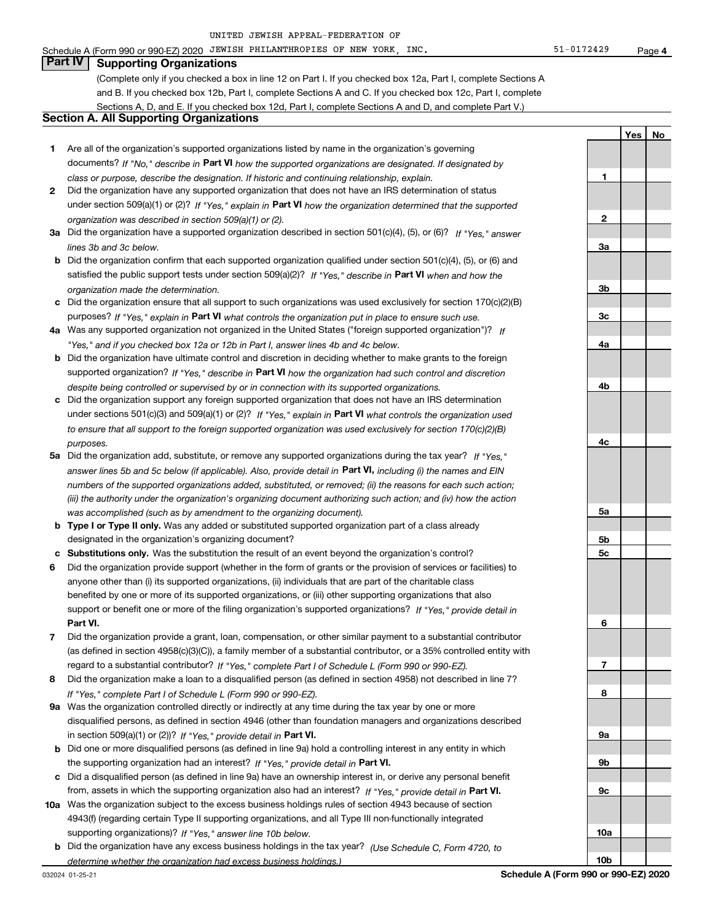**1**

**2**

**3a**

**3b**

**3c**

**4a**

**4b**

**4c**

**5a**

**5b 5c**

**6**

**7**

**8**

**9a**

**9b**

**9c**

**10a**

**10b**

Yes | No

## **Part IV Supporting Organizations**

(Complete only if you checked a box in line 12 on Part I. If you checked box 12a, Part I, complete Sections A and B. If you checked box 12b, Part I, complete Sections A and C. If you checked box 12c, Part I, complete Sections A, D, and E. If you checked box 12d, Part I, complete Sections A and D, and complete Part V.)

### **Section A. All Supporting Organizations**

- **1** Are all of the organization's supported organizations listed by name in the organization's governing documents? If "No," describe in Part VI how the supported organizations are designated. If designated by *class or purpose, describe the designation. If historic and continuing relationship, explain.*
- **2** Did the organization have any supported organization that does not have an IRS determination of status under section 509(a)(1) or (2)? If "Yes," explain in Part VI how the organization determined that the supported *organization was described in section 509(a)(1) or (2).*
- **3a** Did the organization have a supported organization described in section 501(c)(4), (5), or (6)? If "Yes," answer *lines 3b and 3c below.*
- **b** Did the organization confirm that each supported organization qualified under section 501(c)(4), (5), or (6) and satisfied the public support tests under section 509(a)(2)? If "Yes," describe in Part VI when and how the *organization made the determination.*
- **c** Did the organization ensure that all support to such organizations was used exclusively for section 170(c)(2)(B) purposes? If "Yes," explain in Part VI what controls the organization put in place to ensure such use.
- **4 a** *If* Was any supported organization not organized in the United States ("foreign supported organization")? *"Yes," and if you checked box 12a or 12b in Part I, answer lines 4b and 4c below.*
- **b** Did the organization have ultimate control and discretion in deciding whether to make grants to the foreign supported organization? If "Yes," describe in Part VI how the organization had such control and discretion *despite being controlled or supervised by or in connection with its supported organizations.*
- **c** Did the organization support any foreign supported organization that does not have an IRS determination under sections 501(c)(3) and 509(a)(1) or (2)? If "Yes," explain in Part VI what controls the organization used *to ensure that all support to the foreign supported organization was used exclusively for section 170(c)(2)(B) purposes.*
- **5a** Did the organization add, substitute, or remove any supported organizations during the tax year? If "Yes," answer lines 5b and 5c below (if applicable). Also, provide detail in **Part VI,** including (i) the names and EIN *numbers of the supported organizations added, substituted, or removed; (ii) the reasons for each such action; (iii) the authority under the organization's organizing document authorizing such action; and (iv) how the action was accomplished (such as by amendment to the organizing document).*
- **b** Type I or Type II only. Was any added or substituted supported organization part of a class already designated in the organization's organizing document?
- **c Substitutions only.**  Was the substitution the result of an event beyond the organization's control?
- **6** Did the organization provide support (whether in the form of grants or the provision of services or facilities) to **Part VI.** *If "Yes," provide detail in* support or benefit one or more of the filing organization's supported organizations? anyone other than (i) its supported organizations, (ii) individuals that are part of the charitable class benefited by one or more of its supported organizations, or (iii) other supporting organizations that also
- **7** Did the organization provide a grant, loan, compensation, or other similar payment to a substantial contributor regard to a substantial contributor? If "Yes," complete Part I of Schedule L (Form 990 or 990-EZ). (as defined in section 4958(c)(3)(C)), a family member of a substantial contributor, or a 35% controlled entity with
- **8** Did the organization make a loan to a disqualified person (as defined in section 4958) not described in line 7? *If "Yes," complete Part I of Schedule L (Form 990 or 990-EZ).*
- **9 a** Was the organization controlled directly or indirectly at any time during the tax year by one or more in section 509(a)(1) or (2))? If "Yes," provide detail in Part VI. disqualified persons, as defined in section 4946 (other than foundation managers and organizations described
- **b** Did one or more disqualified persons (as defined in line 9a) hold a controlling interest in any entity in which the supporting organization had an interest? If "Yes," provide detail in Part VI.
- **c** Did a disqualified person (as defined in line 9a) have an ownership interest in, or derive any personal benefit from, assets in which the supporting organization also had an interest? If "Yes," provide detail in Part VI.
- **10 a** Was the organization subject to the excess business holdings rules of section 4943 because of section supporting organizations)? If "Yes," answer line 10b below. 4943(f) (regarding certain Type II supporting organizations, and all Type III non-functionally integrated
	- **b** Did the organization have any excess business holdings in the tax year? (Use Schedule C, Form 4720, to *determine whether the organization had excess business holdings.)*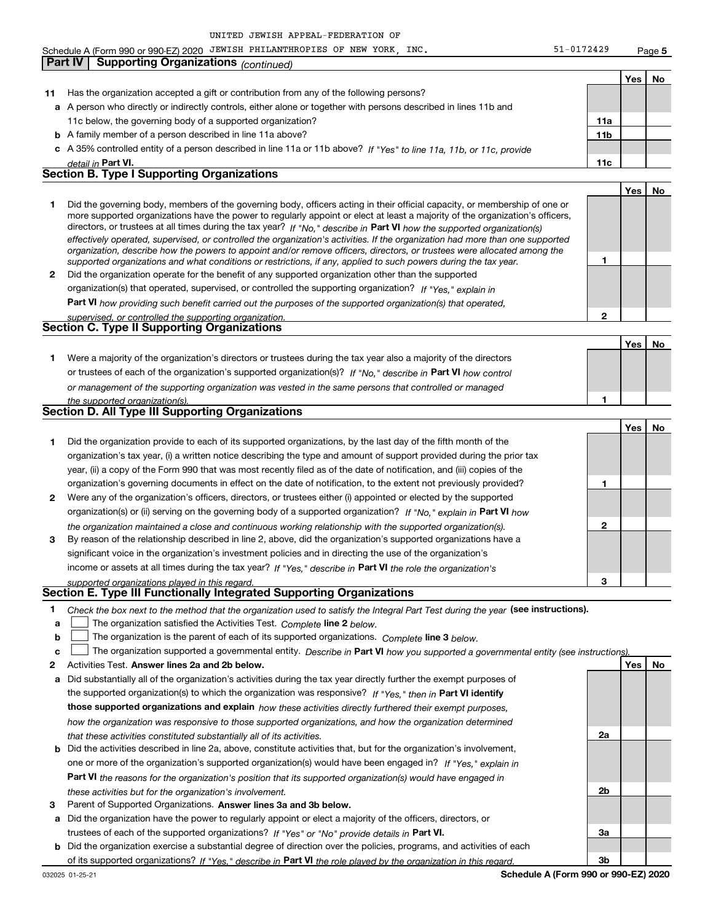Schedule A (Form 990 or 990-EZ) 2020 JEWISH PHILANTHROPIES OF NEW YORK, INC. Same that the state of 1-0172429

**Yes No 11** Has the organization accepted a gift or contribution from any of the following persons? **a** A person who directly or indirectly controls, either alone or together with persons described in lines 11b and **b** A family member of a person described in line 11a above? **c** *If "Yes" to line 11a, 11b, or 11c, provide* A 35% controlled entity of a person described in line 11a or 11b above? **11a 11b Part VI. 11c Yes No 1 2** Did the organization operate for the benefit of any supported organization other than the supported directors, or trustees at all times during the tax year? If "No," describe in Part VI how the supported organization(s) **1 2 Part VI**  *how providing such benefit carried out the purposes of the supported organization(s) that operated,* Yes | No **1** Were a majority of the organization's directors or trustees during the tax year also a majority of the directors or trustees of each of the organization's supported organization(s)? If "No," describe in Part VI how control **1** <u>**Yes**</u> No **1** Did the organization provide to each of its supported organizations, by the last day of the fifth month of the **2** Were any of the organization's officers, directors, or trustees either (i) appointed or elected by the supported **3 1 2 3** organization(s) or (ii) serving on the governing body of a supported organization? If "No," explain in Part VI how income or assets at all times during the tax year? If "Yes," describe in Part VI the role the organization's **1 2** Activities Test. Answer lines 2a and 2b below. **Yes No and 2b and 2b below.** And the state of the state of the state of the state of the state of the state of the state of the state of the state of the state of the sta Check the box next to the method that the organization used to satisfy the Integral Part Test during the year (see instructions). **a b c The organization satisfied the Activities Test.** Complete line 2 below. The organization is the parent of each of its supported organizations. *Complete* line 3 below. The organization supported a governmental entity. Describe in Part VI how you supported a governmental entity (see instruction<u>s).</u> **a** Did substantially all of the organization's activities during the tax year directly further the exempt purposes of the supported organization(s) to which the organization was responsive? If "Yes," then in Part VI identify **those supported organizations and explain**  *how these activities directly furthered their exempt purposes,* **2a** *detail in effectively operated, supervised, or controlled the organization's activities. If the organization had more than one supported organization, describe how the powers to appoint and/or remove officers, directors, or trustees were allocated among the supported organizations and what conditions or restrictions, if any, applied to such powers during the tax year.* organization(s) that operated, supervised, or controlled the supporting organization? If "Yes," explain in *supervised, or controlled the supporting organization. or management of the supporting organization was vested in the same persons that controlled or managed the supported organization(s). the organization maintained a close and continuous working relationship with the supported organization(s). supported organizations played in this regard. how the organization was responsive to those supported organizations, and how the organization determined that these activities constituted substantially all of its activities.* 11c below, the governing body of a supported organization? Did the governing body, members of the governing body, officers acting in their official capacity, or membership of one or more supported organizations have the power to regularly appoint or elect at least a majority of the organization's officers, organization's tax year, (i) a written notice describing the type and amount of support provided during the prior tax year, (ii) a copy of the Form 990 that was most recently filed as of the date of notification, and (iii) copies of the organization's governing documents in effect on the date of notification, to the extent not previously provided? By reason of the relationship described in line 2, above, did the organization's supported organizations have a significant voice in the organization's investment policies and in directing the use of the organization's **Part IV | Supporting Organizations** *(continued)* **Section B. Type I Supporting Organizations Section C. Type II Supporting Organizations Section D. All Type III Supporting Organizations Section E. Type III Functionally Integrated Supporting Organizations**  $\begin{array}{c} \hline \end{array}$  $\begin{array}{c} \hline \end{array}$ 

| <b>b</b> Did the activities described in line 2a, above, constitute activities that, but for the organization's involvement, |  |  |  |  |  |  |
|------------------------------------------------------------------------------------------------------------------------------|--|--|--|--|--|--|
| one or more of the organization's supported organization(s) would have been engaged in? If "Yes," explain in                 |  |  |  |  |  |  |
| <b>Part VI</b> the reasons for the organization's position that its supported organization(s) would have engaged in          |  |  |  |  |  |  |
| these activities but for the organization's involvement.                                                                     |  |  |  |  |  |  |

3 Parent of Supported Organizations. Answer lines 3a and 3b below.

**a** Did the organization have the power to regularly appoint or elect a majority of the officers, directors, or trustees of each of the supported organizations? If "Yes" or "No" provide details in Part VI.

**b** Did the organization exercise a substantial degree of direction over the policies, programs, and activities of each of its supported organizations? If "Yes," describe in Part VI the role played by the organization in this regard.

**2b**

**3a**

**3b**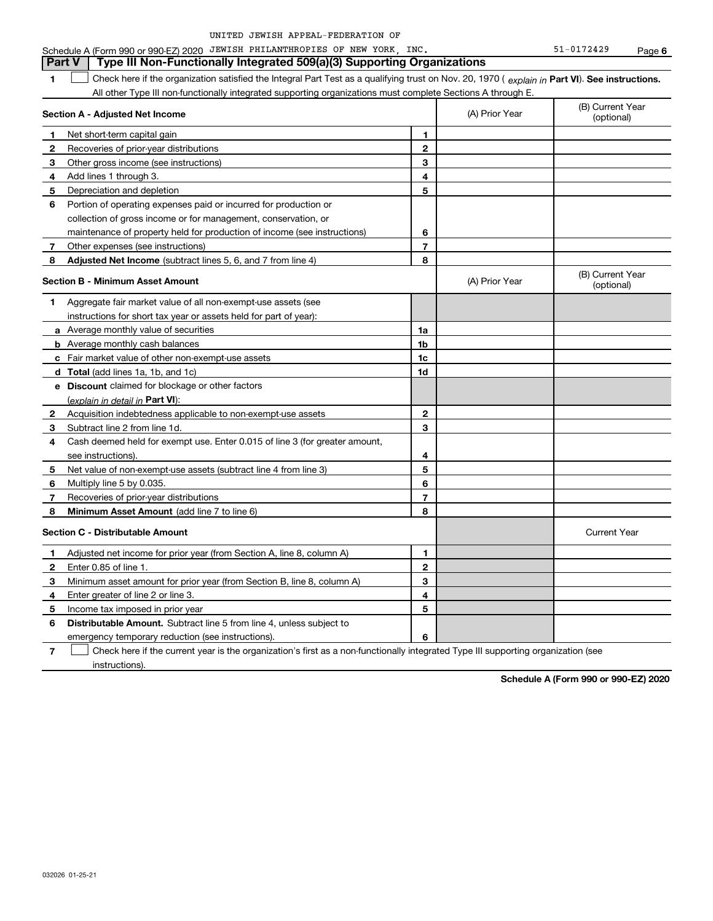|  | UNITED JEWISH APPEAL-FEDERATION OF |  |
|--|------------------------------------|--|
|  |                                    |  |

**6**

#### **1**  $\Box$  Check here if the organization satisfied the Integral Part Test as a qualifying trust on Nov. 20, 1970 ( explain in Part VI). See instructions. **Section A - Adjusted Net Income 1 2 3** Other gross income (see instructions) **4** Add lines 1 through 3. **5 6** Portion of operating expenses paid or incurred for production or **7** Other expenses (see instructions) **8 Adjusted Net Income** (subtract lines 5, 6, and 7 from line 4) **8 8 1 2 3 4 5 6 7 Section B - Minimum Asset Amount 1** Aggregate fair market value of all non-exempt-use assets (see **2** Acquisition indebtedness applicable to non-exempt-use assets **3** Subtract line 2 from line 1d. **4** Cash deemed held for exempt use. Enter 0.015 of line 3 (for greater amount, **5** Net value of non-exempt-use assets (subtract line 4 from line 3) **6 7 8 a** Average monthly value of securities **b** Average monthly cash balances **c** Fair market value of other non-exempt-use assets **d Total**  (add lines 1a, 1b, and 1c) **e Discount** claimed for blockage or other factors **1a 1b 1c 1d 2 3 4 5 6 7 8** (explain in detail in **Part VI**): **Minimum Asset Amount**  (add line 7 to line 6) **Section C - Distributable Amount 1 2 3 4 5 6 1 2 3 4 5 6** Distributable Amount. Subtract line 5 from line 4, unless subject to Schedule A (Form 990 or 990-EZ) 2020 JEWISH PHILANTHROPIES OF NEW YORK, INC. Same that the state of 1-0172429 All other Type III non-functionally integrated supporting organizations must complete Sections A through E. (B) Current Year (A) Prior Year  $(0)$  Current T<br>(optional) Net short-term capital gain Recoveries of prior-year distributions Depreciation and depletion collection of gross income or for management, conservation, or maintenance of property held for production of income (see instructions) (B) Current Year  $(A)$  Prior Year  $\left\{\n\begin{array}{c}\n\text{(D) } \text{Current} \\
\text{(optional)}\n\end{array}\n\right.$ instructions for short tax year or assets held for part of year): see instructions). Multiply line 5 by 0.035. Recoveries of prior-year distributions Current Year Adjusted net income for prior year (from Section A, line 8, column A) Enter 0.85 of line 1. Minimum asset amount for prior year (from Section B, line 8, column A) Enter greater of line 2 or line 3. Income tax imposed in prior year emergency temporary reduction (see instructions). **Part V** Type III Non-Functionally Integrated 509(a)(3) Supporting Organizations  $\begin{array}{c} \hline \end{array}$

**7** Check here if the current year is the organization's first as a non-functionally integrated Type III supporting organization (see instructions).  $\begin{array}{c} \hline \end{array}$ 

**Schedule A (Form 990 or 990-EZ) 2020**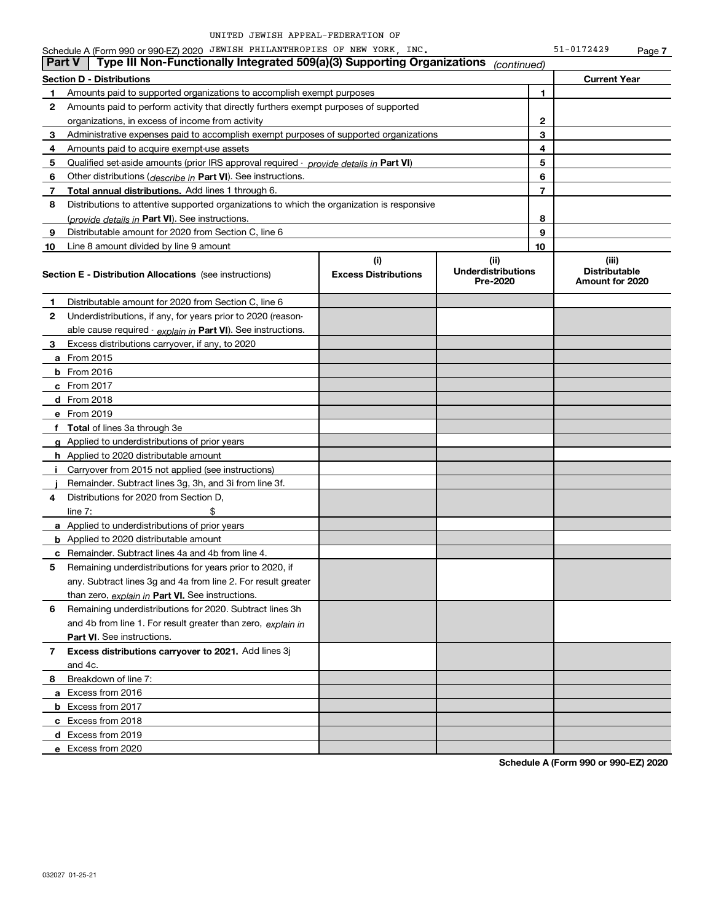| $51 - 0172429$ | Page 7 |
|----------------|--------|
|----------------|--------|

|               | Schedule A (Form 990 or 990-EZ) 2020 JEWISH PHILANTHROPIES OF NEW YORK, INC.                                             |  |                           |    | 51-0172429                                       | Page 7 |
|---------------|--------------------------------------------------------------------------------------------------------------------------|--|---------------------------|----|--------------------------------------------------|--------|
| <b>Part V</b> | Type III Non-Functionally Integrated 509(a)(3) Supporting Organizations                                                  |  | (continued)               |    |                                                  |        |
|               | <b>Section D - Distributions</b>                                                                                         |  |                           |    | <b>Current Year</b>                              |        |
| 1             | Amounts paid to supported organizations to accomplish exempt purposes                                                    |  |                           | 1  |                                                  |        |
| 2             | Amounts paid to perform activity that directly furthers exempt purposes of supported                                     |  |                           |    |                                                  |        |
|               | organizations, in excess of income from activity                                                                         |  |                           | 2  |                                                  |        |
| 3             | Administrative expenses paid to accomplish exempt purposes of supported organizations                                    |  |                           | 3  |                                                  |        |
| 4             | Amounts paid to acquire exempt-use assets                                                                                |  |                           | 4  |                                                  |        |
| 5             | Qualified set-aside amounts (prior IRS approval required - provide details in Part VI)                                   |  | 5                         |    |                                                  |        |
| 6             | Other distributions ( <i>describe in</i> Part VI). See instructions.                                                     |  | 6                         |    |                                                  |        |
| 7             | <b>Total annual distributions.</b> Add lines 1 through 6.                                                                |  | $\overline{7}$            |    |                                                  |        |
| 8             | Distributions to attentive supported organizations to which the organization is responsive                               |  |                           |    |                                                  |        |
|               | (provide details in Part VI). See instructions.                                                                          |  |                           | 8  |                                                  |        |
| 9             | Distributable amount for 2020 from Section C, line 6                                                                     |  | 9                         |    |                                                  |        |
| 10            | Line 8 amount divided by line 9 amount                                                                                   |  |                           | 10 |                                                  |        |
|               | (i)<br>(ii)<br><b>Excess Distributions</b><br><b>Section E - Distribution Allocations</b> (see instructions)<br>Pre-2020 |  | <b>Underdistributions</b> |    | (iii)<br><b>Distributable</b><br>Amount for 2020 |        |
| 1             | Distributable amount for 2020 from Section C, line 6                                                                     |  |                           |    |                                                  |        |
| 2             | Underdistributions, if any, for years prior to 2020 (reason-                                                             |  |                           |    |                                                  |        |
|               | able cause required - explain in Part VI). See instructions.                                                             |  |                           |    |                                                  |        |
| 3             | Excess distributions carryover, if any, to 2020                                                                          |  |                           |    |                                                  |        |
|               | <b>a</b> From 2015                                                                                                       |  |                           |    |                                                  |        |
|               | <b>b</b> From 2016                                                                                                       |  |                           |    |                                                  |        |
|               | c From $2017$                                                                                                            |  |                           |    |                                                  |        |
|               | d From 2018                                                                                                              |  |                           |    |                                                  |        |
|               | e From 2019                                                                                                              |  |                           |    |                                                  |        |
| f             | <b>Total</b> of lines 3a through 3e                                                                                      |  |                           |    |                                                  |        |
| a             | Applied to underdistributions of prior years                                                                             |  |                           |    |                                                  |        |
|               | <b>h</b> Applied to 2020 distributable amount                                                                            |  |                           |    |                                                  |        |
|               | Carryover from 2015 not applied (see instructions)                                                                       |  |                           |    |                                                  |        |
|               | Remainder. Subtract lines 3g, 3h, and 3i from line 3f.                                                                   |  |                           |    |                                                  |        |
| 4             | Distributions for 2020 from Section D,                                                                                   |  |                           |    |                                                  |        |
|               | line $7:$                                                                                                                |  |                           |    |                                                  |        |
|               | a Applied to underdistributions of prior years                                                                           |  |                           |    |                                                  |        |
|               | <b>b</b> Applied to 2020 distributable amount                                                                            |  |                           |    |                                                  |        |
|               | c Remainder. Subtract lines 4a and 4b from line 4.                                                                       |  |                           |    |                                                  |        |
| 5             | Remaining underdistributions for years prior to 2020, if                                                                 |  |                           |    |                                                  |        |
|               | any. Subtract lines 3g and 4a from line 2. For result greater                                                            |  |                           |    |                                                  |        |
|               | than zero, explain in Part VI. See instructions.                                                                         |  |                           |    |                                                  |        |
| 6             | Remaining underdistributions for 2020. Subtract lines 3h                                                                 |  |                           |    |                                                  |        |
|               | and 4b from line 1. For result greater than zero, explain in                                                             |  |                           |    |                                                  |        |
|               | Part VI. See instructions.                                                                                               |  |                           |    |                                                  |        |
| 7             | Excess distributions carryover to 2021. Add lines 3j                                                                     |  |                           |    |                                                  |        |
|               | and 4c.                                                                                                                  |  |                           |    |                                                  |        |
| 8             | Breakdown of line 7:                                                                                                     |  |                           |    |                                                  |        |
|               | a Excess from 2016                                                                                                       |  |                           |    |                                                  |        |
|               | <b>b</b> Excess from 2017                                                                                                |  |                           |    |                                                  |        |
|               | c Excess from 2018                                                                                                       |  |                           |    |                                                  |        |
|               | d Excess from 2019                                                                                                       |  |                           |    |                                                  |        |
|               | e Excess from 2020                                                                                                       |  |                           |    |                                                  |        |
|               |                                                                                                                          |  |                           |    |                                                  |        |

**Schedule A (Form 990 or 990-EZ) 2020**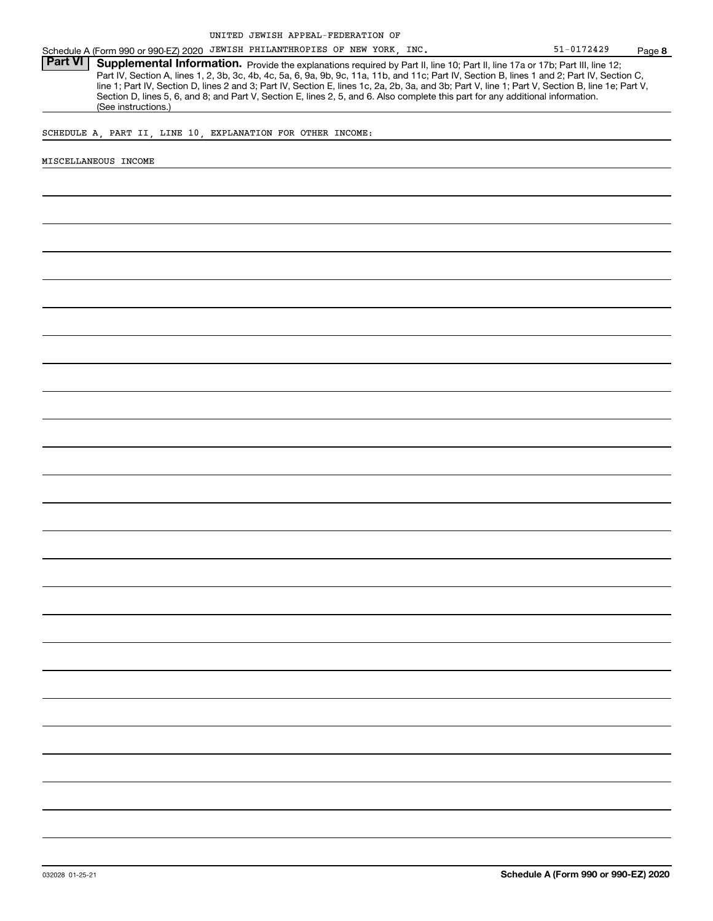Schedule A (Form 990 or 990-EZ) 2020 JEWISH PHILANTHROPIES OF NEW YORK, INC.  $51-0172429$  Page

Part VI | Supplemental Information. Provide the explanations required by Part II, line 10; Part II, line 17a or 17b; Part III, line 12; Part IV, Section A, lines 1, 2, 3b, 3c, 4b, 4c, 5a, 6, 9a, 9b, 9c, 11a, 11b, and 11c; Part IV, Section B, lines 1 and 2; Part IV, Section C, line 1; Part IV, Section D, lines 2 and 3; Part IV, Section E, lines 1c, 2a, 2b, 3a, and 3b; Part V, line 1; Part V, Section B, line 1e; Part V, Section D, lines 5, 6, and 8; and Part V, Section E, lines 2, 5, and 6. Also complete this part for any additional information. (See instructions.)

SCHEDULE A, PART II, LINE 10, EXPLANATION FOR OTHER INCOME:

#### MISCELLANEOUS INCOME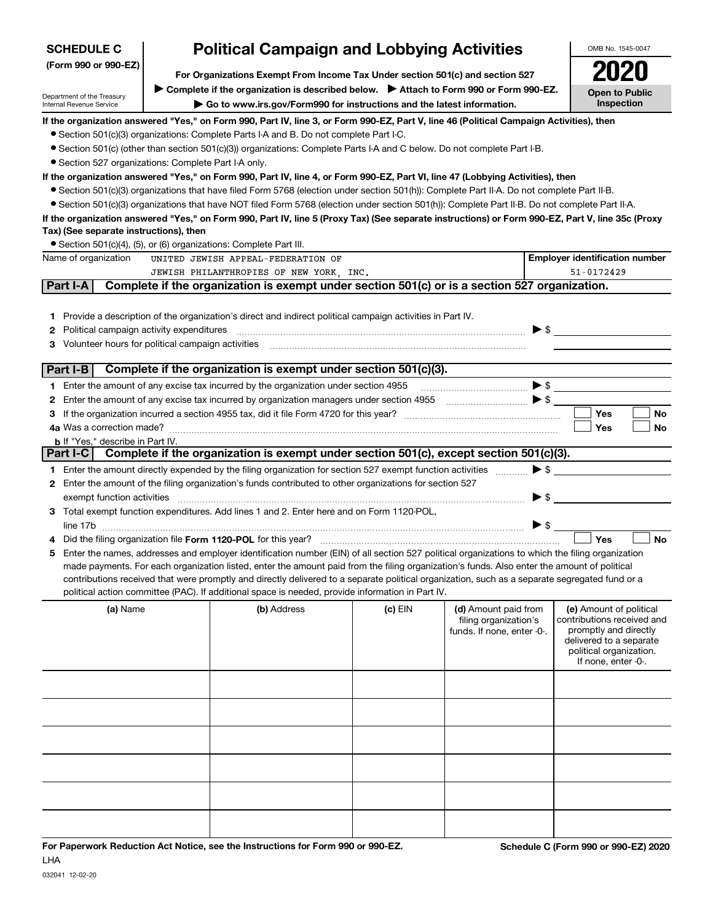| <b>SCHEDULE C</b>                                      |                                                                                                                                                                           | <b>Political Campaign and Lobbying Activities</b>                                                                                                                                                                                                                                              |         |                                                                                                     |                          | OMB No. 1545-0047                                   |
|--------------------------------------------------------|---------------------------------------------------------------------------------------------------------------------------------------------------------------------------|------------------------------------------------------------------------------------------------------------------------------------------------------------------------------------------------------------------------------------------------------------------------------------------------|---------|-----------------------------------------------------------------------------------------------------|--------------------------|-----------------------------------------------------|
| (Form 990 or 990-EZ)                                   |                                                                                                                                                                           |                                                                                                                                                                                                                                                                                                |         |                                                                                                     |                          |                                                     |
|                                                        | For Organizations Exempt From Income Tax Under section 501(c) and section 527<br>Complete if the organization is described below.<br>> Attach to Form 990 or Form 990-EZ. |                                                                                                                                                                                                                                                                                                |         |                                                                                                     |                          |                                                     |
| Department of the Treasury<br>Internal Revenue Service |                                                                                                                                                                           | Go to www.irs.gov/Form990 for instructions and the latest information.                                                                                                                                                                                                                         |         |                                                                                                     |                          | <b>Open to Public</b><br>Inspection                 |
|                                                        |                                                                                                                                                                           | If the organization answered "Yes," on Form 990, Part IV, line 3, or Form 990-EZ, Part V, line 46 (Political Campaign Activities), then                                                                                                                                                        |         |                                                                                                     |                          |                                                     |
|                                                        |                                                                                                                                                                           | • Section 501(c)(3) organizations: Complete Parts I-A and B. Do not complete Part I-C.                                                                                                                                                                                                         |         |                                                                                                     |                          |                                                     |
| • Section 527 organizations: Complete Part I-A only.   |                                                                                                                                                                           | • Section 501(c) (other than section 501(c)(3)) organizations: Complete Parts I-A and C below. Do not complete Part I-B.                                                                                                                                                                       |         |                                                                                                     |                          |                                                     |
|                                                        |                                                                                                                                                                           | If the organization answered "Yes," on Form 990, Part IV, line 4, or Form 990-EZ, Part VI, line 47 (Lobbying Activities), then                                                                                                                                                                 |         |                                                                                                     |                          |                                                     |
|                                                        |                                                                                                                                                                           | • Section 501(c)(3) organizations that have filed Form 5768 (election under section 501(h)): Complete Part II-A. Do not complete Part II-B.                                                                                                                                                    |         |                                                                                                     |                          |                                                     |
|                                                        |                                                                                                                                                                           | • Section 501(c)(3) organizations that have NOT filed Form 5768 (election under section 501(h)): Complete Part II-B. Do not complete Part II-A.                                                                                                                                                |         |                                                                                                     |                          |                                                     |
|                                                        |                                                                                                                                                                           | If the organization answered "Yes," on Form 990, Part IV, line 5 (Proxy Tax) (See separate instructions) or Form 990-EZ, Part V, line 35c (Proxy                                                                                                                                               |         |                                                                                                     |                          |                                                     |
| Tax) (See separate instructions), then                 |                                                                                                                                                                           |                                                                                                                                                                                                                                                                                                |         |                                                                                                     |                          |                                                     |
| Name of organization                                   |                                                                                                                                                                           | • Section 501(c)(4), (5), or (6) organizations: Complete Part III.<br>UNITED JEWISH APPEAL-FEDERATION OF                                                                                                                                                                                       |         |                                                                                                     |                          | <b>Employer identification number</b>               |
| JEWISH PHILANTHROPIES OF NEW YORK, INC.<br>51-0172429  |                                                                                                                                                                           |                                                                                                                                                                                                                                                                                                |         |                                                                                                     |                          |                                                     |
| Part I-A                                               |                                                                                                                                                                           | Complete if the organization is exempt under section 501(c) or is a section 527 organization.                                                                                                                                                                                                  |         |                                                                                                     |                          |                                                     |
|                                                        |                                                                                                                                                                           |                                                                                                                                                                                                                                                                                                |         |                                                                                                     |                          |                                                     |
| 1.                                                     |                                                                                                                                                                           | Provide a description of the organization's direct and indirect political campaign activities in Part IV.                                                                                                                                                                                      |         |                                                                                                     |                          |                                                     |
| Political campaign activity expenditures<br>2          |                                                                                                                                                                           |                                                                                                                                                                                                                                                                                                |         |                                                                                                     | $\triangleright$ \$      |                                                     |
| Volunteer hours for political campaign activities<br>3 |                                                                                                                                                                           |                                                                                                                                                                                                                                                                                                |         |                                                                                                     |                          |                                                     |
| Part I-B                                               |                                                                                                                                                                           | Complete if the organization is exempt under section 501(c)(3).                                                                                                                                                                                                                                |         |                                                                                                     |                          |                                                     |
| 1.                                                     |                                                                                                                                                                           | Enter the amount of any excise tax incurred by the organization under section 4955                                                                                                                                                                                                             |         |                                                                                                     | $\blacktriangleright$ \$ |                                                     |
| 2                                                      |                                                                                                                                                                           | Enter the amount of any excise tax incurred by organization managers under section 4955                                                                                                                                                                                                        |         | $\overline{\phantom{a}}$ $\overline{\phantom{a}}$ $\overline{\phantom{a}}$ $\overline{\phantom{a}}$ |                          |                                                     |
| 3                                                      |                                                                                                                                                                           | If the organization incurred a section 4955 tax, did it file Form 4720 for this year?                                                                                                                                                                                                          |         |                                                                                                     |                          | <b>Yes</b><br>No                                    |
|                                                        |                                                                                                                                                                           |                                                                                                                                                                                                                                                                                                |         |                                                                                                     |                          | Yes<br>No                                           |
| <b>b</b> If "Yes," describe in Part IV.<br>Part I-C    |                                                                                                                                                                           | Complete if the organization is exempt under section 501(c), except section 501(c)(3).                                                                                                                                                                                                         |         |                                                                                                     |                          |                                                     |
|                                                        |                                                                                                                                                                           |                                                                                                                                                                                                                                                                                                |         |                                                                                                     | $\blacktriangleright$ \$ |                                                     |
| 2                                                      |                                                                                                                                                                           | 1 Enter the amount directly expended by the filing organization for section 527 exempt function activities<br>Enter the amount of the filing organization's funds contributed to other organizations for section 527                                                                           |         |                                                                                                     |                          |                                                     |
|                                                        |                                                                                                                                                                           |                                                                                                                                                                                                                                                                                                |         |                                                                                                     | $\blacktriangleright$ \$ |                                                     |
|                                                        |                                                                                                                                                                           | 3 Total exempt function expenditures. Add lines 1 and 2. Enter here and on Form 1120-POL,                                                                                                                                                                                                      |         |                                                                                                     |                          |                                                     |
| line 17b                                               |                                                                                                                                                                           |                                                                                                                                                                                                                                                                                                |         |                                                                                                     | $\blacktriangleright$ \$ |                                                     |
|                                                        |                                                                                                                                                                           | Did the filing organization file Form 1120-POL for this year?                                                                                                                                                                                                                                  |         |                                                                                                     |                          | Yes<br><b>No</b>                                    |
| 5                                                      |                                                                                                                                                                           | Enter the names, addresses and employer identification number (EIN) of all section 527 political organizations to which the filing organization<br>made payments. For each organization listed, enter the amount paid from the filing organization's funds. Also enter the amount of political |         |                                                                                                     |                          |                                                     |
|                                                        |                                                                                                                                                                           | contributions received that were promptly and directly delivered to a separate political organization, such as a separate segregated fund or a                                                                                                                                                 |         |                                                                                                     |                          |                                                     |
|                                                        |                                                                                                                                                                           | political action committee (PAC). If additional space is needed, provide information in Part IV.                                                                                                                                                                                               |         |                                                                                                     |                          |                                                     |
| (a) Name                                               |                                                                                                                                                                           | (b) Address                                                                                                                                                                                                                                                                                    | (c) EIN | (d) Amount paid from                                                                                |                          | (e) Amount of political                             |
|                                                        |                                                                                                                                                                           |                                                                                                                                                                                                                                                                                                |         | filing organization's<br>funds. If none, enter -0-.                                                 |                          | contributions received and<br>promptly and directly |
|                                                        |                                                                                                                                                                           |                                                                                                                                                                                                                                                                                                |         |                                                                                                     |                          | delivered to a separate                             |
|                                                        |                                                                                                                                                                           |                                                                                                                                                                                                                                                                                                |         |                                                                                                     |                          | political organization.<br>If none, enter -0-.      |
|                                                        |                                                                                                                                                                           |                                                                                                                                                                                                                                                                                                |         |                                                                                                     |                          |                                                     |
|                                                        |                                                                                                                                                                           |                                                                                                                                                                                                                                                                                                |         |                                                                                                     |                          |                                                     |
|                                                        |                                                                                                                                                                           |                                                                                                                                                                                                                                                                                                |         |                                                                                                     |                          |                                                     |
|                                                        |                                                                                                                                                                           |                                                                                                                                                                                                                                                                                                |         |                                                                                                     |                          |                                                     |
|                                                        |                                                                                                                                                                           |                                                                                                                                                                                                                                                                                                |         |                                                                                                     |                          |                                                     |
|                                                        |                                                                                                                                                                           |                                                                                                                                                                                                                                                                                                |         |                                                                                                     |                          |                                                     |
|                                                        |                                                                                                                                                                           |                                                                                                                                                                                                                                                                                                |         |                                                                                                     |                          |                                                     |
|                                                        |                                                                                                                                                                           |                                                                                                                                                                                                                                                                                                |         |                                                                                                     |                          |                                                     |
|                                                        |                                                                                                                                                                           |                                                                                                                                                                                                                                                                                                |         |                                                                                                     |                          |                                                     |
|                                                        |                                                                                                                                                                           |                                                                                                                                                                                                                                                                                                |         |                                                                                                     |                          |                                                     |
|                                                        |                                                                                                                                                                           |                                                                                                                                                                                                                                                                                                |         |                                                                                                     |                          |                                                     |

LHA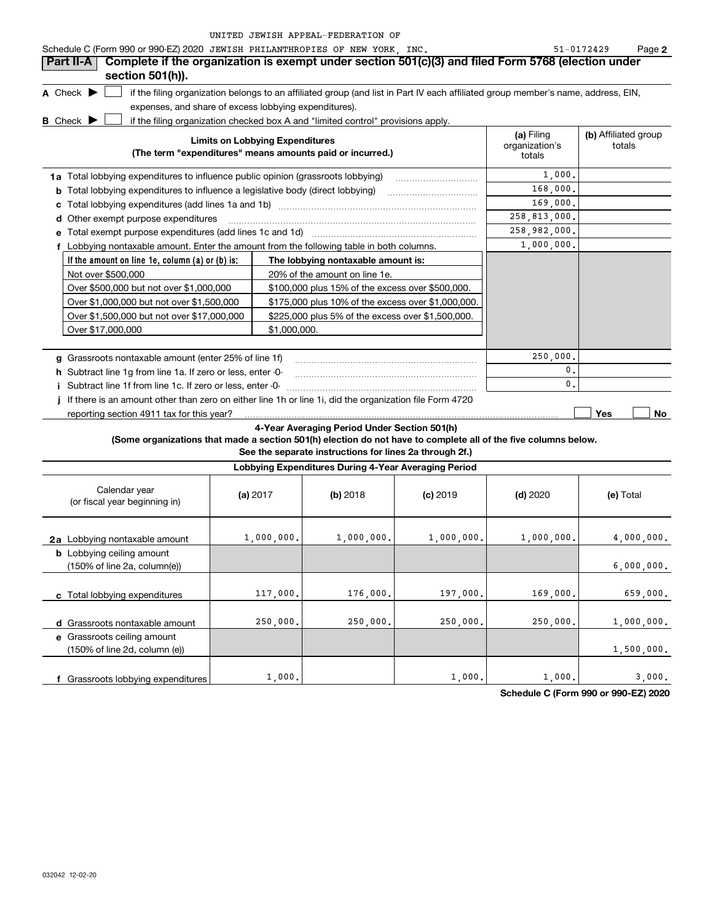|  | UNITED JEWISH APPEAL-FEDERATION OF |  |
|--|------------------------------------|--|
|  |                                    |  |

| Schedule C (Form 990 or 990-EZ) 2020 JEWISH PHILANTHROPIES OF NEW YORK, INC.                                    |                                                   |                                                                                                                                                                                                                           |                                                    |                                        | 51-0172429<br>Page 2           |
|-----------------------------------------------------------------------------------------------------------------|---------------------------------------------------|---------------------------------------------------------------------------------------------------------------------------------------------------------------------------------------------------------------------------|----------------------------------------------------|----------------------------------------|--------------------------------|
| Complete if the organization is exempt under section 501(c)(3) and filed Form 5768 (election under<br>Part II-A |                                                   |                                                                                                                                                                                                                           |                                                    |                                        |                                |
| section 501(h)).                                                                                                |                                                   |                                                                                                                                                                                                                           |                                                    |                                        |                                |
| A Check $\blacktriangleright$                                                                                   |                                                   | if the filing organization belongs to an affiliated group (and list in Part IV each affiliated group member's name, address, EIN,                                                                                         |                                                    |                                        |                                |
| expenses, and share of excess lobbying expenditures).                                                           |                                                   |                                                                                                                                                                                                                           |                                                    |                                        |                                |
| <b>B</b> Check $\blacktriangleright$                                                                            |                                                   | if the filing organization checked box A and "limited control" provisions apply.                                                                                                                                          |                                                    |                                        |                                |
|                                                                                                                 | <b>Limits on Lobbying Expenditures</b>            | (The term "expenditures" means amounts paid or incurred.)                                                                                                                                                                 |                                                    | (a) Filing<br>organization's<br>totals | (b) Affiliated group<br>totals |
| 1a Total lobbying expenditures to influence public opinion (grassroots lobbying)                                |                                                   |                                                                                                                                                                                                                           |                                                    | 1,000,                                 |                                |
| <b>b</b> Total lobbying expenditures to influence a legislative body (direct lobbying)                          |                                                   |                                                                                                                                                                                                                           |                                                    | 168,000,                               |                                |
|                                                                                                                 |                                                   |                                                                                                                                                                                                                           |                                                    | 169,000,                               |                                |
| d Other exempt purpose expenditures                                                                             |                                                   |                                                                                                                                                                                                                           |                                                    | 258,813,000.                           |                                |
|                                                                                                                 |                                                   |                                                                                                                                                                                                                           |                                                    | 258,982,000.                           |                                |
| f Lobbying nontaxable amount. Enter the amount from the following table in both columns.                        |                                                   |                                                                                                                                                                                                                           |                                                    | 1,000,000.                             |                                |
| If the amount on line $1e$ , column (a) or (b) is:                                                              |                                                   | The lobbying nontaxable amount is:                                                                                                                                                                                        |                                                    |                                        |                                |
| Not over \$500,000                                                                                              | 20% of the amount on line 1e.                     |                                                                                                                                                                                                                           |                                                    |                                        |                                |
| Over \$500,000 but not over \$1,000,000                                                                         |                                                   | \$100,000 plus 15% of the excess over \$500,000.                                                                                                                                                                          |                                                    |                                        |                                |
| Over \$1,000,000 but not over \$1,500,000                                                                       |                                                   |                                                                                                                                                                                                                           | \$175,000 plus 10% of the excess over \$1,000,000. |                                        |                                |
| Over \$1,500,000 but not over \$17,000,000                                                                      | \$225,000 plus 5% of the excess over \$1,500,000. |                                                                                                                                                                                                                           |                                                    |                                        |                                |
| Over \$17,000,000                                                                                               |                                                   | \$1,000,000.                                                                                                                                                                                                              |                                                    |                                        |                                |
|                                                                                                                 |                                                   |                                                                                                                                                                                                                           |                                                    |                                        |                                |
| g Grassroots nontaxable amount (enter 25% of line 1f)                                                           |                                                   |                                                                                                                                                                                                                           |                                                    | 250,000,                               |                                |
| h Subtract line 1g from line 1a. If zero or less, enter -0-                                                     |                                                   |                                                                                                                                                                                                                           |                                                    | 0.                                     |                                |
| i Subtract line 1f from line 1c. If zero or less, enter -0-                                                     |                                                   |                                                                                                                                                                                                                           |                                                    | $\mathbf{0}$ .                         |                                |
| If there is an amount other than zero on either line 1h or line 1i, did the organization file Form 4720<br>Ĩ.   |                                                   |                                                                                                                                                                                                                           |                                                    |                                        |                                |
| reporting section 4911 tax for this year?                                                                       |                                                   |                                                                                                                                                                                                                           |                                                    |                                        | Yes<br>No                      |
|                                                                                                                 |                                                   | 4-Year Averaging Period Under Section 501(h)<br>(Some organizations that made a section 501(h) election do not have to complete all of the five columns below.<br>See the separate instructions for lines 2a through 2f.) |                                                    |                                        |                                |
|                                                                                                                 |                                                   | Lobbying Expenditures During 4-Year Averaging Period                                                                                                                                                                      |                                                    |                                        |                                |
| Calendar year<br>(or fiscal year beginning in)                                                                  | (a) $2017$                                        | $(b)$ 2018                                                                                                                                                                                                                | $(c)$ 2019                                         | $(d)$ 2020                             | (e) Total                      |
| 2a Lobbying nontaxable amount                                                                                   | 1,000,000.                                        | 1,000,000.                                                                                                                                                                                                                | 1,000,000.                                         | 1,000,000.                             | 4,000,000.                     |
| <b>b</b> Lobbying ceiling amount<br>(150% of line 2a, column(e))                                                |                                                   |                                                                                                                                                                                                                           |                                                    |                                        | 6,000,000.                     |
| c Total lobbying expenditures                                                                                   | 117,000.                                          | 176,000.                                                                                                                                                                                                                  | 197,000.                                           | 169,000.                               | 659,000.                       |
| d Grassroots nontaxable amount<br>e Grassroots ceiling amount                                                   | 250,000.                                          | 250,000.                                                                                                                                                                                                                  | 250,000.                                           | 250,000.                               | 1,000,000.                     |

**Schedule C (Form 990 or 990-EZ) 2020** 3,000.  $1,000.$   $1,000.$   $1,000.$   $1,000.$ 

1,500,000.

**f** Grassroots lobbying expenditures

(150% of line 2d, column (e))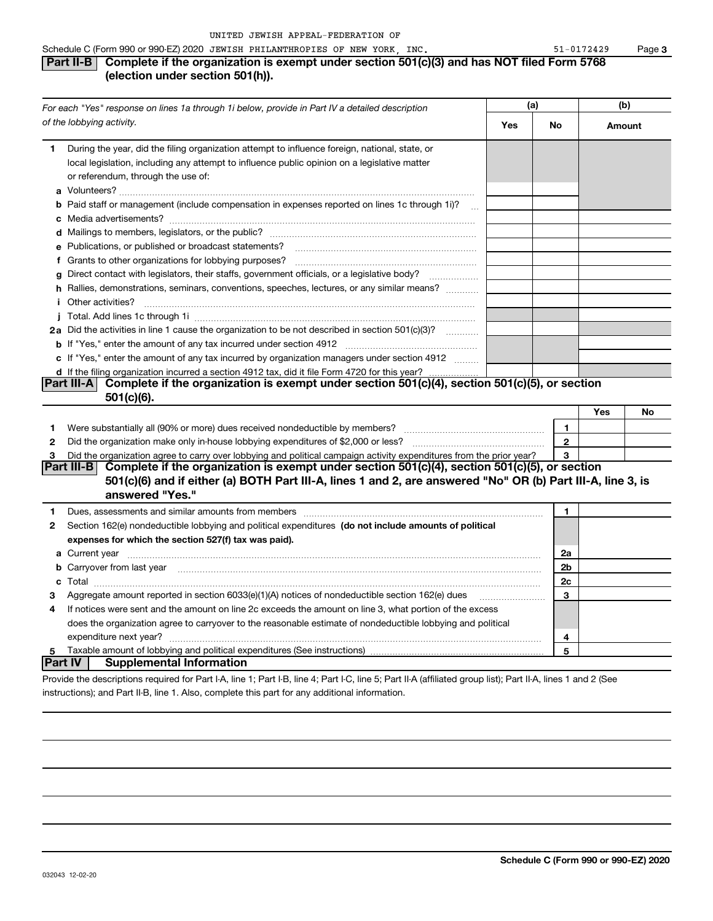## Schedule C (Form 990 or 990-EZ) 2020 JEWISH PHILANTHROPIES OF NEW YORK, INC.  $51-0172429$  Page **Part II-B** Complete if the organization is exempt under section 501(c)(3) and has NOT filed Form 5768

## **(election under section 501(h)).**

| For each "Yes" response on lines 1a through 1i below, provide in Part IV a detailed description |                                                                                                                                                                                                                                      | (a) |                | (b)    |    |
|-------------------------------------------------------------------------------------------------|--------------------------------------------------------------------------------------------------------------------------------------------------------------------------------------------------------------------------------------|-----|----------------|--------|----|
|                                                                                                 | of the lobbying activity.                                                                                                                                                                                                            |     | No             | Amount |    |
| 1                                                                                               | During the year, did the filing organization attempt to influence foreign, national, state, or<br>local legislation, including any attempt to influence public opinion on a legislative matter<br>or referendum, through the use of: |     |                |        |    |
|                                                                                                 | <b>b</b> Paid staff or management (include compensation in expenses reported on lines 1c through 1i)?                                                                                                                                |     |                |        |    |
|                                                                                                 |                                                                                                                                                                                                                                      |     |                |        |    |
|                                                                                                 | e Publications, or published or broadcast statements?                                                                                                                                                                                |     |                |        |    |
|                                                                                                 | f Grants to other organizations for lobbying purposes?                                                                                                                                                                               |     |                |        |    |
|                                                                                                 | g Direct contact with legislators, their staffs, government officials, or a legislative body?                                                                                                                                        |     |                |        |    |
|                                                                                                 | h Rallies, demonstrations, seminars, conventions, speeches, lectures, or any similar means?                                                                                                                                          |     |                |        |    |
|                                                                                                 | <i>i</i> Other activities?                                                                                                                                                                                                           |     |                |        |    |
|                                                                                                 |                                                                                                                                                                                                                                      |     |                |        |    |
|                                                                                                 | 2a Did the activities in line 1 cause the organization to be not described in section 501(c)(3)?                                                                                                                                     |     |                |        |    |
|                                                                                                 |                                                                                                                                                                                                                                      |     |                |        |    |
|                                                                                                 | c If "Yes," enter the amount of any tax incurred by organization managers under section 4912                                                                                                                                         |     |                |        |    |
|                                                                                                 | d If the filing organization incurred a section 4912 tax, did it file Form 4720 for this year?                                                                                                                                       |     |                |        |    |
|                                                                                                 | Complete if the organization is exempt under section 501(c)(4), section 501(c)(5), or section<br>Part III-A<br>$501(c)(6)$ .                                                                                                         |     |                |        |    |
|                                                                                                 |                                                                                                                                                                                                                                      |     |                | Yes    | No |
| 1                                                                                               |                                                                                                                                                                                                                                      |     | 1              |        |    |
| 2                                                                                               | Did the organization make only in-house lobbying expenditures of \$2,000 or less?                                                                                                                                                    |     | $\overline{2}$ |        |    |
| 3                                                                                               | Did the organization agree to carry over lobbying and political campaign activity expenditures from the prior year?                                                                                                                  |     | 3              |        |    |
|                                                                                                 | Part III-B Complete if the organization is exempt under section $501(c)(4)$ , section $501(c)(5)$ , or section                                                                                                                       |     |                |        |    |
|                                                                                                 | 501(c)(6) and if either (a) BOTH Part III-A, lines 1 and 2, are answered "No" OR (b) Part III-A, line 3, is                                                                                                                          |     |                |        |    |
|                                                                                                 | answered "Yes."                                                                                                                                                                                                                      |     |                |        |    |
| 1                                                                                               | Dues, assessments and similar amounts from members [11] matter continuum matter assessments and similar amounts from members [11] matter continuum matter and similar amounts from members [11] matter and the state of the st       |     | 1              |        |    |
| 2                                                                                               | Section 162(e) nondeductible lobbying and political expenditures (do not include amounts of political                                                                                                                                |     |                |        |    |
|                                                                                                 | expenses for which the section 527(f) tax was paid).                                                                                                                                                                                 |     |                |        |    |
|                                                                                                 | a Current year <b>contract and the contract of the contract of the contract of contract of the contract of contract of contract of contract of contract of contract of contract of contract of contract of contract of contract </b> |     | 2a             |        |    |
|                                                                                                 | <b>b</b> Carryover from last year manufactured and contain a series of the contract of the contract of the contract of the contract of the contract of the contract of the contract of the contract of the contract of the contract  |     | 2b             |        |    |
|                                                                                                 |                                                                                                                                                                                                                                      |     | 2c             |        |    |
| з                                                                                               | Aggregate amount reported in section $6033(e)(1)(A)$ notices of nondeductible section $162(e)$ dues                                                                                                                                  |     | 3              |        |    |
| 4                                                                                               | If notices were sent and the amount on line 2c exceeds the amount on line 3, what portion of the excess                                                                                                                              |     |                |        |    |
|                                                                                                 | does the organization agree to carryover to the reasonable estimate of nondeductible lobbying and political                                                                                                                          |     |                |        |    |
|                                                                                                 |                                                                                                                                                                                                                                      |     | 4              |        |    |
| 5                                                                                               |                                                                                                                                                                                                                                      |     | 5              |        |    |
| Part IV                                                                                         | <b>Supplemental Information</b>                                                                                                                                                                                                      |     |                |        |    |
|                                                                                                 | Provide the descriptions required for Part I-A, line 1; Part I-B, line 4; Part I-C, line 5; Part II-A (affiliated group list); Part II-A, lines 1 and 2 (See                                                                         |     |                |        |    |
|                                                                                                 | instructions); and Part II-B, line 1. Also, complete this part for any additional information.                                                                                                                                       |     |                |        |    |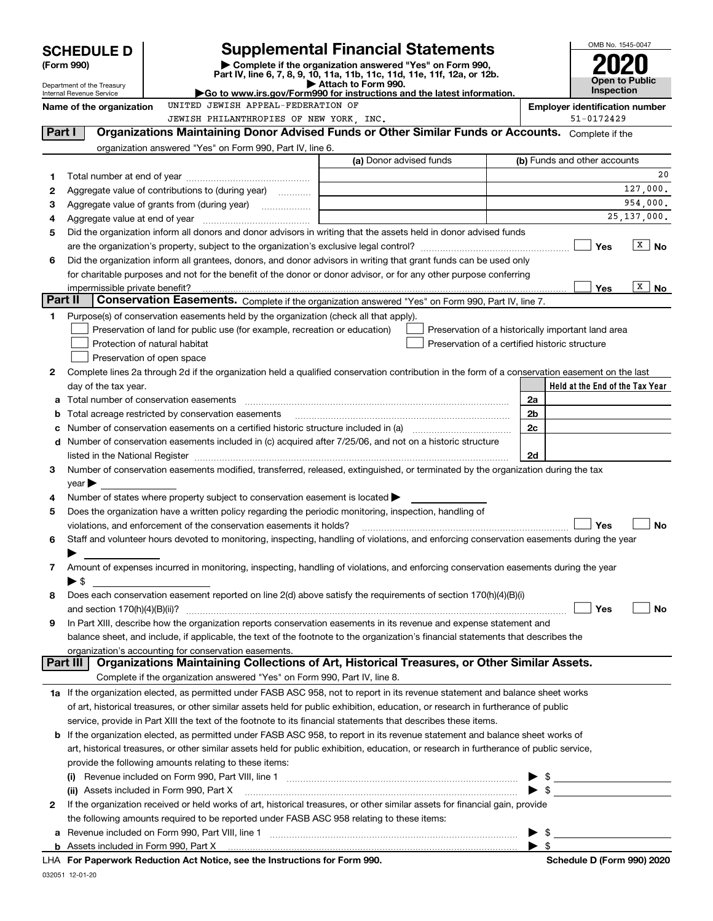| Complete if the organization answered "Yes" on Form 990,<br>(Form 990)<br>Part IV, line 6, 7, 8, 9, 10, 11a, 11b, 11c, 11d, 11e, 11f, 12a, or 12b.<br>Open to Public<br>Attach to Form 990.<br>Department of the Treasury<br><b>Inspection</b><br>Go to www.irs.gov/Form990 for instructions and the latest information.<br>Internal Revenue Service<br>UNITED JEWISH APPEAL-FEDERATION OF<br><b>Employer identification number</b><br>Name of the organization<br>51-0172429<br>JEWISH PHILANTHROPIES OF NEW YORK, INC.<br>Organizations Maintaining Donor Advised Funds or Other Similar Funds or Accounts. Complete if the<br>Part I<br>organization answered "Yes" on Form 990, Part IV, line 6.<br>(a) Donor advised funds<br>(b) Funds and other accounts<br>1<br>Aggregate value of contributions to (during year)<br>2<br>3<br><u> 1989 - Johann Stoff, Amerikaansk politiker (</u><br>25, 137, 000.<br>4<br>Did the organization inform all donors and donor advisors in writing that the assets held in donor advised funds<br>5<br>$\sqrt{\frac{X}{X}}$ No<br><b>Yes</b><br>Did the organization inform all grantees, donors, and donor advisors in writing that grant funds can be used only<br>6<br>for charitable purposes and not for the benefit of the donor or donor advisor, or for any other purpose conferring<br>X  <br>Yes<br>No<br>impermissible private benefit?<br>Part II<br>Conservation Easements. Complete if the organization answered "Yes" on Form 990, Part IV, line 7.<br>Purpose(s) of conservation easements held by the organization (check all that apply).<br>1<br>Preservation of land for public use (for example, recreation or education)<br>Preservation of a historically important land area<br>Protection of natural habitat<br>Preservation of a certified historic structure<br>Preservation of open space<br>Complete lines 2a through 2d if the organization held a qualified conservation contribution in the form of a conservation easement on the last<br>2<br>Held at the End of the Tax Year<br>day of the tax year.<br>2a<br>a<br>Total acreage restricted by conservation easements<br>2b<br>b<br>2c<br>с<br>d Number of conservation easements included in (c) acquired after 7/25/06, and not on a historic structure<br>2d<br>listed in the National Register [111] Marshall Register [11] Marshall Register [11] Marshall Register [11] Marshall Register [11] Marshall Register [11] Marshall Register [11] Marshall Register [11] Marshall Register [11]<br>Number of conservation easements modified, transferred, released, extinguished, or terminated by the organization during the tax<br>3<br>year<br>Number of states where property subject to conservation easement is located $\blacktriangleright$<br>4<br>Does the organization have a written policy regarding the periodic monitoring, inspection, handling of<br>5<br>Yes<br>violations, and enforcement of the conservation easements it holds?<br>Staff and volunteer hours devoted to monitoring, inspecting, handling of violations, and enforcing conservation easements during the year<br>6<br>Amount of expenses incurred in monitoring, inspecting, handling of violations, and enforcing conservation easements during the year<br>7<br>$\blacktriangleright$ \$<br>Does each conservation easement reported on line 2(d) above satisfy the requirements of section 170(h)(4)(B)(i)<br>8<br>Yes<br>No<br>In Part XIII, describe how the organization reports conservation easements in its revenue and expense statement and<br>9<br>balance sheet, and include, if applicable, the text of the footnote to the organization's financial statements that describes the<br>organization's accounting for conservation easements.<br>Organizations Maintaining Collections of Art, Historical Treasures, or Other Similar Assets.<br>Part III<br>Complete if the organization answered "Yes" on Form 990, Part IV, line 8.<br>1a If the organization elected, as permitted under FASB ASC 958, not to report in its revenue statement and balance sheet works<br>of art, historical treasures, or other similar assets held for public exhibition, education, or research in furtherance of public<br>service, provide in Part XIII the text of the footnote to its financial statements that describes these items.<br><b>b</b> If the organization elected, as permitted under FASB ASC 958, to report in its revenue statement and balance sheet works of<br>art, historical treasures, or other similar assets held for public exhibition, education, or research in furtherance of public service,<br>provide the following amounts relating to these items:<br>$\frac{1}{2}$<br>(ii) Assets included in Form 990, Part X<br>If the organization received or held works of art, historical treasures, or other similar assets for financial gain, provide<br>2<br>the following amounts required to be reported under FASB ASC 958 relating to these items: | <b>SCHEDULE D</b> | <b>Supplemental Financial Statements</b> |  | OMB No. 1545-0047 |    |
|------------------------------------------------------------------------------------------------------------------------------------------------------------------------------------------------------------------------------------------------------------------------------------------------------------------------------------------------------------------------------------------------------------------------------------------------------------------------------------------------------------------------------------------------------------------------------------------------------------------------------------------------------------------------------------------------------------------------------------------------------------------------------------------------------------------------------------------------------------------------------------------------------------------------------------------------------------------------------------------------------------------------------------------------------------------------------------------------------------------------------------------------------------------------------------------------------------------------------------------------------------------------------------------------------------------------------------------------------------------------------------------------------------------------------------------------------------------------------------------------------------------------------------------------------------------------------------------------------------------------------------------------------------------------------------------------------------------------------------------------------------------------------------------------------------------------------------------------------------------------------------------------------------------------------------------------------------------------------------------------------------------------------------------------------------------------------------------------------------------------------------------------------------------------------------------------------------------------------------------------------------------------------------------------------------------------------------------------------------------------------------------------------------------------------------------------------------------------------------------------------------------------------------------------------------------------------------------------------------------------------------------------------------------------------------------------------------------------------------------------------------------------------------------------------------------------------------------------------------------------------------------------------------------------------------------------------------------------------------------------------------------------------------------------------------------------------------------------------------------------------------------------------------------------------------------------------------------------------------------------------------------------------------------------------------------------------------------------------------------------------------------------------------------------------------------------------------------------------------------------------------------------------------------------------------------------------------------------------------------------------------------------------------------------------------------------------------------------------------------------------------------------------------------------------------------------------------------------------------------------------------------------------------------------------------------------------------------------------------------------------------------------------------------------------------------------------------------------------------------------------------------------------------------------------------------------------------------------------------------------------------------------------------------------------------------------------------------------------------------------------------------------------------------------------------------------------------------------------------------------------------------------------------------------------------------------------------------------------------------------------------------------------------------------------------------------------------------------------------------------------------------------------------------------------------------------------------------------------------------------------------------------------------------------------------------------------------------------------------------------------------|-------------------|------------------------------------------|--|-------------------|----|
|                                                                                                                                                                                                                                                                                                                                                                                                                                                                                                                                                                                                                                                                                                                                                                                                                                                                                                                                                                                                                                                                                                                                                                                                                                                                                                                                                                                                                                                                                                                                                                                                                                                                                                                                                                                                                                                                                                                                                                                                                                                                                                                                                                                                                                                                                                                                                                                                                                                                                                                                                                                                                                                                                                                                                                                                                                                                                                                                                                                                                                                                                                                                                                                                                                                                                                                                                                                                                                                                                                                                                                                                                                                                                                                                                                                                                                                                                                                                                                                                                                                                                                                                                                                                                                                                                                                                                                                                                                                                                                                                                                                                                                                                                                                                                                                                                                                                                                                                                                                                            |                   |                                          |  |                   |    |
|                                                                                                                                                                                                                                                                                                                                                                                                                                                                                                                                                                                                                                                                                                                                                                                                                                                                                                                                                                                                                                                                                                                                                                                                                                                                                                                                                                                                                                                                                                                                                                                                                                                                                                                                                                                                                                                                                                                                                                                                                                                                                                                                                                                                                                                                                                                                                                                                                                                                                                                                                                                                                                                                                                                                                                                                                                                                                                                                                                                                                                                                                                                                                                                                                                                                                                                                                                                                                                                                                                                                                                                                                                                                                                                                                                                                                                                                                                                                                                                                                                                                                                                                                                                                                                                                                                                                                                                                                                                                                                                                                                                                                                                                                                                                                                                                                                                                                                                                                                                                            |                   |                                          |  |                   |    |
|                                                                                                                                                                                                                                                                                                                                                                                                                                                                                                                                                                                                                                                                                                                                                                                                                                                                                                                                                                                                                                                                                                                                                                                                                                                                                                                                                                                                                                                                                                                                                                                                                                                                                                                                                                                                                                                                                                                                                                                                                                                                                                                                                                                                                                                                                                                                                                                                                                                                                                                                                                                                                                                                                                                                                                                                                                                                                                                                                                                                                                                                                                                                                                                                                                                                                                                                                                                                                                                                                                                                                                                                                                                                                                                                                                                                                                                                                                                                                                                                                                                                                                                                                                                                                                                                                                                                                                                                                                                                                                                                                                                                                                                                                                                                                                                                                                                                                                                                                                                                            |                   |                                          |  |                   |    |
|                                                                                                                                                                                                                                                                                                                                                                                                                                                                                                                                                                                                                                                                                                                                                                                                                                                                                                                                                                                                                                                                                                                                                                                                                                                                                                                                                                                                                                                                                                                                                                                                                                                                                                                                                                                                                                                                                                                                                                                                                                                                                                                                                                                                                                                                                                                                                                                                                                                                                                                                                                                                                                                                                                                                                                                                                                                                                                                                                                                                                                                                                                                                                                                                                                                                                                                                                                                                                                                                                                                                                                                                                                                                                                                                                                                                                                                                                                                                                                                                                                                                                                                                                                                                                                                                                                                                                                                                                                                                                                                                                                                                                                                                                                                                                                                                                                                                                                                                                                                                            |                   |                                          |  |                   |    |
|                                                                                                                                                                                                                                                                                                                                                                                                                                                                                                                                                                                                                                                                                                                                                                                                                                                                                                                                                                                                                                                                                                                                                                                                                                                                                                                                                                                                                                                                                                                                                                                                                                                                                                                                                                                                                                                                                                                                                                                                                                                                                                                                                                                                                                                                                                                                                                                                                                                                                                                                                                                                                                                                                                                                                                                                                                                                                                                                                                                                                                                                                                                                                                                                                                                                                                                                                                                                                                                                                                                                                                                                                                                                                                                                                                                                                                                                                                                                                                                                                                                                                                                                                                                                                                                                                                                                                                                                                                                                                                                                                                                                                                                                                                                                                                                                                                                                                                                                                                                                            |                   |                                          |  |                   |    |
|                                                                                                                                                                                                                                                                                                                                                                                                                                                                                                                                                                                                                                                                                                                                                                                                                                                                                                                                                                                                                                                                                                                                                                                                                                                                                                                                                                                                                                                                                                                                                                                                                                                                                                                                                                                                                                                                                                                                                                                                                                                                                                                                                                                                                                                                                                                                                                                                                                                                                                                                                                                                                                                                                                                                                                                                                                                                                                                                                                                                                                                                                                                                                                                                                                                                                                                                                                                                                                                                                                                                                                                                                                                                                                                                                                                                                                                                                                                                                                                                                                                                                                                                                                                                                                                                                                                                                                                                                                                                                                                                                                                                                                                                                                                                                                                                                                                                                                                                                                                                            |                   |                                          |  |                   |    |
|                                                                                                                                                                                                                                                                                                                                                                                                                                                                                                                                                                                                                                                                                                                                                                                                                                                                                                                                                                                                                                                                                                                                                                                                                                                                                                                                                                                                                                                                                                                                                                                                                                                                                                                                                                                                                                                                                                                                                                                                                                                                                                                                                                                                                                                                                                                                                                                                                                                                                                                                                                                                                                                                                                                                                                                                                                                                                                                                                                                                                                                                                                                                                                                                                                                                                                                                                                                                                                                                                                                                                                                                                                                                                                                                                                                                                                                                                                                                                                                                                                                                                                                                                                                                                                                                                                                                                                                                                                                                                                                                                                                                                                                                                                                                                                                                                                                                                                                                                                                                            |                   |                                          |  |                   |    |
|                                                                                                                                                                                                                                                                                                                                                                                                                                                                                                                                                                                                                                                                                                                                                                                                                                                                                                                                                                                                                                                                                                                                                                                                                                                                                                                                                                                                                                                                                                                                                                                                                                                                                                                                                                                                                                                                                                                                                                                                                                                                                                                                                                                                                                                                                                                                                                                                                                                                                                                                                                                                                                                                                                                                                                                                                                                                                                                                                                                                                                                                                                                                                                                                                                                                                                                                                                                                                                                                                                                                                                                                                                                                                                                                                                                                                                                                                                                                                                                                                                                                                                                                                                                                                                                                                                                                                                                                                                                                                                                                                                                                                                                                                                                                                                                                                                                                                                                                                                                                            |                   |                                          |  |                   |    |
|                                                                                                                                                                                                                                                                                                                                                                                                                                                                                                                                                                                                                                                                                                                                                                                                                                                                                                                                                                                                                                                                                                                                                                                                                                                                                                                                                                                                                                                                                                                                                                                                                                                                                                                                                                                                                                                                                                                                                                                                                                                                                                                                                                                                                                                                                                                                                                                                                                                                                                                                                                                                                                                                                                                                                                                                                                                                                                                                                                                                                                                                                                                                                                                                                                                                                                                                                                                                                                                                                                                                                                                                                                                                                                                                                                                                                                                                                                                                                                                                                                                                                                                                                                                                                                                                                                                                                                                                                                                                                                                                                                                                                                                                                                                                                                                                                                                                                                                                                                                                            |                   |                                          |  |                   | 20 |
|                                                                                                                                                                                                                                                                                                                                                                                                                                                                                                                                                                                                                                                                                                                                                                                                                                                                                                                                                                                                                                                                                                                                                                                                                                                                                                                                                                                                                                                                                                                                                                                                                                                                                                                                                                                                                                                                                                                                                                                                                                                                                                                                                                                                                                                                                                                                                                                                                                                                                                                                                                                                                                                                                                                                                                                                                                                                                                                                                                                                                                                                                                                                                                                                                                                                                                                                                                                                                                                                                                                                                                                                                                                                                                                                                                                                                                                                                                                                                                                                                                                                                                                                                                                                                                                                                                                                                                                                                                                                                                                                                                                                                                                                                                                                                                                                                                                                                                                                                                                                            |                   |                                          |  | 127,000.          |    |
|                                                                                                                                                                                                                                                                                                                                                                                                                                                                                                                                                                                                                                                                                                                                                                                                                                                                                                                                                                                                                                                                                                                                                                                                                                                                                                                                                                                                                                                                                                                                                                                                                                                                                                                                                                                                                                                                                                                                                                                                                                                                                                                                                                                                                                                                                                                                                                                                                                                                                                                                                                                                                                                                                                                                                                                                                                                                                                                                                                                                                                                                                                                                                                                                                                                                                                                                                                                                                                                                                                                                                                                                                                                                                                                                                                                                                                                                                                                                                                                                                                                                                                                                                                                                                                                                                                                                                                                                                                                                                                                                                                                                                                                                                                                                                                                                                                                                                                                                                                                                            |                   |                                          |  | 954,000.          |    |
|                                                                                                                                                                                                                                                                                                                                                                                                                                                                                                                                                                                                                                                                                                                                                                                                                                                                                                                                                                                                                                                                                                                                                                                                                                                                                                                                                                                                                                                                                                                                                                                                                                                                                                                                                                                                                                                                                                                                                                                                                                                                                                                                                                                                                                                                                                                                                                                                                                                                                                                                                                                                                                                                                                                                                                                                                                                                                                                                                                                                                                                                                                                                                                                                                                                                                                                                                                                                                                                                                                                                                                                                                                                                                                                                                                                                                                                                                                                                                                                                                                                                                                                                                                                                                                                                                                                                                                                                                                                                                                                                                                                                                                                                                                                                                                                                                                                                                                                                                                                                            |                   |                                          |  |                   |    |
|                                                                                                                                                                                                                                                                                                                                                                                                                                                                                                                                                                                                                                                                                                                                                                                                                                                                                                                                                                                                                                                                                                                                                                                                                                                                                                                                                                                                                                                                                                                                                                                                                                                                                                                                                                                                                                                                                                                                                                                                                                                                                                                                                                                                                                                                                                                                                                                                                                                                                                                                                                                                                                                                                                                                                                                                                                                                                                                                                                                                                                                                                                                                                                                                                                                                                                                                                                                                                                                                                                                                                                                                                                                                                                                                                                                                                                                                                                                                                                                                                                                                                                                                                                                                                                                                                                                                                                                                                                                                                                                                                                                                                                                                                                                                                                                                                                                                                                                                                                                                            |                   |                                          |  |                   |    |
|                                                                                                                                                                                                                                                                                                                                                                                                                                                                                                                                                                                                                                                                                                                                                                                                                                                                                                                                                                                                                                                                                                                                                                                                                                                                                                                                                                                                                                                                                                                                                                                                                                                                                                                                                                                                                                                                                                                                                                                                                                                                                                                                                                                                                                                                                                                                                                                                                                                                                                                                                                                                                                                                                                                                                                                                                                                                                                                                                                                                                                                                                                                                                                                                                                                                                                                                                                                                                                                                                                                                                                                                                                                                                                                                                                                                                                                                                                                                                                                                                                                                                                                                                                                                                                                                                                                                                                                                                                                                                                                                                                                                                                                                                                                                                                                                                                                                                                                                                                                                            |                   |                                          |  |                   |    |
|                                                                                                                                                                                                                                                                                                                                                                                                                                                                                                                                                                                                                                                                                                                                                                                                                                                                                                                                                                                                                                                                                                                                                                                                                                                                                                                                                                                                                                                                                                                                                                                                                                                                                                                                                                                                                                                                                                                                                                                                                                                                                                                                                                                                                                                                                                                                                                                                                                                                                                                                                                                                                                                                                                                                                                                                                                                                                                                                                                                                                                                                                                                                                                                                                                                                                                                                                                                                                                                                                                                                                                                                                                                                                                                                                                                                                                                                                                                                                                                                                                                                                                                                                                                                                                                                                                                                                                                                                                                                                                                                                                                                                                                                                                                                                                                                                                                                                                                                                                                                            |                   |                                          |  |                   |    |
|                                                                                                                                                                                                                                                                                                                                                                                                                                                                                                                                                                                                                                                                                                                                                                                                                                                                                                                                                                                                                                                                                                                                                                                                                                                                                                                                                                                                                                                                                                                                                                                                                                                                                                                                                                                                                                                                                                                                                                                                                                                                                                                                                                                                                                                                                                                                                                                                                                                                                                                                                                                                                                                                                                                                                                                                                                                                                                                                                                                                                                                                                                                                                                                                                                                                                                                                                                                                                                                                                                                                                                                                                                                                                                                                                                                                                                                                                                                                                                                                                                                                                                                                                                                                                                                                                                                                                                                                                                                                                                                                                                                                                                                                                                                                                                                                                                                                                                                                                                                                            |                   |                                          |  |                   |    |
|                                                                                                                                                                                                                                                                                                                                                                                                                                                                                                                                                                                                                                                                                                                                                                                                                                                                                                                                                                                                                                                                                                                                                                                                                                                                                                                                                                                                                                                                                                                                                                                                                                                                                                                                                                                                                                                                                                                                                                                                                                                                                                                                                                                                                                                                                                                                                                                                                                                                                                                                                                                                                                                                                                                                                                                                                                                                                                                                                                                                                                                                                                                                                                                                                                                                                                                                                                                                                                                                                                                                                                                                                                                                                                                                                                                                                                                                                                                                                                                                                                                                                                                                                                                                                                                                                                                                                                                                                                                                                                                                                                                                                                                                                                                                                                                                                                                                                                                                                                                                            |                   |                                          |  |                   |    |
|                                                                                                                                                                                                                                                                                                                                                                                                                                                                                                                                                                                                                                                                                                                                                                                                                                                                                                                                                                                                                                                                                                                                                                                                                                                                                                                                                                                                                                                                                                                                                                                                                                                                                                                                                                                                                                                                                                                                                                                                                                                                                                                                                                                                                                                                                                                                                                                                                                                                                                                                                                                                                                                                                                                                                                                                                                                                                                                                                                                                                                                                                                                                                                                                                                                                                                                                                                                                                                                                                                                                                                                                                                                                                                                                                                                                                                                                                                                                                                                                                                                                                                                                                                                                                                                                                                                                                                                                                                                                                                                                                                                                                                                                                                                                                                                                                                                                                                                                                                                                            |                   |                                          |  |                   |    |
|                                                                                                                                                                                                                                                                                                                                                                                                                                                                                                                                                                                                                                                                                                                                                                                                                                                                                                                                                                                                                                                                                                                                                                                                                                                                                                                                                                                                                                                                                                                                                                                                                                                                                                                                                                                                                                                                                                                                                                                                                                                                                                                                                                                                                                                                                                                                                                                                                                                                                                                                                                                                                                                                                                                                                                                                                                                                                                                                                                                                                                                                                                                                                                                                                                                                                                                                                                                                                                                                                                                                                                                                                                                                                                                                                                                                                                                                                                                                                                                                                                                                                                                                                                                                                                                                                                                                                                                                                                                                                                                                                                                                                                                                                                                                                                                                                                                                                                                                                                                                            |                   |                                          |  |                   |    |
|                                                                                                                                                                                                                                                                                                                                                                                                                                                                                                                                                                                                                                                                                                                                                                                                                                                                                                                                                                                                                                                                                                                                                                                                                                                                                                                                                                                                                                                                                                                                                                                                                                                                                                                                                                                                                                                                                                                                                                                                                                                                                                                                                                                                                                                                                                                                                                                                                                                                                                                                                                                                                                                                                                                                                                                                                                                                                                                                                                                                                                                                                                                                                                                                                                                                                                                                                                                                                                                                                                                                                                                                                                                                                                                                                                                                                                                                                                                                                                                                                                                                                                                                                                                                                                                                                                                                                                                                                                                                                                                                                                                                                                                                                                                                                                                                                                                                                                                                                                                                            |                   |                                          |  |                   |    |
|                                                                                                                                                                                                                                                                                                                                                                                                                                                                                                                                                                                                                                                                                                                                                                                                                                                                                                                                                                                                                                                                                                                                                                                                                                                                                                                                                                                                                                                                                                                                                                                                                                                                                                                                                                                                                                                                                                                                                                                                                                                                                                                                                                                                                                                                                                                                                                                                                                                                                                                                                                                                                                                                                                                                                                                                                                                                                                                                                                                                                                                                                                                                                                                                                                                                                                                                                                                                                                                                                                                                                                                                                                                                                                                                                                                                                                                                                                                                                                                                                                                                                                                                                                                                                                                                                                                                                                                                                                                                                                                                                                                                                                                                                                                                                                                                                                                                                                                                                                                                            |                   |                                          |  |                   |    |
|                                                                                                                                                                                                                                                                                                                                                                                                                                                                                                                                                                                                                                                                                                                                                                                                                                                                                                                                                                                                                                                                                                                                                                                                                                                                                                                                                                                                                                                                                                                                                                                                                                                                                                                                                                                                                                                                                                                                                                                                                                                                                                                                                                                                                                                                                                                                                                                                                                                                                                                                                                                                                                                                                                                                                                                                                                                                                                                                                                                                                                                                                                                                                                                                                                                                                                                                                                                                                                                                                                                                                                                                                                                                                                                                                                                                                                                                                                                                                                                                                                                                                                                                                                                                                                                                                                                                                                                                                                                                                                                                                                                                                                                                                                                                                                                                                                                                                                                                                                                                            |                   |                                          |  |                   |    |
|                                                                                                                                                                                                                                                                                                                                                                                                                                                                                                                                                                                                                                                                                                                                                                                                                                                                                                                                                                                                                                                                                                                                                                                                                                                                                                                                                                                                                                                                                                                                                                                                                                                                                                                                                                                                                                                                                                                                                                                                                                                                                                                                                                                                                                                                                                                                                                                                                                                                                                                                                                                                                                                                                                                                                                                                                                                                                                                                                                                                                                                                                                                                                                                                                                                                                                                                                                                                                                                                                                                                                                                                                                                                                                                                                                                                                                                                                                                                                                                                                                                                                                                                                                                                                                                                                                                                                                                                                                                                                                                                                                                                                                                                                                                                                                                                                                                                                                                                                                                                            |                   |                                          |  |                   |    |
|                                                                                                                                                                                                                                                                                                                                                                                                                                                                                                                                                                                                                                                                                                                                                                                                                                                                                                                                                                                                                                                                                                                                                                                                                                                                                                                                                                                                                                                                                                                                                                                                                                                                                                                                                                                                                                                                                                                                                                                                                                                                                                                                                                                                                                                                                                                                                                                                                                                                                                                                                                                                                                                                                                                                                                                                                                                                                                                                                                                                                                                                                                                                                                                                                                                                                                                                                                                                                                                                                                                                                                                                                                                                                                                                                                                                                                                                                                                                                                                                                                                                                                                                                                                                                                                                                                                                                                                                                                                                                                                                                                                                                                                                                                                                                                                                                                                                                                                                                                                                            |                   |                                          |  |                   |    |
|                                                                                                                                                                                                                                                                                                                                                                                                                                                                                                                                                                                                                                                                                                                                                                                                                                                                                                                                                                                                                                                                                                                                                                                                                                                                                                                                                                                                                                                                                                                                                                                                                                                                                                                                                                                                                                                                                                                                                                                                                                                                                                                                                                                                                                                                                                                                                                                                                                                                                                                                                                                                                                                                                                                                                                                                                                                                                                                                                                                                                                                                                                                                                                                                                                                                                                                                                                                                                                                                                                                                                                                                                                                                                                                                                                                                                                                                                                                                                                                                                                                                                                                                                                                                                                                                                                                                                                                                                                                                                                                                                                                                                                                                                                                                                                                                                                                                                                                                                                                                            |                   |                                          |  |                   |    |
|                                                                                                                                                                                                                                                                                                                                                                                                                                                                                                                                                                                                                                                                                                                                                                                                                                                                                                                                                                                                                                                                                                                                                                                                                                                                                                                                                                                                                                                                                                                                                                                                                                                                                                                                                                                                                                                                                                                                                                                                                                                                                                                                                                                                                                                                                                                                                                                                                                                                                                                                                                                                                                                                                                                                                                                                                                                                                                                                                                                                                                                                                                                                                                                                                                                                                                                                                                                                                                                                                                                                                                                                                                                                                                                                                                                                                                                                                                                                                                                                                                                                                                                                                                                                                                                                                                                                                                                                                                                                                                                                                                                                                                                                                                                                                                                                                                                                                                                                                                                                            |                   |                                          |  |                   |    |
|                                                                                                                                                                                                                                                                                                                                                                                                                                                                                                                                                                                                                                                                                                                                                                                                                                                                                                                                                                                                                                                                                                                                                                                                                                                                                                                                                                                                                                                                                                                                                                                                                                                                                                                                                                                                                                                                                                                                                                                                                                                                                                                                                                                                                                                                                                                                                                                                                                                                                                                                                                                                                                                                                                                                                                                                                                                                                                                                                                                                                                                                                                                                                                                                                                                                                                                                                                                                                                                                                                                                                                                                                                                                                                                                                                                                                                                                                                                                                                                                                                                                                                                                                                                                                                                                                                                                                                                                                                                                                                                                                                                                                                                                                                                                                                                                                                                                                                                                                                                                            |                   |                                          |  |                   |    |
|                                                                                                                                                                                                                                                                                                                                                                                                                                                                                                                                                                                                                                                                                                                                                                                                                                                                                                                                                                                                                                                                                                                                                                                                                                                                                                                                                                                                                                                                                                                                                                                                                                                                                                                                                                                                                                                                                                                                                                                                                                                                                                                                                                                                                                                                                                                                                                                                                                                                                                                                                                                                                                                                                                                                                                                                                                                                                                                                                                                                                                                                                                                                                                                                                                                                                                                                                                                                                                                                                                                                                                                                                                                                                                                                                                                                                                                                                                                                                                                                                                                                                                                                                                                                                                                                                                                                                                                                                                                                                                                                                                                                                                                                                                                                                                                                                                                                                                                                                                                                            |                   |                                          |  |                   |    |
|                                                                                                                                                                                                                                                                                                                                                                                                                                                                                                                                                                                                                                                                                                                                                                                                                                                                                                                                                                                                                                                                                                                                                                                                                                                                                                                                                                                                                                                                                                                                                                                                                                                                                                                                                                                                                                                                                                                                                                                                                                                                                                                                                                                                                                                                                                                                                                                                                                                                                                                                                                                                                                                                                                                                                                                                                                                                                                                                                                                                                                                                                                                                                                                                                                                                                                                                                                                                                                                                                                                                                                                                                                                                                                                                                                                                                                                                                                                                                                                                                                                                                                                                                                                                                                                                                                                                                                                                                                                                                                                                                                                                                                                                                                                                                                                                                                                                                                                                                                                                            |                   |                                          |  |                   |    |
|                                                                                                                                                                                                                                                                                                                                                                                                                                                                                                                                                                                                                                                                                                                                                                                                                                                                                                                                                                                                                                                                                                                                                                                                                                                                                                                                                                                                                                                                                                                                                                                                                                                                                                                                                                                                                                                                                                                                                                                                                                                                                                                                                                                                                                                                                                                                                                                                                                                                                                                                                                                                                                                                                                                                                                                                                                                                                                                                                                                                                                                                                                                                                                                                                                                                                                                                                                                                                                                                                                                                                                                                                                                                                                                                                                                                                                                                                                                                                                                                                                                                                                                                                                                                                                                                                                                                                                                                                                                                                                                                                                                                                                                                                                                                                                                                                                                                                                                                                                                                            |                   |                                          |  |                   |    |
|                                                                                                                                                                                                                                                                                                                                                                                                                                                                                                                                                                                                                                                                                                                                                                                                                                                                                                                                                                                                                                                                                                                                                                                                                                                                                                                                                                                                                                                                                                                                                                                                                                                                                                                                                                                                                                                                                                                                                                                                                                                                                                                                                                                                                                                                                                                                                                                                                                                                                                                                                                                                                                                                                                                                                                                                                                                                                                                                                                                                                                                                                                                                                                                                                                                                                                                                                                                                                                                                                                                                                                                                                                                                                                                                                                                                                                                                                                                                                                                                                                                                                                                                                                                                                                                                                                                                                                                                                                                                                                                                                                                                                                                                                                                                                                                                                                                                                                                                                                                                            |                   |                                          |  |                   |    |
|                                                                                                                                                                                                                                                                                                                                                                                                                                                                                                                                                                                                                                                                                                                                                                                                                                                                                                                                                                                                                                                                                                                                                                                                                                                                                                                                                                                                                                                                                                                                                                                                                                                                                                                                                                                                                                                                                                                                                                                                                                                                                                                                                                                                                                                                                                                                                                                                                                                                                                                                                                                                                                                                                                                                                                                                                                                                                                                                                                                                                                                                                                                                                                                                                                                                                                                                                                                                                                                                                                                                                                                                                                                                                                                                                                                                                                                                                                                                                                                                                                                                                                                                                                                                                                                                                                                                                                                                                                                                                                                                                                                                                                                                                                                                                                                                                                                                                                                                                                                                            |                   |                                          |  |                   |    |
|                                                                                                                                                                                                                                                                                                                                                                                                                                                                                                                                                                                                                                                                                                                                                                                                                                                                                                                                                                                                                                                                                                                                                                                                                                                                                                                                                                                                                                                                                                                                                                                                                                                                                                                                                                                                                                                                                                                                                                                                                                                                                                                                                                                                                                                                                                                                                                                                                                                                                                                                                                                                                                                                                                                                                                                                                                                                                                                                                                                                                                                                                                                                                                                                                                                                                                                                                                                                                                                                                                                                                                                                                                                                                                                                                                                                                                                                                                                                                                                                                                                                                                                                                                                                                                                                                                                                                                                                                                                                                                                                                                                                                                                                                                                                                                                                                                                                                                                                                                                                            |                   |                                          |  |                   | No |
|                                                                                                                                                                                                                                                                                                                                                                                                                                                                                                                                                                                                                                                                                                                                                                                                                                                                                                                                                                                                                                                                                                                                                                                                                                                                                                                                                                                                                                                                                                                                                                                                                                                                                                                                                                                                                                                                                                                                                                                                                                                                                                                                                                                                                                                                                                                                                                                                                                                                                                                                                                                                                                                                                                                                                                                                                                                                                                                                                                                                                                                                                                                                                                                                                                                                                                                                                                                                                                                                                                                                                                                                                                                                                                                                                                                                                                                                                                                                                                                                                                                                                                                                                                                                                                                                                                                                                                                                                                                                                                                                                                                                                                                                                                                                                                                                                                                                                                                                                                                                            |                   |                                          |  |                   |    |
|                                                                                                                                                                                                                                                                                                                                                                                                                                                                                                                                                                                                                                                                                                                                                                                                                                                                                                                                                                                                                                                                                                                                                                                                                                                                                                                                                                                                                                                                                                                                                                                                                                                                                                                                                                                                                                                                                                                                                                                                                                                                                                                                                                                                                                                                                                                                                                                                                                                                                                                                                                                                                                                                                                                                                                                                                                                                                                                                                                                                                                                                                                                                                                                                                                                                                                                                                                                                                                                                                                                                                                                                                                                                                                                                                                                                                                                                                                                                                                                                                                                                                                                                                                                                                                                                                                                                                                                                                                                                                                                                                                                                                                                                                                                                                                                                                                                                                                                                                                                                            |                   |                                          |  |                   |    |
|                                                                                                                                                                                                                                                                                                                                                                                                                                                                                                                                                                                                                                                                                                                                                                                                                                                                                                                                                                                                                                                                                                                                                                                                                                                                                                                                                                                                                                                                                                                                                                                                                                                                                                                                                                                                                                                                                                                                                                                                                                                                                                                                                                                                                                                                                                                                                                                                                                                                                                                                                                                                                                                                                                                                                                                                                                                                                                                                                                                                                                                                                                                                                                                                                                                                                                                                                                                                                                                                                                                                                                                                                                                                                                                                                                                                                                                                                                                                                                                                                                                                                                                                                                                                                                                                                                                                                                                                                                                                                                                                                                                                                                                                                                                                                                                                                                                                                                                                                                                                            |                   |                                          |  |                   |    |
|                                                                                                                                                                                                                                                                                                                                                                                                                                                                                                                                                                                                                                                                                                                                                                                                                                                                                                                                                                                                                                                                                                                                                                                                                                                                                                                                                                                                                                                                                                                                                                                                                                                                                                                                                                                                                                                                                                                                                                                                                                                                                                                                                                                                                                                                                                                                                                                                                                                                                                                                                                                                                                                                                                                                                                                                                                                                                                                                                                                                                                                                                                                                                                                                                                                                                                                                                                                                                                                                                                                                                                                                                                                                                                                                                                                                                                                                                                                                                                                                                                                                                                                                                                                                                                                                                                                                                                                                                                                                                                                                                                                                                                                                                                                                                                                                                                                                                                                                                                                                            |                   |                                          |  |                   |    |
|                                                                                                                                                                                                                                                                                                                                                                                                                                                                                                                                                                                                                                                                                                                                                                                                                                                                                                                                                                                                                                                                                                                                                                                                                                                                                                                                                                                                                                                                                                                                                                                                                                                                                                                                                                                                                                                                                                                                                                                                                                                                                                                                                                                                                                                                                                                                                                                                                                                                                                                                                                                                                                                                                                                                                                                                                                                                                                                                                                                                                                                                                                                                                                                                                                                                                                                                                                                                                                                                                                                                                                                                                                                                                                                                                                                                                                                                                                                                                                                                                                                                                                                                                                                                                                                                                                                                                                                                                                                                                                                                                                                                                                                                                                                                                                                                                                                                                                                                                                                                            |                   |                                          |  |                   |    |
|                                                                                                                                                                                                                                                                                                                                                                                                                                                                                                                                                                                                                                                                                                                                                                                                                                                                                                                                                                                                                                                                                                                                                                                                                                                                                                                                                                                                                                                                                                                                                                                                                                                                                                                                                                                                                                                                                                                                                                                                                                                                                                                                                                                                                                                                                                                                                                                                                                                                                                                                                                                                                                                                                                                                                                                                                                                                                                                                                                                                                                                                                                                                                                                                                                                                                                                                                                                                                                                                                                                                                                                                                                                                                                                                                                                                                                                                                                                                                                                                                                                                                                                                                                                                                                                                                                                                                                                                                                                                                                                                                                                                                                                                                                                                                                                                                                                                                                                                                                                                            |                   |                                          |  |                   |    |
|                                                                                                                                                                                                                                                                                                                                                                                                                                                                                                                                                                                                                                                                                                                                                                                                                                                                                                                                                                                                                                                                                                                                                                                                                                                                                                                                                                                                                                                                                                                                                                                                                                                                                                                                                                                                                                                                                                                                                                                                                                                                                                                                                                                                                                                                                                                                                                                                                                                                                                                                                                                                                                                                                                                                                                                                                                                                                                                                                                                                                                                                                                                                                                                                                                                                                                                                                                                                                                                                                                                                                                                                                                                                                                                                                                                                                                                                                                                                                                                                                                                                                                                                                                                                                                                                                                                                                                                                                                                                                                                                                                                                                                                                                                                                                                                                                                                                                                                                                                                                            |                   |                                          |  |                   |    |
|                                                                                                                                                                                                                                                                                                                                                                                                                                                                                                                                                                                                                                                                                                                                                                                                                                                                                                                                                                                                                                                                                                                                                                                                                                                                                                                                                                                                                                                                                                                                                                                                                                                                                                                                                                                                                                                                                                                                                                                                                                                                                                                                                                                                                                                                                                                                                                                                                                                                                                                                                                                                                                                                                                                                                                                                                                                                                                                                                                                                                                                                                                                                                                                                                                                                                                                                                                                                                                                                                                                                                                                                                                                                                                                                                                                                                                                                                                                                                                                                                                                                                                                                                                                                                                                                                                                                                                                                                                                                                                                                                                                                                                                                                                                                                                                                                                                                                                                                                                                                            |                   |                                          |  |                   |    |
|                                                                                                                                                                                                                                                                                                                                                                                                                                                                                                                                                                                                                                                                                                                                                                                                                                                                                                                                                                                                                                                                                                                                                                                                                                                                                                                                                                                                                                                                                                                                                                                                                                                                                                                                                                                                                                                                                                                                                                                                                                                                                                                                                                                                                                                                                                                                                                                                                                                                                                                                                                                                                                                                                                                                                                                                                                                                                                                                                                                                                                                                                                                                                                                                                                                                                                                                                                                                                                                                                                                                                                                                                                                                                                                                                                                                                                                                                                                                                                                                                                                                                                                                                                                                                                                                                                                                                                                                                                                                                                                                                                                                                                                                                                                                                                                                                                                                                                                                                                                                            |                   |                                          |  |                   |    |
|                                                                                                                                                                                                                                                                                                                                                                                                                                                                                                                                                                                                                                                                                                                                                                                                                                                                                                                                                                                                                                                                                                                                                                                                                                                                                                                                                                                                                                                                                                                                                                                                                                                                                                                                                                                                                                                                                                                                                                                                                                                                                                                                                                                                                                                                                                                                                                                                                                                                                                                                                                                                                                                                                                                                                                                                                                                                                                                                                                                                                                                                                                                                                                                                                                                                                                                                                                                                                                                                                                                                                                                                                                                                                                                                                                                                                                                                                                                                                                                                                                                                                                                                                                                                                                                                                                                                                                                                                                                                                                                                                                                                                                                                                                                                                                                                                                                                                                                                                                                                            |                   |                                          |  |                   |    |
|                                                                                                                                                                                                                                                                                                                                                                                                                                                                                                                                                                                                                                                                                                                                                                                                                                                                                                                                                                                                                                                                                                                                                                                                                                                                                                                                                                                                                                                                                                                                                                                                                                                                                                                                                                                                                                                                                                                                                                                                                                                                                                                                                                                                                                                                                                                                                                                                                                                                                                                                                                                                                                                                                                                                                                                                                                                                                                                                                                                                                                                                                                                                                                                                                                                                                                                                                                                                                                                                                                                                                                                                                                                                                                                                                                                                                                                                                                                                                                                                                                                                                                                                                                                                                                                                                                                                                                                                                                                                                                                                                                                                                                                                                                                                                                                                                                                                                                                                                                                                            |                   |                                          |  |                   |    |
|                                                                                                                                                                                                                                                                                                                                                                                                                                                                                                                                                                                                                                                                                                                                                                                                                                                                                                                                                                                                                                                                                                                                                                                                                                                                                                                                                                                                                                                                                                                                                                                                                                                                                                                                                                                                                                                                                                                                                                                                                                                                                                                                                                                                                                                                                                                                                                                                                                                                                                                                                                                                                                                                                                                                                                                                                                                                                                                                                                                                                                                                                                                                                                                                                                                                                                                                                                                                                                                                                                                                                                                                                                                                                                                                                                                                                                                                                                                                                                                                                                                                                                                                                                                                                                                                                                                                                                                                                                                                                                                                                                                                                                                                                                                                                                                                                                                                                                                                                                                                            |                   |                                          |  |                   |    |
|                                                                                                                                                                                                                                                                                                                                                                                                                                                                                                                                                                                                                                                                                                                                                                                                                                                                                                                                                                                                                                                                                                                                                                                                                                                                                                                                                                                                                                                                                                                                                                                                                                                                                                                                                                                                                                                                                                                                                                                                                                                                                                                                                                                                                                                                                                                                                                                                                                                                                                                                                                                                                                                                                                                                                                                                                                                                                                                                                                                                                                                                                                                                                                                                                                                                                                                                                                                                                                                                                                                                                                                                                                                                                                                                                                                                                                                                                                                                                                                                                                                                                                                                                                                                                                                                                                                                                                                                                                                                                                                                                                                                                                                                                                                                                                                                                                                                                                                                                                                                            |                   |                                          |  |                   |    |
|                                                                                                                                                                                                                                                                                                                                                                                                                                                                                                                                                                                                                                                                                                                                                                                                                                                                                                                                                                                                                                                                                                                                                                                                                                                                                                                                                                                                                                                                                                                                                                                                                                                                                                                                                                                                                                                                                                                                                                                                                                                                                                                                                                                                                                                                                                                                                                                                                                                                                                                                                                                                                                                                                                                                                                                                                                                                                                                                                                                                                                                                                                                                                                                                                                                                                                                                                                                                                                                                                                                                                                                                                                                                                                                                                                                                                                                                                                                                                                                                                                                                                                                                                                                                                                                                                                                                                                                                                                                                                                                                                                                                                                                                                                                                                                                                                                                                                                                                                                                                            |                   |                                          |  |                   |    |
|                                                                                                                                                                                                                                                                                                                                                                                                                                                                                                                                                                                                                                                                                                                                                                                                                                                                                                                                                                                                                                                                                                                                                                                                                                                                                                                                                                                                                                                                                                                                                                                                                                                                                                                                                                                                                                                                                                                                                                                                                                                                                                                                                                                                                                                                                                                                                                                                                                                                                                                                                                                                                                                                                                                                                                                                                                                                                                                                                                                                                                                                                                                                                                                                                                                                                                                                                                                                                                                                                                                                                                                                                                                                                                                                                                                                                                                                                                                                                                                                                                                                                                                                                                                                                                                                                                                                                                                                                                                                                                                                                                                                                                                                                                                                                                                                                                                                                                                                                                                                            |                   |                                          |  |                   |    |
|                                                                                                                                                                                                                                                                                                                                                                                                                                                                                                                                                                                                                                                                                                                                                                                                                                                                                                                                                                                                                                                                                                                                                                                                                                                                                                                                                                                                                                                                                                                                                                                                                                                                                                                                                                                                                                                                                                                                                                                                                                                                                                                                                                                                                                                                                                                                                                                                                                                                                                                                                                                                                                                                                                                                                                                                                                                                                                                                                                                                                                                                                                                                                                                                                                                                                                                                                                                                                                                                                                                                                                                                                                                                                                                                                                                                                                                                                                                                                                                                                                                                                                                                                                                                                                                                                                                                                                                                                                                                                                                                                                                                                                                                                                                                                                                                                                                                                                                                                                                                            |                   |                                          |  |                   |    |
|                                                                                                                                                                                                                                                                                                                                                                                                                                                                                                                                                                                                                                                                                                                                                                                                                                                                                                                                                                                                                                                                                                                                                                                                                                                                                                                                                                                                                                                                                                                                                                                                                                                                                                                                                                                                                                                                                                                                                                                                                                                                                                                                                                                                                                                                                                                                                                                                                                                                                                                                                                                                                                                                                                                                                                                                                                                                                                                                                                                                                                                                                                                                                                                                                                                                                                                                                                                                                                                                                                                                                                                                                                                                                                                                                                                                                                                                                                                                                                                                                                                                                                                                                                                                                                                                                                                                                                                                                                                                                                                                                                                                                                                                                                                                                                                                                                                                                                                                                                                                            |                   |                                          |  |                   |    |
|                                                                                                                                                                                                                                                                                                                                                                                                                                                                                                                                                                                                                                                                                                                                                                                                                                                                                                                                                                                                                                                                                                                                                                                                                                                                                                                                                                                                                                                                                                                                                                                                                                                                                                                                                                                                                                                                                                                                                                                                                                                                                                                                                                                                                                                                                                                                                                                                                                                                                                                                                                                                                                                                                                                                                                                                                                                                                                                                                                                                                                                                                                                                                                                                                                                                                                                                                                                                                                                                                                                                                                                                                                                                                                                                                                                                                                                                                                                                                                                                                                                                                                                                                                                                                                                                                                                                                                                                                                                                                                                                                                                                                                                                                                                                                                                                                                                                                                                                                                                                            |                   |                                          |  |                   |    |
|                                                                                                                                                                                                                                                                                                                                                                                                                                                                                                                                                                                                                                                                                                                                                                                                                                                                                                                                                                                                                                                                                                                                                                                                                                                                                                                                                                                                                                                                                                                                                                                                                                                                                                                                                                                                                                                                                                                                                                                                                                                                                                                                                                                                                                                                                                                                                                                                                                                                                                                                                                                                                                                                                                                                                                                                                                                                                                                                                                                                                                                                                                                                                                                                                                                                                                                                                                                                                                                                                                                                                                                                                                                                                                                                                                                                                                                                                                                                                                                                                                                                                                                                                                                                                                                                                                                                                                                                                                                                                                                                                                                                                                                                                                                                                                                                                                                                                                                                                                                                            |                   |                                          |  |                   |    |
|                                                                                                                                                                                                                                                                                                                                                                                                                                                                                                                                                                                                                                                                                                                                                                                                                                                                                                                                                                                                                                                                                                                                                                                                                                                                                                                                                                                                                                                                                                                                                                                                                                                                                                                                                                                                                                                                                                                                                                                                                                                                                                                                                                                                                                                                                                                                                                                                                                                                                                                                                                                                                                                                                                                                                                                                                                                                                                                                                                                                                                                                                                                                                                                                                                                                                                                                                                                                                                                                                                                                                                                                                                                                                                                                                                                                                                                                                                                                                                                                                                                                                                                                                                                                                                                                                                                                                                                                                                                                                                                                                                                                                                                                                                                                                                                                                                                                                                                                                                                                            |                   |                                          |  |                   |    |
| а                                                                                                                                                                                                                                                                                                                                                                                                                                                                                                                                                                                                                                                                                                                                                                                                                                                                                                                                                                                                                                                                                                                                                                                                                                                                                                                                                                                                                                                                                                                                                                                                                                                                                                                                                                                                                                                                                                                                                                                                                                                                                                                                                                                                                                                                                                                                                                                                                                                                                                                                                                                                                                                                                                                                                                                                                                                                                                                                                                                                                                                                                                                                                                                                                                                                                                                                                                                                                                                                                                                                                                                                                                                                                                                                                                                                                                                                                                                                                                                                                                                                                                                                                                                                                                                                                                                                                                                                                                                                                                                                                                                                                                                                                                                                                                                                                                                                                                                                                                                                          |                   |                                          |  | \$                |    |

|  | <b>b</b> Assets included in Form 990. Part X |  |  |  |
|--|----------------------------------------------|--|--|--|
|  |                                              |  |  |  |

**For Paperwork Reduction Act Notice, see the Instructions for Form 990. Schedule D (Form 990) 2020** LHA | \$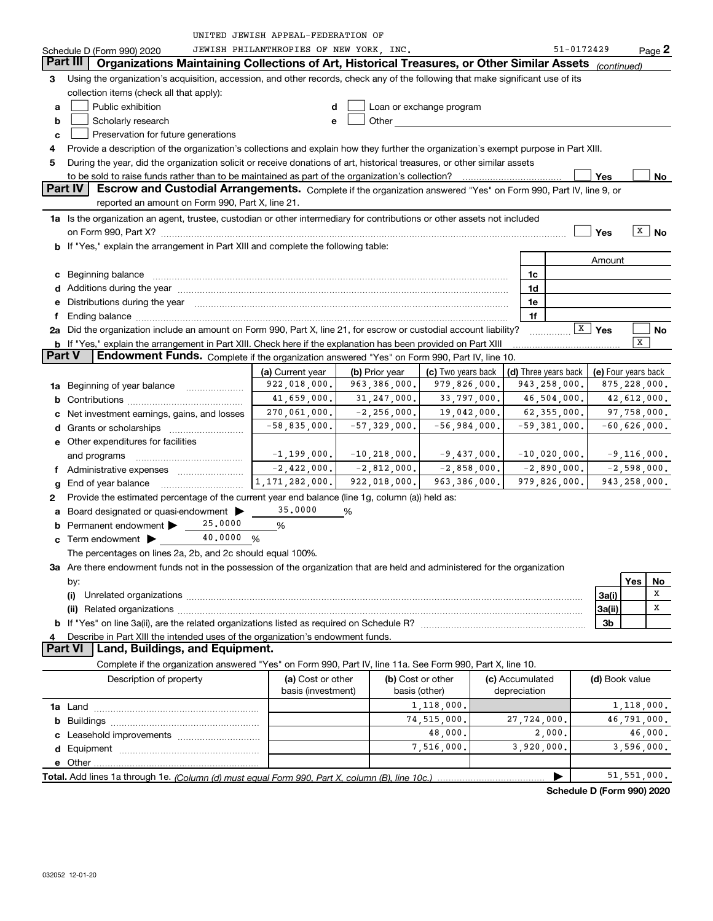|  | UNITED JEWISH APPEAL-FEDERATION OF |  |
|--|------------------------------------|--|
|  |                                    |  |

|                                          | Schedule D (Form 990) 2020                                                                                                                                                                                                          | JEWISH PHILANTHROPIES OF NEW YORK, INC. |                  |                                                                                                                      |  |                                 | 51-0172429           |                    | Page 2              |
|------------------------------------------|-------------------------------------------------------------------------------------------------------------------------------------------------------------------------------------------------------------------------------------|-----------------------------------------|------------------|----------------------------------------------------------------------------------------------------------------------|--|---------------------------------|----------------------|--------------------|---------------------|
|                                          | Part III<br>Organizations Maintaining Collections of Art, Historical Treasures, or Other Similar Assets                                                                                                                             |                                         |                  |                                                                                                                      |  |                                 |                      | (continued)        |                     |
| 3.                                       | Using the organization's acquisition, accession, and other records, check any of the following that make significant use of its                                                                                                     |                                         |                  |                                                                                                                      |  |                                 |                      |                    |                     |
|                                          | collection items (check all that apply):                                                                                                                                                                                            |                                         |                  |                                                                                                                      |  |                                 |                      |                    |                     |
| a                                        | Public exhibition                                                                                                                                                                                                                   | d                                       |                  | Loan or exchange program                                                                                             |  |                                 |                      |                    |                     |
| b                                        | Scholarly research                                                                                                                                                                                                                  | e                                       | Other            | <u> 1980 - Jan Barbara Barbara, maso a popular popular e popular de la propia de la propia de la propia de la pr</u> |  |                                 |                      |                    |                     |
| Preservation for future generations<br>c |                                                                                                                                                                                                                                     |                                         |                  |                                                                                                                      |  |                                 |                      |                    |                     |
| 4                                        | Provide a description of the organization's collections and explain how they further the organization's exempt purpose in Part XIII.                                                                                                |                                         |                  |                                                                                                                      |  |                                 |                      |                    |                     |
| 5                                        | During the year, did the organization solicit or receive donations of art, historical treasures, or other similar assets                                                                                                            |                                         |                  |                                                                                                                      |  |                                 |                      |                    |                     |
|                                          | to be sold to raise funds rather than to be maintained as part of the organization's collection?                                                                                                                                    |                                         |                  |                                                                                                                      |  |                                 |                      | Yes                | No                  |
|                                          | Part IV<br>Escrow and Custodial Arrangements. Complete if the organization answered "Yes" on Form 990, Part IV, line 9, or                                                                                                          |                                         |                  |                                                                                                                      |  |                                 |                      |                    |                     |
|                                          | reported an amount on Form 990, Part X, line 21.                                                                                                                                                                                    |                                         |                  |                                                                                                                      |  |                                 |                      |                    |                     |
|                                          | 1a Is the organization an agent, trustee, custodian or other intermediary for contributions or other assets not included                                                                                                            |                                         |                  |                                                                                                                      |  |                                 |                      |                    |                     |
|                                          |                                                                                                                                                                                                                                     |                                         |                  |                                                                                                                      |  |                                 |                      | Yes                | $\overline{X}$ No   |
|                                          | b If "Yes," explain the arrangement in Part XIII and complete the following table:                                                                                                                                                  |                                         |                  |                                                                                                                      |  |                                 |                      |                    |                     |
|                                          |                                                                                                                                                                                                                                     |                                         |                  |                                                                                                                      |  |                                 |                      | Amount             |                     |
|                                          | c Beginning balance                                                                                                                                                                                                                 |                                         |                  |                                                                                                                      |  | 1c                              |                      |                    |                     |
|                                          |                                                                                                                                                                                                                                     |                                         |                  |                                                                                                                      |  | 1d                              |                      |                    |                     |
|                                          | e Distributions during the year manufactured and continuum and contact the year manufactured and contact the year manufactured and contact the year manufactured and contact the year manufactured and contact the year manufa      |                                         |                  |                                                                                                                      |  | 1e                              |                      |                    |                     |
|                                          | 2a Did the organization include an amount on Form 990, Part X, line 21, for escrow or custodial account liability?                                                                                                                  |                                         |                  |                                                                                                                      |  | 1f                              |                      | $\overline{X}$ Yes |                     |
|                                          |                                                                                                                                                                                                                                     |                                         |                  |                                                                                                                      |  |                                 |                      |                    | No<br>x             |
| <b>Part V</b>                            | b If "Yes," explain the arrangement in Part XIII. Check here if the explanation has been provided on Part XIII<br>Endowment Funds. Complete if the organization answered "Yes" on Form 990, Part IV, line 10.                       |                                         |                  |                                                                                                                      |  |                                 |                      |                    |                     |
|                                          |                                                                                                                                                                                                                                     | (a) Current year                        | (b) Prior year   | (c) Two years back                                                                                                   |  |                                 | (d) Three years back |                    | (e) Four years back |
|                                          | 1a Beginning of year balance                                                                                                                                                                                                        | 922,018,000.                            | 963,386,000.     | 979,826,000.                                                                                                         |  |                                 | 943,258,000.         |                    | 875,228,000.        |
|                                          |                                                                                                                                                                                                                                     | 41,659,000.                             | 31, 247, 000.    | 33,797,000.                                                                                                          |  |                                 | 46,504,000.          |                    | 42,612,000.         |
|                                          | c Net investment earnings, gains, and losses                                                                                                                                                                                        | 270,061,000.                            | $-2, 256, 000.$  | 19,042,000.                                                                                                          |  |                                 | 62,355,000.          |                    | 97,758,000.         |
|                                          |                                                                                                                                                                                                                                     | $-58,835,000.$                          | $-57,329,000.$   | $-56,984,000.$                                                                                                       |  |                                 | $-59,381,000.$       |                    | $-60,626,000.$      |
|                                          | <b>e</b> Other expenditures for facilities                                                                                                                                                                                          |                                         |                  |                                                                                                                      |  |                                 |                      |                    |                     |
|                                          | and programs                                                                                                                                                                                                                        | $-1, 199, 000.$                         | $-10, 218, 000.$ | $-9,437,000.$                                                                                                        |  |                                 | $-10,020,000.$       |                    | $-9,116,000.$       |
|                                          | f Administrative expenses                                                                                                                                                                                                           | $-2,422,000.$                           | $-2,812,000.$    | $-2,858,000.$                                                                                                        |  |                                 | $-2,890,000.$        |                    | $-2,598,000.$       |
|                                          |                                                                                                                                                                                                                                     | $\overline{1}$ , 171, 282, 000.         | 922,018,000.     | 963, 386, 000.                                                                                                       |  |                                 | 979,826,000.         |                    | 943, 258, 000.      |
| 2                                        | Provide the estimated percentage of the current year end balance (line 1g, column (a)) held as:                                                                                                                                     |                                         |                  |                                                                                                                      |  |                                 |                      |                    |                     |
| a                                        | Board designated or quasi-endowment                                                                                                                                                                                                 | 35,0000                                 | %                |                                                                                                                      |  |                                 |                      |                    |                     |
|                                          | 25,0000<br><b>b</b> Permanent endowment $\blacktriangleright$                                                                                                                                                                       | %                                       |                  |                                                                                                                      |  |                                 |                      |                    |                     |
|                                          | 40,0000 %<br><b>c</b> Term endowment $\blacktriangleright$                                                                                                                                                                          |                                         |                  |                                                                                                                      |  |                                 |                      |                    |                     |
|                                          | The percentages on lines 2a, 2b, and 2c should equal 100%.                                                                                                                                                                          |                                         |                  |                                                                                                                      |  |                                 |                      |                    |                     |
|                                          | 3a Are there endowment funds not in the possession of the organization that are held and administered for the organization                                                                                                          |                                         |                  |                                                                                                                      |  |                                 |                      |                    |                     |
|                                          | by:                                                                                                                                                                                                                                 |                                         |                  |                                                                                                                      |  |                                 |                      |                    | Yes<br>No           |
|                                          |                                                                                                                                                                                                                                     |                                         |                  |                                                                                                                      |  |                                 |                      | 3a(i)              | х                   |
|                                          | (ii) Related organizations <b>constructions</b> and construction of the construction of the construction of the construction of the construction of the construction of the construction of the construction of the construction of |                                         |                  |                                                                                                                      |  |                                 |                      | 3a(ii)             | х                   |
|                                          |                                                                                                                                                                                                                                     |                                         |                  |                                                                                                                      |  |                                 |                      | 3 <sub>b</sub>     |                     |
| 4                                        | Describe in Part XIII the intended uses of the organization's endowment funds.                                                                                                                                                      |                                         |                  |                                                                                                                      |  |                                 |                      |                    |                     |
|                                          | <b>Part VI</b><br>Land, Buildings, and Equipment.                                                                                                                                                                                   |                                         |                  |                                                                                                                      |  |                                 |                      |                    |                     |
|                                          | Complete if the organization answered "Yes" on Form 990, Part IV, line 11a. See Form 990, Part X, line 10.                                                                                                                          |                                         |                  |                                                                                                                      |  |                                 |                      |                    |                     |
|                                          | Description of property                                                                                                                                                                                                             | (a) Cost or other<br>basis (investment) |                  | (b) Cost or other<br>basis (other)                                                                                   |  | (c) Accumulated<br>depreciation |                      | (d) Book value     |                     |
|                                          |                                                                                                                                                                                                                                     |                                         |                  | 1,118,000.                                                                                                           |  |                                 |                      |                    | 1,118,000.          |
|                                          |                                                                                                                                                                                                                                     |                                         |                  | 74,515,000.                                                                                                          |  | 27,724,000.                     |                      |                    | 46,791,000.         |
|                                          |                                                                                                                                                                                                                                     |                                         |                  | 48,000.                                                                                                              |  |                                 | 2,000.               |                    | 46,000.             |
|                                          |                                                                                                                                                                                                                                     |                                         |                  | 7,516,000.                                                                                                           |  | 3,920,000.                      |                      |                    | 3,596,000.          |
|                                          |                                                                                                                                                                                                                                     |                                         |                  |                                                                                                                      |  |                                 |                      |                    |                     |
|                                          |                                                                                                                                                                                                                                     |                                         |                  |                                                                                                                      |  |                                 |                      |                    | 51, 551, 000.       |

**Schedule D (Form 990) 2020**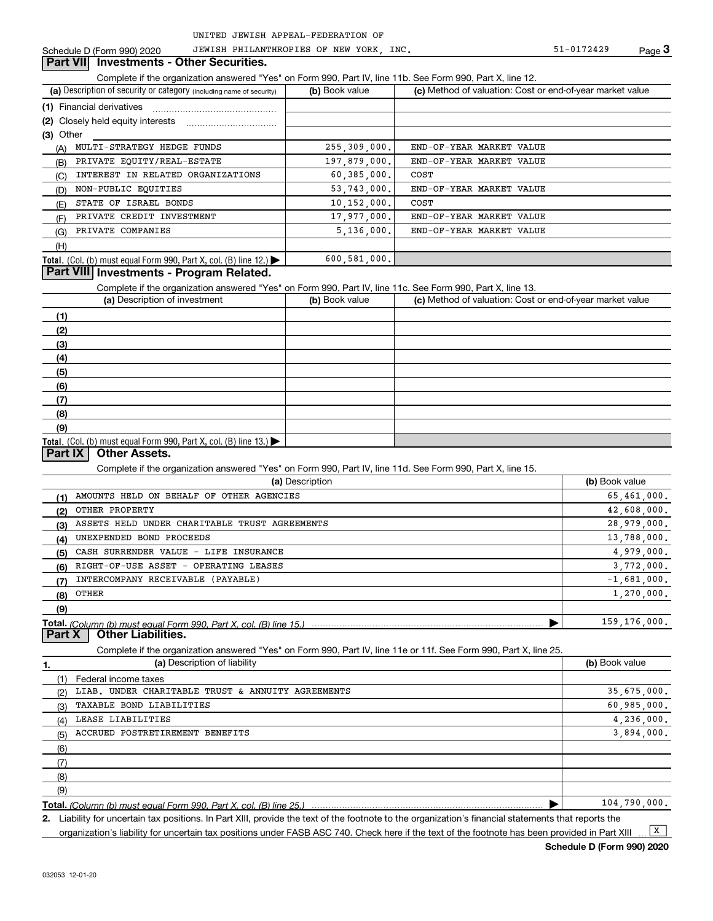Schedule D (Form 990) 2020 JEWISH PHILANTHROPIES OF NEW YORK, INC. The Same of the S1-0172429 Page

#### **Part VII** Investments - Other Securities.

Complete if the organization answered "Yes" on Form 990, Part IV, line 11b. See Form 990, Part X, line 12.

| (a) Description of security or category (including name of security)       | (b) Book value | (c) Method of valuation: Cost or end-of-year market value |
|----------------------------------------------------------------------------|----------------|-----------------------------------------------------------|
|                                                                            |                |                                                           |
|                                                                            |                |                                                           |
| $(3)$ Other                                                                |                |                                                           |
| MULTI-STRATEGY HEDGE FUNDS<br>(A)                                          | 255, 309, 000. | END-OF-YEAR MARKET VALUE                                  |
| PRIVATE EQUITY/REAL-ESTATE<br>(B)                                          | 197,879,000.   | END-OF-YEAR MARKET VALUE                                  |
| INTEREST IN RELATED ORGANIZATIONS<br>(C)                                   | 60, 385, 000.  | COST                                                      |
| NON-PUBLIC EQUITIES<br>(D)                                                 | 53, 743, 000.  | END-OF-YEAR MARKET VALUE                                  |
| STATE OF ISRAEL BONDS<br>(E)                                               | 10, 152, 000.  | COST                                                      |
| PRIVATE CREDIT INVESTMENT<br>(F)                                           | 17,977,000.    | END-OF-YEAR MARKET VALUE                                  |
| PRIVATE COMPANIES<br>(G)                                                   | 5,136,000.     | END-OF-YEAR MARKET VALUE                                  |
| (H)                                                                        |                |                                                           |
| <b>Total.</b> (Col. (b) must equal Form 990, Part X, col. (B) line $12$ .) | 600,581,000.   |                                                           |

## **Part VIII Investments - Program Related.**

Complete if the organization answered "Yes" on Form 990, Part IV, line 11c. See Form 990, Part X, line 13.

| (a) Description of investment                                       | (b) Book value | (c) Method of valuation: Cost or end-of-year market value |
|---------------------------------------------------------------------|----------------|-----------------------------------------------------------|
| (1)                                                                 |                |                                                           |
| (2)                                                                 |                |                                                           |
| $\left(3\right)$                                                    |                |                                                           |
| (4)                                                                 |                |                                                           |
| (5)                                                                 |                |                                                           |
| (6)                                                                 |                |                                                           |
| (7)                                                                 |                |                                                           |
| (8)                                                                 |                |                                                           |
| (9)                                                                 |                |                                                           |
| Total. (Col. (b) must equal Form 990, Part X, col. (B) line $13$ .) |                |                                                           |

#### **Part IX Other Assets.**

Complete if the organization answered "Yes" on Form 990, Part IV, line 11d. See Form 990, Part X, line 15.

|     | (a) Description                               | (b) Book value |
|-----|-----------------------------------------------|----------------|
| (1) | AMOUNTS HELD ON BEHALF OF OTHER AGENCIES      | 65,461,000.    |
| (2) | OTHER PROPERTY                                | 42,608,000.    |
| (3) | ASSETS HELD UNDER CHARITABLE TRUST AGREEMENTS | 28,979,000.    |
| (4) | UNEXPENDED BOND PROCEEDS                      | 13,788,000.    |
| (5) | CASH SURRENDER VALUE - LIFE INSURANCE         | 4,979,000.     |
| (6) | RIGHT-OF-USE ASSET - OPERATING LEASES         | 3,772,000.     |
|     | INTERCOMPANY RECEIVABLE (PAYABLE)             | $-1,681,000.$  |
| (8) | OTHER                                         | 1,270,000.     |
| (9) |                                               |                |
|     |                                               | 159, 176, 000. |

**Part X Other Liabilities.**

Complete if the organization answered "Yes" on Form 990, Part IV, line 11e or 11f. See Form 990, Part X, line 25.

| 1.  | (a) Description of liability                      | (b) Book value |
|-----|---------------------------------------------------|----------------|
|     | Federal income taxes                              |                |
| (2) | LIAB. UNDER CHARITABLE TRUST & ANNUITY AGREEMENTS | 35,675,000.    |
| (3) | TAXABLE BOND LIABILITIES                          | 60,985,000.    |
| (4) | LEASE LIABILITIES                                 | 4,236,000.     |
| (5) | ACCRUED POSTRETIREMENT BENEFITS                   | 3,894,000.     |
| (6) |                                                   |                |
| (7) |                                                   |                |
| (8) |                                                   |                |
| (9) |                                                   |                |
|     |                                                   | 104,790,000.   |

**Total.**  *(Column (b) must equal Form 990, Part X, col. (B) line 25.)*

**2.** Liability for uncertain tax positions. In Part XIII, provide the text of the footnote to the organization's financial statements that reports the organization's liability for uncertain tax positions under FASB ASC 740. Check here if the text of the footnote has been provided in Part XIII  $\boxed{\mathbf{X}}$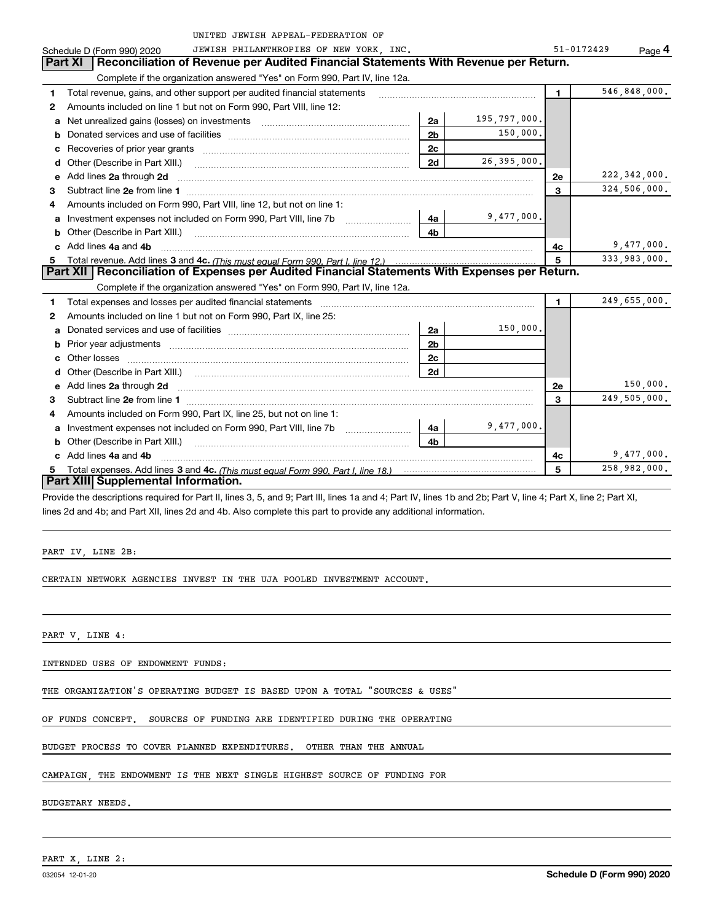|    | UNITED JEWISH APPEAL-FEDERATION OF                                                                                                                                                                                                  |                |              |                |                |
|----|-------------------------------------------------------------------------------------------------------------------------------------------------------------------------------------------------------------------------------------|----------------|--------------|----------------|----------------|
|    | JEWISH PHILANTHROPIES OF NEW YORK, INC.<br>Schedule D (Form 990) 2020                                                                                                                                                               |                |              | 51-0172429     | Page 4         |
|    | Part XI<br>Reconciliation of Revenue per Audited Financial Statements With Revenue per Return.                                                                                                                                      |                |              |                |                |
|    | Complete if the organization answered "Yes" on Form 990, Part IV, line 12a.                                                                                                                                                         |                |              |                |                |
| 1  | Total revenue, gains, and other support per audited financial statements                                                                                                                                                            |                |              | $\blacksquare$ | 546,848,000.   |
| 2  | Amounts included on line 1 but not on Form 990, Part VIII, line 12:                                                                                                                                                                 |                |              |                |                |
| a  | Net unrealized gains (losses) on investments [11] matter contracts and the unrealized gains (losses) on investments                                                                                                                 | 2a             | 195,797,000. |                |                |
| b  |                                                                                                                                                                                                                                     | 2 <sub>b</sub> | 150,000.     |                |                |
| c  |                                                                                                                                                                                                                                     | 2c             |              |                |                |
| d  | Other (Describe in Part XIII.) <b>COLOGIST:</b> (2001)                                                                                                                                                                              | 2d             | 26,395,000.  |                |                |
| e  | Add lines 2a through 2d                                                                                                                                                                                                             |                |              | 2е             | 222, 342, 000. |
| 3  |                                                                                                                                                                                                                                     |                |              | 3              | 324,506,000.   |
| 4  | Amounts included on Form 990, Part VIII, line 12, but not on line 1:                                                                                                                                                                |                |              |                |                |
| a  |                                                                                                                                                                                                                                     | - 4a           | 9,477,000.   |                |                |
|    | Other (Describe in Part XIII.) <b>Construction Contract Construction</b> Chern Construction Chern Chern Chern Chern Chern Chern Chern Chern Chern Chern Chern Chern Chern Chern Chern Chern Chern Chern Chern Chern Chern Chern Che | 4b             |              |                |                |
|    | c Add lines 4a and 4b                                                                                                                                                                                                               |                |              | 4с             | 9,477,000.     |
| 5  |                                                                                                                                                                                                                                     |                |              | 5              | 333,983,000.   |
|    | Part XII   Reconciliation of Expenses per Audited Financial Statements With Expenses per Return.                                                                                                                                    |                |              |                |                |
|    | Complete if the organization answered "Yes" on Form 990, Part IV, line 12a.                                                                                                                                                         |                |              |                |                |
| 1  | Total expenses and losses per audited financial statements [11] [11] Total expenses and losses per audited financial statements [11] [11] Total expenses and losses per audited financial statements                                |                |              | 1.             | 249,655,000.   |
| 2  | Amounts included on line 1 but not on Form 990, Part IX, line 25:                                                                                                                                                                   |                |              |                |                |
| a  |                                                                                                                                                                                                                                     | 2a             | 150,000.     |                |                |
| b  |                                                                                                                                                                                                                                     | 2 <sub>b</sub> |              |                |                |
| c  |                                                                                                                                                                                                                                     | 2c             |              |                |                |
| d  |                                                                                                                                                                                                                                     | 2d             |              |                |                |
| е  | Add lines 2a through 2d <b>contained a contained a contained a contained a</b> contained a contact the set of the set of the set of the set of the set of the set of the set of the set of the set of the set of the set of the set |                |              | 2e             | 150,000.       |
| З. |                                                                                                                                                                                                                                     |                |              | 3              | 249,505,000.   |
| 4  | Amounts included on Form 990, Part IX, line 25, but not on line 1:                                                                                                                                                                  |                |              |                |                |
|    | Investment expenses not included on Form 990, Part VIII, line 7b [1000000000000000000000000000000000                                                                                                                                | - 4a           | 9,477,000.   |                |                |
|    | <b>b</b> Other (Describe in Part XIII.)                                                                                                                                                                                             | 4 <sub>b</sub> |              |                |                |
|    | c Add lines 4a and 4b                                                                                                                                                                                                               |                |              | 4c             | 9,477,000.     |
|    |                                                                                                                                                                                                                                     |                |              | 5              | 258,982,000.   |
|    | <b>Part XIII</b> Supplemental Information.                                                                                                                                                                                          |                |              |                |                |

Provide the descriptions required for Part II, lines 3, 5, and 9; Part III, lines 1a and 4; Part IV, lines 1b and 2b; Part V, line 4; Part X, line 2; Part XI, lines 2d and 4b; and Part XII, lines 2d and 4b. Also complete this part to provide any additional information.

PART IV, LINE 2B:

CERTAIN NETWORK AGENCIES INVEST IN THE UJA POOLED INVESTMENT ACCOUNT.

PART V, LINE 4:

INTENDED USES OF ENDOWMENT FUNDS:

THE ORGANIZATION'S OPERATING BUDGET IS BASED UPON A TOTAL "SOURCES & USES"

OF FUNDS CONCEPT. SOURCES OF FUNDING ARE IDENTIFIED DURING THE OPERATING

BUDGET PROCESS TO COVER PLANNED EXPENDITURES. OTHER THAN THE ANNUAL

CAMPAIGN, THE ENDOWMENT IS THE NEXT SINGLE HIGHEST SOURCE OF FUNDING FOR

BUDGETARY NEEDS.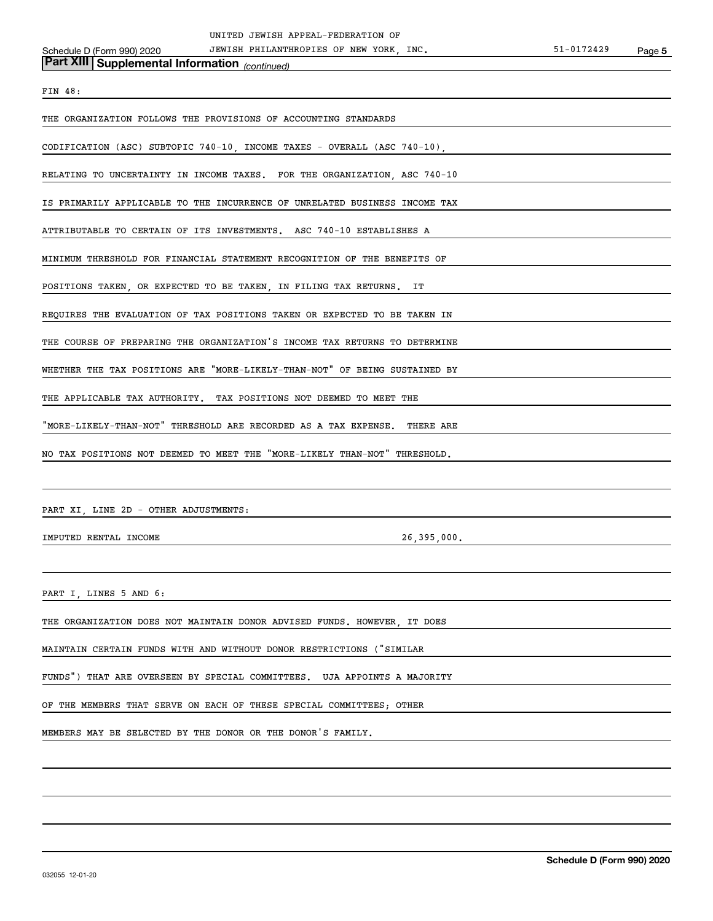|                                                             | UNITED JEWISH APPEAL-FEDERATION OF                                         |            |        |
|-------------------------------------------------------------|----------------------------------------------------------------------------|------------|--------|
| Schedule D (Form 990) 2020                                  | JEWISH PHILANTHROPIES OF NEW YORK, INC.                                    | 51-0172429 | Page 5 |
| Part XIII Supplemental Information (continued)              |                                                                            |            |        |
|                                                             |                                                                            |            |        |
| FIN 48:                                                     |                                                                            |            |        |
|                                                             | THE ORGANIZATION FOLLOWS THE PROVISIONS OF ACCOUNTING STANDARDS            |            |        |
|                                                             |                                                                            |            |        |
|                                                             | CODIFICATION (ASC) SUBTOPIC 740-10, INCOME TAXES - OVERALL (ASC 740-10),   |            |        |
|                                                             |                                                                            |            |        |
|                                                             | RELATING TO UNCERTAINTY IN INCOME TAXES. FOR THE ORGANIZATION, ASC 740-10  |            |        |
|                                                             |                                                                            |            |        |
|                                                             | IS PRIMARILY APPLICABLE TO THE INCURRENCE OF UNRELATED BUSINESS INCOME TAX |            |        |
|                                                             | ATTRIBUTABLE TO CERTAIN OF ITS INVESTMENTS. ASC 740-10 ESTABLISHES A       |            |        |
|                                                             |                                                                            |            |        |
|                                                             | MINIMUM THRESHOLD FOR FINANCIAL STATEMENT RECOGNITION OF THE BENEFITS OF   |            |        |
|                                                             |                                                                            |            |        |
|                                                             | POSITIONS TAKEN, OR EXPECTED TO BE TAKEN, IN FILING TAX RETURNS. IT        |            |        |
|                                                             |                                                                            |            |        |
|                                                             | REQUIRES THE EVALUATION OF TAX POSITIONS TAKEN OR EXPECTED TO BE TAKEN IN  |            |        |
|                                                             |                                                                            |            |        |
|                                                             | THE COURSE OF PREPARING THE ORGANIZATION'S INCOME TAX RETURNS TO DETERMINE |            |        |
|                                                             | WHETHER THE TAX POSITIONS ARE "MORE-LIKELY-THAN-NOT" OF BEING SUSTAINED BY |            |        |
|                                                             |                                                                            |            |        |
|                                                             | THE APPLICABLE TAX AUTHORITY. TAX POSITIONS NOT DEEMED TO MEET THE         |            |        |
|                                                             |                                                                            |            |        |
|                                                             | "MORE-LIKELY-THAN-NOT" THRESHOLD ARE RECORDED AS A TAX EXPENSE. THERE ARE  |            |        |
|                                                             |                                                                            |            |        |
|                                                             | NO TAX POSITIONS NOT DEEMED TO MEET THE "MORE-LIKELY THAN-NOT" THRESHOLD.  |            |        |
|                                                             |                                                                            |            |        |
|                                                             |                                                                            |            |        |
| PART XI, LINE 2D - OTHER ADJUSTMENTS:                       |                                                                            |            |        |
|                                                             |                                                                            |            |        |
| IMPUTED RENTAL INCOME                                       | 26,395,000.                                                                |            |        |
|                                                             |                                                                            |            |        |
|                                                             |                                                                            |            |        |
| PART I, LINES 5 AND 6:                                      |                                                                            |            |        |
|                                                             |                                                                            |            |        |
|                                                             | THE ORGANIZATION DOES NOT MAINTAIN DONOR ADVISED FUNDS. HOWEVER, IT DOES   |            |        |
|                                                             |                                                                            |            |        |
|                                                             | MAINTAIN CERTAIN FUNDS WITH AND WITHOUT DONOR RESTRICTIONS ("SIMILAR       |            |        |
|                                                             |                                                                            |            |        |
|                                                             | FUNDS") THAT ARE OVERSEEN BY SPECIAL COMMITTEES. UJA APPOINTS A MAJORITY   |            |        |
|                                                             | OF THE MEMBERS THAT SERVE ON EACH OF THESE SPECIAL COMMITTEES; OTHER       |            |        |
|                                                             |                                                                            |            |        |
| MEMBERS MAY BE SELECTED BY THE DONOR OR THE DONOR'S FAMILY. |                                                                            |            |        |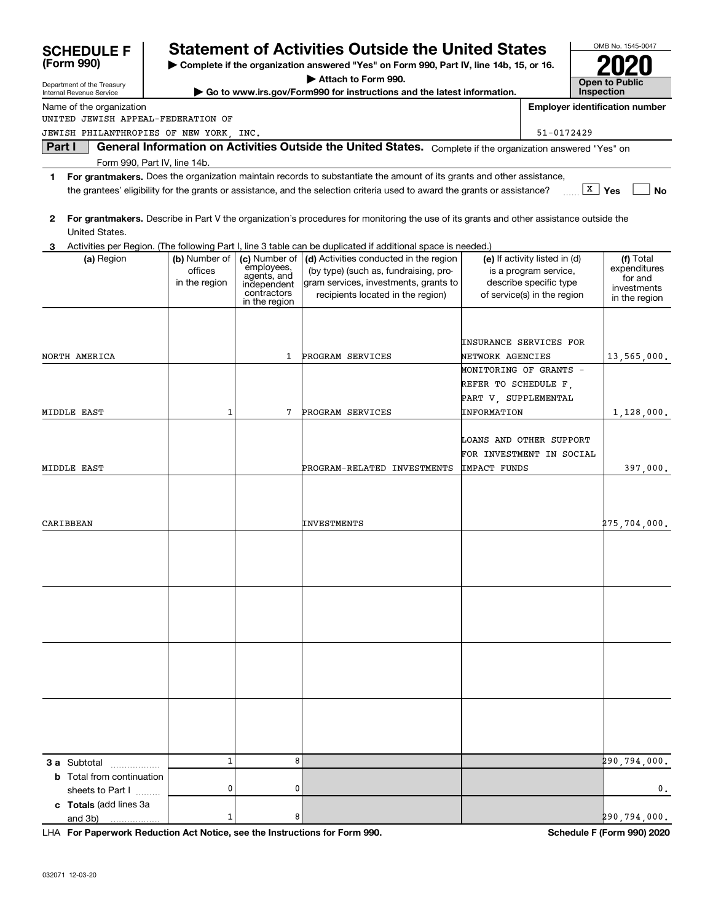| <b>SCHEDULE F</b>                                                             |                                                                                          |                              | <b>Statement of Activities Outside the United States</b>                                                                                |                      |                                                        | OMB No. 1545-0047                     |
|-------------------------------------------------------------------------------|------------------------------------------------------------------------------------------|------------------------------|-----------------------------------------------------------------------------------------------------------------------------------------|----------------------|--------------------------------------------------------|---------------------------------------|
| (Form 990)                                                                    | > Complete if the organization answered "Yes" on Form 990, Part IV, line 14b, 15, or 16. |                              |                                                                                                                                         |                      |                                                        |                                       |
| Department of the Treasury                                                    |                                                                                          |                              | Attach to Form 990.                                                                                                                     |                      |                                                        | <b>Open to Public</b>                 |
| Internal Revenue Service                                                      |                                                                                          |                              | Go to www.irs.gov/Form990 for instructions and the latest information.                                                                  |                      |                                                        | Inspection                            |
| Name of the organization                                                      |                                                                                          |                              |                                                                                                                                         |                      |                                                        | <b>Employer identification number</b> |
| UNITED JEWISH APPEAL-FEDERATION OF<br>JEWISH PHILANTHROPIES OF NEW YORK, INC. |                                                                                          |                              |                                                                                                                                         |                      | 51-0172429                                             |                                       |
| Part I                                                                        |                                                                                          |                              | General Information on Activities Outside the United States. Complete if the organization answered "Yes" on                             |                      |                                                        |                                       |
| Form 990, Part IV, line 14b.                                                  |                                                                                          |                              |                                                                                                                                         |                      |                                                        |                                       |
| 1                                                                             |                                                                                          |                              | For grantmakers. Does the organization maintain records to substantiate the amount of its grants and other assistance,                  |                      |                                                        |                                       |
|                                                                               |                                                                                          |                              | the grantees' eligibility for the grants or assistance, and the selection criteria used to award the grants or assistance?              |                      |                                                        | $\boxed{\text{X}}$ Yes<br><b>No</b>   |
| $\mathbf{2}$<br>United States.                                                |                                                                                          |                              | For grantmakers. Describe in Part V the organization's procedures for monitoring the use of its grants and other assistance outside the |                      |                                                        |                                       |
|                                                                               |                                                                                          |                              | 3 Activities per Region. (The following Part I, line 3 table can be duplicated if additional space is needed.)                          |                      |                                                        |                                       |
| (a) Region                                                                    | (b) Number of<br>offices                                                                 | employees,                   | (c) Number of $\vert$ (d) Activities conducted in the region<br>(by type) (such as, fundraising, pro-                                   |                      | (e) If activity listed in (d)<br>is a program service, | (f) Total<br>expenditures             |
|                                                                               | in the region                                                                            | agents, and<br>independent   | gram services, investments, grants to                                                                                                   |                      | describe specific type                                 | for and                               |
|                                                                               |                                                                                          | contractors<br>in the region | recipients located in the region)                                                                                                       |                      | of service(s) in the region                            | investments<br>in the region          |
|                                                                               |                                                                                          |                              |                                                                                                                                         |                      |                                                        |                                       |
|                                                                               |                                                                                          |                              |                                                                                                                                         |                      |                                                        |                                       |
|                                                                               |                                                                                          |                              |                                                                                                                                         |                      | <b>INSURANCE SERVICES FOR</b>                          |                                       |
| NORTH AMERICA                                                                 |                                                                                          | 1                            | PROGRAM SERVICES                                                                                                                        | NETWORK AGENCIES     |                                                        | 13,565,000.                           |
|                                                                               |                                                                                          |                              |                                                                                                                                         |                      | MONITORING OF GRANTS -                                 |                                       |
|                                                                               |                                                                                          |                              |                                                                                                                                         | REFER TO SCHEDULE F. |                                                        |                                       |
|                                                                               |                                                                                          |                              |                                                                                                                                         | PART V, SUPPLEMENTAL |                                                        |                                       |
| MIDDLE EAST                                                                   | $\mathbf{1}$                                                                             | 7                            | PROGRAM SERVICES                                                                                                                        | INFORMATION          |                                                        | 1,128,000.                            |
|                                                                               |                                                                                          |                              |                                                                                                                                         |                      | LOANS AND OTHER SUPPORT                                |                                       |
|                                                                               |                                                                                          |                              |                                                                                                                                         |                      | FOR INVESTMENT IN SOCIAL                               |                                       |
| MIDDLE EAST                                                                   |                                                                                          |                              | PROGRAM-RELATED INVESTMENTS                                                                                                             | <b>IMPACT FUNDS</b>  |                                                        | 397,000.                              |
|                                                                               |                                                                                          |                              |                                                                                                                                         |                      |                                                        |                                       |
|                                                                               |                                                                                          |                              |                                                                                                                                         |                      |                                                        |                                       |
|                                                                               |                                                                                          |                              |                                                                                                                                         |                      |                                                        |                                       |
| CARIBBEAN                                                                     |                                                                                          |                              | INVESTMENTS                                                                                                                             |                      |                                                        | 275,704,000.                          |
|                                                                               |                                                                                          |                              |                                                                                                                                         |                      |                                                        |                                       |
|                                                                               |                                                                                          |                              |                                                                                                                                         |                      |                                                        |                                       |
|                                                                               |                                                                                          |                              |                                                                                                                                         |                      |                                                        |                                       |
|                                                                               |                                                                                          |                              |                                                                                                                                         |                      |                                                        |                                       |
|                                                                               |                                                                                          |                              |                                                                                                                                         |                      |                                                        |                                       |
|                                                                               |                                                                                          |                              |                                                                                                                                         |                      |                                                        |                                       |
|                                                                               |                                                                                          |                              |                                                                                                                                         |                      |                                                        |                                       |
|                                                                               |                                                                                          |                              |                                                                                                                                         |                      |                                                        |                                       |
|                                                                               |                                                                                          |                              |                                                                                                                                         |                      |                                                        |                                       |
|                                                                               |                                                                                          |                              |                                                                                                                                         |                      |                                                        |                                       |
|                                                                               |                                                                                          |                              |                                                                                                                                         |                      |                                                        |                                       |
|                                                                               |                                                                                          |                              |                                                                                                                                         |                      |                                                        |                                       |
|                                                                               |                                                                                          |                              |                                                                                                                                         |                      |                                                        |                                       |
|                                                                               |                                                                                          |                              |                                                                                                                                         |                      |                                                        |                                       |
| <b>3 a</b> Subtotal                                                           | $\mathbf{1}$                                                                             | 8                            |                                                                                                                                         |                      |                                                        | 290,794,000.                          |
| .<br><b>b</b> Total from continuation                                         |                                                                                          |                              |                                                                                                                                         |                      |                                                        |                                       |
| sheets to Part I                                                              | 0                                                                                        | 0                            |                                                                                                                                         |                      |                                                        | 0.                                    |
| c Totals (add lines 3a                                                        |                                                                                          |                              |                                                                                                                                         |                      |                                                        |                                       |
| and 3b)                                                                       | 1                                                                                        | 8                            |                                                                                                                                         |                      |                                                        | 290,794,000.                          |

**For Paperwork Reduction Act Notice, see the Instructions for Form 990. Schedule F (Form 990) 2020** LHA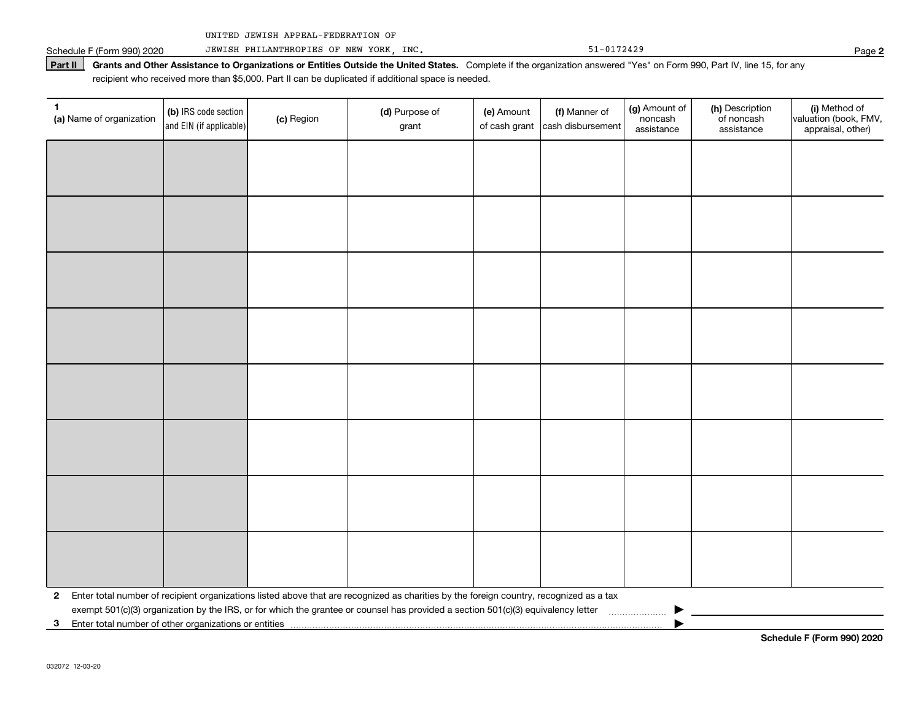Schedule F (Form 990) 2020 JEWISH PHILANTHROPIES OF NEW YORK, INC. 51-0172429 51-0172429

Part II | Grants and Other Assistance to Organizations or Entities Outside the United States. Complete if the organization answered "Yes" on Form 990, Part IV, line 15, for any recipient who received more than \$5,000. Part II can be duplicated if additional space is needed.

| 1<br>(a) Name of organization | (b) IRS code section<br>and EIN (if applicable)                                                                                                                                            | (c) Region | (d) Purpose of<br>grant | (e) Amount<br>of cash grant | (f) Manner of<br>cash disbursement | (g) Amount of<br>noncash<br>assistance | (h) Description<br>of noncash<br>assistance | (i) Method of<br>valuation (book, FMV,<br>appraisal, other) |
|-------------------------------|--------------------------------------------------------------------------------------------------------------------------------------------------------------------------------------------|------------|-------------------------|-----------------------------|------------------------------------|----------------------------------------|---------------------------------------------|-------------------------------------------------------------|
|                               |                                                                                                                                                                                            |            |                         |                             |                                    |                                        |                                             |                                                             |
|                               |                                                                                                                                                                                            |            |                         |                             |                                    |                                        |                                             |                                                             |
|                               |                                                                                                                                                                                            |            |                         |                             |                                    |                                        |                                             |                                                             |
|                               |                                                                                                                                                                                            |            |                         |                             |                                    |                                        |                                             |                                                             |
|                               |                                                                                                                                                                                            |            |                         |                             |                                    |                                        |                                             |                                                             |
|                               |                                                                                                                                                                                            |            |                         |                             |                                    |                                        |                                             |                                                             |
|                               |                                                                                                                                                                                            |            |                         |                             |                                    |                                        |                                             |                                                             |
|                               |                                                                                                                                                                                            |            |                         |                             |                                    |                                        |                                             |                                                             |
|                               |                                                                                                                                                                                            |            |                         |                             |                                    |                                        |                                             |                                                             |
|                               |                                                                                                                                                                                            |            |                         |                             |                                    |                                        |                                             |                                                             |
|                               |                                                                                                                                                                                            |            |                         |                             |                                    |                                        |                                             |                                                             |
|                               |                                                                                                                                                                                            |            |                         |                             |                                    |                                        |                                             |                                                             |
|                               |                                                                                                                                                                                            |            |                         |                             |                                    |                                        |                                             |                                                             |
|                               |                                                                                                                                                                                            |            |                         |                             |                                    |                                        |                                             |                                                             |
|                               |                                                                                                                                                                                            |            |                         |                             |                                    |                                        |                                             |                                                             |
|                               |                                                                                                                                                                                            |            |                         |                             |                                    |                                        |                                             |                                                             |
| $\mathbf{2}$                  | Enter total number of recipient organizations listed above that are recognized as charities by the foreign country, recognized as a tax                                                    |            |                         |                             |                                    |                                        |                                             |                                                             |
| 3 <sup>1</sup>                | exempt 501(c)(3) organization by the IRS, or for which the grantee or counsel has provided a section 501(c)(3) equivalency letter<br>Enter total number of other organizations or entities |            |                         |                             |                                    |                                        |                                             |                                                             |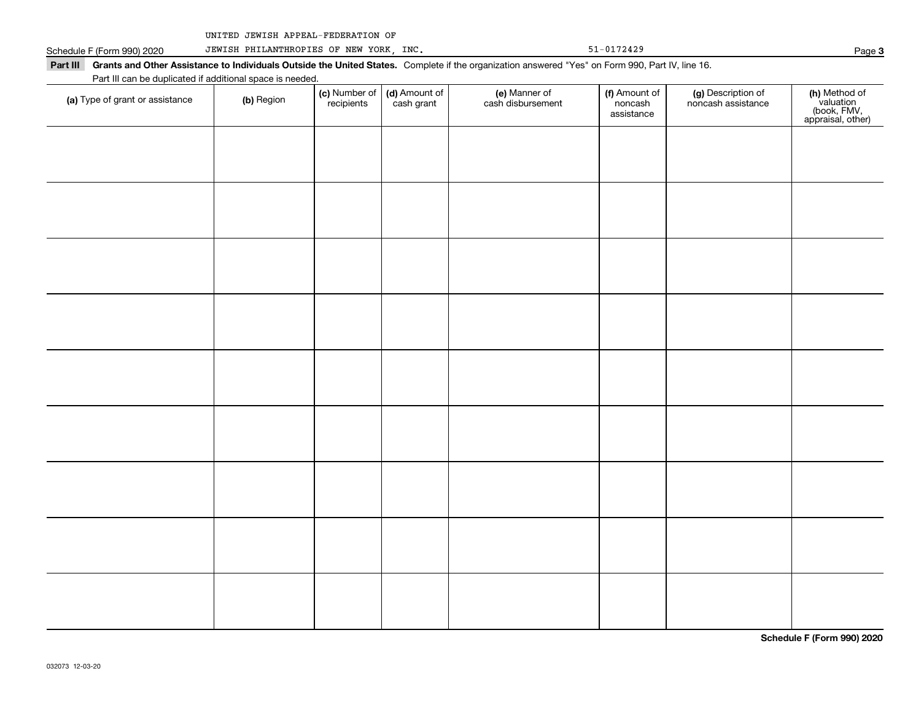|  | UNITED JEWISH APPEAL-FEDERATION OF |  |
|--|------------------------------------|--|
|  |                                    |  |

Schedule F (Form 990) 2020 JEWISH PHILANTHROPIES OF NEW YORK, INC. 51-0172429 51-0172429 Part III Grants and Other Assistance to Individuals Outside the United States. Complete if the organization answered "Yes" on Form 990, Part IV, line 16. Part III can be duplicated if additional space is needed.  $\top$ Number of Amount of Manner of Amount of Type of grant or assistance  $\vert$  (b) Region recipients cash grant cash disbursement noncash assistance

| (a) Type of grant or assistance | (b) Region | <b>(c)</b> Number of <b>(d)</b> Amount of recipients cash grant | e) Manner of<br>cash disbursement | <b>(f)</b> Amount of<br>noncash<br>assistance | (g) Description of<br>noncash assistance | (h) Method of<br>valuation<br>(book, FMV,<br>appraisal, other) |
|---------------------------------|------------|-----------------------------------------------------------------|-----------------------------------|-----------------------------------------------|------------------------------------------|----------------------------------------------------------------|
|                                 |            |                                                                 |                                   |                                               |                                          |                                                                |
|                                 |            |                                                                 |                                   |                                               |                                          |                                                                |
|                                 |            |                                                                 |                                   |                                               |                                          |                                                                |
|                                 |            |                                                                 |                                   |                                               |                                          |                                                                |
|                                 |            |                                                                 |                                   |                                               |                                          |                                                                |
|                                 |            |                                                                 |                                   |                                               |                                          |                                                                |
|                                 |            |                                                                 |                                   |                                               |                                          |                                                                |
|                                 |            |                                                                 |                                   |                                               |                                          |                                                                |
|                                 |            |                                                                 |                                   |                                               |                                          |                                                                |
|                                 |            |                                                                 |                                   |                                               |                                          |                                                                |

**Schedule F (Form 990) 2020**

**3**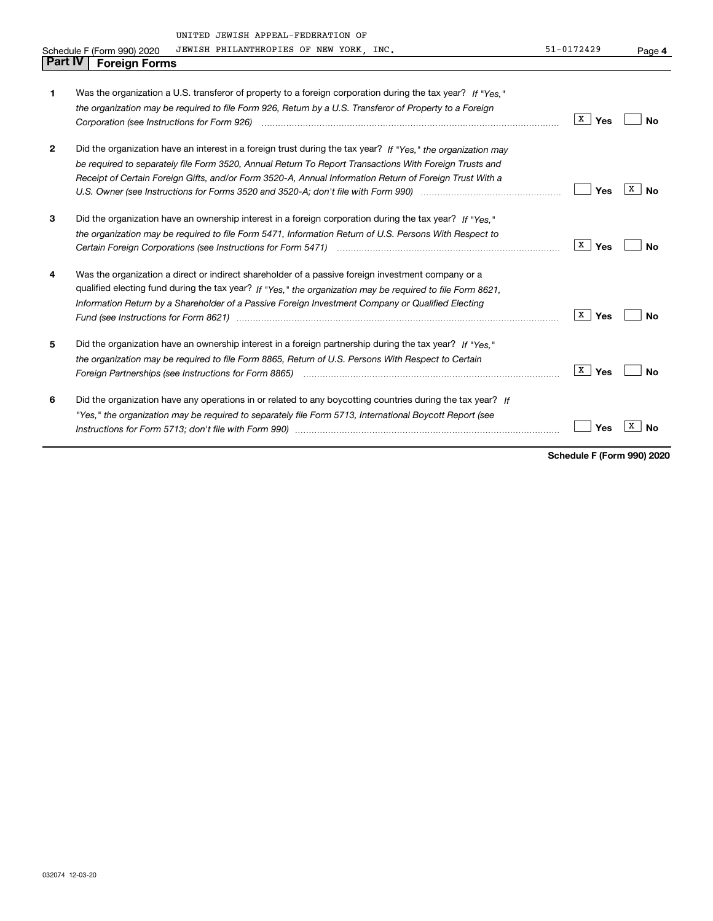|                | UNITED JEWISH APPEAL-FEDERATION OF                                                                                                                                                                                             |                     |                |
|----------------|--------------------------------------------------------------------------------------------------------------------------------------------------------------------------------------------------------------------------------|---------------------|----------------|
|                | JEWISH PHILANTHROPIES OF NEW YORK, INC.<br>Schedule F (Form 990) 2020                                                                                                                                                          | $51 - 0172429$      | Page 4         |
| <b>Part IV</b> | <b>Foreign Forms</b>                                                                                                                                                                                                           |                     |                |
|                |                                                                                                                                                                                                                                |                     |                |
| 1              | Was the organization a U.S. transferor of property to a foreign corporation during the tax year? If "Yes."                                                                                                                     |                     |                |
|                | the organization may be required to file Form 926, Return by a U.S. Transferor of Property to a Foreign                                                                                                                        |                     |                |
|                |                                                                                                                                                                                                                                | x<br>Yes            | No             |
| $\mathbf{2}$   | Did the organization have an interest in a foreign trust during the tax year? If "Yes," the organization may                                                                                                                   |                     |                |
|                | be required to separately file Form 3520, Annual Return To Report Transactions With Foreign Trusts and                                                                                                                         |                     |                |
|                | Receipt of Certain Foreign Gifts, and/or Form 3520-A, Annual Information Return of Foreign Trust With a                                                                                                                        |                     |                |
|                |                                                                                                                                                                                                                                | Yes                 | x<br><b>No</b> |
| 3              | Did the organization have an ownership interest in a foreign corporation during the tax year? If "Yes."                                                                                                                        |                     |                |
|                | the organization may be required to file Form 5471, Information Return of U.S. Persons With Respect to                                                                                                                         |                     |                |
|                |                                                                                                                                                                                                                                | $\mathbf{x}$<br>Yes | <b>No</b>      |
| 4              | Was the organization a direct or indirect shareholder of a passive foreign investment company or a                                                                                                                             |                     |                |
|                | qualified electing fund during the tax year? If "Yes," the organization may be required to file Form 8621,                                                                                                                     |                     |                |
|                | Information Return by a Shareholder of a Passive Foreign Investment Company or Qualified Electing                                                                                                                              |                     |                |
|                |                                                                                                                                                                                                                                | X<br>Yes            | <b>No</b>      |
| 5              | Did the organization have an ownership interest in a foreign partnership during the tax year? If "Yes."                                                                                                                        |                     |                |
|                | the organization may be required to file Form 8865, Return of U.S. Persons With Respect to Certain                                                                                                                             |                     |                |
|                |                                                                                                                                                                                                                                | X<br>Yes            | <b>No</b>      |
| 6              | Did the organization have any operations in or related to any boycotting countries during the tax year? If                                                                                                                     |                     |                |
|                | "Yes," the organization may be required to separately file Form 5713, International Boycott Report (see                                                                                                                        |                     |                |
|                | Instructions for Form 5713; don't file with Form 990) manual content content content of the content of the content of the content of the content of the content of the content of the content of the content of the content of | Yes                 | х<br>No        |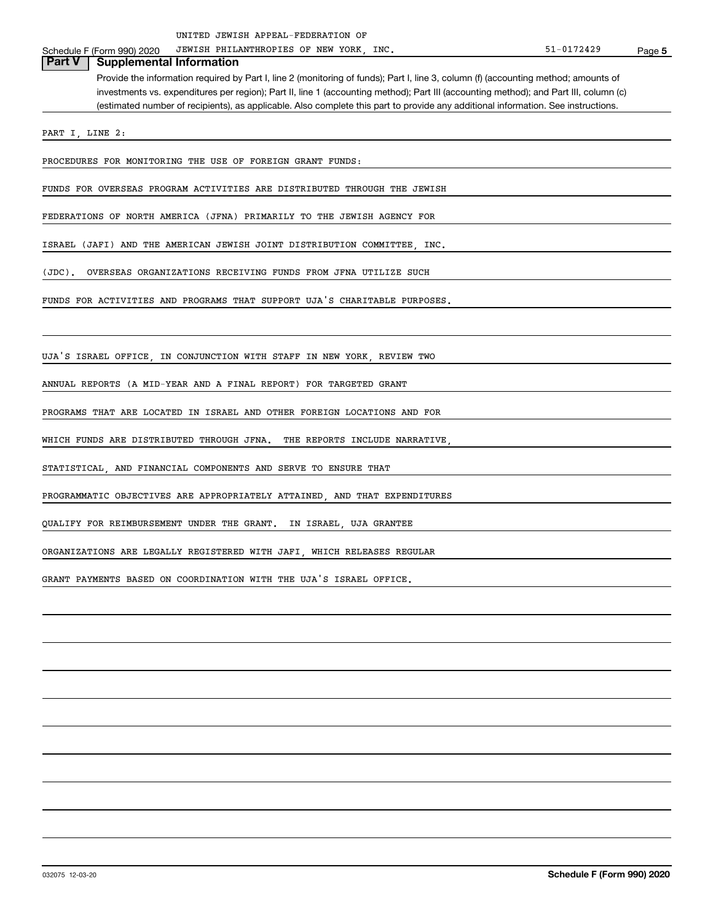Schedule F (Form 990) 2020 JEWISH PHILANTHROPIES OF NEW YORK, INC. The Same of the State of the State of Page

# **Part V F** (Form 990) 2020 JEWISH PHILL<br>**Part V Supplemental Information**

Provide the information required by Part I, line 2 (monitoring of funds); Part I, line 3, column (f) (accounting method; amounts of investments vs. expenditures per region); Part II, line 1 (accounting method); Part III (accounting method); and Part III, column (c) (estimated number of recipients), as applicable. Also complete this part to provide any additional information. See instructions.

PART I, LINE 2:

PROCEDURES FOR MONITORING THE USE OF FOREIGN GRANT FUNDS:

FUNDS FOR OVERSEAS PROGRAM ACTIVITIES ARE DISTRIBUTED THROUGH THE JEWISH

FEDERATIONS OF NORTH AMERICA (JFNA) PRIMARILY TO THE JEWISH AGENCY FOR

ISRAEL (JAFI) AND THE AMERICAN JEWISH JOINT DISTRIBUTION COMMITTEE, INC.

(JDC). OVERSEAS ORGANIZATIONS RECEIVING FUNDS FROM JFNA UTILIZE SUCH

FUNDS FOR ACTIVITIES AND PROGRAMS THAT SUPPORT UJA'S CHARITABLE PURPOSES.

UJA'S ISRAEL OFFICE, IN CONJUNCTION WITH STAFF IN NEW YORK, REVIEW TWO

ANNUAL REPORTS (A MID-YEAR AND A FINAL REPORT) FOR TARGETED GRANT

PROGRAMS THAT ARE LOCATED IN ISRAEL AND OTHER FOREIGN LOCATIONS AND FOR

WHICH FUNDS ARE DISTRIBUTED THROUGH JFNA. THE REPORTS INCLUDE NARRATIVE

STATISTICAL, AND FINANCIAL COMPONENTS AND SERVE TO ENSURE THAT

PROGRAMMATIC OBJECTIVES ARE APPROPRIATELY ATTAINED, AND THAT EXPENDITURES

QUALIFY FOR REIMBURSEMENT UNDER THE GRANT. IN ISRAEL, UJA GRANTEE

ORGANIZATIONS ARE LEGALLY REGISTERED WITH JAFI, WHICH RELEASES REGULAR

GRANT PAYMENTS BASED ON COORDINATION WITH THE UJA'S ISRAEL OFFICE.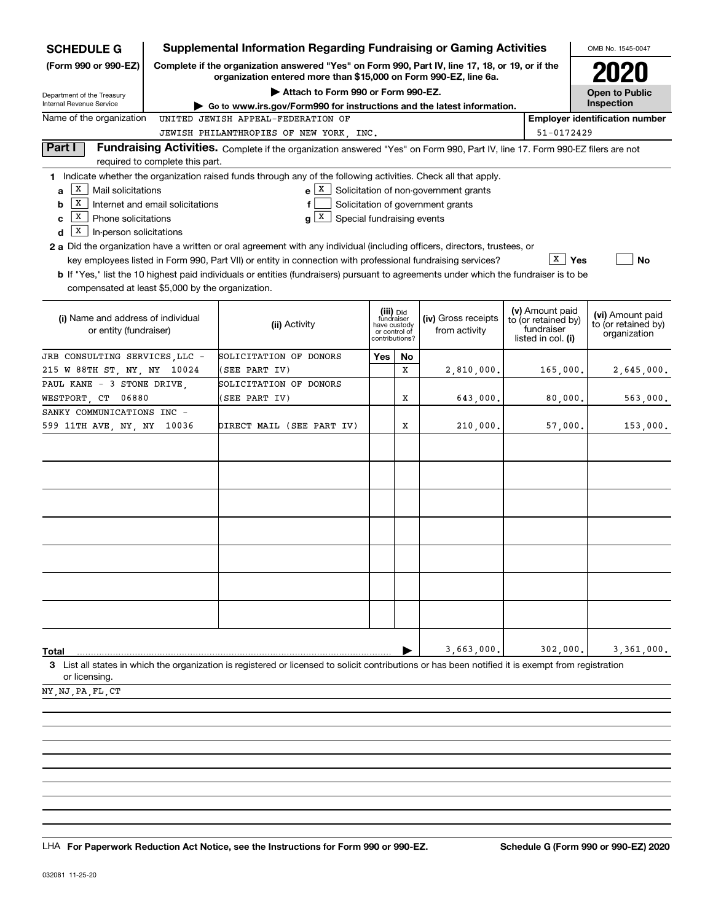| <b>SCHEDULE G</b>                                 |                                                                             | <b>Supplemental Information Regarding Fundraising or Gaming Activities</b>                                                                                          |                         |                               |                                       |                                        | OMB No. 1545-0047                   |  |
|---------------------------------------------------|-----------------------------------------------------------------------------|---------------------------------------------------------------------------------------------------------------------------------------------------------------------|-------------------------|-------------------------------|---------------------------------------|----------------------------------------|-------------------------------------|--|
| (Form 990 or 990-EZ)                              |                                                                             | Complete if the organization answered "Yes" on Form 990, Part IV, line 17, 18, or 19, or if the<br>organization entered more than \$15,000 on Form 990-EZ, line 6a. |                         |                               |                                       |                                        |                                     |  |
| Department of the Treasury                        |                                                                             | Attach to Form 990 or Form 990-EZ.                                                                                                                                  |                         |                               |                                       |                                        | <b>Open to Public</b>               |  |
| Internal Revenue Service                          |                                                                             | Go to www.irs.gov/Form990 for instructions and the latest information.                                                                                              |                         |                               |                                       |                                        | Inspection                          |  |
| Name of the organization                          | <b>Employer identification number</b><br>UNITED JEWISH APPEAL-FEDERATION OF |                                                                                                                                                                     |                         |                               |                                       |                                        |                                     |  |
|                                                   |                                                                             | JEWISH PHILANTHROPIES OF NEW YORK, INC.                                                                                                                             |                         |                               |                                       | 51-0172429                             |                                     |  |
| Part I                                            | required to complete this part.                                             | Fundraising Activities. Complete if the organization answered "Yes" on Form 990, Part IV, line 17. Form 990-EZ filers are not                                       |                         |                               |                                       |                                        |                                     |  |
|                                                   |                                                                             | 1 Indicate whether the organization raised funds through any of the following activities. Check all that apply.                                                     |                         |                               |                                       |                                        |                                     |  |
| х<br>Mail solicitations<br>a                      |                                                                             | $e \mid X$                                                                                                                                                          |                         |                               | Solicitation of non-government grants |                                        |                                     |  |
| x<br>b                                            | Internet and email solicitations                                            | f                                                                                                                                                                   |                         |                               | Solicitation of government grants     |                                        |                                     |  |
| X  <br>Phone solicitations<br>с                   |                                                                             | g X<br>Special fundraising events                                                                                                                                   |                         |                               |                                       |                                        |                                     |  |
| х<br>In-person solicitations<br>d                 |                                                                             |                                                                                                                                                                     |                         |                               |                                       |                                        |                                     |  |
|                                                   |                                                                             | 2 a Did the organization have a written or oral agreement with any individual (including officers, directors, trustees, or                                          |                         |                               |                                       |                                        |                                     |  |
|                                                   |                                                                             | key employees listed in Form 990, Part VII) or entity in connection with professional fundraising services?                                                         |                         |                               |                                       | $\overline{X}$   Yes                   | <b>No</b>                           |  |
|                                                   |                                                                             | b If "Yes," list the 10 highest paid individuals or entities (fundraisers) pursuant to agreements under which the fundraiser is to be                               |                         |                               |                                       |                                        |                                     |  |
| compensated at least \$5,000 by the organization. |                                                                             |                                                                                                                                                                     |                         |                               |                                       |                                        |                                     |  |
|                                                   |                                                                             |                                                                                                                                                                     |                         |                               |                                       |                                        |                                     |  |
| (i) Name and address of individual                |                                                                             |                                                                                                                                                                     | (iii) Did<br>fundraiser |                               | (iv) Gross receipts                   | (v) Amount paid<br>to (or retained by) | (vi) Amount paid                    |  |
| or entity (fundraiser)                            |                                                                             | (ii) Activity                                                                                                                                                       |                         | have custody<br>or control of | from activity                         | fundraiser                             | to (or retained by)<br>organization |  |
|                                                   |                                                                             |                                                                                                                                                                     | contributions?          |                               |                                       | listed in col. (i)                     |                                     |  |
| JRB CONSULTING SERVICES LLC -                     |                                                                             | SOLICITATION OF DONORS                                                                                                                                              | Yes                     | No                            |                                       |                                        |                                     |  |
| 215 W 88TH ST, NY, NY 10024                       |                                                                             | (SEE PART IV)                                                                                                                                                       |                         | X                             | 2,810,000.                            | 165,000.                               | 2,645,000.                          |  |
| PAUL KANE - 3 STONE DRIVE,                        |                                                                             | SOLICITATION OF DONORS                                                                                                                                              |                         |                               |                                       |                                        |                                     |  |
| WESTPORT, CT 06880                                |                                                                             | (SEE PART IV)                                                                                                                                                       |                         | Х                             | 643,000.                              | 80,000.                                | 563,000.                            |  |
| SANKY COMMUNICATIONS INC -                        |                                                                             |                                                                                                                                                                     |                         |                               |                                       |                                        |                                     |  |
| 599 11TH AVE, NY, NY 10036                        |                                                                             | DIRECT MAIL (SEE PART IV)                                                                                                                                           |                         | х                             | 210,000.                              | 57,000.                                | 153,000.                            |  |
|                                                   |                                                                             |                                                                                                                                                                     |                         |                               |                                       |                                        |                                     |  |
|                                                   |                                                                             |                                                                                                                                                                     |                         |                               |                                       |                                        |                                     |  |
|                                                   |                                                                             |                                                                                                                                                                     |                         |                               |                                       |                                        |                                     |  |
|                                                   |                                                                             |                                                                                                                                                                     |                         |                               |                                       |                                        |                                     |  |
|                                                   |                                                                             |                                                                                                                                                                     |                         |                               |                                       |                                        |                                     |  |
|                                                   |                                                                             |                                                                                                                                                                     |                         |                               |                                       |                                        |                                     |  |
|                                                   |                                                                             |                                                                                                                                                                     |                         |                               |                                       |                                        |                                     |  |
|                                                   |                                                                             |                                                                                                                                                                     |                         |                               |                                       |                                        |                                     |  |
|                                                   |                                                                             |                                                                                                                                                                     |                         |                               |                                       |                                        |                                     |  |
|                                                   |                                                                             |                                                                                                                                                                     |                         |                               |                                       |                                        |                                     |  |
|                                                   |                                                                             |                                                                                                                                                                     |                         |                               |                                       |                                        |                                     |  |
|                                                   |                                                                             |                                                                                                                                                                     |                         |                               |                                       |                                        |                                     |  |
|                                                   |                                                                             |                                                                                                                                                                     |                         |                               |                                       |                                        |                                     |  |
|                                                   |                                                                             |                                                                                                                                                                     |                         |                               |                                       |                                        |                                     |  |
|                                                   |                                                                             |                                                                                                                                                                     |                         |                               |                                       |                                        |                                     |  |
| Total                                             |                                                                             |                                                                                                                                                                     |                         |                               | 3,663,000.                            | 302,000.                               | 3,361,000.                          |  |
|                                                   |                                                                             | 3 List all states in which the organization is registered or licensed to solicit contributions or has been notified it is exempt from registration                  |                         |                               |                                       |                                        |                                     |  |
| or licensing.                                     |                                                                             |                                                                                                                                                                     |                         |                               |                                       |                                        |                                     |  |
| NY NJ PA FL CT                                    |                                                                             |                                                                                                                                                                     |                         |                               |                                       |                                        |                                     |  |

LHA For Paperwork Reduction Act Notice, see the Instructions for Form 990 or 990-EZ. Schedule G (Form 990 or 990-EZ) 2020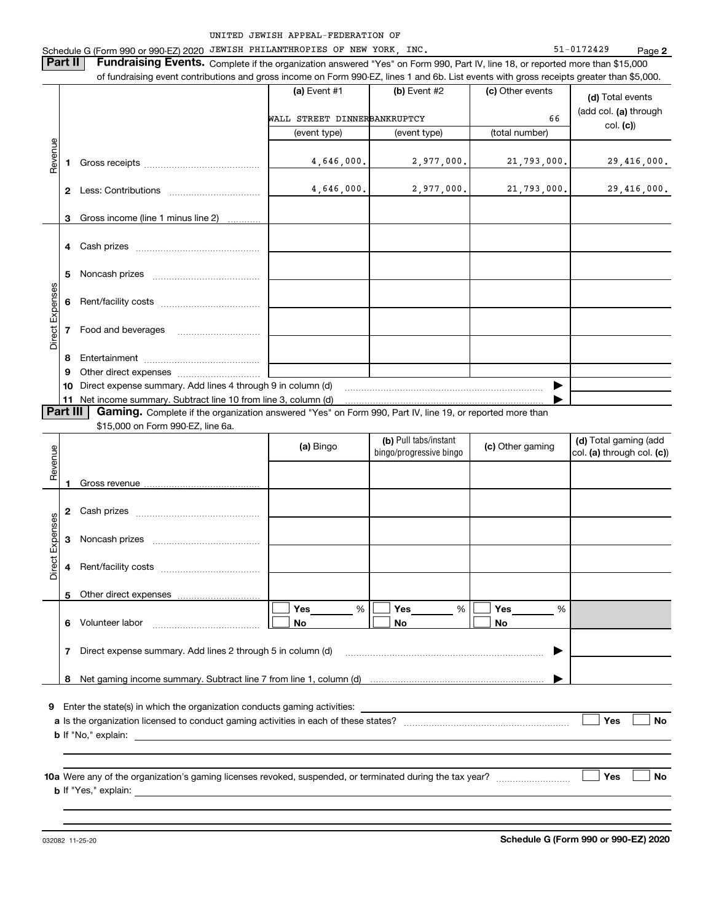—<br>—

|                 |          | Schedule G (Form 990 or 990-EZ) 2020 JEWISH PHILANTHROPIES OF NEW YORK, INC.                                                              | UNITED JEWISH APPEAL-FEDERATION OF |                         |                  | 51-0172429<br>Page 2                                    |
|-----------------|----------|-------------------------------------------------------------------------------------------------------------------------------------------|------------------------------------|-------------------------|------------------|---------------------------------------------------------|
|                 | Part II  | Fundraising Events. Complete if the organization answered "Yes" on Form 990, Part IV, line 18, or reported more than \$15,000             |                                    |                         |                  |                                                         |
|                 |          | of fundraising event contributions and gross income on Form 990-EZ, lines 1 and 6b. List events with gross receipts greater than \$5,000. |                                    |                         |                  |                                                         |
|                 |          |                                                                                                                                           | (a) Event $#1$                     | $(b)$ Event #2          | (c) Other events | (d) Total events                                        |
|                 |          |                                                                                                                                           | WALL STREET DINNERBANKRUPTCY       |                         | 66               | (add col. (a) through                                   |
|                 |          |                                                                                                                                           | (event type)                       | (event type)            | (total number)   | col. (c)                                                |
| Revenue         |          |                                                                                                                                           |                                    |                         |                  |                                                         |
|                 | 1        |                                                                                                                                           | 4,646,000.                         | 2,977,000.              | 21,793,000.      | 29,416,000.                                             |
|                 |          |                                                                                                                                           | 4,646,000.                         | 2,977,000.              | 21,793,000.      | 29,416,000.                                             |
|                 |          |                                                                                                                                           |                                    |                         |                  |                                                         |
|                 | 3.       | Gross income (line 1 minus line 2)                                                                                                        |                                    |                         |                  |                                                         |
|                 | 4        |                                                                                                                                           |                                    |                         |                  |                                                         |
|                 |          |                                                                                                                                           |                                    |                         |                  |                                                         |
|                 | 5        |                                                                                                                                           |                                    |                         |                  |                                                         |
| Direct Expenses |          |                                                                                                                                           |                                    |                         |                  |                                                         |
|                 | 6        |                                                                                                                                           |                                    |                         |                  |                                                         |
|                 | 7        | Food and beverages                                                                                                                        |                                    |                         |                  |                                                         |
|                 |          |                                                                                                                                           |                                    |                         |                  |                                                         |
|                 | 8        |                                                                                                                                           |                                    |                         |                  |                                                         |
|                 |          |                                                                                                                                           |                                    |                         |                  |                                                         |
|                 | 9<br>10  | Direct expense summary. Add lines 4 through 9 in column (d)                                                                               |                                    |                         |                  |                                                         |
|                 |          | 11 Net income summary. Subtract line 10 from line 3, column (d)                                                                           |                                    |                         |                  |                                                         |
|                 | Part III | <b>Gaming.</b> Complete if the organization answered "Yes" on Form 990, Part IV, line 19, or reported more than                           |                                    |                         |                  |                                                         |
|                 |          | \$15,000 on Form 990-EZ, line 6a.                                                                                                         |                                    | (b) Pull tabs/instant   |                  |                                                         |
|                 |          |                                                                                                                                           | (a) Bingo                          | bingo/progressive bingo | (c) Other gaming |                                                         |
|                 |          |                                                                                                                                           |                                    |                         |                  |                                                         |
| Revenue         | 1        | Gross revenue                                                                                                                             |                                    |                         |                  | (d) Total gaming (add<br>$ col. (a)$ through col. $(c)$ |
|                 |          |                                                                                                                                           |                                    |                         |                  |                                                         |
|                 | 2        |                                                                                                                                           |                                    |                         |                  |                                                         |
|                 | з        | Noncash prizes                                                                                                                            |                                    |                         |                  |                                                         |
|                 |          |                                                                                                                                           |                                    |                         |                  |                                                         |
| Direct Expenses | 4        |                                                                                                                                           |                                    |                         |                  |                                                         |
|                 | 5        |                                                                                                                                           |                                    |                         |                  |                                                         |
|                 |          |                                                                                                                                           | <b>Yes</b><br>%                    | $\%$<br>Yes             | Yes<br>%         |                                                         |
|                 | 6        | Volunteer labor                                                                                                                           | No                                 | No                      | No               |                                                         |
|                 | 7        | Direct expense summary. Add lines 2 through 5 in column (d)                                                                               |                                    |                         | ▶                |                                                         |
|                 |          |                                                                                                                                           |                                    |                         |                  |                                                         |

**10a** Were any of the organization's gaming licenses revoked, suspended, or terminated during the tax year?<br>
No **b** If "Yes," explain:

032082 11-25-20

**Schedule G (Form 990 or 990-EZ) 2020**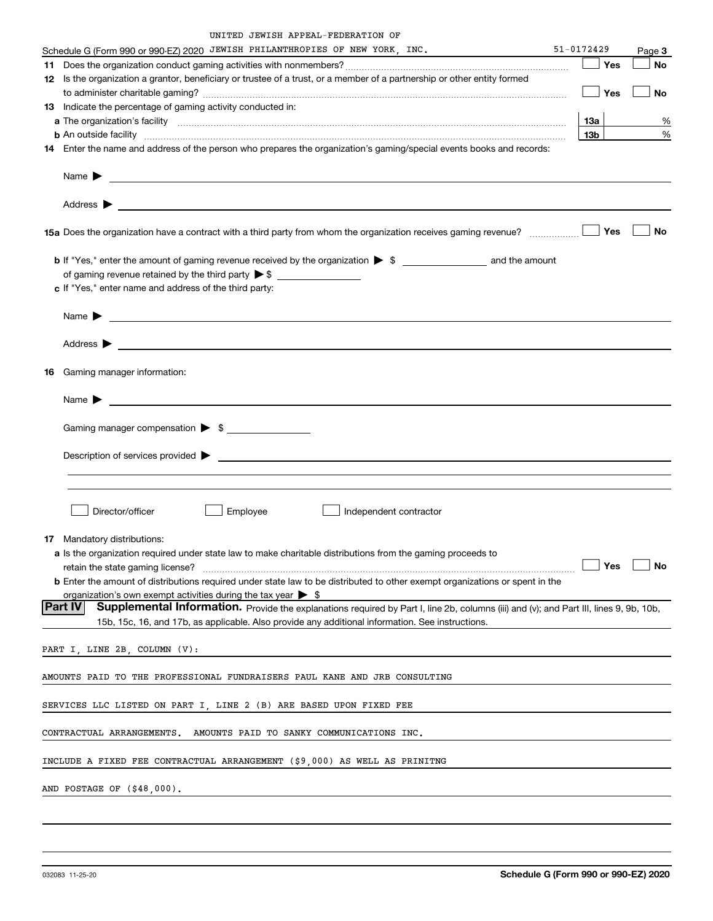|         | Schedule G (Form 990 or 990-EZ) 2020 JEWISH PHILANTHROPIES OF NEW YORK, INC.                                                                                                                                                               | 51-0172429 |      | Page 3    |
|---------|--------------------------------------------------------------------------------------------------------------------------------------------------------------------------------------------------------------------------------------------|------------|------|-----------|
|         |                                                                                                                                                                                                                                            |            | Yes  | <b>No</b> |
|         | 12 Is the organization a grantor, beneficiary or trustee of a trust, or a member of a partnership or other entity formed                                                                                                                   |            |      |           |
|         |                                                                                                                                                                                                                                            |            | Yes  | No        |
|         | 13 Indicate the percentage of gaming activity conducted in:                                                                                                                                                                                |            |      |           |
|         |                                                                                                                                                                                                                                            | 13a        |      | %         |
|         | <b>b</b> An outside facility <i>www.communicality www.communicality.communicality www.communicality www.communicality.communicality www.communicality.com</i>                                                                              | 13b        |      | $\%$      |
|         | 14 Enter the name and address of the person who prepares the organization's gaming/special events books and records:                                                                                                                       |            |      |           |
|         |                                                                                                                                                                                                                                            |            |      |           |
|         |                                                                                                                                                                                                                                            |            |      |           |
|         |                                                                                                                                                                                                                                            |            | Yes  | No        |
|         |                                                                                                                                                                                                                                            |            |      |           |
|         |                                                                                                                                                                                                                                            |            |      |           |
|         | c If "Yes," enter name and address of the third party:                                                                                                                                                                                     |            |      |           |
|         |                                                                                                                                                                                                                                            |            |      |           |
|         |                                                                                                                                                                                                                                            |            |      |           |
|         |                                                                                                                                                                                                                                            |            |      |           |
| 16      | Gaming manager information:                                                                                                                                                                                                                |            |      |           |
|         | <u> 1989 - Johann Barbara, martin amerikan basal dan berasal dan berasal dalam basal dan berasal dan berasal dan</u><br>Name $\blacktriangleright$                                                                                         |            |      |           |
|         | Gaming manager compensation > \$                                                                                                                                                                                                           |            |      |           |
|         |                                                                                                                                                                                                                                            |            |      |           |
|         |                                                                                                                                                                                                                                            |            |      |           |
|         |                                                                                                                                                                                                                                            |            |      |           |
|         |                                                                                                                                                                                                                                            |            |      |           |
|         | Employee<br>Director/officer<br>Independent contractor                                                                                                                                                                                     |            |      |           |
|         | <b>17</b> Mandatory distributions:                                                                                                                                                                                                         |            |      |           |
|         | a Is the organization required under state law to make charitable distributions from the gaming proceeds to                                                                                                                                |            |      |           |
|         | retain the state gaming license?                                                                                                                                                                                                           |            | 」Yes | $\Box$ No |
|         | <b>b</b> Enter the amount of distributions required under state law to be distributed to other exempt organizations or spent in the                                                                                                        |            |      |           |
|         | organization's own exempt activities during the tax year $\triangleright$ \$                                                                                                                                                               |            |      |           |
| Part IV | Supplemental Information. Provide the explanations required by Part I, line 2b, columns (iii) and (v); and Part III, lines 9, 9b, 10b,<br>15b, 15c, 16, and 17b, as applicable. Also provide any additional information. See instructions. |            |      |           |
|         |                                                                                                                                                                                                                                            |            |      |           |
|         | PART I, LINE 2B, COLUMN (V):                                                                                                                                                                                                               |            |      |           |
|         | AMOUNTS PAID TO THE PROFESSIONAL FUNDRAISERS PAUL KANE AND JRB CONSULTING                                                                                                                                                                  |            |      |           |
|         | SERVICES LLC LISTED ON PART I, LINE 2 (B) ARE BASED UPON FIXED FEE                                                                                                                                                                         |            |      |           |
|         | CONTRACTUAL ARRANGEMENTS. AMOUNTS PAID TO SANKY COMMUNICATIONS INC.                                                                                                                                                                        |            |      |           |
|         | INCLUDE A FIXED FEE CONTRACTUAL ARRANGEMENT (\$9,000) AS WELL AS PRINITNG                                                                                                                                                                  |            |      |           |
|         | AND POSTAGE OF $( $48,000)$ .                                                                                                                                                                                                              |            |      |           |
|         |                                                                                                                                                                                                                                            |            |      |           |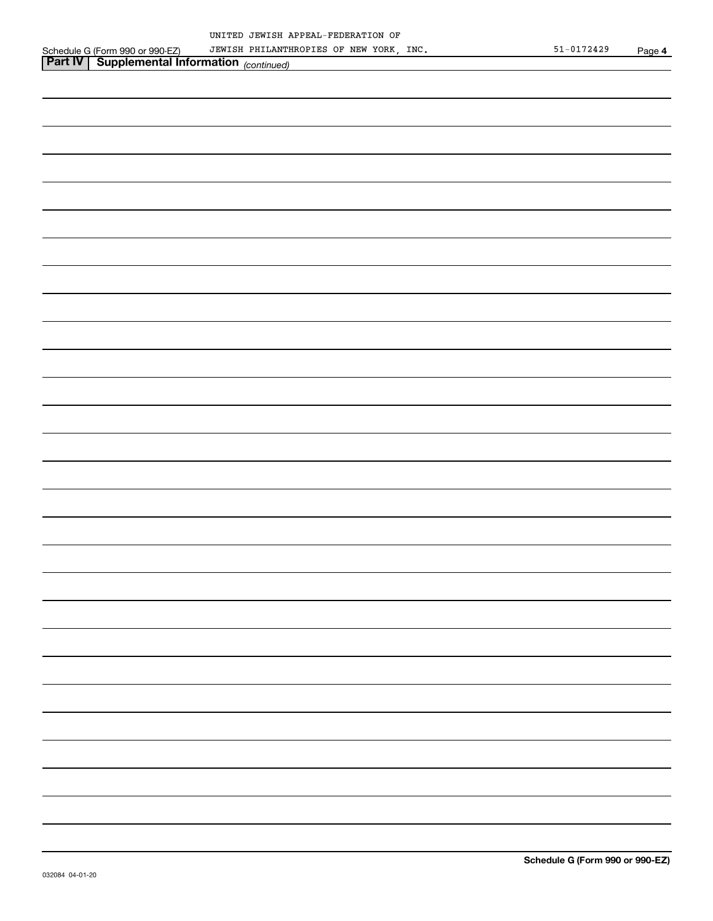|                                                                                                           | JEWISH PHILANTHROPIES OF NEW YORK, INC. |  | $51 - 0172429$ | Page 4 |
|-----------------------------------------------------------------------------------------------------------|-----------------------------------------|--|----------------|--------|
| Schedule G (Form 990 or 990-EZ) JEWISH PHILANTHI<br><b>Part IV   Supplemental Information</b> (continued) |                                         |  |                |        |
|                                                                                                           |                                         |  |                |        |
|                                                                                                           |                                         |  |                |        |
|                                                                                                           |                                         |  |                |        |
|                                                                                                           |                                         |  |                |        |
|                                                                                                           |                                         |  |                |        |
|                                                                                                           |                                         |  |                |        |
|                                                                                                           |                                         |  |                |        |
|                                                                                                           |                                         |  |                |        |
|                                                                                                           |                                         |  |                |        |
|                                                                                                           |                                         |  |                |        |
|                                                                                                           |                                         |  |                |        |
|                                                                                                           |                                         |  |                |        |
|                                                                                                           |                                         |  |                |        |
|                                                                                                           |                                         |  |                |        |
|                                                                                                           |                                         |  |                |        |
|                                                                                                           |                                         |  |                |        |
|                                                                                                           |                                         |  |                |        |
|                                                                                                           |                                         |  |                |        |
|                                                                                                           |                                         |  |                |        |
|                                                                                                           |                                         |  |                |        |
|                                                                                                           |                                         |  |                |        |
|                                                                                                           |                                         |  |                |        |
|                                                                                                           |                                         |  |                |        |
|                                                                                                           |                                         |  |                |        |
|                                                                                                           |                                         |  |                |        |
|                                                                                                           |                                         |  |                |        |
|                                                                                                           |                                         |  |                |        |
|                                                                                                           |                                         |  |                |        |
|                                                                                                           |                                         |  |                |        |
|                                                                                                           |                                         |  |                |        |
|                                                                                                           |                                         |  |                |        |
|                                                                                                           |                                         |  |                |        |
|                                                                                                           |                                         |  |                |        |
|                                                                                                           |                                         |  |                |        |
|                                                                                                           |                                         |  |                |        |
|                                                                                                           |                                         |  |                |        |
|                                                                                                           |                                         |  |                |        |
|                                                                                                           |                                         |  |                |        |
|                                                                                                           |                                         |  |                |        |
|                                                                                                           |                                         |  |                |        |
|                                                                                                           |                                         |  |                |        |
|                                                                                                           |                                         |  |                |        |
|                                                                                                           |                                         |  |                |        |
|                                                                                                           |                                         |  |                |        |
|                                                                                                           |                                         |  |                |        |
|                                                                                                           |                                         |  |                |        |
|                                                                                                           |                                         |  |                |        |
|                                                                                                           |                                         |  |                |        |
|                                                                                                           |                                         |  |                |        |
|                                                                                                           |                                         |  |                |        |
|                                                                                                           |                                         |  |                |        |
|                                                                                                           |                                         |  |                |        |
|                                                                                                           |                                         |  |                |        |
|                                                                                                           |                                         |  |                |        |
|                                                                                                           |                                         |  |                |        |
|                                                                                                           |                                         |  |                |        |
|                                                                                                           |                                         |  |                |        |
|                                                                                                           |                                         |  |                |        |
|                                                                                                           |                                         |  |                |        |
|                                                                                                           |                                         |  |                |        |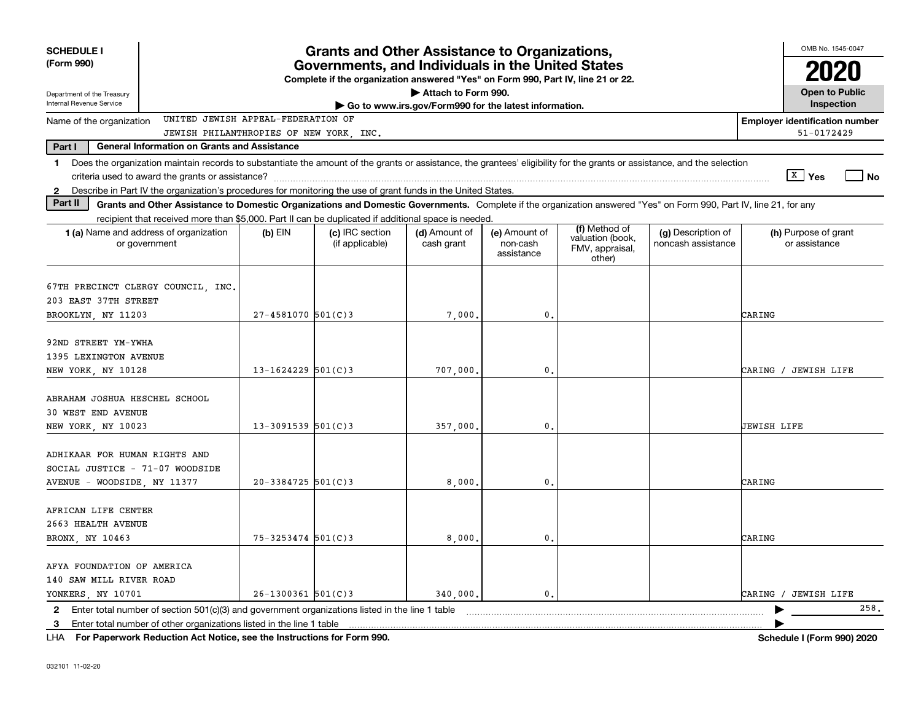| <b>SCHEDULE I</b>                                                                                                                                                                                                                                                                                |                          | <b>Grants and Other Assistance to Organizations,</b>                                                                                  |                             |                                         |                                                                |                                          | OMB No. 1545-0047                     |
|--------------------------------------------------------------------------------------------------------------------------------------------------------------------------------------------------------------------------------------------------------------------------------------------------|--------------------------|---------------------------------------------------------------------------------------------------------------------------------------|-----------------------------|-----------------------------------------|----------------------------------------------------------------|------------------------------------------|---------------------------------------|
| (Form 990)                                                                                                                                                                                                                                                                                       |                          | Governments, and Individuals in the United States<br>Complete if the organization answered "Yes" on Form 990, Part IV, line 21 or 22. |                             |                                         |                                                                |                                          |                                       |
| Attach to Form 990.<br><b>Open to Public</b><br>Department of the Treasury<br>Internal Revenue Service<br>Go to www.irs.gov/Form990 for the latest information.                                                                                                                                  |                          |                                                                                                                                       |                             |                                         |                                                                |                                          |                                       |
| UNITED JEWISH APPEAL-FEDERATION OF<br>Name of the organization                                                                                                                                                                                                                                   |                          |                                                                                                                                       |                             |                                         |                                                                |                                          | <b>Employer identification number</b> |
| JEWISH PHILANTHROPIES OF NEW YORK, INC.                                                                                                                                                                                                                                                          |                          |                                                                                                                                       |                             |                                         |                                                                |                                          | 51-0172429                            |
| Part I<br><b>General Information on Grants and Assistance</b>                                                                                                                                                                                                                                    |                          |                                                                                                                                       |                             |                                         |                                                                |                                          |                                       |
| 1 Does the organization maintain records to substantiate the amount of the grants or assistance, the grantees' eligibility for the grants or assistance, and the selection                                                                                                                       |                          |                                                                                                                                       |                             |                                         |                                                                |                                          |                                       |
|                                                                                                                                                                                                                                                                                                  |                          |                                                                                                                                       |                             |                                         |                                                                |                                          | $X$ Yes<br><b>No</b>                  |
| 2 Describe in Part IV the organization's procedures for monitoring the use of grant funds in the United States.<br>Part II<br>Grants and Other Assistance to Domestic Organizations and Domestic Governments. Complete if the organization answered "Yes" on Form 990, Part IV, line 21, for any |                          |                                                                                                                                       |                             |                                         |                                                                |                                          |                                       |
| recipient that received more than \$5,000. Part II can be duplicated if additional space is needed.                                                                                                                                                                                              |                          |                                                                                                                                       |                             |                                         |                                                                |                                          |                                       |
| <b>1 (a)</b> Name and address of organization<br>or government                                                                                                                                                                                                                                   | $(b)$ EIN                | (c) IRC section<br>(if applicable)                                                                                                    | (d) Amount of<br>cash grant | (e) Amount of<br>non-cash<br>assistance | (f) Method of<br>valuation (book,<br>FMV, appraisal,<br>other) | (g) Description of<br>noncash assistance | (h) Purpose of grant<br>or assistance |
| 67TH PRECINCT CLERGY COUNCIL, INC.<br>203 EAST 37TH STREET<br>BROOKLYN, NY 11203                                                                                                                                                                                                                 | $27 - 4581070$ 501(C)3   |                                                                                                                                       | 7,000                       | 0.                                      |                                                                |                                          | CARING                                |
|                                                                                                                                                                                                                                                                                                  |                          |                                                                                                                                       |                             |                                         |                                                                |                                          |                                       |
| 92ND STREET YM-YWHA                                                                                                                                                                                                                                                                              |                          |                                                                                                                                       |                             |                                         |                                                                |                                          |                                       |
| 1395 LEXINGTON AVENUE                                                                                                                                                                                                                                                                            |                          |                                                                                                                                       |                             |                                         |                                                                |                                          |                                       |
| NEW YORK, NY 10128                                                                                                                                                                                                                                                                               | $13 - 1624229$ 501(C)3   |                                                                                                                                       | 707,000,                    | $\mathbf{0}$                            |                                                                |                                          | CARING / JEWISH LIFE                  |
| ABRAHAM JOSHUA HESCHEL SCHOOL<br>30 WEST END AVENUE<br>NEW YORK, NY 10023                                                                                                                                                                                                                        | $13 - 3091539$ $501(C)3$ |                                                                                                                                       | 357,000,                    | 0.                                      |                                                                |                                          | JEWISH LIFE                           |
|                                                                                                                                                                                                                                                                                                  |                          |                                                                                                                                       |                             |                                         |                                                                |                                          |                                       |
| ADHIKAAR FOR HUMAN RIGHTS AND<br>SOCIAL JUSTICE - 71-07 WOODSIDE<br>AVENUE - WOODSIDE, NY 11377                                                                                                                                                                                                  | $20 - 3384725$ 501(C)3   |                                                                                                                                       | 8,000                       | $\mathbf{0}$                            |                                                                |                                          | CARING                                |
| AFRICAN LIFE CENTER<br>2663 HEALTH AVENUE<br>BRONX, NY 10463                                                                                                                                                                                                                                     | 75-3253474 501(C)3       |                                                                                                                                       | 8,000                       | 0.                                      |                                                                |                                          | CARING                                |
| AFYA FOUNDATION OF AMERICA<br>140 SAW MILL RIVER ROAD<br>YONKERS, NY 10701                                                                                                                                                                                                                       | $26 - 1300361$ 501(C)3   |                                                                                                                                       | 340,000.                    | 0.                                      |                                                                |                                          | CARING / JEWISH LIFE                  |
| 2 Enter total number of section 501(c)(3) and government organizations listed in the line 1 table                                                                                                                                                                                                |                          |                                                                                                                                       |                             |                                         |                                                                |                                          | 258.                                  |
| 3 Enter total number of other organizations listed in the line 1 table                                                                                                                                                                                                                           |                          |                                                                                                                                       |                             |                                         |                                                                |                                          |                                       |

**For Paperwork Reduction Act Notice, see the Instructions for Form 990. Schedule I (Form 990) 2020** LHA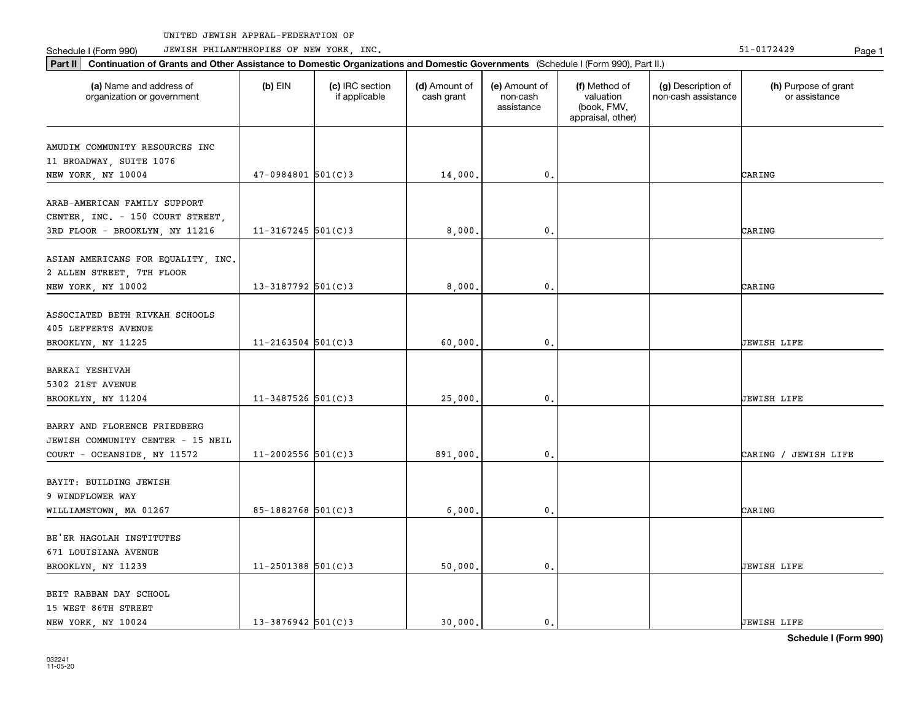Schedule I (Form 990) JEWISH PHILANTHROPIES OF NEW YORK, INC. New York in the state of the state of the State of the State of the State of the State of the State of the State of the State of the State of the State of the

| Part II   Continuation of Grants and Other Assistance to Domestic Organizations and Domestic Governments (Schedule I (Form 990), Part II.) |                        |                                  |                             |                                         |                                                                |                                           |                                       |
|--------------------------------------------------------------------------------------------------------------------------------------------|------------------------|----------------------------------|-----------------------------|-----------------------------------------|----------------------------------------------------------------|-------------------------------------------|---------------------------------------|
| (a) Name and address of<br>organization or government                                                                                      | $(b)$ EIN              | (c) IRC section<br>if applicable | (d) Amount of<br>cash grant | (e) Amount of<br>non-cash<br>assistance | (f) Method of<br>valuation<br>(book, FMV,<br>appraisal, other) | (g) Description of<br>non-cash assistance | (h) Purpose of grant<br>or assistance |
| AMUDIM COMMUNITY RESOURCES INC<br>11 BROADWAY, SUITE 1076<br>NEW YORK, NY 10004                                                            | $47-0984801$ 501(C)3   |                                  | 14,000.                     | $\mathbf{0}$ .                          |                                                                |                                           | CARING                                |
| ARAB-AMERICAN FAMILY SUPPORT<br>CENTER, INC. - 150 COURT STREET,<br>3RD FLOOR - BROOKLYN, NY 11216                                         | $11-3167245$ 501(C)3   |                                  | 8,000,                      | $\mathbf 0$ .                           |                                                                |                                           | CARING                                |
| ASIAN AMERICANS FOR EQUALITY, INC.<br>2 ALLEN STREET, 7TH FLOOR<br>NEW YORK, NY 10002                                                      | $13 - 3187792$ 501(C)3 |                                  | 8,000,                      | $\mathbf{0}$ .                          |                                                                |                                           | CARING                                |
| ASSOCIATED BETH RIVKAH SCHOOLS<br><b>405 LEFFERTS AVENUE</b><br>BROOKLYN, NY 11225                                                         | $11 - 2163504$ 501(C)3 |                                  | 60,000                      | 0.                                      |                                                                |                                           | JEWISH LIFE                           |
| BARKAI YESHIVAH<br>5302 21ST AVENUE<br>BROOKLYN, NY 11204                                                                                  | $11 - 3487526$ 501(C)3 |                                  | 25,000                      | $\mathbf{0}$ .                          |                                                                |                                           | JEWISH LIFE                           |
| BARRY AND FLORENCE FRIEDBERG<br>JEWISH COMMUNITY CENTER - 15 NEIL<br>COURT - OCEANSIDE, NY 11572                                           | $11 - 2002556$ 501(C)3 |                                  | 891,000,                    | $\mathbf{0}$ .                          |                                                                |                                           | CARING / JEWISH LIFE                  |
| BAYIT: BUILDING JEWISH<br>9 WINDFLOWER WAY<br>WILLIAMSTOWN, MA 01267                                                                       | 85-1882768 501(C)3     |                                  | 6,000,                      | $\mathbf{0}$ .                          |                                                                |                                           | CARING                                |
| BE'ER HAGOLAH INSTITUTES<br>671 LOUISIANA AVENUE<br>BROOKLYN, NY 11239                                                                     | $11 - 2501388$ 501(C)3 |                                  | 50,000.                     | $\mathbf{0}$ .                          |                                                                |                                           | JEWISH LIFE                           |
| BEIT RABBAN DAY SCHOOL<br>15 WEST 86TH STREET                                                                                              |                        |                                  |                             |                                         |                                                                |                                           |                                       |

NEW YORK, NY 10024 13-3876942 501(C)3 30,000. 0. 0.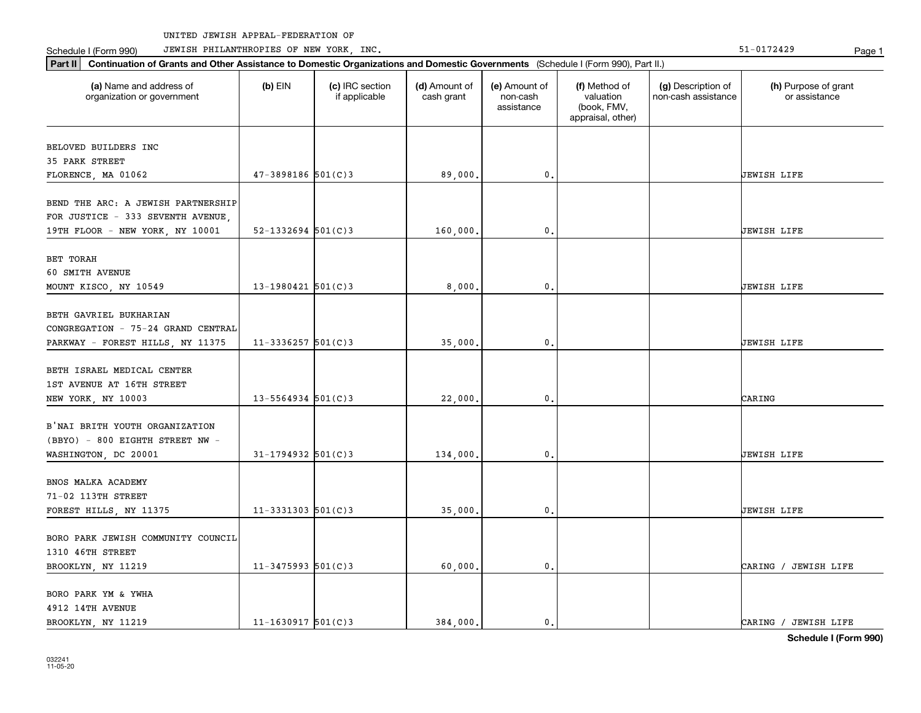Schedule I (Form 990) JEWISH PHILANTHROPIES OF NEW YORK, INC. New York in the state of the state of the State of the State of the State of the State of the State of the State of the State of the State of the State of the

| Schedule I (Form 990) |  |
|-----------------------|--|
|-----------------------|--|

| (a) Name and address of<br>organization or government | $(b)$ EIN                | (c) IRC section<br>if applicable | (d) Amount of<br>cash grant | (e) Amount of<br>non-cash<br>assistance | (f) Method of<br>valuation<br>(book, FMV,<br>appraisal, other) | (g) Description of<br>non-cash assistance | (h) Purpose of grant<br>or assistance |
|-------------------------------------------------------|--------------------------|----------------------------------|-----------------------------|-----------------------------------------|----------------------------------------------------------------|-------------------------------------------|---------------------------------------|
| BELOVED BUILDERS INC                                  |                          |                                  |                             |                                         |                                                                |                                           |                                       |
| 35 PARK STREET                                        |                          |                                  |                             |                                         |                                                                |                                           |                                       |
| FLORENCE, MA 01062                                    | 47-3898186 501(C)3       |                                  | 89,000.                     | 0.                                      |                                                                |                                           | JEWISH LIFE                           |
| BEND THE ARC: A JEWISH PARTNERSHIP                    |                          |                                  |                             |                                         |                                                                |                                           |                                       |
| FOR JUSTICE - 333 SEVENTH AVENUE,                     |                          |                                  |                             |                                         |                                                                |                                           |                                       |
| 19TH FLOOR - NEW YORK, NY 10001                       | $52 - 1332694$ $501(C)3$ |                                  | 160,000,                    | 0.                                      |                                                                |                                           | JEWISH LIFE                           |
|                                                       |                          |                                  |                             |                                         |                                                                |                                           |                                       |
| BET TORAH                                             |                          |                                  |                             |                                         |                                                                |                                           |                                       |
| 60 SMITH AVENUE<br>MOUNT KISCO, NY 10549              | 13-1980421 $501(C)$ 3    |                                  | 8,000,                      | $\mathbf 0$ .                           |                                                                |                                           | JEWISH LIFE                           |
|                                                       |                          |                                  |                             |                                         |                                                                |                                           |                                       |
| BETH GAVRIEL BUKHARIAN                                |                          |                                  |                             |                                         |                                                                |                                           |                                       |
| CONGREGATION - 75-24 GRAND CENTRAL                    |                          |                                  |                             |                                         |                                                                |                                           |                                       |
| PARKWAY - FOREST HILLS, NY 11375                      | $11-3336257$ 501(C)3     |                                  | 35,000.                     | 0.                                      |                                                                |                                           | JEWISH LIFE                           |
|                                                       |                          |                                  |                             |                                         |                                                                |                                           |                                       |
| BETH ISRAEL MEDICAL CENTER                            |                          |                                  |                             |                                         |                                                                |                                           |                                       |
| 1ST AVENUE AT 16TH STREET                             |                          |                                  |                             |                                         |                                                                |                                           |                                       |
| NEW YORK, NY 10003                                    | $13 - 5564934$ 501(C)3   |                                  | 22,000.                     | 0.                                      |                                                                |                                           | CARING                                |
| B'NAI BRITH YOUTH ORGANIZATION                        |                          |                                  |                             |                                         |                                                                |                                           |                                       |
| (BBYO) - 800 EIGHTH STREET NW -                       |                          |                                  |                             |                                         |                                                                |                                           |                                       |
| WASHINGTON, DC 20001                                  | $31 - 1794932$ 501(C)3   |                                  | 134,000.                    | 0.                                      |                                                                |                                           | JEWISH LIFE                           |
|                                                       |                          |                                  |                             |                                         |                                                                |                                           |                                       |
| BNOS MALKA ACADEMY                                    |                          |                                  |                             |                                         |                                                                |                                           |                                       |
| 71-02 113TH STREET                                    |                          |                                  |                             |                                         |                                                                |                                           |                                       |
| FOREST HILLS, NY 11375                                | $11-3331303$ $501(C)3$   |                                  | 35,000.                     | 0.                                      |                                                                |                                           | JEWISH LIFE                           |
|                                                       |                          |                                  |                             |                                         |                                                                |                                           |                                       |
| BORO PARK JEWISH COMMUNITY COUNCIL                    |                          |                                  |                             |                                         |                                                                |                                           |                                       |
| 1310 46TH STREET                                      |                          |                                  |                             |                                         |                                                                |                                           |                                       |
| BROOKLYN, NY 11219                                    | $11-3475993$ 501(C)3     |                                  | 60,000,                     | 0.                                      |                                                                |                                           | CARING / JEWISH LIFE                  |
| BORO PARK YM & YWHA                                   |                          |                                  |                             |                                         |                                                                |                                           |                                       |
| 4912 14TH AVENUE                                      |                          |                                  |                             |                                         |                                                                |                                           |                                       |
| BROOKLYN, NY 11219                                    | $11 - 1630917$ 501(C)3   |                                  | 384.000.                    | 0.                                      |                                                                |                                           | CARING / JEWISH LIFE                  |
|                                                       |                          |                                  |                             |                                         |                                                                |                                           |                                       |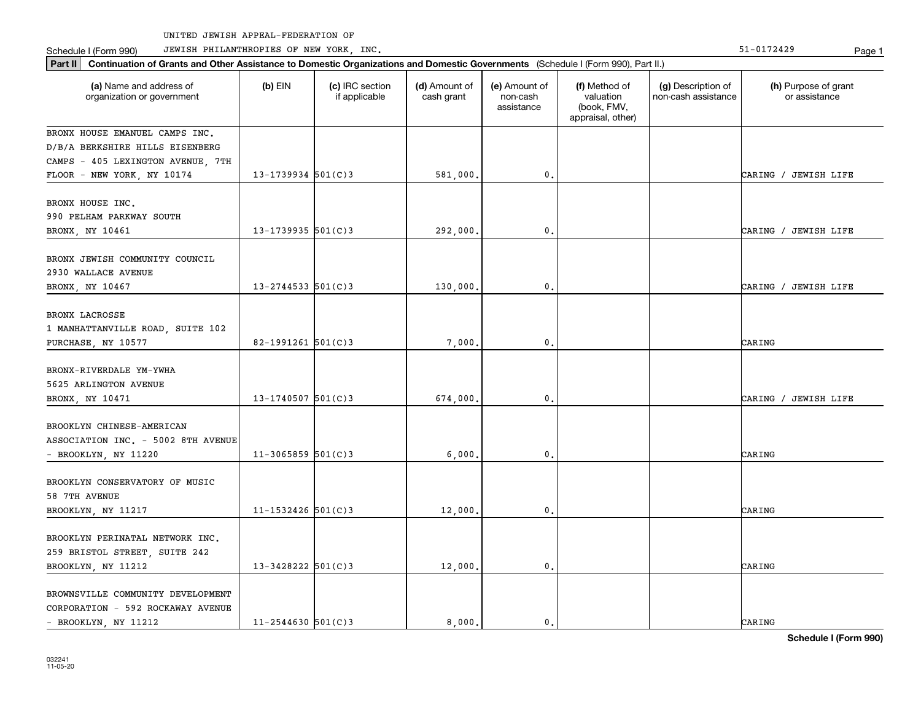Part II | Continuation of Grants and Other Assistance to Domestic Organizations and Domestic Governments (Schedule I (Form 990), Part II.)

Schedule I (Form 990) JEWISH PHILANTHROPIES OF NEW YORK, INC. New York in the state of the state of the State of the State of the State of the State of the State of the State of the State of the State of the State of the

| (a) Name and address of<br>organization or government                                          | $(b)$ EIN              | (c) IRC section<br>if applicable | (d) Amount of<br>cash grant | (e) Amount of<br>non-cash<br>assistance | (f) Method of<br>valuation<br>(book, FMV,<br>appraisal, other) | (g) Description of<br>non-cash assistance | (h) Purpose of grant<br>or assistance |
|------------------------------------------------------------------------------------------------|------------------------|----------------------------------|-----------------------------|-----------------------------------------|----------------------------------------------------------------|-------------------------------------------|---------------------------------------|
| BRONX HOUSE EMANUEL CAMPS INC.<br>D/B/A BERKSHIRE HILLS EISENBERG                              |                        |                                  |                             |                                         |                                                                |                                           |                                       |
| CAMPS - 405 LEXINGTON AVENUE, 7TH<br>FLOOR - NEW YORK, NY 10174                                | $13 - 1739934$ 501(C)3 |                                  | 581,000,                    | $\mathbf{0}$ .                          |                                                                |                                           | CARING / JEWISH LIFE                  |
| BRONX HOUSE INC.<br>990 PELHAM PARKWAY SOUTH                                                   |                        |                                  |                             |                                         |                                                                |                                           |                                       |
| BRONX, NY 10461                                                                                | $13 - 1739935$ 501(C)3 |                                  | 292,000                     | $\mathbf{0}$ .                          |                                                                |                                           | CARING / JEWISH LIFE                  |
| BRONX JEWISH COMMUNITY COUNCIL<br>2930 WALLACE AVENUE                                          |                        |                                  |                             |                                         |                                                                |                                           |                                       |
| BRONX, NY 10467                                                                                | $13 - 2744533$ 501(C)3 |                                  | 130,000                     | 0.                                      |                                                                |                                           | CARING / JEWISH LIFE                  |
| <b>BRONX LACROSSE</b><br>1 MANHATTANVILLE ROAD, SUITE 102<br>PURCHASE, NY 10577                | 82-1991261 $501(C)$ 3  |                                  | 7,000                       | 0.                                      |                                                                |                                           | CARING                                |
| BRONX-RIVERDALE YM-YWHA<br>5625 ARLINGTON AVENUE                                               |                        |                                  |                             |                                         |                                                                |                                           |                                       |
| BRONX, NY 10471                                                                                | $13 - 1740507$ 501(C)3 |                                  | 674,000.                    | 0.                                      |                                                                |                                           | CARING / JEWISH LIFE                  |
| BROOKLYN CHINESE-AMERICAN<br>ASSOCIATION INC. - 5002 8TH AVENUE<br>- BROOKLYN, NY 11220        | $11-3065859$ 501(C)3   |                                  | 6,000.                      | 0.                                      |                                                                |                                           | CARING                                |
| BROOKLYN CONSERVATORY OF MUSIC<br>58 7TH AVENUE<br>BROOKLYN, NY 11217                          | $11 - 1532426$ 501(C)3 |                                  | 12,000.                     | 0.                                      |                                                                |                                           | CARING                                |
| BROOKLYN PERINATAL NETWORK INC.<br>259 BRISTOL STREET, SUITE 242<br>BROOKLYN, NY 11212         | $13 - 3428222$ 501(C)3 |                                  | 12,000,                     | 0.                                      |                                                                |                                           | CARING                                |
| BROWNSVILLE COMMUNITY DEVELOPMENT<br>CORPORATION - 592 ROCKAWAY AVENUE<br>- BROOKLYN, NY 11212 | $11 - 2544630$ 501(C)3 |                                  | 8.000.                      | $\mathbf{0}$ .                          |                                                                |                                           | CARING                                |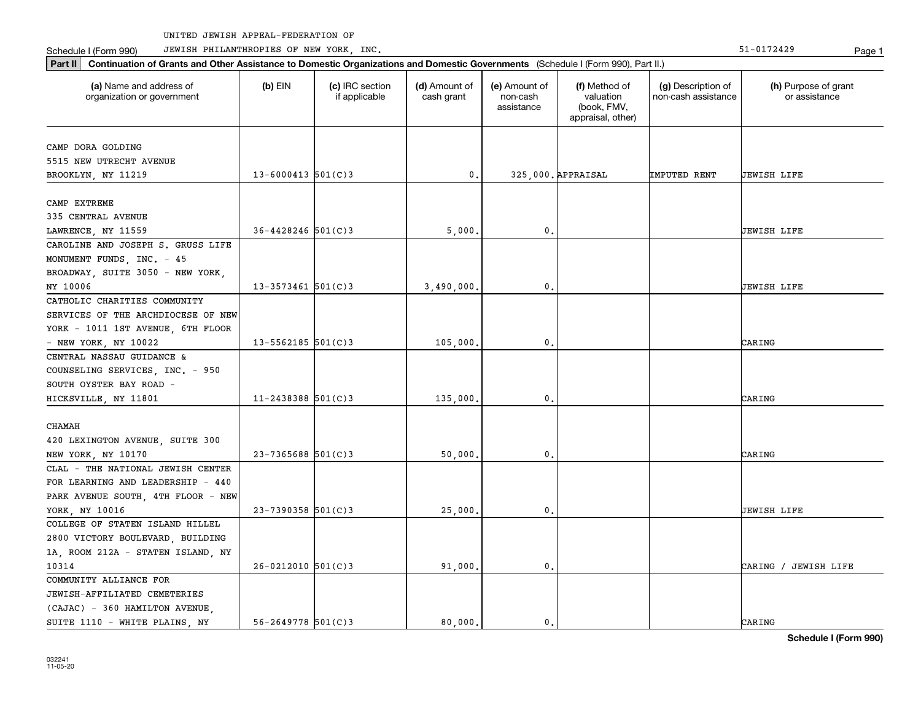Schedule I (Form 990) JEWISH PHILANTHROPIES OF NEW YORK, INC. New York in the state of the state of the State of the State of the State of the State of the State of the State of the State of the State of the State of the

| (a) Name and address of<br>organization or government | $(b)$ EIN              | (c) IRC section<br>if applicable | (d) Amount of<br>cash grant | (e) Amount of<br>non-cash<br>assistance | (f) Method of<br>valuation<br>(book, FMV,<br>appraisal, other) | (g) Description of<br>non-cash assistance | (h) Purpose of grant<br>or assistance |
|-------------------------------------------------------|------------------------|----------------------------------|-----------------------------|-----------------------------------------|----------------------------------------------------------------|-------------------------------------------|---------------------------------------|
| CAMP DORA GOLDING                                     |                        |                                  |                             |                                         |                                                                |                                           |                                       |
| 5515 NEW UTRECHT AVENUE                               |                        |                                  |                             |                                         |                                                                |                                           |                                       |
| BROOKLYN, NY 11219                                    | $13 - 6000413$ 501(C)3 |                                  | 0.                          |                                         | 325,000. APPRAISAL                                             | IMPUTED RENT                              | JEWISH LIFE                           |
|                                                       |                        |                                  |                             |                                         |                                                                |                                           |                                       |
| CAMP EXTREME                                          |                        |                                  |                             |                                         |                                                                |                                           |                                       |
| 335 CENTRAL AVENUE                                    |                        |                                  |                             |                                         |                                                                |                                           |                                       |
| LAWRENCE, NY 11559                                    | $36 - 4428246$ 501(C)3 |                                  | 5,000                       | $\mathbf{0}$ .                          |                                                                |                                           | <b>JEWISH LIFE</b>                    |
| CAROLINE AND JOSEPH S. GRUSS LIFE                     |                        |                                  |                             |                                         |                                                                |                                           |                                       |
| MONUMENT FUNDS, INC. - 45                             |                        |                                  |                             |                                         |                                                                |                                           |                                       |
| BROADWAY, SUITE 3050 - NEW YORK,                      |                        |                                  |                             |                                         |                                                                |                                           |                                       |
| NY 10006                                              | $13 - 3573461$ 501(C)3 |                                  | 3,490,000.                  | $\mathbf{0}$ .                          |                                                                |                                           | JEWISH LIFE                           |
| CATHOLIC CHARITIES COMMUNITY                          |                        |                                  |                             |                                         |                                                                |                                           |                                       |
| SERVICES OF THE ARCHDIOCESE OF NEW                    |                        |                                  |                             |                                         |                                                                |                                           |                                       |
| YORK - 1011 1ST AVENUE, 6TH FLOOR                     |                        |                                  |                             |                                         |                                                                |                                           |                                       |
| - NEW YORK, NY 10022                                  | $13 - 5562185$ 501(C)3 |                                  | 105,000.                    | $\mathfrak{o}$ .                        |                                                                |                                           | CARING                                |
| CENTRAL NASSAU GUIDANCE &                             |                        |                                  |                             |                                         |                                                                |                                           |                                       |
| COUNSELING SERVICES, INC. - 950                       |                        |                                  |                             |                                         |                                                                |                                           |                                       |
| SOUTH OYSTER BAY ROAD -                               |                        |                                  |                             |                                         |                                                                |                                           |                                       |
| HICKSVILLE, NY 11801                                  | $11 - 2438388$ 501(C)3 |                                  | 135,000.                    | $\mathbf{0}$ .                          |                                                                |                                           | CARING                                |
|                                                       |                        |                                  |                             |                                         |                                                                |                                           |                                       |
| CHAMAH                                                |                        |                                  |                             |                                         |                                                                |                                           |                                       |
| 420 LEXINGTON AVENUE, SUITE 300                       |                        |                                  |                             |                                         |                                                                |                                           |                                       |
| NEW YORK, NY 10170                                    | $23 - 7365688$ 501(C)3 |                                  | 50,000                      | $\mathbf{0}$ .                          |                                                                |                                           | CARING                                |
| CLAL - THE NATIONAL JEWISH CENTER                     |                        |                                  |                             |                                         |                                                                |                                           |                                       |
| FOR LEARNING AND LEADERSHIP - 440                     |                        |                                  |                             |                                         |                                                                |                                           |                                       |
| PARK AVENUE SOUTH, 4TH FLOOR - NEW                    |                        |                                  |                             |                                         |                                                                |                                           |                                       |
| YORK, NY 10016                                        | $23 - 7390358$ 501(C)3 |                                  | 25,000,                     | $\mathbf{0}$ .                          |                                                                |                                           | <b>JEWISH LIFE</b>                    |
| COLLEGE OF STATEN ISLAND HILLEL                       |                        |                                  |                             |                                         |                                                                |                                           |                                       |
| 2800 VICTORY BOULEVARD, BUILDING                      |                        |                                  |                             |                                         |                                                                |                                           |                                       |
| 1A, ROOM 212A - STATEN ISLAND, NY                     |                        |                                  |                             |                                         |                                                                |                                           |                                       |
| 10314                                                 | $26 - 0212010$ 501(C)3 |                                  | 91,000.                     | $\mathbf{0}$ .                          |                                                                |                                           | CARING / JEWISH LIFE                  |
| COMMUNITY ALLIANCE FOR                                |                        |                                  |                             |                                         |                                                                |                                           |                                       |
| JEWISH-AFFILIATED CEMETERIES                          |                        |                                  |                             |                                         |                                                                |                                           |                                       |
| (CAJAC) - 360 HAMILTON AVENUE,                        |                        |                                  |                             |                                         |                                                                |                                           |                                       |
| SUITE 1110 - WHITE PLAINS, NY                         | $56 - 2649778$ 501(C)3 |                                  | 80,000.                     | $\mathbf{0}$ .                          |                                                                |                                           | CARING                                |

**Schedule I (Form 990)**

Part II | Continuation of Grants and Other Assistance to Domestic Organizations and Domestic Governments (Schedule I (Form 990), Part II.)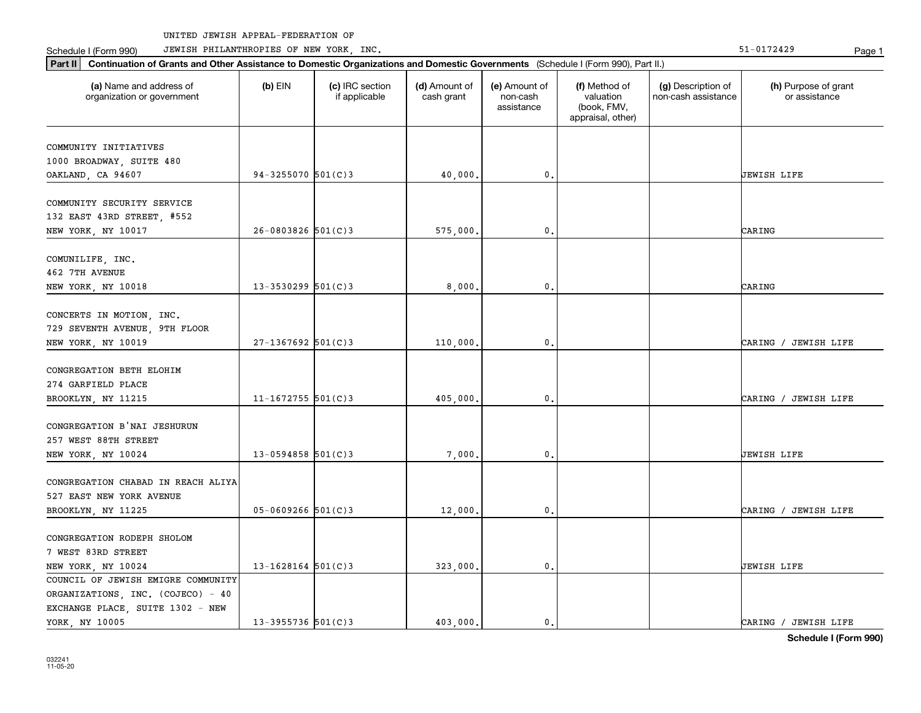Part II | Continuation of Grants and Other Assistance to Domestic Organizations and Domestic Governments (Schedule I (Form 990), Part II.)

Schedule I (Form 990) JEWISH PHILANTHROPIES OF NEW YORK, INC. New York in the state of the state of the State of the State of the State of the State of the State of the State of the State of the State of the State of the

| (a) Name and address of<br>organization or government                           | $(b)$ EIN                | (c) IRC section<br>if applicable | (d) Amount of<br>cash grant | (e) Amount of<br>non-cash<br>assistance | (f) Method of<br>valuation<br>(book, FMV,<br>appraisal, other) | (g) Description of<br>non-cash assistance | (h) Purpose of grant<br>or assistance |
|---------------------------------------------------------------------------------|--------------------------|----------------------------------|-----------------------------|-----------------------------------------|----------------------------------------------------------------|-------------------------------------------|---------------------------------------|
| COMMUNITY INITIATIVES<br>1000 BROADWAY, SUITE 480                               |                          |                                  |                             |                                         |                                                                |                                           |                                       |
| OAKLAND, CA 94607                                                               | 94-3255070 501(C)3       |                                  | 40,000.                     | 0.                                      |                                                                |                                           | UEWISH LIFE                           |
| COMMUNITY SECURITY SERVICE<br>132 EAST 43RD STREET, #552                        |                          |                                  |                             |                                         |                                                                |                                           |                                       |
| NEW YORK, NY 10017                                                              | $26 - 0803826$ 501(C)3   |                                  | 575,000.                    | $\mathbf 0$ .                           |                                                                |                                           | CARING                                |
| COMUNILIFE, INC.<br>462 7TH AVENUE                                              |                          |                                  |                             |                                         |                                                                |                                           |                                       |
| NEW YORK, NY 10018                                                              | $13 - 3530299$ $501(C)3$ |                                  | 8,000.                      | $\mathbf{0}$ .                          |                                                                |                                           | CARING                                |
| CONCERTS IN MOTION, INC.<br>729 SEVENTH AVENUE, 9TH FLOOR<br>NEW YORK, NY 10019 | $27-1367692$ 501(C)3     |                                  | 110,000.                    | 0.                                      |                                                                |                                           | CARING / JEWISH LIFE                  |
| CONGREGATION BETH ELOHIM<br>274 GARFIELD PLACE<br>BROOKLYN, NY 11215            | 11-1672755 $501(C)3$     |                                  | 405,000.                    | 0.                                      |                                                                |                                           | CARING / JEWISH LIFE                  |
|                                                                                 |                          |                                  |                             |                                         |                                                                |                                           |                                       |
| CONGREGATION B'NAI JESHURUN<br>257 WEST 88TH STREET<br>NEW YORK, NY 10024       | $13 - 0594858$ 501(C)3   |                                  | 7,000.                      | $\mathbf 0$ .                           |                                                                |                                           | JEWISH LIFE                           |
| CONGREGATION CHABAD IN REACH ALIYA<br>527 EAST NEW YORK AVENUE                  |                          |                                  |                             |                                         |                                                                |                                           |                                       |
| BROOKLYN, NY 11225                                                              | $05 - 0609266$ 501(C)3   |                                  | 12,000.                     | 0.                                      |                                                                |                                           | CARING / JEWISH LIFE                  |
| CONGREGATION RODEPH SHOLOM<br>7 WEST 83RD STREET                                |                          |                                  |                             |                                         |                                                                |                                           |                                       |
| NEW YORK, NY 10024<br>COUNCIL OF JEWISH EMIGRE COMMUNITY                        | $13 - 1628164$ 501(C)3   |                                  | 323,000.                    | $\mathbf 0$ .                           |                                                                |                                           | JEWISH LIFE                           |
| ORGANIZATIONS, INC. (COJECO) - 40                                               |                          |                                  |                             |                                         |                                                                |                                           |                                       |
| EXCHANGE PLACE, SUITE 1302 - NEW                                                |                          |                                  |                             |                                         |                                                                |                                           |                                       |

YORK, NY 10005 13-3955736 501(C)3 403,000. 0. 0. CARING / JEWISH LIFE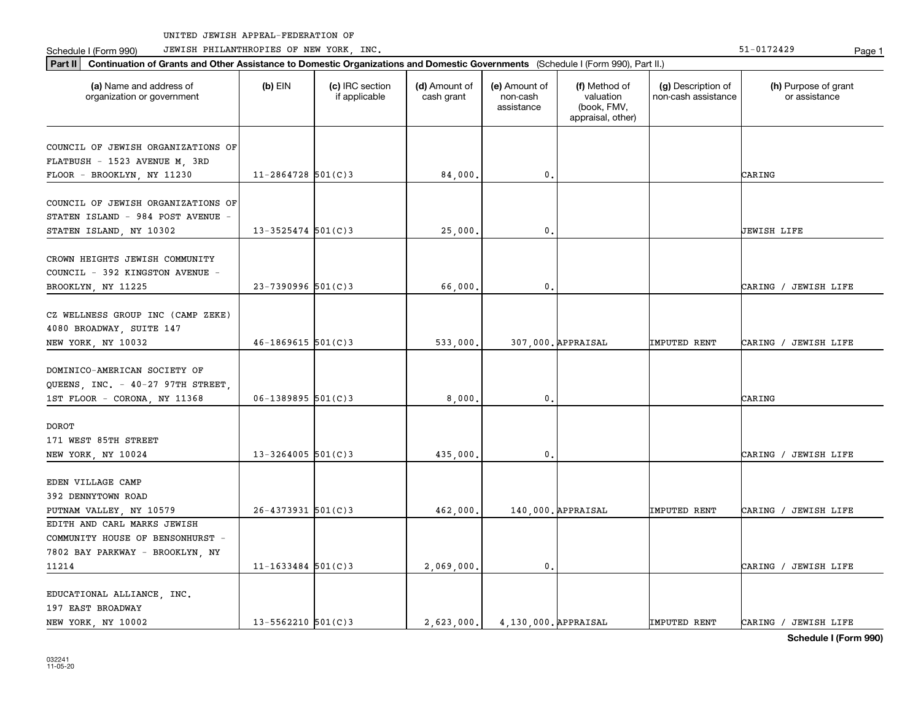Part II | Continuation of Grants and Other Assistance to Domestic Organizations and Domestic Governments (Schedule I (Form 990), Part II.)

Schedule I (Form 990) JEWISH PHILANTHROPIES OF NEW YORK, INC. New York in the state of the state of the State of the State of the State of the State of the State of the State of the State of the State of the State of the

| (a) Name and address of<br>organization or government | $(b)$ EIN              | (c) IRC section<br>if applicable | (d) Amount of<br>cash grant | (e) Amount of<br>non-cash<br>assistance | (f) Method of<br>valuation<br>(book, FMV,<br>appraisal, other) | (g) Description of<br>non-cash assistance | (h) Purpose of grant<br>or assistance |
|-------------------------------------------------------|------------------------|----------------------------------|-----------------------------|-----------------------------------------|----------------------------------------------------------------|-------------------------------------------|---------------------------------------|
| COUNCIL OF JEWISH ORGANIZATIONS OF                    |                        |                                  |                             |                                         |                                                                |                                           |                                       |
| FLATBUSH - 1523 AVENUE M, 3RD                         |                        |                                  |                             |                                         |                                                                |                                           |                                       |
| FLOOR - BROOKLYN, NY 11230                            | $11 - 2864728$ 501(C)3 |                                  | 84,000.                     | 0.                                      |                                                                |                                           | CARING                                |
| COUNCIL OF JEWISH ORGANIZATIONS OF                    |                        |                                  |                             |                                         |                                                                |                                           |                                       |
| STATEN ISLAND - 984 POST AVENUE -                     |                        |                                  |                             |                                         |                                                                |                                           |                                       |
| STATEN ISLAND, NY 10302                               | $13 - 3525474$ 501(C)3 |                                  | 25,000.                     | $\mathbf 0$ .                           |                                                                |                                           | JEWISH LIFE                           |
| CROWN HEIGHTS JEWISH COMMUNITY                        |                        |                                  |                             |                                         |                                                                |                                           |                                       |
| COUNCIL - 392 KINGSTON AVENUE -                       |                        |                                  |                             |                                         |                                                                |                                           |                                       |
| BROOKLYN, NY 11225                                    | $23 - 7390996$ 501(C)3 |                                  | 66,000.                     | $\mathbf{0}$                            |                                                                |                                           | CARING / JEWISH LIFE                  |
| CZ WELLNESS GROUP INC (CAMP ZEKE)                     |                        |                                  |                             |                                         |                                                                |                                           |                                       |
| 4080 BROADWAY, SUITE 147                              |                        |                                  |                             |                                         |                                                                |                                           |                                       |
| NEW YORK, NY 10032                                    | $46 - 1869615$ 501(C)3 |                                  | 533,000.                    |                                         | 307,000. APPRAISAL                                             | IMPUTED RENT                              | CARING / JEWISH LIFE                  |
| DOMINICO-AMERICAN SOCIETY OF                          |                        |                                  |                             |                                         |                                                                |                                           |                                       |
| QUEENS, INC. - 40-27 97TH STREET,                     |                        |                                  |                             |                                         |                                                                |                                           |                                       |
| 1ST FLOOR - CORONA, NY 11368                          | $06 - 1389895$ 501(C)3 |                                  | 8,000.                      | $\mathbf{0}$ .                          |                                                                |                                           | CARING                                |
| <b>DOROT</b>                                          |                        |                                  |                             |                                         |                                                                |                                           |                                       |
| 171 WEST 85TH STREET                                  |                        |                                  |                             |                                         |                                                                |                                           |                                       |
| NEW YORK, NY 10024                                    | $13 - 3264005$ 501(C)3 |                                  | 435,000.                    | $\mathbf 0$ .                           |                                                                |                                           | CARING / JEWISH LIFE                  |
| EDEN VILLAGE CAMP                                     |                        |                                  |                             |                                         |                                                                |                                           |                                       |
| 392 DENNYTOWN ROAD                                    |                        |                                  |                             |                                         |                                                                |                                           |                                       |
| PUTNAM VALLEY, NY 10579                               | $26 - 4373931$ 501(C)3 |                                  | 462,000.                    |                                         | 140,000. APPRAISAL                                             | <b>IMPUTED RENT</b>                       | CARING / JEWISH LIFE                  |
| EDITH AND CARL MARKS JEWISH                           |                        |                                  |                             |                                         |                                                                |                                           |                                       |
| COMMUNITY HOUSE OF BENSONHURST -                      |                        |                                  |                             |                                         |                                                                |                                           |                                       |
| 7802 BAY PARKWAY - BROOKLYN, NY                       |                        |                                  |                             |                                         |                                                                |                                           |                                       |
| 11214                                                 | $11 - 1633484$ 501(C)3 |                                  | 2,069,000.                  | 0.                                      |                                                                |                                           | CARING / JEWISH LIFE                  |
| EDUCATIONAL ALLIANCE, INC.                            |                        |                                  |                             |                                         |                                                                |                                           |                                       |
| 197 EAST BROADWAY                                     |                        |                                  |                             |                                         |                                                                |                                           |                                       |
| NEW YORK, NY 10002                                    | $13 - 5562210$ 501(C)3 |                                  | 2,623,000.                  | 4.130.000. APPRAISAL                    |                                                                | IMPUTED RENT                              | CARING / JEWISH LIFE                  |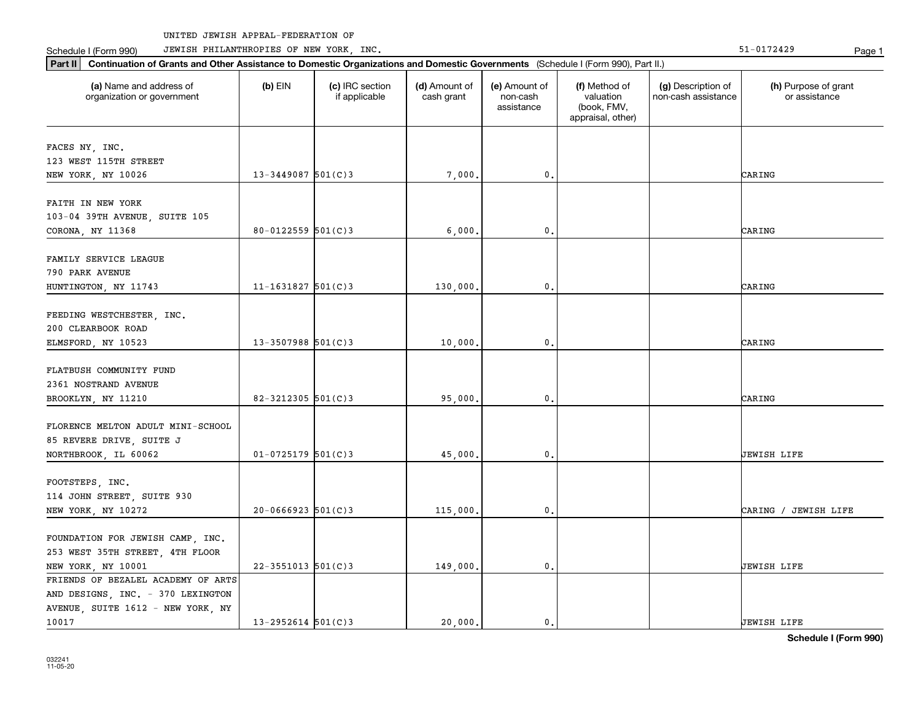Part II | Continuation of Grants and Other Assistance to Domestic Organizations and Domestic Governments (Schedule I (Form 990), Part II.)

Schedule I (Form 990) JEWISH PHILANTHROPIES OF NEW YORK, INC. New York in the state of the state of the State of the State of the State of the State of the State of the State of the State of the State of the State of the

| (a) Name and address of<br>organization or government                                                        | $(b)$ EIN                | (c) IRC section<br>if applicable | (d) Amount of<br>cash grant | (e) Amount of<br>non-cash<br>assistance | (f) Method of<br>valuation<br>(book, FMV,<br>appraisal, other) | (g) Description of<br>non-cash assistance | (h) Purpose of grant<br>or assistance |
|--------------------------------------------------------------------------------------------------------------|--------------------------|----------------------------------|-----------------------------|-----------------------------------------|----------------------------------------------------------------|-------------------------------------------|---------------------------------------|
| FACES NY, INC.                                                                                               |                          |                                  |                             |                                         |                                                                |                                           |                                       |
| 123 WEST 115TH STREET<br>NEW YORK, NY 10026                                                                  | $13 - 3449087$ 501(C)3   |                                  | 7,000.                      | 0.                                      |                                                                |                                           | CARING                                |
| FAITH IN NEW YORK                                                                                            |                          |                                  |                             |                                         |                                                                |                                           |                                       |
| 103-04 39TH AVENUE, SUITE 105                                                                                |                          |                                  |                             |                                         |                                                                |                                           |                                       |
| CORONA, NY 11368                                                                                             | $80 - 0122559$ $501(C)3$ |                                  | 6,000.                      | 0.                                      |                                                                |                                           | CARING                                |
| FAMILY SERVICE LEAGUE<br>790 PARK AVENUE                                                                     |                          |                                  |                             |                                         |                                                                |                                           |                                       |
| HUNTINGTON, NY 11743                                                                                         | $11 - 1631827$ 501(C)3   |                                  | 130,000.                    | 0.                                      |                                                                |                                           | CARING                                |
| FEEDING WESTCHESTER, INC.<br>200 CLEARBOOK ROAD<br>ELMSFORD, NY 10523                                        | $13 - 3507988$ 501(C)3   |                                  | 10,000                      | 0.                                      |                                                                |                                           | CARING                                |
| FLATBUSH COMMUNITY FUND<br>2361 NOSTRAND AVENUE<br>BROOKLYN, NY 11210                                        | 82-3212305 $501(C)3$     |                                  | 95,000.                     | 0.                                      |                                                                |                                           | CARING                                |
| FLORENCE MELTON ADULT MINI-SCHOOL<br>85 REVERE DRIVE, SUITE J<br>NORTHBROOK, IL 60062                        | $01 - 0725179$ 501(C)3   |                                  | 45,000.                     | 0.                                      |                                                                |                                           | JEWISH LIFE                           |
| FOOTSTEPS, INC.<br>114 JOHN STREET, SUITE 930<br>NEW YORK, NY 10272                                          | $20-0666923$ 501(C)3     |                                  | 115,000.                    | $\mathfrak o$ .                         |                                                                |                                           | CARING / JEWISH LIFE                  |
| FOUNDATION FOR JEWISH CAMP, INC.<br>253 WEST 35TH STREET, 4TH FLOOR<br>NEW YORK, NY 10001                    | $22 - 3551013$ 501(C)3   |                                  | 149,000.                    | 0.                                      |                                                                |                                           | JEWISH LIFE                           |
| FRIENDS OF BEZALEL ACADEMY OF ARTS<br>AND DESIGNS, INC. - 370 LEXINGTON<br>AVENUE, SUITE 1612 - NEW YORK, NY |                          |                                  |                             |                                         |                                                                |                                           |                                       |

10017 13-2952614 501(C)3 20,000. 0. 0. JEWISH LIFE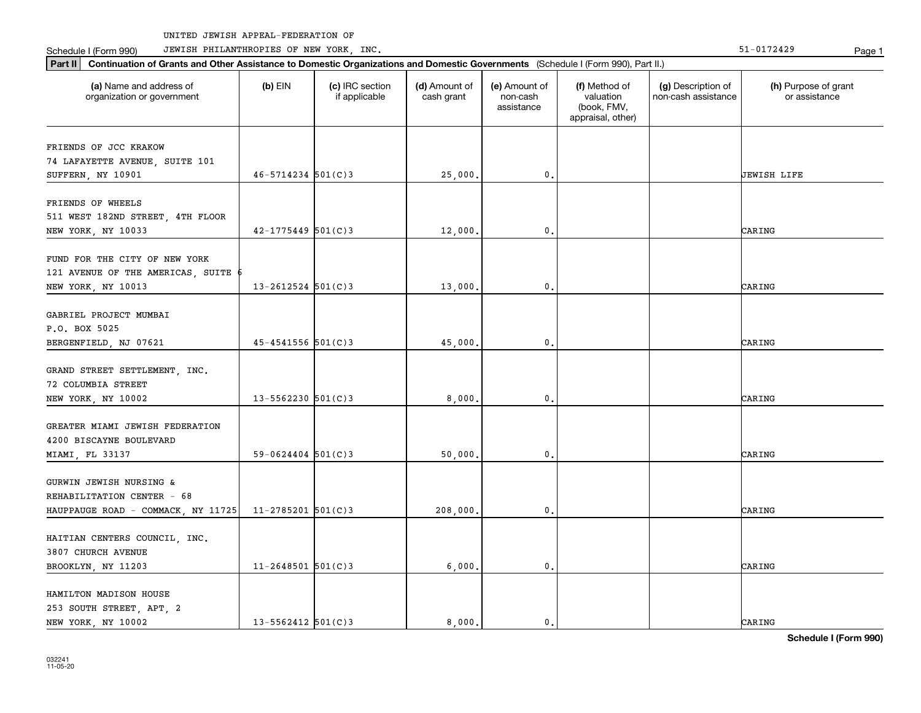Part II | Continuation of Grants and Other Assistance to Domestic Organizations and Domestic Governments (Schedule I (Form 990), Part II.)

Schedule I (Form 990) JEWISH PHILANTHROPIES OF NEW YORK, INC. New York in the state of the state of the State of the State of the State of the State of the State of the State of the State of the State of the State of the

| (a) Name and address of<br>organization or government | $(b)$ EIN                | (c) IRC section<br>if applicable | (d) Amount of<br>cash grant | (e) Amount of<br>non-cash<br>assistance | (f) Method of<br>valuation<br>(book, FMV,<br>appraisal, other) | (g) Description of<br>non-cash assistance | (h) Purpose of grant<br>or assistance |
|-------------------------------------------------------|--------------------------|----------------------------------|-----------------------------|-----------------------------------------|----------------------------------------------------------------|-------------------------------------------|---------------------------------------|
| FRIENDS OF JCC KRAKOW                                 |                          |                                  |                             |                                         |                                                                |                                           |                                       |
| 74 LAFAYETTE AVENUE, SUITE 101                        |                          |                                  |                             |                                         |                                                                |                                           |                                       |
| SUFFERN, NY 10901                                     | $46 - 5714234$ 501(C)3   |                                  | 25,000.                     | 0.                                      |                                                                |                                           | UEWISH LIFE                           |
|                                                       |                          |                                  |                             |                                         |                                                                |                                           |                                       |
| FRIENDS OF WHEELS                                     |                          |                                  |                             |                                         |                                                                |                                           |                                       |
| 511 WEST 182ND STREET, 4TH FLOOR                      | $42 - 1775449$ 501(C)3   |                                  |                             | $\mathbf{0}$ .                          |                                                                |                                           | CARING                                |
| NEW YORK, NY 10033                                    |                          |                                  | 12,000.                     |                                         |                                                                |                                           |                                       |
| FUND FOR THE CITY OF NEW YORK                         |                          |                                  |                             |                                         |                                                                |                                           |                                       |
| 121 AVENUE OF THE AMERICAS, SUITE                     |                          |                                  |                             |                                         |                                                                |                                           |                                       |
| NEW YORK, NY 10013                                    | $13 - 2612524$ 501(C)3   |                                  | 13,000.                     | 0.                                      |                                                                |                                           | CARING                                |
|                                                       |                          |                                  |                             |                                         |                                                                |                                           |                                       |
| GABRIEL PROJECT MUMBAI                                |                          |                                  |                             |                                         |                                                                |                                           |                                       |
| P.O. BOX 5025                                         |                          |                                  |                             |                                         |                                                                |                                           |                                       |
| BERGENFIELD, NJ 07621                                 | 45-4541556 501(C)3       |                                  | 45,000,                     | $\mathbf{0}$                            |                                                                |                                           | CARING                                |
|                                                       |                          |                                  |                             |                                         |                                                                |                                           |                                       |
| GRAND STREET SETTLEMENT, INC.                         |                          |                                  |                             |                                         |                                                                |                                           |                                       |
| 72 COLUMBIA STREET                                    |                          |                                  |                             |                                         |                                                                |                                           |                                       |
| NEW YORK, NY 10002                                    | $13 - 5562230$ 501(C)3   |                                  | 8,000.                      | 0.                                      |                                                                |                                           | CARING                                |
|                                                       |                          |                                  |                             |                                         |                                                                |                                           |                                       |
| GREATER MIAMI JEWISH FEDERATION                       |                          |                                  |                             |                                         |                                                                |                                           |                                       |
| 4200 BISCAYNE BOULEVARD                               |                          |                                  |                             |                                         |                                                                |                                           |                                       |
| MIAMI, FL 33137                                       | $59 - 0624404$ $501(C)3$ |                                  | 50,000.                     | 0.                                      |                                                                |                                           | CARING                                |
|                                                       |                          |                                  |                             |                                         |                                                                |                                           |                                       |
| GURWIN JEWISH NURSING &                               |                          |                                  |                             |                                         |                                                                |                                           |                                       |
| REHABILITATION CENTER - 68                            |                          |                                  |                             |                                         |                                                                |                                           |                                       |
| HAUPPAUGE ROAD - COMMACK, NY 11725                    | $11 - 2785201$ 501(C)3   |                                  | 208,000.                    | $\mathbf{0}$ .                          |                                                                |                                           | CARING                                |
|                                                       |                          |                                  |                             |                                         |                                                                |                                           |                                       |
| HAITIAN CENTERS COUNCIL, INC.                         |                          |                                  |                             |                                         |                                                                |                                           |                                       |
| 3807 CHURCH AVENUE                                    |                          |                                  |                             |                                         |                                                                |                                           |                                       |
| BROOKLYN, NY 11203                                    | $11 - 2648501$ 501(C)3   |                                  | 6,000,                      | $\mathbf{0}$ .                          |                                                                |                                           | CARING                                |
|                                                       |                          |                                  |                             |                                         |                                                                |                                           |                                       |
| HAMILTON MADISON HOUSE                                |                          |                                  |                             |                                         |                                                                |                                           |                                       |
| 253 SOUTH STREET, APT, 2                              |                          |                                  |                             |                                         |                                                                |                                           |                                       |
| NEW YORK, NY 10002                                    | $13 - 5562412$ $501(C)3$ |                                  | 8.000.                      | $\mathbf{0}$ .                          |                                                                |                                           | CARING                                |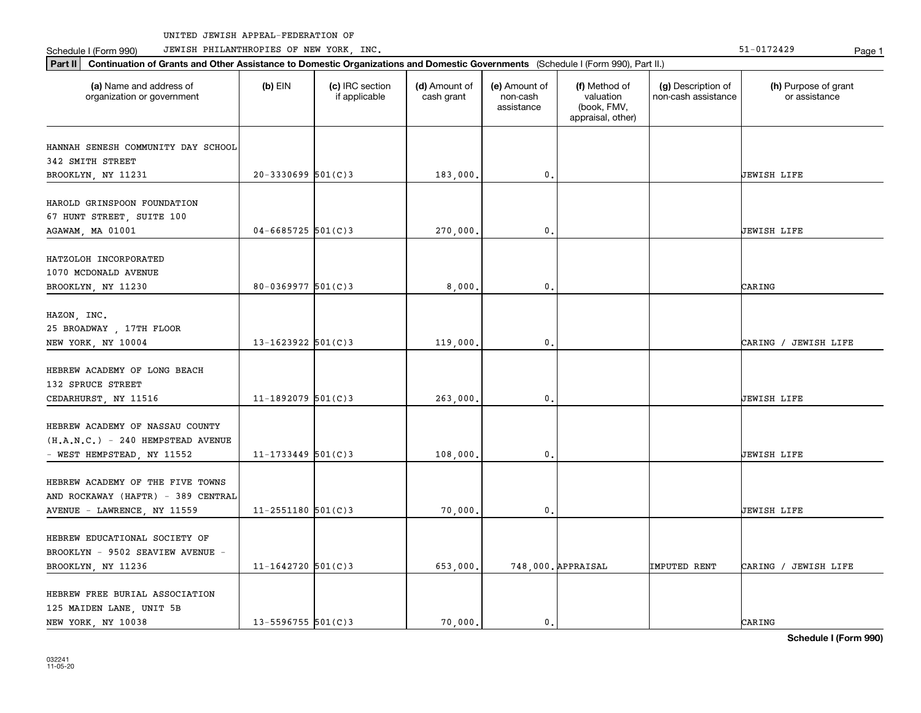Schedule I (Form 990) Page 1 JEWISH PHILANTHROPIES OF NEW YORK, INC. 51-0172429

| Part II   Continuation of Grants and Other Assistance to Domestic Organizations and Domestic Governments (Schedule I (Form 990), Part II.) |                          |                                  |                             |                                         |                                                                |                                           |                                       |  |  |  |
|--------------------------------------------------------------------------------------------------------------------------------------------|--------------------------|----------------------------------|-----------------------------|-----------------------------------------|----------------------------------------------------------------|-------------------------------------------|---------------------------------------|--|--|--|
| (a) Name and address of<br>organization or government                                                                                      | $(b)$ EIN                | (c) IRC section<br>if applicable | (d) Amount of<br>cash grant | (e) Amount of<br>non-cash<br>assistance | (f) Method of<br>valuation<br>(book, FMV,<br>appraisal, other) | (g) Description of<br>non-cash assistance | (h) Purpose of grant<br>or assistance |  |  |  |
|                                                                                                                                            |                          |                                  |                             |                                         |                                                                |                                           |                                       |  |  |  |
| HANNAH SENESH COMMUNITY DAY SCHOOL<br>342 SMITH STREET                                                                                     |                          |                                  |                             |                                         |                                                                |                                           |                                       |  |  |  |
| BROOKLYN, NY 11231                                                                                                                         | $20-3330699$ 501(C)3     |                                  | 183,000.                    | $\mathbf 0$ .                           |                                                                |                                           | <b>JEWISH LIFE</b>                    |  |  |  |
| HAROLD GRINSPOON FOUNDATION<br>67 HUNT STREET, SUITE 100<br>AGAWAM, MA 01001                                                               | $04 - 6685725$ 501(C)3   |                                  | 270,000,                    | 0.                                      |                                                                |                                           | <b>JEWISH LIFE</b>                    |  |  |  |
|                                                                                                                                            |                          |                                  |                             |                                         |                                                                |                                           |                                       |  |  |  |
| HATZOLOH INCORPORATED<br>1070 MCDONALD AVENUE<br>BROOKLYN, NY 11230                                                                        | $80 - 0369977$ 501(C)3   |                                  | 8,000.                      | $\mathfrak{o}$ .                        |                                                                |                                           | CARING                                |  |  |  |
|                                                                                                                                            |                          |                                  |                             |                                         |                                                                |                                           |                                       |  |  |  |
| HAZON, INC.                                                                                                                                |                          |                                  |                             |                                         |                                                                |                                           |                                       |  |  |  |
| 25 BROADWAY, 17TH FLOOR<br>NEW YORK, NY 10004                                                                                              | 13-1623922 $501(C)$ 3    |                                  | 119,000.                    | 0.                                      |                                                                |                                           | CARING / JEWISH LIFE                  |  |  |  |
|                                                                                                                                            |                          |                                  |                             |                                         |                                                                |                                           |                                       |  |  |  |
| HEBREW ACADEMY OF LONG BEACH<br>132 SPRUCE STREET                                                                                          |                          |                                  |                             |                                         |                                                                |                                           |                                       |  |  |  |
| CEDARHURST, NY 11516                                                                                                                       | $11 - 1892079$ 501(C)3   |                                  | 263,000.                    | $\mathbf{0}$ .                          |                                                                |                                           | <b>JEWISH LIFE</b>                    |  |  |  |
| HEBREW ACADEMY OF NASSAU COUNTY<br>$(H.A.N.C.) - 240 HEMPSTEAD AVENUE$<br>- WEST HEMPSTEAD, NY 11552                                       | $11 - 1733449$ 501(C)3   |                                  | 108,000,                    | $\mathbf{0}$ .                          |                                                                |                                           | <b>JEWISH LIFE</b>                    |  |  |  |
|                                                                                                                                            |                          |                                  |                             |                                         |                                                                |                                           |                                       |  |  |  |
| HEBREW ACADEMY OF THE FIVE TOWNS<br>AND ROCKAWAY (HAFTR) - 389 CENTRAL                                                                     |                          |                                  |                             |                                         |                                                                |                                           |                                       |  |  |  |
| AVENUE - LAWRENCE, NY 11559                                                                                                                | $11 - 2551180$ $501(C)3$ |                                  | 70,000,                     | $\mathbf{0}$ .                          |                                                                |                                           | <b>JEWISH LIFE</b>                    |  |  |  |
| HEBREW EDUCATIONAL SOCIETY OF<br>BROOKLYN - 9502 SEAVIEW AVENUE -                                                                          |                          |                                  |                             |                                         |                                                                |                                           |                                       |  |  |  |
| BROOKLYN, NY 11236                                                                                                                         | $11 - 1642720$ 501(C)3   |                                  | 653,000.                    |                                         | 748,000. APPRAISAL                                             | <b>IMPUTED RENT</b>                       | CARING / JEWISH LIFE                  |  |  |  |
| HEBREW FREE BURIAL ASSOCIATION<br>125 MAIDEN LANE, UNIT 5B<br>NEW YORK, NY 10038                                                           | $13 - 5596755$ $501(C)3$ |                                  | 70.000.                     | $\mathbf{0}$ .                          |                                                                |                                           | CARING                                |  |  |  |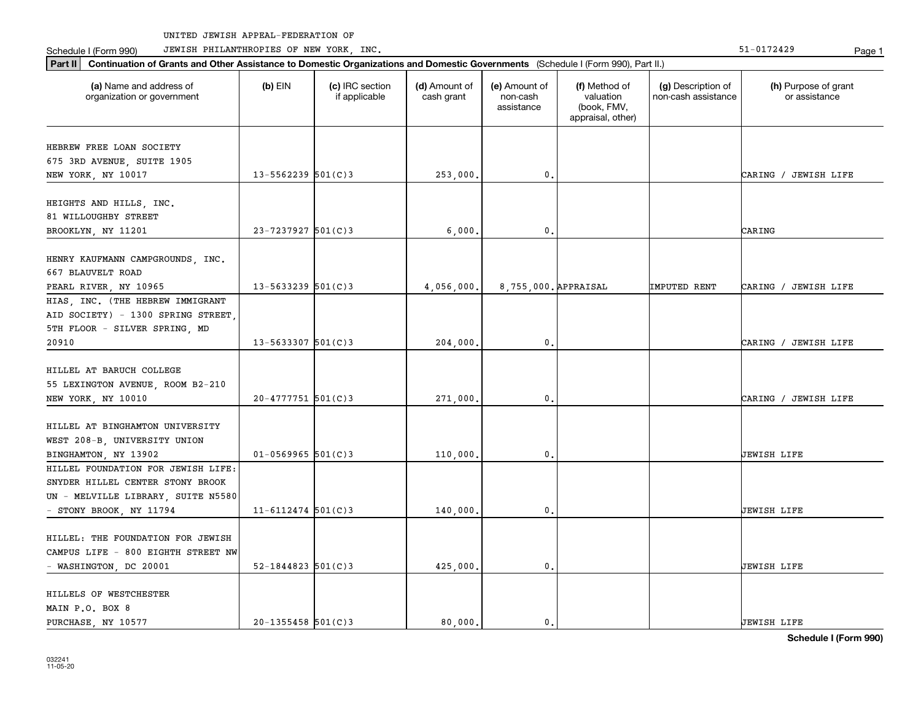Part II | Continuation of Grants and Other Assistance to Domestic Organizations and Domestic Governments (Schedule I (Form 990), Part II.)

Schedule I (Form 990) JEWISH PHILANTHROPIES OF NEW YORK, INC. New York in the state of the state of the State of the State of the State of the State of the State of the State of the State of the State of the State of the

| (a) Name and address of<br>organization or government | (b) EIN                  | (c) IRC section<br>if applicable | (d) Amount of<br>cash grant | (e) Amount of<br>non-cash<br>assistance | (f) Method of<br>valuation<br>(book, FMV,<br>appraisal, other) | (g) Description of<br>non-cash assistance | (h) Purpose of grant<br>or assistance |
|-------------------------------------------------------|--------------------------|----------------------------------|-----------------------------|-----------------------------------------|----------------------------------------------------------------|-------------------------------------------|---------------------------------------|
| HEBREW FREE LOAN SOCIETY                              |                          |                                  |                             |                                         |                                                                |                                           |                                       |
| 675 3RD AVENUE, SUITE 1905                            |                          |                                  |                             |                                         |                                                                |                                           |                                       |
| NEW YORK, NY 10017                                    | $13 - 5562239$ $501(C)3$ |                                  | 253,000.                    | 0.                                      |                                                                |                                           | CARING / JEWISH LIFE                  |
| HEIGHTS AND HILLS, INC.                               |                          |                                  |                             |                                         |                                                                |                                           |                                       |
| 81 WILLOUGHBY STREET                                  |                          |                                  |                             |                                         |                                                                |                                           |                                       |
| BROOKLYN, NY 11201                                    | $23 - 7237927$ 501(C)3   |                                  | 6,000,                      | 0.                                      |                                                                |                                           | CARING                                |
| HENRY KAUFMANN CAMPGROUNDS, INC.                      |                          |                                  |                             |                                         |                                                                |                                           |                                       |
| 667 BLAUVELT ROAD                                     |                          |                                  |                             |                                         |                                                                |                                           |                                       |
| PEARL RIVER, NY 10965                                 | $13 - 5633239$ $501(C)3$ |                                  | 4,056,000.                  | 8,755,000. APPRAISAL                    |                                                                | <b>IMPUTED RENT</b>                       | CARING / JEWISH LIFE                  |
| HIAS, INC. (THE HEBREW IMMIGRANT                      |                          |                                  |                             |                                         |                                                                |                                           |                                       |
| AID SOCIETY) - 1300 SPRING STREET                     |                          |                                  |                             |                                         |                                                                |                                           |                                       |
| 5TH FLOOR - SILVER SPRING, MD                         |                          |                                  |                             |                                         |                                                                |                                           |                                       |
| 20910                                                 | $13 - 5633307$ 501(C)3   |                                  | 204,000.                    | 0.                                      |                                                                |                                           | CARING / JEWISH LIFE                  |
|                                                       |                          |                                  |                             |                                         |                                                                |                                           |                                       |
| HILLEL AT BARUCH COLLEGE                              |                          |                                  |                             |                                         |                                                                |                                           |                                       |
| 55 LEXINGTON AVENUE, ROOM B2-210                      |                          |                                  |                             |                                         |                                                                |                                           |                                       |
| NEW YORK, NY 10010                                    | $20 - 4777751$ 501(C)3   |                                  | 271,000.                    | 0.                                      |                                                                |                                           | CARING / JEWISH LIFE                  |
| HILLEL AT BINGHAMTON UNIVERSITY                       |                          |                                  |                             |                                         |                                                                |                                           |                                       |
| WEST 208-B, UNIVERSITY UNION                          |                          |                                  |                             |                                         |                                                                |                                           |                                       |
| BINGHAMTON, NY 13902                                  | $01 - 0569965$ 501(C)3   |                                  | 110,000.                    | 0.                                      |                                                                |                                           | JEWISH LIFE                           |
| HILLEL FOUNDATION FOR JEWISH LIFE:                    |                          |                                  |                             |                                         |                                                                |                                           |                                       |
| SNYDER HILLEL CENTER STONY BROOK                      |                          |                                  |                             |                                         |                                                                |                                           |                                       |
| UN - MELVILLE LIBRARY, SUITE N5580                    |                          |                                  |                             |                                         |                                                                |                                           |                                       |
| - STONY BROOK, NY 11794                               | $11 - 6112474$ 501(C)3   |                                  | 140,000.                    | 0.                                      |                                                                |                                           | JEWISH LIFE                           |
|                                                       |                          |                                  |                             |                                         |                                                                |                                           |                                       |
| HILLEL: THE FOUNDATION FOR JEWISH                     |                          |                                  |                             |                                         |                                                                |                                           |                                       |
| CAMPUS LIFE - 800 EIGHTH STREET NW                    |                          |                                  |                             |                                         |                                                                |                                           |                                       |
| - WASHINGTON, DC 20001                                | $52 - 1844823$ $501(C)3$ |                                  | 425,000.                    | 0.                                      |                                                                |                                           | <b>JEWISH LIFE</b>                    |
| HILLELS OF WESTCHESTER                                |                          |                                  |                             |                                         |                                                                |                                           |                                       |
| MAIN P.O. BOX 8                                       |                          |                                  |                             |                                         |                                                                |                                           |                                       |

PURCHASE, NY 10577 20-1355458 501(C)3 80,000. 0.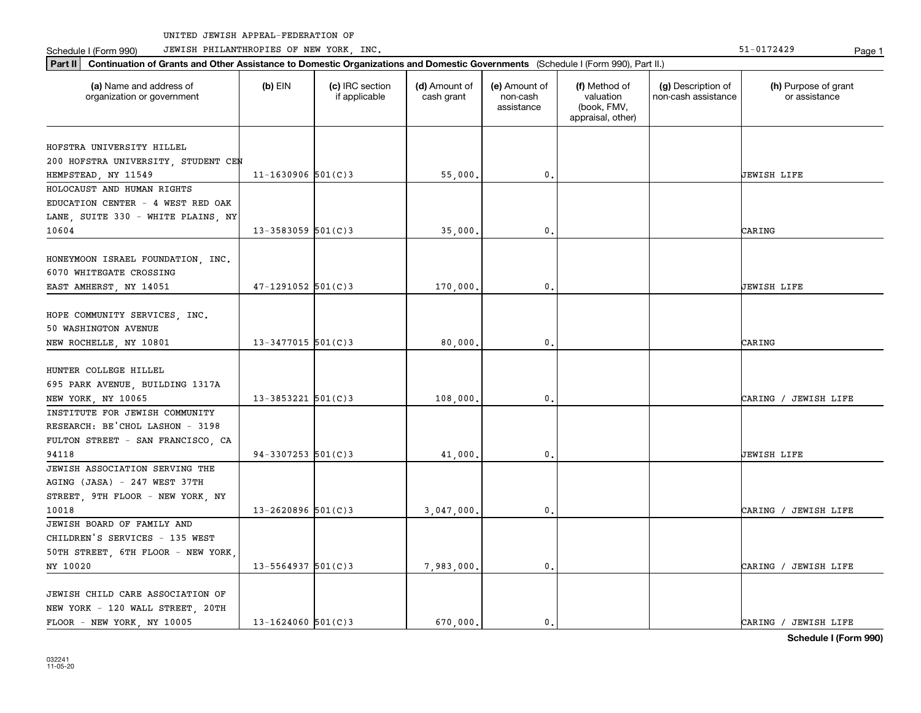Schedule I (Form 990) JEWISH PHILANTHROPIES OF NEW YORK, INC. New York in the state of the state of the State of the State of the State of the State of the State of the State of the State of the State of the State of the

| Part II   Continuation of Grants and Other Assistance to Domestic Organizations and Domestic Governments (Schedule I (Form 990), Part II.) |                        |                                  |                             |                                         |                                                                |                                           |                                       |
|--------------------------------------------------------------------------------------------------------------------------------------------|------------------------|----------------------------------|-----------------------------|-----------------------------------------|----------------------------------------------------------------|-------------------------------------------|---------------------------------------|
| (a) Name and address of<br>organization or government                                                                                      | $(b)$ EIN              | (c) IRC section<br>if applicable | (d) Amount of<br>cash grant | (e) Amount of<br>non-cash<br>assistance | (f) Method of<br>valuation<br>(book, FMV,<br>appraisal, other) | (g) Description of<br>non-cash assistance | (h) Purpose of grant<br>or assistance |
| HOFSTRA UNIVERSITY HILLEL                                                                                                                  |                        |                                  |                             |                                         |                                                                |                                           |                                       |
| 200 HOFSTRA UNIVERSITY, STUDENT CEN                                                                                                        |                        |                                  |                             |                                         |                                                                |                                           |                                       |
| HEMPSTEAD, NY 11549                                                                                                                        | $11 - 1630906$ 501(C)3 |                                  | 55,000.                     | $\mathbf 0$ .                           |                                                                |                                           | <b>JEWISH LIFE</b>                    |
| HOLOCAUST AND HUMAN RIGHTS                                                                                                                 |                        |                                  |                             |                                         |                                                                |                                           |                                       |
| EDUCATION CENTER - 4 WEST RED OAK                                                                                                          |                        |                                  |                             |                                         |                                                                |                                           |                                       |
| LANE, SUITE 330 - WHITE PLAINS, NY                                                                                                         |                        |                                  |                             |                                         |                                                                |                                           |                                       |
| 10604                                                                                                                                      | $13 - 3583059$ 501(C)3 |                                  | 35,000.                     | $\mathbf{0}$ .                          |                                                                |                                           | CARING                                |
|                                                                                                                                            |                        |                                  |                             |                                         |                                                                |                                           |                                       |
| HONEYMOON ISRAEL FOUNDATION, INC.                                                                                                          |                        |                                  |                             |                                         |                                                                |                                           |                                       |
| 6070 WHITEGATE CROSSING                                                                                                                    |                        |                                  |                             |                                         |                                                                |                                           |                                       |
| EAST AMHERST, NY 14051                                                                                                                     | $47 - 1291052$ 501(C)3 |                                  | 170,000.                    | $\mathbf{0}$ .                          |                                                                |                                           | <b>JEWISH LIFE</b>                    |
| HOPE COMMUNITY SERVICES, INC.                                                                                                              |                        |                                  |                             |                                         |                                                                |                                           |                                       |
| 50 WASHINGTON AVENUE                                                                                                                       |                        |                                  |                             |                                         |                                                                |                                           |                                       |
| NEW ROCHELLE, NY 10801                                                                                                                     | $13 - 3477015$ 501(C)3 |                                  | 80,000.                     | 0.                                      |                                                                |                                           | CARING                                |
|                                                                                                                                            |                        |                                  |                             |                                         |                                                                |                                           |                                       |
| HUNTER COLLEGE HILLEL                                                                                                                      |                        |                                  |                             |                                         |                                                                |                                           |                                       |
| 695 PARK AVENUE, BUILDING 1317A                                                                                                            |                        |                                  |                             |                                         |                                                                |                                           |                                       |
| NEW YORK, NY 10065                                                                                                                         | $13 - 3853221$ 501(C)3 |                                  | 108,000.                    | 0.                                      |                                                                |                                           | CARING / JEWISH LIFE                  |
| INSTITUTE FOR JEWISH COMMUNITY                                                                                                             |                        |                                  |                             |                                         |                                                                |                                           |                                       |
| RESEARCH: BE'CHOL LASHON - 3198                                                                                                            |                        |                                  |                             |                                         |                                                                |                                           |                                       |
| FULTON STREET - SAN FRANCISCO, CA                                                                                                          |                        |                                  |                             |                                         |                                                                |                                           |                                       |
| 94118                                                                                                                                      | $94-3307253$ 501(C)3   |                                  | 41,000.                     | $\mathbf{0}$ .                          |                                                                |                                           | <b>JEWISH LIFE</b>                    |
| JEWISH ASSOCIATION SERVING THE                                                                                                             |                        |                                  |                             |                                         |                                                                |                                           |                                       |
| AGING (JASA) - 247 WEST 37TH                                                                                                               |                        |                                  |                             |                                         |                                                                |                                           |                                       |
| STREET, 9TH FLOOR - NEW YORK, NY                                                                                                           |                        |                                  |                             |                                         |                                                                |                                           |                                       |
| 10018                                                                                                                                      | $13 - 2620896$ 501(C)3 |                                  | 3,047,000.                  | $\mathbf{0}$ .                          |                                                                |                                           | CARING / JEWISH LIFE                  |
| JEWISH BOARD OF FAMILY AND                                                                                                                 |                        |                                  |                             |                                         |                                                                |                                           |                                       |
| CHILDREN'S SERVICES - 135 WEST                                                                                                             |                        |                                  |                             |                                         |                                                                |                                           |                                       |
| 50TH STREET, 6TH FLOOR - NEW YORK,                                                                                                         |                        |                                  |                             |                                         |                                                                |                                           |                                       |
| NY 10020                                                                                                                                   | $13 - 5564937$ 501(C)3 |                                  | 7,983,000.                  | $\mathbf{0}$ .                          |                                                                |                                           | CARING / JEWISH LIFE                  |
|                                                                                                                                            |                        |                                  |                             |                                         |                                                                |                                           |                                       |
| JEWISH CHILD CARE ASSOCIATION OF                                                                                                           |                        |                                  |                             |                                         |                                                                |                                           |                                       |
| NEW YORK - 120 WALL STREET, 20TH                                                                                                           |                        |                                  |                             |                                         |                                                                |                                           |                                       |
| FLOOR - NEW YORK, NY 10005                                                                                                                 | $13 - 1624060$ 501(C)3 |                                  | 670.000.                    | $\mathbf{0}$ .                          |                                                                |                                           | CARING / JEWISH LIFE                  |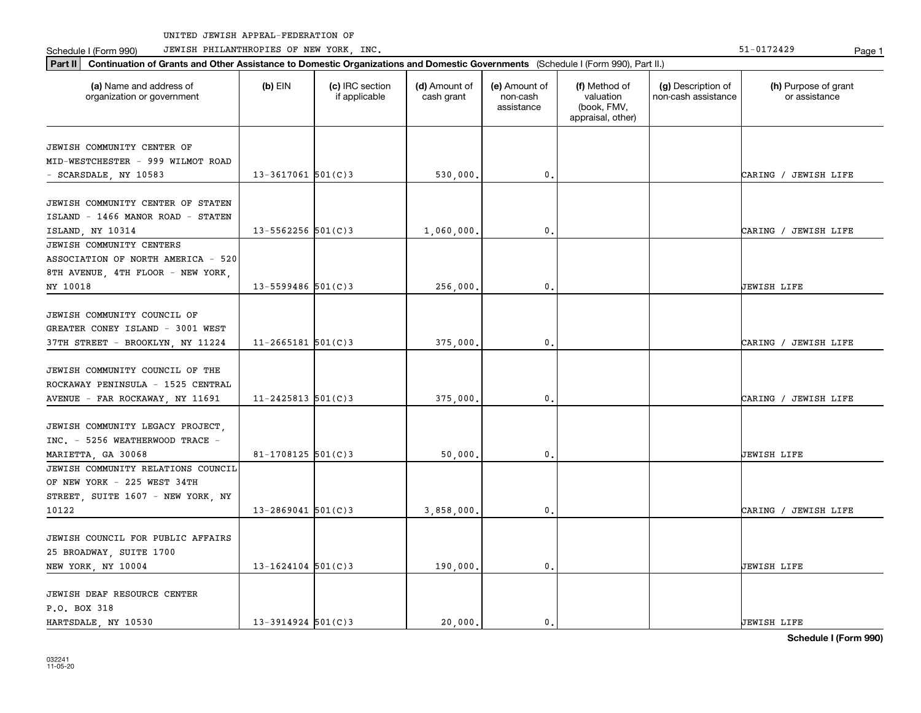Schedule I (Form 990) JEWISH PHILANTHROPIES OF NEW YORK, INC. New York in the state of the state of the State of the State of the State of the State of the State of the State of the State of the State of the State of the

| Part II   Continuation of Grants and Other Assistance to Domestic Organizations and Domestic Governments (Schedule I (Form 990), Part II.) |                        |                                  |                             |                                         |                                                                |                                           |                                       |  |  |  |
|--------------------------------------------------------------------------------------------------------------------------------------------|------------------------|----------------------------------|-----------------------------|-----------------------------------------|----------------------------------------------------------------|-------------------------------------------|---------------------------------------|--|--|--|
| (a) Name and address of<br>organization or government                                                                                      | $(b)$ EIN              | (c) IRC section<br>if applicable | (d) Amount of<br>cash grant | (e) Amount of<br>non-cash<br>assistance | (f) Method of<br>valuation<br>(book, FMV,<br>appraisal, other) | (g) Description of<br>non-cash assistance | (h) Purpose of grant<br>or assistance |  |  |  |
| JEWISH COMMUNITY CENTER OF                                                                                                                 |                        |                                  |                             |                                         |                                                                |                                           |                                       |  |  |  |
| MID-WESTCHESTER - 999 WILMOT ROAD                                                                                                          |                        |                                  |                             |                                         |                                                                |                                           |                                       |  |  |  |
| - SCARSDALE, NY 10583                                                                                                                      | $13 - 3617061$ 501(C)3 |                                  | 530,000.                    | $\mathbf{0}$ .                          |                                                                |                                           | CARING / JEWISH LIFE                  |  |  |  |
|                                                                                                                                            |                        |                                  |                             |                                         |                                                                |                                           |                                       |  |  |  |
| JEWISH COMMUNITY CENTER OF STATEN                                                                                                          |                        |                                  |                             |                                         |                                                                |                                           |                                       |  |  |  |
| ISLAND - 1466 MANOR ROAD - STATEN                                                                                                          |                        |                                  |                             |                                         |                                                                |                                           |                                       |  |  |  |
| ISLAND, NY 10314                                                                                                                           | $13 - 5562256$ 501(C)3 |                                  | 1,060,000                   | $\mathbf{0}$ .                          |                                                                |                                           | CARING / JEWISH LIFE                  |  |  |  |
| JEWISH COMMUNITY CENTERS                                                                                                                   |                        |                                  |                             |                                         |                                                                |                                           |                                       |  |  |  |
| ASSOCIATION OF NORTH AMERICA - 520                                                                                                         |                        |                                  |                             |                                         |                                                                |                                           |                                       |  |  |  |
| 8TH AVENUE, 4TH FLOOR - NEW YORK,                                                                                                          |                        |                                  |                             |                                         |                                                                |                                           |                                       |  |  |  |
| NY 10018                                                                                                                                   | $13 - 5599486$ 501(C)3 |                                  | 256,000                     | 0.                                      |                                                                |                                           | <b>JEWISH LIFE</b>                    |  |  |  |
|                                                                                                                                            |                        |                                  |                             |                                         |                                                                |                                           |                                       |  |  |  |
| JEWISH COMMUNITY COUNCIL OF                                                                                                                |                        |                                  |                             |                                         |                                                                |                                           |                                       |  |  |  |
| GREATER CONEY ISLAND - 3001 WEST                                                                                                           |                        |                                  |                             |                                         |                                                                |                                           |                                       |  |  |  |
| 37TH STREET - BROOKLYN, NY 11224                                                                                                           | $11 - 2665181$ 501(C)3 |                                  | 375,000                     | 0.                                      |                                                                |                                           | CARING / JEWISH LIFE                  |  |  |  |
|                                                                                                                                            |                        |                                  |                             |                                         |                                                                |                                           |                                       |  |  |  |
| JEWISH COMMUNITY COUNCIL OF THE                                                                                                            |                        |                                  |                             |                                         |                                                                |                                           |                                       |  |  |  |
| ROCKAWAY PENINSULA - 1525 CENTRAL                                                                                                          | $11 - 2425813$ 501(C)3 |                                  |                             | 0.                                      |                                                                |                                           | CARING / JEWISH LIFE                  |  |  |  |
| AVENUE - FAR ROCKAWAY, NY 11691                                                                                                            |                        |                                  | 375,000                     |                                         |                                                                |                                           |                                       |  |  |  |
| JEWISH COMMUNITY LEGACY PROJECT,                                                                                                           |                        |                                  |                             |                                         |                                                                |                                           |                                       |  |  |  |
| INC. - 5256 WEATHERWOOD TRACE -                                                                                                            |                        |                                  |                             |                                         |                                                                |                                           |                                       |  |  |  |
| MARIETTA, GA 30068                                                                                                                         | $81 - 1708125$ 501(C)3 |                                  | 50,000                      | $\mathbf{0}$ .                          |                                                                |                                           | <b>JEWISH LIFE</b>                    |  |  |  |
| JEWISH COMMUNITY RELATIONS COUNCIL                                                                                                         |                        |                                  |                             |                                         |                                                                |                                           |                                       |  |  |  |
| OF NEW YORK - 225 WEST 34TH                                                                                                                |                        |                                  |                             |                                         |                                                                |                                           |                                       |  |  |  |
| STREET, SUITE 1607 - NEW YORK, NY                                                                                                          |                        |                                  |                             |                                         |                                                                |                                           |                                       |  |  |  |
| 10122                                                                                                                                      | $13 - 2869041$ 501(C)3 |                                  | 3,858,000                   | 0.                                      |                                                                |                                           | CARING / JEWISH LIFE                  |  |  |  |
|                                                                                                                                            |                        |                                  |                             |                                         |                                                                |                                           |                                       |  |  |  |
| JEWISH COUNCIL FOR PUBLIC AFFAIRS                                                                                                          |                        |                                  |                             |                                         |                                                                |                                           |                                       |  |  |  |
| 25 BROADWAY, SUITE 1700                                                                                                                    |                        |                                  |                             |                                         |                                                                |                                           |                                       |  |  |  |
| NEW YORK, NY 10004                                                                                                                         | $13 - 1624104$ 501(C)3 |                                  | 190,000                     | $\mathbf{0}$ .                          |                                                                |                                           | JEWISH LIFE                           |  |  |  |
|                                                                                                                                            |                        |                                  |                             |                                         |                                                                |                                           |                                       |  |  |  |
| JEWISH DEAF RESOURCE CENTER                                                                                                                |                        |                                  |                             |                                         |                                                                |                                           |                                       |  |  |  |
| P.O. BOX 318                                                                                                                               |                        |                                  |                             |                                         |                                                                |                                           |                                       |  |  |  |
| HARTSDALE, NY 10530                                                                                                                        | $13 - 3914924$ 501(C)3 |                                  | 20,000.                     | 0.                                      |                                                                |                                           | <b>JEWISH LIFE</b>                    |  |  |  |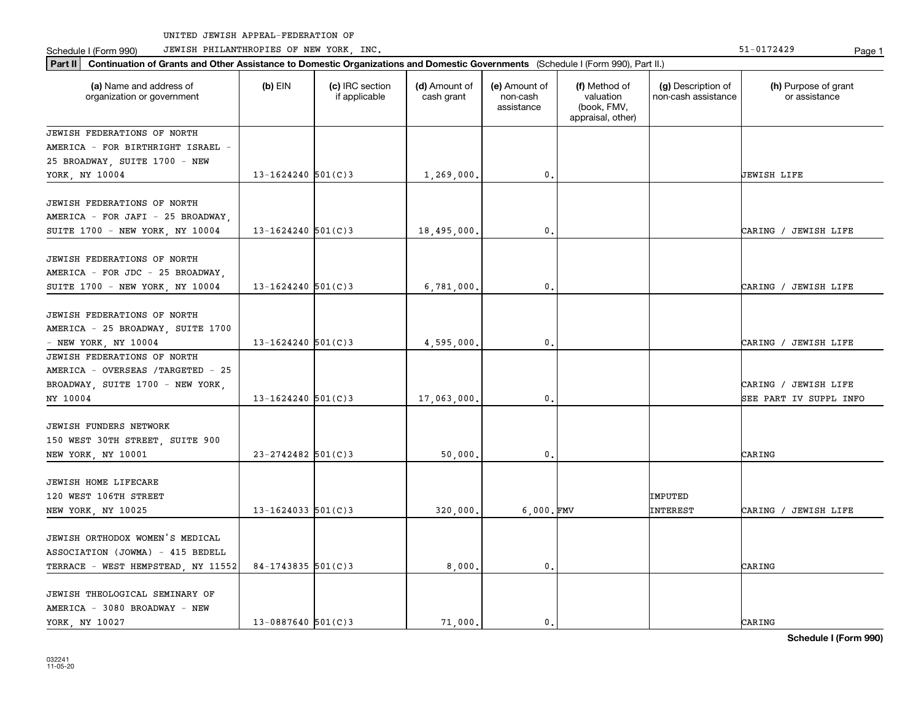Part II | Continuation of Grants and Other Assistance to Domestic Organizations and Domestic Governments (Schedule I (Form 990), Part II.)

Schedule I (Form 990) JEWISH PHILANTHROPIES OF NEW YORK, INC. New York in the state of the state of the State of the State of the State of the State of the State of the State of the State of the State of the State of the

| (a) Name and address of<br>organization or government                   | $(b)$ EIN              | (c) IRC section<br>if applicable | (d) Amount of<br>cash grant | (e) Amount of<br>non-cash<br>assistance | (f) Method of<br>valuation<br>(book, FMV,<br>appraisal, other) | (g) Description of<br>non-cash assistance | (h) Purpose of grant<br>or assistance |
|-------------------------------------------------------------------------|------------------------|----------------------------------|-----------------------------|-----------------------------------------|----------------------------------------------------------------|-------------------------------------------|---------------------------------------|
| <b>JEWISH FEDERATIONS OF NORTH</b><br>AMERICA - FOR BIRTHRIGHT ISRAEL - |                        |                                  |                             |                                         |                                                                |                                           |                                       |
| 25 BROADWAY, SUITE 1700 - NEW                                           |                        |                                  |                             |                                         |                                                                |                                           |                                       |
| YORK, NY 10004                                                          | $13 - 1624240$ 501(C)3 |                                  | 1,269,000.                  | 0.                                      |                                                                |                                           | <b>JEWISH LIFE</b>                    |
| <b>JEWISH FEDERATIONS OF NORTH</b>                                      |                        |                                  |                             |                                         |                                                                |                                           |                                       |
| AMERICA - FOR JAFI - 25 BROADWAY,                                       |                        |                                  |                             |                                         |                                                                |                                           |                                       |
| SUITE 1700 - NEW YORK, NY 10004                                         | $13 - 1624240$ 501(C)3 |                                  | 18,495,000.                 | 0.                                      |                                                                |                                           | CARING / JEWISH LIFE                  |
|                                                                         |                        |                                  |                             |                                         |                                                                |                                           |                                       |
| JEWISH FEDERATIONS OF NORTH                                             |                        |                                  |                             |                                         |                                                                |                                           |                                       |
| AMERICA - FOR JDC - 25 BROADWAY,<br>SUITE 1700 - NEW YORK, NY 10004     | $13 - 1624240$ 501(C)3 |                                  | 6,781,000.                  | 0.                                      |                                                                |                                           | CARING / JEWISH LIFE                  |
|                                                                         |                        |                                  |                             |                                         |                                                                |                                           |                                       |
| JEWISH FEDERATIONS OF NORTH                                             |                        |                                  |                             |                                         |                                                                |                                           |                                       |
| AMERICA - 25 BROADWAY, SUITE 1700                                       |                        |                                  |                             |                                         |                                                                |                                           |                                       |
| - NEW YORK, NY $10004$                                                  | $13 - 1624240$ 501(C)3 |                                  | 4,595,000                   | 0.                                      |                                                                |                                           | CARING / JEWISH LIFE                  |
| <b>JEWISH FEDERATIONS OF NORTH</b>                                      |                        |                                  |                             |                                         |                                                                |                                           |                                       |
| AMERICA - OVERSEAS / TARGETED - 25                                      |                        |                                  |                             |                                         |                                                                |                                           |                                       |
| BROADWAY, SUITE 1700 - NEW YORK,                                        |                        |                                  |                             |                                         |                                                                |                                           | CARING / JEWISH LIFE                  |
| NY 10004                                                                | $13 - 1624240$ 501(C)3 |                                  | 17,063,000.                 | $\mathbf 0$ .                           |                                                                |                                           | SEE PART IV SUPPL INFO                |
| <b>JEWISH FUNDERS NETWORK</b>                                           |                        |                                  |                             |                                         |                                                                |                                           |                                       |
| 150 WEST 30TH STREET, SUITE 900                                         |                        |                                  |                             |                                         |                                                                |                                           |                                       |
| NEW YORK, NY 10001                                                      | $23 - 2742482$ 501(C)3 |                                  | 50,000                      | 0.                                      |                                                                |                                           | CARING                                |
|                                                                         |                        |                                  |                             |                                         |                                                                |                                           |                                       |
| <b>JEWISH HOME LIFECARE</b>                                             |                        |                                  |                             |                                         |                                                                |                                           |                                       |
| 120 WEST 106TH STREET                                                   |                        |                                  |                             |                                         |                                                                | IMPUTED                                   |                                       |
| NEW YORK, NY 10025                                                      | $13 - 1624033$ 501(C)3 |                                  | 320,000                     | $6,000.$ FMV                            |                                                                | INTEREST                                  | CARING / JEWISH LIFE                  |
| JEWISH ORTHODOX WOMEN'S MEDICAL                                         |                        |                                  |                             |                                         |                                                                |                                           |                                       |
| ASSOCIATION (JOWMA) - 415 BEDELL                                        |                        |                                  |                             |                                         |                                                                |                                           |                                       |
| TERRACE - WEST HEMPSTEAD, NY 11552                                      | $84 - 1743835$ 501(C)3 |                                  | 8,000                       | 0.                                      |                                                                |                                           | CARING                                |
|                                                                         |                        |                                  |                             |                                         |                                                                |                                           |                                       |
| JEWISH THEOLOGICAL SEMINARY OF                                          |                        |                                  |                             |                                         |                                                                |                                           |                                       |
| AMERICA - 3080 BROADWAY - NEW                                           |                        |                                  |                             |                                         |                                                                |                                           |                                       |
| YORK, NY 10027                                                          | $13 - 0887640$ 501(C)3 |                                  | 71,000.                     | 0.                                      |                                                                |                                           | CARING                                |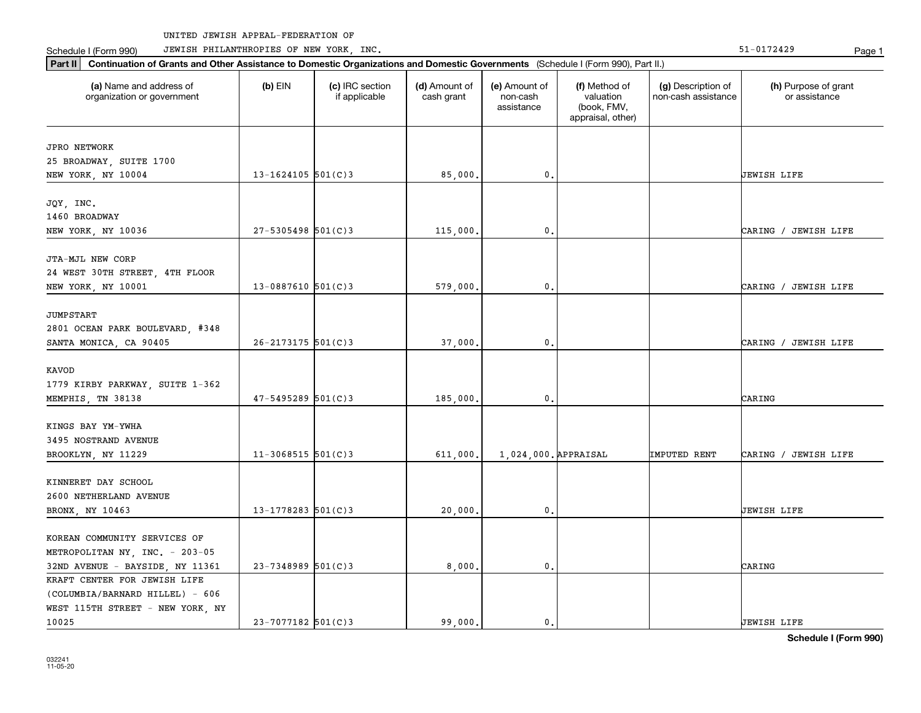Part II | Continuation of Grants and Other Assistance to Domestic Organizations and Domestic Governments (Schedule I (Form 990), Part II.)

Schedule I (Form 990) JEWISH PHILANTHROPIES OF NEW YORK, INC. New York in the state of the state of the State of the State of the State of the State of the State of the State of the State of the State of the State of the

| (a) Name and address of<br>organization or government | $(b)$ EIN              | (c) IRC section<br>if applicable | (d) Amount of<br>cash grant | (e) Amount of<br>non-cash<br>assistance | (f) Method of<br>valuation<br>(book, FMV,<br>appraisal, other) | (g) Description of<br>non-cash assistance | (h) Purpose of grant<br>or assistance |
|-------------------------------------------------------|------------------------|----------------------------------|-----------------------------|-----------------------------------------|----------------------------------------------------------------|-------------------------------------------|---------------------------------------|
| <b>JPRO NETWORK</b>                                   |                        |                                  |                             |                                         |                                                                |                                           |                                       |
| 25 BROADWAY, SUITE 1700                               |                        |                                  |                             |                                         |                                                                |                                           |                                       |
| NEW YORK, NY 10004                                    | 13-1624105 $501(C)3$   |                                  | 85,000.                     | $\mathbf{0}$ .                          |                                                                |                                           | UEWISH LIFE                           |
| JQY, INC.                                             |                        |                                  |                             |                                         |                                                                |                                           |                                       |
| 1460 BROADWAY                                         |                        |                                  |                             |                                         |                                                                |                                           |                                       |
| NEW YORK, NY 10036                                    | $27 - 5305498$ 501(C)3 |                                  | 115,000.                    | $\mathbf{0}$ .                          |                                                                |                                           | CARING / JEWISH LIFE                  |
| JTA-MJL NEW CORP                                      |                        |                                  |                             |                                         |                                                                |                                           |                                       |
| 24 WEST 30TH STREET, 4TH FLOOR                        |                        |                                  |                             |                                         |                                                                |                                           |                                       |
| NEW YORK, NY 10001                                    | $13 - 0887610$ 501(C)3 |                                  | 579,000.                    | $\mathbf{0}$ .                          |                                                                |                                           | CARING / JEWISH LIFE                  |
| <b>JUMPSTART</b>                                      |                        |                                  |                             |                                         |                                                                |                                           |                                       |
| 2801 OCEAN PARK BOULEVARD, #348                       |                        |                                  |                             |                                         |                                                                |                                           |                                       |
| SANTA MONICA, CA 90405                                | 26-2173175 501(C)3     |                                  | 37,000.                     | $\mathbf{0}$ .                          |                                                                |                                           | CARING / JEWISH LIFE                  |
| <b>KAVOD</b>                                          |                        |                                  |                             |                                         |                                                                |                                           |                                       |
|                                                       |                        |                                  |                             |                                         |                                                                |                                           |                                       |
| 1779 KIRBY PARKWAY, SUITE 1-362<br>MEMPHIS, TN 38138  | 47-5495289 501(C)3     |                                  | 185,000.                    | $\mathbf{0}$ .                          |                                                                |                                           | CARING                                |
|                                                       |                        |                                  |                             |                                         |                                                                |                                           |                                       |
| KINGS BAY YM-YWHA                                     |                        |                                  |                             |                                         |                                                                |                                           |                                       |
| 3495 NOSTRAND AVENUE                                  |                        |                                  |                             |                                         |                                                                |                                           |                                       |
| BROOKLYN, NY 11229                                    | $11-3068515$ 501(C)3   |                                  | 611,000.                    | 1,024,000. APPRAISAL                    |                                                                | IMPUTED RENT                              | CARING / JEWISH LIFE                  |
| KINNERET DAY SCHOOL                                   |                        |                                  |                             |                                         |                                                                |                                           |                                       |
| 2600 NETHERLAND AVENUE                                |                        |                                  |                             |                                         |                                                                |                                           |                                       |
| BRONX, NY 10463                                       | $13 - 1778283$ 501(C)3 |                                  | 20,000.                     | 0.                                      |                                                                |                                           | UEWISH LIFE                           |
|                                                       |                        |                                  |                             |                                         |                                                                |                                           |                                       |
| KOREAN COMMUNITY SERVICES OF                          |                        |                                  |                             |                                         |                                                                |                                           |                                       |
| METROPOLITAN NY, INC. - 203-05                        |                        |                                  |                             |                                         |                                                                |                                           |                                       |
| 32ND AVENUE - BAYSIDE, NY 11361                       | 23-7348989 501(C)3     |                                  | 8,000.                      | $\mathbf{0}$ .                          |                                                                |                                           | CARING                                |
| KRAFT CENTER FOR JEWISH LIFE                          |                        |                                  |                             |                                         |                                                                |                                           |                                       |
| (COLUMBIA/BARNARD HILLEL) - 606                       |                        |                                  |                             |                                         |                                                                |                                           |                                       |
| WEST 115TH STREET - NEW YORK, NY                      |                        |                                  |                             |                                         |                                                                |                                           |                                       |
| 10025                                                 | $23 - 7077182$ 501(C)3 |                                  | 99,000.                     | 0.                                      |                                                                |                                           | <b>JEWISH LIFE</b>                    |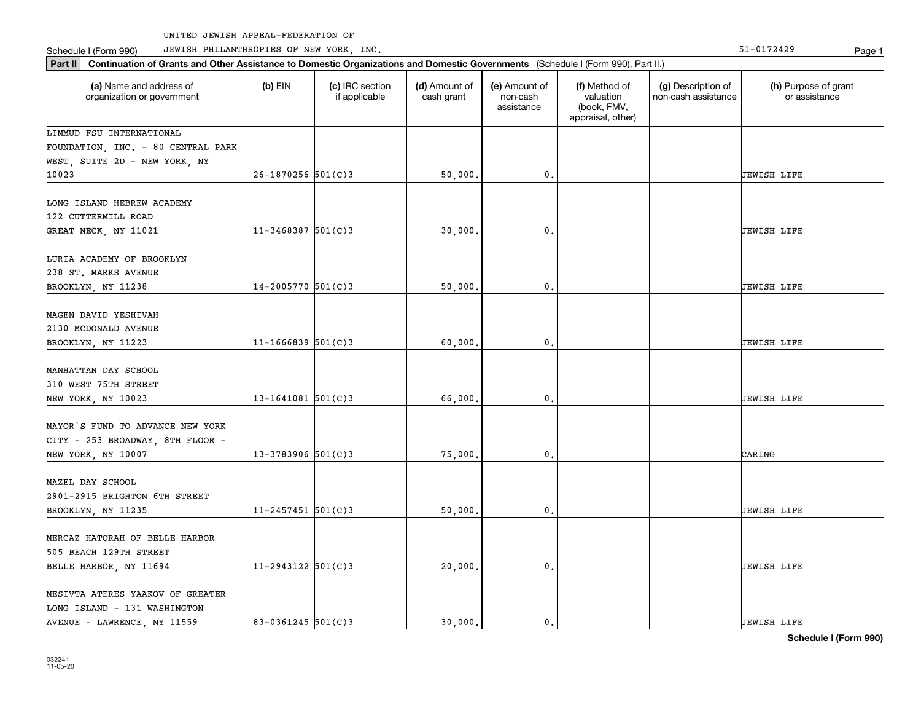Part II | Continuation of Grants and Other Assistance to Domestic Organizations and Domestic Governments (Schedule I (Form 990), Part II.)

Schedule I (Form 990) JEWISH PHILANTHROPIES OF NEW YORK, INC. New York in the state of the state of the State of the State of the State of the State of the State of the State of the State of the State of the State of the

| (a) Name and address of<br>organization or government                                      | $(b)$ EIN              | (c) IRC section<br>if applicable | (d) Amount of<br>cash grant | (e) Amount of<br>non-cash<br>assistance | (f) Method of<br>valuation<br>(book, FMV,<br>appraisal, other) | (g) Description of<br>non-cash assistance | (h) Purpose of grant<br>or assistance |
|--------------------------------------------------------------------------------------------|------------------------|----------------------------------|-----------------------------|-----------------------------------------|----------------------------------------------------------------|-------------------------------------------|---------------------------------------|
| LIMMUD FSU INTERNATIONAL                                                                   |                        |                                  |                             |                                         |                                                                |                                           |                                       |
| FOUNDATION, INC. - 80 CENTRAL PARK                                                         |                        |                                  |                             |                                         |                                                                |                                           |                                       |
| WEST, SUITE 2D - NEW YORK, NY                                                              |                        |                                  |                             |                                         |                                                                |                                           |                                       |
| 10023                                                                                      | $26 - 1870256$ 501(C)3 |                                  | 50,000.                     | 0.                                      |                                                                |                                           | JEWISH LIFE                           |
| LONG ISLAND HEBREW ACADEMY                                                                 |                        |                                  |                             |                                         |                                                                |                                           |                                       |
| 122 CUTTERMILL ROAD                                                                        |                        |                                  |                             |                                         |                                                                |                                           |                                       |
| GREAT NECK, NY 11021                                                                       | $11 - 3468387$ 501(C)3 |                                  | 30,000.                     | 0.                                      |                                                                |                                           | JEWISH LIFE                           |
| LURIA ACADEMY OF BROOKLYN<br>238 ST. MARKS AVENUE                                          |                        |                                  |                             |                                         |                                                                |                                           |                                       |
| BROOKLYN, NY 11238                                                                         | 14-2005770 501(C)3     |                                  | 50,000.                     | 0.                                      |                                                                |                                           | JEWISH LIFE                           |
| MAGEN DAVID YESHIVAH<br>2130 MCDONALD AVENUE<br>BROOKLYN, NY 11223                         | $11 - 1666839$ 501(C)3 |                                  | 60,000.                     | $\mathbf{0}$                            |                                                                |                                           | JEWISH LIFE                           |
| MANHATTAN DAY SCHOOL<br>310 WEST 75TH STREET<br>NEW YORK, NY 10023                         | $13 - 1641081$ 501(C)3 |                                  | 66,000.                     | $\mathbf{0}$                            |                                                                |                                           | JEWISH LIFE                           |
| MAYOR'S FUND TO ADVANCE NEW YORK<br>CITY - 253 BROADWAY, 8TH FLOOR -<br>NEW YORK, NY 10007 | $13 - 3783906$ 501(C)3 |                                  | 75,000.                     | $\mathbf{0}$ .                          |                                                                |                                           | CARING                                |
| MAZEL DAY SCHOOL<br>2901-2915 BRIGHTON 6TH STREET<br>BROOKLYN, NY 11235                    | $11 - 2457451$ 501(C)3 |                                  | 50,000.                     | 0.                                      |                                                                |                                           | JEWISH LIFE                           |
| MERCAZ HATORAH OF BELLE HARBOR<br>505 BEACH 129TH STREET<br>BELLE HARBOR, NY 11694         | $11 - 2943122$ 501(C)3 |                                  | 20,000.                     | 0.                                      |                                                                |                                           | JEWISH LIFE                           |
| MESIVTA ATERES YAAKOV OF GREATER<br>LONG ISLAND - 131 WASHINGTON                           |                        |                                  |                             |                                         |                                                                |                                           |                                       |

AVENUE - LAWRENCE, NY 11559  $\begin{vmatrix} 83-0361245 & 501(C)3 \end{vmatrix}$  30,000. 0. 0.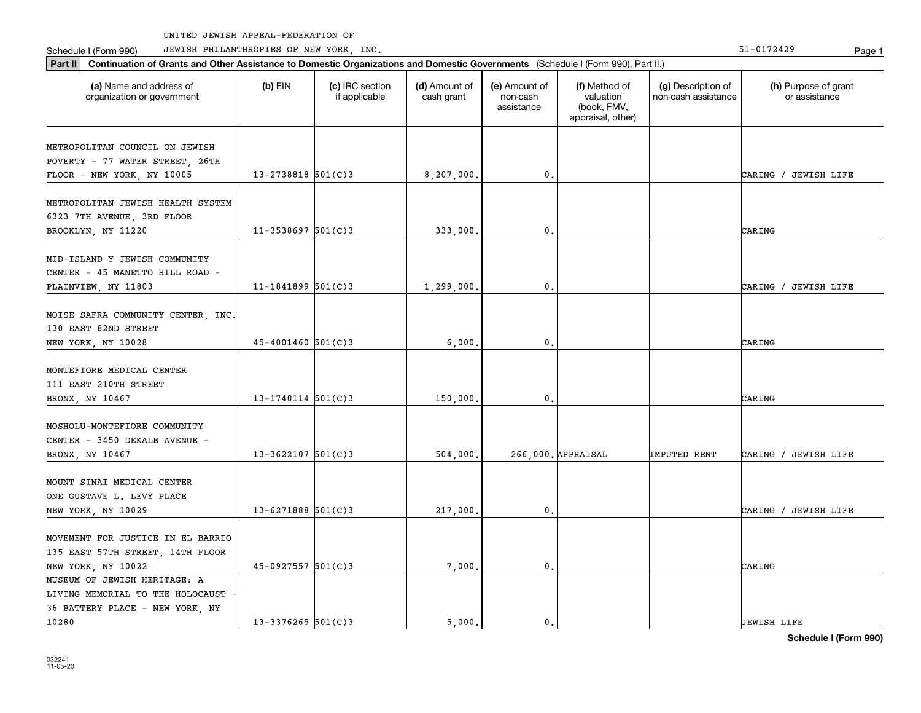Part II | Continuation of Grants and Other Assistance to Domestic Organizations and Domestic Governments (Schedule I (Form 990), Part II.)

Schedule I (Form 990) JEWISH PHILANTHROPIES OF NEW YORK, INC. New York in the state of the state of the State of the State of the State of the State of the State of the State of the State of the State of the State of the

| (a) Name and address of<br>organization or government                                               | $(b)$ EIN              | (c) IRC section<br>if applicable | (d) Amount of<br>cash grant | (e) Amount of<br>non-cash<br>assistance | (f) Method of<br>valuation<br>(book, FMV,<br>appraisal, other) | (g) Description of<br>non-cash assistance | (h) Purpose of grant<br>or assistance |
|-----------------------------------------------------------------------------------------------------|------------------------|----------------------------------|-----------------------------|-----------------------------------------|----------------------------------------------------------------|-------------------------------------------|---------------------------------------|
| METROPOLITAN COUNCIL ON JEWISH<br>POVERTY - 77 WATER STREET, 26TH<br>FLOOR - NEW YORK, NY 10005     | $13 - 2738818$ 501(C)3 |                                  | 8,207,000.                  | 0.                                      |                                                                |                                           | CARING / JEWISH LIFE                  |
| METROPOLITAN JEWISH HEALTH SYSTEM<br>6323 7TH AVENUE, 3RD FLOOR<br>BROOKLYN, NY 11220               | $11 - 3538697$ 501(C)3 |                                  | 333,000.                    | 0.                                      |                                                                |                                           | CARING                                |
| MID-ISLAND Y JEWISH COMMUNITY<br>CENTER - 45 MANETTO HILL ROAD -<br>PLAINVIEW, NY 11803             | $11 - 1841899$ 501(C)3 |                                  | 1,299,000.                  | 0.                                      |                                                                |                                           | CARING / JEWISH LIFE                  |
| MOISE SAFRA COMMUNITY CENTER, INC.<br>130 EAST 82ND STREET<br>NEW YORK, NY 10028                    | $45 - 4001460$ 501(C)3 |                                  | 6,000,                      | 0.                                      |                                                                |                                           | CARING                                |
| MONTEFIORE MEDICAL CENTER<br>111 EAST 210TH STREET<br>BRONX, NY 10467                               | $13 - 1740114$ 501(C)3 |                                  | 150,000.                    | 0.                                      |                                                                |                                           | CARING                                |
| MOSHOLU-MONTEFIORE COMMUNITY<br>CENTER - 3450 DEKALB AVENUE -<br>BRONX, NY 10467                    | $13 - 3622107$ 501(C)3 |                                  | 504,000.                    |                                         | 266,000. APPRAISAL                                             | IMPUTED RENT                              | CARING / JEWISH LIFE                  |
| MOUNT SINAI MEDICAL CENTER<br>ONE GUSTAVE L. LEVY PLACE<br>NEW YORK, NY 10029                       | $13 - 6271888$ 501(C)3 |                                  | 217,000,                    | 0.                                      |                                                                |                                           | CARING / JEWISH LIFE                  |
| MOVEMENT FOR JUSTICE IN EL BARRIO<br>135 EAST 57TH STREET, 14TH FLOOR<br>NEW YORK, NY 10022         | $45-0927557$ 501(C)3   |                                  | 7,000.                      | 0.                                      |                                                                |                                           | CARING                                |
| MUSEUM OF JEWISH HERITAGE: A<br>LIVING MEMORIAL TO THE HOLOCAUST<br>36 BATTERY PLACE - NEW YORK, NY |                        |                                  |                             |                                         |                                                                |                                           |                                       |

10280 13-3376265 501(C)3 5,000. 0. JEWISH LIFE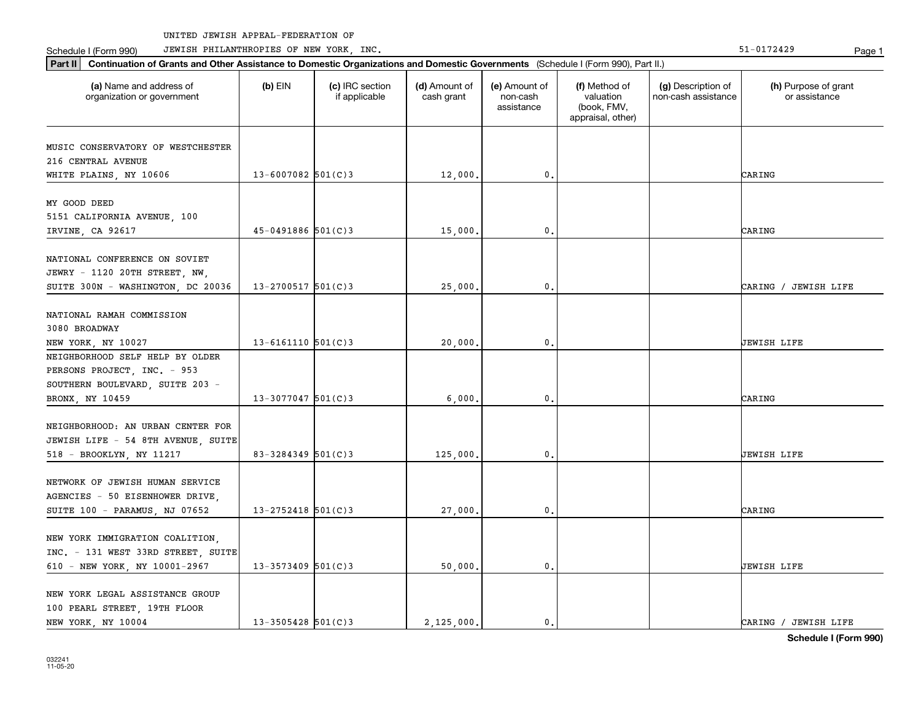Schedule I (Form 990) JEWISH PHILANTHROPIES OF NEW YORK, INC. New York in the state of the state of the State of the State of the State of the State of the State of the State of the State of the State of the State of the

| Part II   Continuation of Grants and Other Assistance to Domestic Organizations and Domestic Governments (Schedule I (Form 990), Part II.) |                          |                                  |                             |                                         |                                                                |                                           |                                       |
|--------------------------------------------------------------------------------------------------------------------------------------------|--------------------------|----------------------------------|-----------------------------|-----------------------------------------|----------------------------------------------------------------|-------------------------------------------|---------------------------------------|
| (a) Name and address of<br>organization or government                                                                                      | $(b)$ EIN                | (c) IRC section<br>if applicable | (d) Amount of<br>cash grant | (e) Amount of<br>non-cash<br>assistance | (f) Method of<br>valuation<br>(book, FMV,<br>appraisal, other) | (g) Description of<br>non-cash assistance | (h) Purpose of grant<br>or assistance |
| MUSIC CONSERVATORY OF WESTCHESTER                                                                                                          |                          |                                  |                             |                                         |                                                                |                                           |                                       |
| 216 CENTRAL AVENUE                                                                                                                         |                          |                                  |                             |                                         |                                                                |                                           |                                       |
| WHITE PLAINS, NY 10606                                                                                                                     | $13 - 6007082$ 501(C)3   |                                  | 12,000.                     | $\mathbf{0}$ .                          |                                                                |                                           | CARING                                |
|                                                                                                                                            |                          |                                  |                             |                                         |                                                                |                                           |                                       |
| MY GOOD DEED                                                                                                                               |                          |                                  |                             |                                         |                                                                |                                           |                                       |
| 5151 CALIFORNIA AVENUE, 100                                                                                                                |                          |                                  |                             |                                         |                                                                |                                           |                                       |
| IRVINE, CA 92617                                                                                                                           | $45 - 0491886$ 501(C)3   |                                  | 15,000.                     | $\mathbf{0}$ .                          |                                                                |                                           | CARING                                |
|                                                                                                                                            |                          |                                  |                             |                                         |                                                                |                                           |                                       |
| NATIONAL CONFERENCE ON SOVIET                                                                                                              |                          |                                  |                             |                                         |                                                                |                                           |                                       |
| JEWRY - 1120 20TH STREET, NW,                                                                                                              | $13 - 2700517$ 501(C)3   |                                  |                             | $\mathbf{0}$ .                          |                                                                |                                           |                                       |
| SUITE 300N - WASHINGTON, DC 20036                                                                                                          |                          |                                  | 25,000.                     |                                         |                                                                |                                           | CARING / JEWISH LIFE                  |
| NATIONAL RAMAH COMMISSION                                                                                                                  |                          |                                  |                             |                                         |                                                                |                                           |                                       |
| 3080 BROADWAY                                                                                                                              |                          |                                  |                             |                                         |                                                                |                                           |                                       |
| NEW YORK, NY 10027                                                                                                                         | $13 - 6161110$ $501(C)3$ |                                  | 20,000.                     | $\mathbf{0}$ .                          |                                                                |                                           | JEWISH LIFE                           |
| NEIGHBORHOOD SELF HELP BY OLDER                                                                                                            |                          |                                  |                             |                                         |                                                                |                                           |                                       |
| PERSONS PROJECT, INC. - 953                                                                                                                |                          |                                  |                             |                                         |                                                                |                                           |                                       |
| SOUTHERN BOULEVARD, SUITE 203 -                                                                                                            |                          |                                  |                             |                                         |                                                                |                                           |                                       |
| BRONX, NY 10459                                                                                                                            | $13 - 3077047$ 501(C)3   |                                  | 6,000.                      | $\mathbf{0}$ .                          |                                                                |                                           | CARING                                |
|                                                                                                                                            |                          |                                  |                             |                                         |                                                                |                                           |                                       |
| NEIGHBORHOOD: AN URBAN CENTER FOR                                                                                                          |                          |                                  |                             |                                         |                                                                |                                           |                                       |
| JEWISH LIFE - 54 8TH AVENUE, SUITE                                                                                                         |                          |                                  |                             |                                         |                                                                |                                           |                                       |
| 518 - BROOKLYN, NY 11217                                                                                                                   | 83-3284349 501(C)3       |                                  | 125,000.                    | $\mathbf{0}$ .                          |                                                                |                                           | JEWISH LIFE                           |
| NETWORK OF JEWISH HUMAN SERVICE                                                                                                            |                          |                                  |                             |                                         |                                                                |                                           |                                       |
| AGENCIES - 50 EISENHOWER DRIVE,                                                                                                            |                          |                                  |                             |                                         |                                                                |                                           |                                       |
| SUITE 100 - PARAMUS, NJ 07652                                                                                                              | $13 - 2752418$ 501(C)3   |                                  | 27,000.                     | 0.                                      |                                                                |                                           | CARING                                |
|                                                                                                                                            |                          |                                  |                             |                                         |                                                                |                                           |                                       |
| NEW YORK IMMIGRATION COALITION,                                                                                                            |                          |                                  |                             |                                         |                                                                |                                           |                                       |
| INC. - 131 WEST 33RD STREET, SUITE                                                                                                         |                          |                                  |                             |                                         |                                                                |                                           |                                       |
| 610 - NEW YORK, NY 10001-2967                                                                                                              | $13 - 3573409$ 501(C)3   |                                  | 50,000.                     | 0.                                      |                                                                |                                           | UEWISH LIFE                           |
|                                                                                                                                            |                          |                                  |                             |                                         |                                                                |                                           |                                       |
| NEW YORK LEGAL ASSISTANCE GROUP                                                                                                            |                          |                                  |                             |                                         |                                                                |                                           |                                       |
| 100 PEARL STREET, 19TH FLOOR                                                                                                               |                          |                                  |                             |                                         |                                                                |                                           |                                       |
| NEW YORK, NY 10004                                                                                                                         | $13 - 3505428$ 501(C)3   |                                  | 2,125,000.                  | $\mathbf{0}$ .                          |                                                                |                                           | CARING / JEWISH LIFE                  |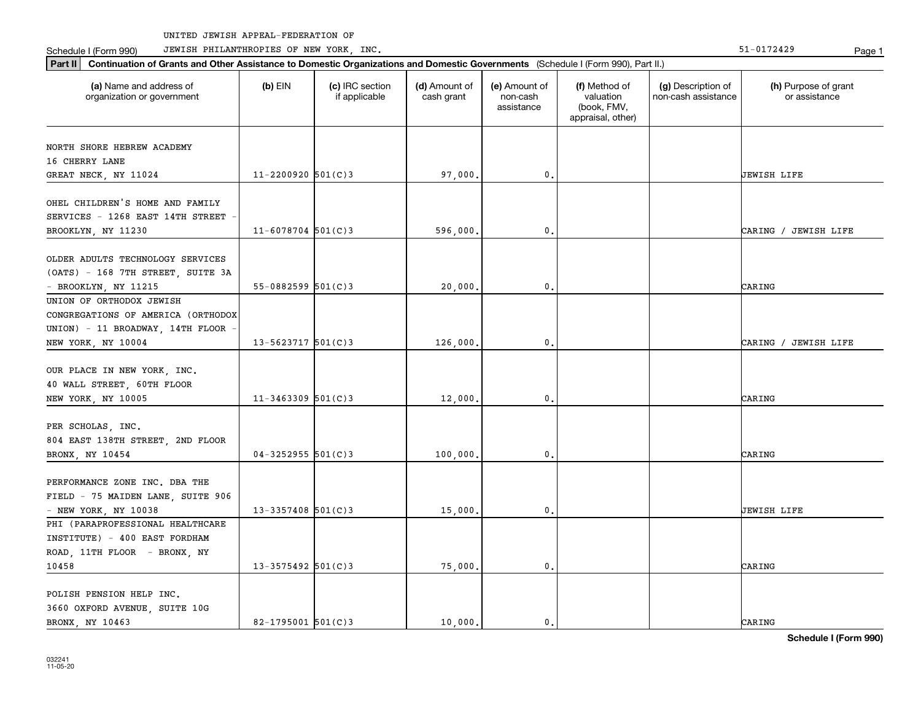Part II | Continuation of Grants and Other Assistance to Domestic Organizations and Domestic Governments (Schedule I (Form 990), Part II.)

Schedule I (Form 990) JEWISH PHILANTHROPIES OF NEW YORK, INC. New York in the state of the state of the State of the State of the State of the State of the State of the State of the State of the State of the State of the

| (a) Name and address of<br>organization or government          | $(b)$ EIN                | (c) IRC section<br>if applicable | (d) Amount of<br>cash grant | (e) Amount of<br>non-cash<br>assistance | (f) Method of<br>valuation<br>(book, FMV,<br>appraisal, other) | (g) Description of<br>non-cash assistance | (h) Purpose of grant<br>or assistance |
|----------------------------------------------------------------|--------------------------|----------------------------------|-----------------------------|-----------------------------------------|----------------------------------------------------------------|-------------------------------------------|---------------------------------------|
| NORTH SHORE HEBREW ACADEMY                                     |                          |                                  |                             |                                         |                                                                |                                           |                                       |
| 16 CHERRY LANE                                                 |                          |                                  |                             |                                         |                                                                |                                           |                                       |
| GREAT NECK, NY 11024                                           | $11 - 2200920$ 501(C)3   |                                  | 97,000.                     | $\mathbf{0}$ .                          |                                                                |                                           | UEWISH LIFE                           |
| OHEL CHILDREN'S HOME AND FAMILY                                |                          |                                  |                             |                                         |                                                                |                                           |                                       |
| SERVICES - 1268 EAST 14TH STREET                               |                          |                                  |                             |                                         |                                                                |                                           |                                       |
| BROOKLYN, NY 11230                                             | $11 - 6078704$ 501(C)3   |                                  | 596,000.                    | $\mathbf{0}$ .                          |                                                                |                                           | CARING / JEWISH LIFE                  |
|                                                                |                          |                                  |                             |                                         |                                                                |                                           |                                       |
| OLDER ADULTS TECHNOLOGY SERVICES                               |                          |                                  |                             |                                         |                                                                |                                           |                                       |
| (OATS) - 168 7TH STREET, SUITE 3A                              |                          |                                  |                             |                                         |                                                                |                                           |                                       |
| - BROOKLYN, NY 11215                                           | $55 - 0882599$ $501(C)3$ |                                  | 20,000.                     | $\mathbf 0$ .                           |                                                                |                                           | CARING                                |
| UNION OF ORTHODOX JEWISH<br>CONGREGATIONS OF AMERICA (ORTHODOX |                          |                                  |                             |                                         |                                                                |                                           |                                       |
|                                                                |                          |                                  |                             |                                         |                                                                |                                           |                                       |
| UNION) - 11 BROADWAY, 14TH FLOOR<br>NEW YORK, NY 10004         | 13-5623717 $501(C)$ 3    |                                  | 126,000                     | 0.                                      |                                                                |                                           | CARING / JEWISH LIFE                  |
|                                                                |                          |                                  |                             |                                         |                                                                |                                           |                                       |
| OUR PLACE IN NEW YORK, INC.                                    |                          |                                  |                             |                                         |                                                                |                                           |                                       |
| 40 WALL STREET, 60TH FLOOR                                     |                          |                                  |                             |                                         |                                                                |                                           |                                       |
| NEW YORK, NY 10005                                             | $11 - 3463309$ 501(C)3   |                                  | 12,000                      | $\mathbf{0}$ .                          |                                                                |                                           | CARING                                |
|                                                                |                          |                                  |                             |                                         |                                                                |                                           |                                       |
| PER SCHOLAS, INC.                                              |                          |                                  |                             |                                         |                                                                |                                           |                                       |
| 804 EAST 138TH STREET, 2ND FLOOR                               |                          |                                  |                             |                                         |                                                                |                                           |                                       |
| BRONX, NY 10454                                                | $04 - 3252955$ 501(C)3   |                                  | 100,000                     | 0.                                      |                                                                |                                           | CARING                                |
|                                                                |                          |                                  |                             |                                         |                                                                |                                           |                                       |
| PERFORMANCE ZONE INC. DBA THE                                  |                          |                                  |                             |                                         |                                                                |                                           |                                       |
| FIELD - 75 MAIDEN LANE, SUITE 906<br>$-$ NEW YORK, NY 10038    | $13 - 3357408$ 501(C)3   |                                  | 15,000.                     | $\mathbf{0}$ .                          |                                                                |                                           | JEWISH LIFE                           |
| PHI (PARAPROFESSIONAL HEALTHCARE                               |                          |                                  |                             |                                         |                                                                |                                           |                                       |
| INSTITUTE) - 400 EAST FORDHAM                                  |                          |                                  |                             |                                         |                                                                |                                           |                                       |
| ROAD, 11TH FLOOR - BRONX, NY                                   |                          |                                  |                             |                                         |                                                                |                                           |                                       |
| 10458                                                          | $13 - 3575492$ 501(C)3   |                                  | 75,000                      | $\mathbf{0}$ .                          |                                                                |                                           | CARING                                |
|                                                                |                          |                                  |                             |                                         |                                                                |                                           |                                       |
| POLISH PENSION HELP INC.                                       |                          |                                  |                             |                                         |                                                                |                                           |                                       |
| 3660 OXFORD AVENUE, SUITE 10G                                  |                          |                                  |                             |                                         |                                                                |                                           |                                       |
| BRONX, NY 10463                                                | 82-1795001 $501(C)$ 3    |                                  | 10,000.                     | $\mathbf{0}$ .                          |                                                                |                                           | CARING                                |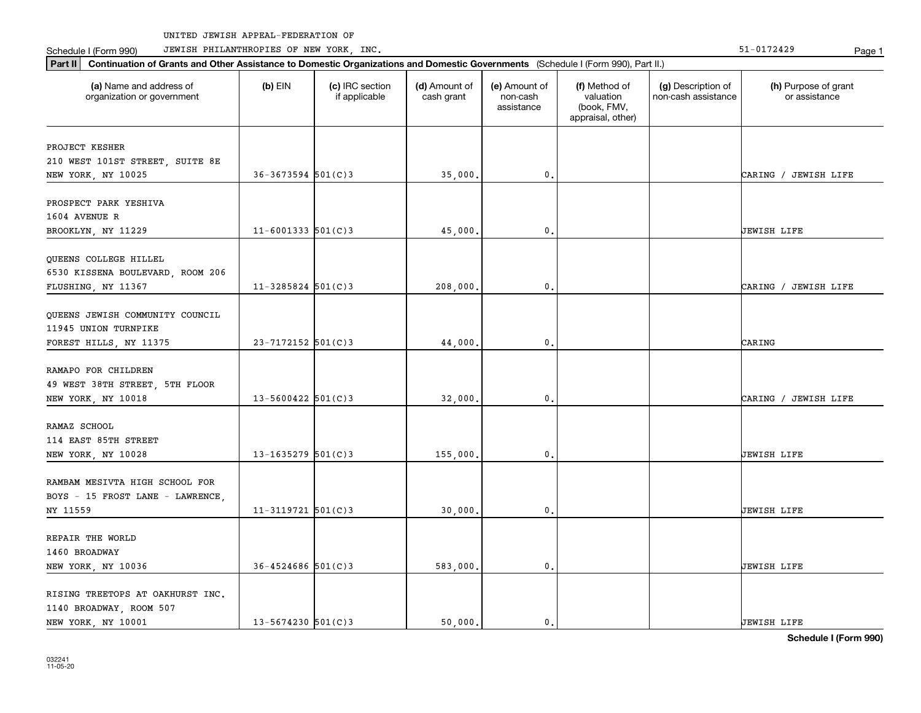Part II | Continuation of Grants and Other Assistance to Domestic Organizations and Domestic Governments (Schedule I (Form 990), Part II.)

Schedule I (Form 990) JEWISH PHILANTHROPIES OF NEW YORK, INC. New York in the state of the state of the State of the State of the State of the State of the State of the State of the State of the State of the State of the

| (a) Name and address of<br>organization or government                             | $(b)$ EIN              | (c) IRC section<br>if applicable | (d) Amount of<br>cash grant | (e) Amount of<br>non-cash<br>assistance | (f) Method of<br>valuation<br>(book, FMV,<br>appraisal, other) | (g) Description of<br>non-cash assistance | (h) Purpose of grant<br>or assistance |
|-----------------------------------------------------------------------------------|------------------------|----------------------------------|-----------------------------|-----------------------------------------|----------------------------------------------------------------|-------------------------------------------|---------------------------------------|
| PROJECT KESHER<br>210 WEST 101ST STREET, SUITE 8E<br>NEW YORK, NY 10025           | $36 - 3673594$ 501(C)3 |                                  | 35,000.                     | 0.                                      |                                                                |                                           | CARING / JEWISH LIFE                  |
| PROSPECT PARK YESHIVA<br>1604 AVENUE R<br>BROOKLYN, NY 11229                      | $11 - 6001333$ 501(C)3 |                                  | 45,000.                     | 0.                                      |                                                                |                                           | <b>JEWISH LIFE</b>                    |
| QUEENS COLLEGE HILLEL<br>6530 KISSENA BOULEVARD, ROOM 206<br>FLUSHING, NY 11367   | $11 - 3285824$ 501(C)3 |                                  | 208,000.                    | 0.                                      |                                                                |                                           | CARING / JEWISH LIFE                  |
| QUEENS JEWISH COMMUNITY COUNCIL<br>11945 UNION TURNPIKE<br>FOREST HILLS, NY 11375 | 23-7172152 501(C)3     |                                  | 44,000.                     | 0.                                      |                                                                |                                           | CARING                                |
| RAMAPO FOR CHILDREN<br>49 WEST 38TH STREET, 5TH FLOOR<br>NEW YORK, NY 10018       | $13 - 5600422$ 501(C)3 |                                  | 32,000.                     | 0.                                      |                                                                |                                           | CARING / JEWISH LIFE                  |
| RAMAZ SCHOOL<br>114 EAST 85TH STREET<br>NEW YORK, NY 10028                        | $13 - 1635279$ 501(C)3 |                                  | 155,000.                    | $\mathbf{0}$ .                          |                                                                |                                           | <b>JEWISH LIFE</b>                    |
| RAMBAM MESIVTA HIGH SCHOOL FOR<br>BOYS - 15 FROST LANE - LAWRENCE,<br>NY 11559    | $11-3119721$ 501(C)3   |                                  | 30,000.                     | 0.                                      |                                                                |                                           | JEWISH LIFE                           |
| REPAIR THE WORLD<br>1460 BROADWAY<br>NEW YORK, NY 10036                           | $36 - 4524686$ 501(C)3 |                                  | 583,000.                    | 0.                                      |                                                                |                                           | JEWISH LIFE                           |
| RISING TREETOPS AT OAKHURST INC.<br>1140 BROADWAY, ROOM 507                       |                        |                                  |                             |                                         |                                                                |                                           |                                       |

NEW YORK, NY 10001 13-5674230 501(C)3 50,000. 0. 0. JEWISH LIFE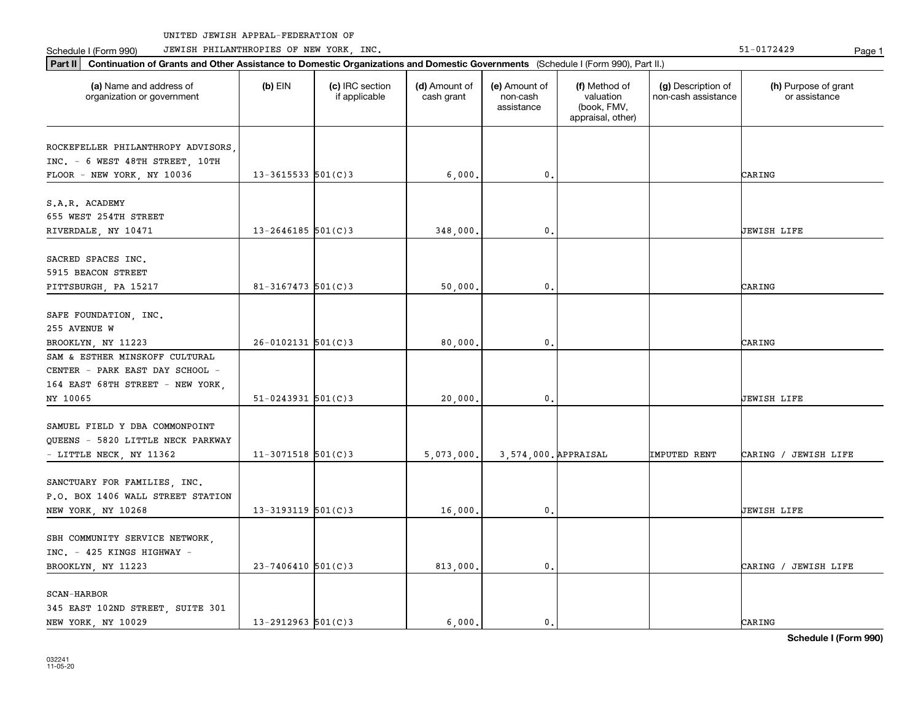Schedule I (Form 990) Page 1 JEWISH PHILANTHROPIES OF NEW YORK, INC. 51-0172429

| Part II   Continuation of Grants and Other Assistance to Domestic Organizations and Domestic Governments (Schedule I (Form 990), Part II.) |                          |                                  |                             |                                         |                                                                |                                           |                                       |
|--------------------------------------------------------------------------------------------------------------------------------------------|--------------------------|----------------------------------|-----------------------------|-----------------------------------------|----------------------------------------------------------------|-------------------------------------------|---------------------------------------|
| (a) Name and address of<br>organization or government                                                                                      | $(b)$ EIN                | (c) IRC section<br>if applicable | (d) Amount of<br>cash grant | (e) Amount of<br>non-cash<br>assistance | (f) Method of<br>valuation<br>(book, FMV,<br>appraisal, other) | (g) Description of<br>non-cash assistance | (h) Purpose of grant<br>or assistance |
|                                                                                                                                            |                          |                                  |                             |                                         |                                                                |                                           |                                       |
| ROCKEFELLER PHILANTHROPY ADVISORS<br>INC. - 6 WEST 48TH STREET, 10TH                                                                       |                          |                                  |                             |                                         |                                                                |                                           |                                       |
| FLOOR - NEW YORK, NY 10036                                                                                                                 | $13 - 3615533$ $501(C)3$ |                                  | 6,000.                      | $\mathbf{0}$ .                          |                                                                |                                           | CARING                                |
|                                                                                                                                            |                          |                                  |                             |                                         |                                                                |                                           |                                       |
| S.A.R. ACADEMY                                                                                                                             |                          |                                  |                             |                                         |                                                                |                                           |                                       |
| 655 WEST 254TH STREET                                                                                                                      |                          |                                  |                             |                                         |                                                                |                                           |                                       |
| RIVERDALE, NY 10471                                                                                                                        | $13 - 2646185$ 501(C)3   |                                  | 348,000                     | 0.                                      |                                                                |                                           | <b>JEWISH LIFE</b>                    |
|                                                                                                                                            |                          |                                  |                             |                                         |                                                                |                                           |                                       |
| SACRED SPACES INC.                                                                                                                         |                          |                                  |                             |                                         |                                                                |                                           |                                       |
| 5915 BEACON STREET                                                                                                                         |                          |                                  |                             | $\mathbf{0}$ .                          |                                                                |                                           | CARING                                |
| PITTSBURGH, PA 15217                                                                                                                       | $81 - 3167473$ 501(C)3   |                                  | 50,000,                     |                                         |                                                                |                                           |                                       |
| SAFE FOUNDATION, INC.                                                                                                                      |                          |                                  |                             |                                         |                                                                |                                           |                                       |
| 255 AVENUE W                                                                                                                               |                          |                                  |                             |                                         |                                                                |                                           |                                       |
| BROOKLYN, NY 11223                                                                                                                         | $26 - 0102131$ $501(C)3$ |                                  | 80,000.                     | 0.                                      |                                                                |                                           | CARING                                |
| SAM & ESTHER MINSKOFF CULTURAL                                                                                                             |                          |                                  |                             |                                         |                                                                |                                           |                                       |
| CENTER - PARK EAST DAY SCHOOL -                                                                                                            |                          |                                  |                             |                                         |                                                                |                                           |                                       |
| 164 EAST 68TH STREET - NEW YORK,                                                                                                           |                          |                                  |                             |                                         |                                                                |                                           |                                       |
| NY 10065                                                                                                                                   | $51-0243931$ $501(C)3$   |                                  | 20,000.                     | 0.                                      |                                                                |                                           | <b>JEWISH LIFE</b>                    |
|                                                                                                                                            |                          |                                  |                             |                                         |                                                                |                                           |                                       |
| SAMUEL FIELD Y DBA COMMONPOINT                                                                                                             |                          |                                  |                             |                                         |                                                                |                                           |                                       |
| QUEENS - 5820 LITTLE NECK PARKWAY                                                                                                          |                          |                                  |                             |                                         |                                                                |                                           |                                       |
| - LITTLE NECK, NY 11362                                                                                                                    | $11-3071518$ 501(C)3     |                                  | 5,073,000.                  | 3,574,000. APPRAISAL                    |                                                                | IMPUTED RENT                              | CARING / JEWISH LIFE                  |
|                                                                                                                                            |                          |                                  |                             |                                         |                                                                |                                           |                                       |
| SANCTUARY FOR FAMILIES, INC.<br>P.O. BOX 1406 WALL STREET STATION                                                                          |                          |                                  |                             |                                         |                                                                |                                           |                                       |
| NEW YORK, NY 10268                                                                                                                         | $13 - 3193119$ 501(C)3   |                                  |                             | $\mathbf{0}$ .                          |                                                                |                                           | <b>JEWISH LIFE</b>                    |
|                                                                                                                                            |                          |                                  | 16,000.                     |                                         |                                                                |                                           |                                       |
| SBH COMMUNITY SERVICE NETWORK,                                                                                                             |                          |                                  |                             |                                         |                                                                |                                           |                                       |
| INC. - 425 KINGS HIGHWAY -                                                                                                                 |                          |                                  |                             |                                         |                                                                |                                           |                                       |
| BROOKLYN, NY 11223                                                                                                                         | $23 - 7406410$ 501(C)3   |                                  | 813,000.                    | 0.                                      |                                                                |                                           | CARING / JEWISH LIFE                  |
|                                                                                                                                            |                          |                                  |                             |                                         |                                                                |                                           |                                       |
| SCAN-HARBOR                                                                                                                                |                          |                                  |                             |                                         |                                                                |                                           |                                       |
| 345 EAST 102ND STREET, SUITE 301                                                                                                           |                          |                                  |                             |                                         |                                                                |                                           |                                       |
| NEW YORK, NY 10029                                                                                                                         | $13 - 2912963$ 501(C)3   |                                  | 6.000.                      | $\mathbf{0}$ .                          |                                                                |                                           | CARING                                |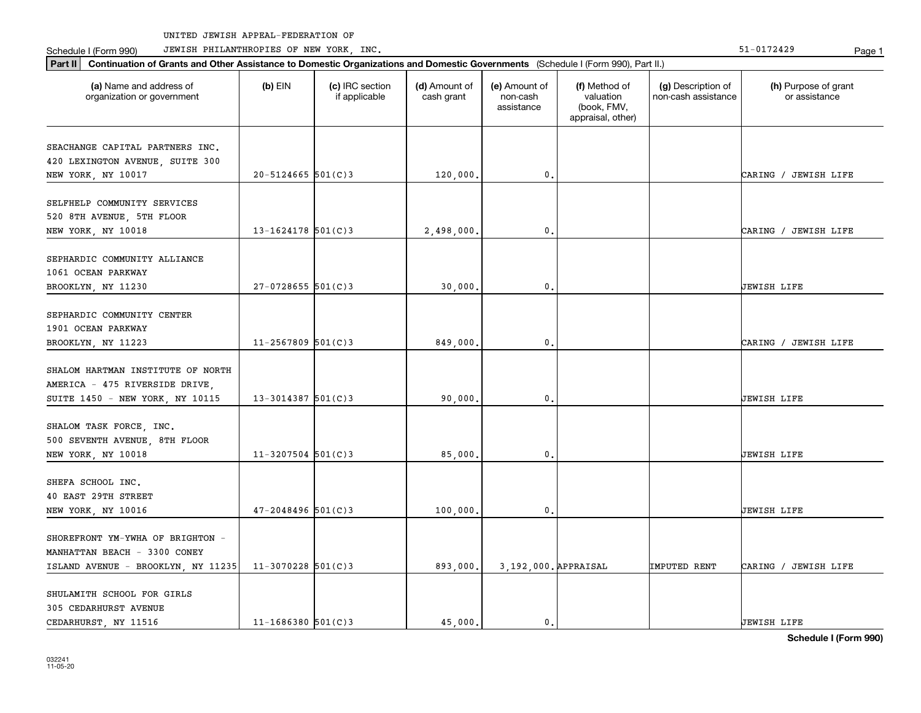Schedule I (Form 990) JEWISH PHILANTHROPIES OF NEW YORK, INC. New York in the state of the state of the State of the State of the State of the State of the State of the State of the State of the State of the State of the

| (a) Name and address of<br>organization or government                                                  | $(b)$ EIN              | (c) IRC section<br>if applicable | (d) Amount of<br>cash grant | (e) Amount of<br>non-cash<br>assistance | (f) Method of<br>valuation<br>(book, FMV,<br>appraisal, other) | (g) Description of<br>non-cash assistance | (h) Purpose of grant<br>or assistance |
|--------------------------------------------------------------------------------------------------------|------------------------|----------------------------------|-----------------------------|-----------------------------------------|----------------------------------------------------------------|-------------------------------------------|---------------------------------------|
| SEACHANGE CAPITAL PARTNERS INC.                                                                        |                        |                                  |                             |                                         |                                                                |                                           |                                       |
| 420 LEXINGTON AVENUE, SUITE 300                                                                        |                        |                                  |                             |                                         |                                                                |                                           |                                       |
| NEW YORK, NY 10017                                                                                     | $20 - 5124665$ 501(C)3 |                                  | 120,000.                    | $\mathfrak{o}$ .                        |                                                                |                                           | CARING / JEWISH LIFE                  |
| SELFHELP COMMUNITY SERVICES<br>520 8TH AVENUE, 5TH FLOOR                                               |                        |                                  |                             |                                         |                                                                |                                           |                                       |
| NEW YORK, NY 10018                                                                                     | $13 - 1624178$ 501(C)3 |                                  | 2,498,000.                  | $\mathbf{0}$ .                          |                                                                |                                           | CARING / JEWISH LIFE                  |
| SEPHARDIC COMMUNITY ALLIANCE<br>1061 OCEAN PARKWAY                                                     |                        |                                  |                             |                                         |                                                                |                                           |                                       |
| BROOKLYN, NY 11230                                                                                     | $27-0728655$ 501(C)3   |                                  | 30,000.                     | $\mathbf{0}$ .                          |                                                                |                                           | JEWISH LIFE                           |
| SEPHARDIC COMMUNITY CENTER<br>1901 OCEAN PARKWAY<br>BROOKLYN, NY 11223                                 | $11 - 2567809$ 501(C)3 |                                  | 849,000,                    | $\mathbf{0}$                            |                                                                |                                           | CARING / JEWISH LIFE                  |
|                                                                                                        |                        |                                  |                             |                                         |                                                                |                                           |                                       |
| SHALOM HARTMAN INSTITUTE OF NORTH<br>AMERICA - 475 RIVERSIDE DRIVE,                                    |                        |                                  |                             |                                         |                                                                |                                           |                                       |
| SUITE 1450 - NEW YORK, NY 10115                                                                        | $13 - 3014387$ 501(C)3 |                                  | 90,000                      | $\mathfrak{o}$ .                        |                                                                |                                           | UEWISH LIFE                           |
| SHALOM TASK FORCE, INC.<br>500 SEVENTH AVENUE, 8TH FLOOR<br>NEW YORK, NY 10018                         | $11 - 3207504$ 501(C)3 |                                  | 85,000,                     | $\mathbf{0}$ .                          |                                                                |                                           | UEWISH LIFE                           |
|                                                                                                        |                        |                                  |                             |                                         |                                                                |                                           |                                       |
| SHEFA SCHOOL INC.<br>40 EAST 29TH STREET                                                               |                        |                                  |                             |                                         |                                                                |                                           |                                       |
| NEW YORK, NY 10016                                                                                     | $47 - 2048496$ 501(C)3 |                                  | 100,000,                    | $\mathbf{0}$ .                          |                                                                |                                           | UEWISH LIFE                           |
| SHOREFRONT YM-YWHA OF BRIGHTON -<br>MANHATTAN BEACH - 3300 CONEY<br>ISLAND AVENUE - BROOKLYN, NY 11235 | $11-3070228$ 501(C)3   |                                  | 893,000.                    | 3,192,000. APPRAISAL                    |                                                                | IMPUTED RENT                              | CARING / JEWISH LIFE                  |
|                                                                                                        |                        |                                  |                             |                                         |                                                                |                                           |                                       |
| SHULAMITH SCHOOL FOR GIRLS<br>305 CEDARHURST AVENUE<br>CEDARHURST, NY 11516                            | $11 - 1686380$ 501(C)3 |                                  | 45,000.                     | $\mathbf{0}$ .                          |                                                                |                                           | <b>JEWISH LIFE</b>                    |
|                                                                                                        |                        |                                  |                             |                                         |                                                                |                                           |                                       |

Part II | Continuation of Grants and Other Assistance to Domestic Organizations and Domestic Governments (Schedule I (Form 990), Part II.)

⊤

Т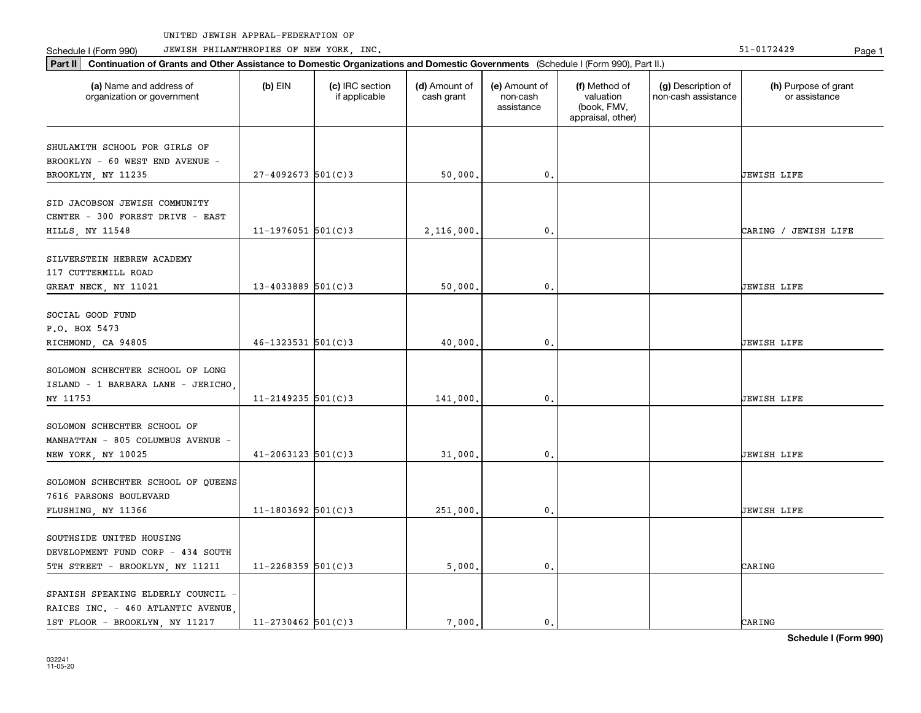Part II | Continuation of Grants and Other Assistance to Domestic Organizations and Domestic Governments (Schedule I (Form 990), Part II.)

Schedule I (Form 990) JEWISH PHILANTHROPIES OF NEW YORK, INC. New York in the state of the state of the State of the State of the State of the State of the State of the State of the State of the State of the State of the

| (a) Name and address of<br>organization or government                                            | (b) EIN                  | (c) IRC section<br>if applicable | (d) Amount of<br>cash grant | (e) Amount of<br>non-cash<br>assistance | (f) Method of<br>valuation<br>(book, FMV,<br>appraisal, other) | (g) Description of<br>non-cash assistance | (h) Purpose of grant<br>or assistance |
|--------------------------------------------------------------------------------------------------|--------------------------|----------------------------------|-----------------------------|-----------------------------------------|----------------------------------------------------------------|-------------------------------------------|---------------------------------------|
| SHULAMITH SCHOOL FOR GIRLS OF<br>BROOKLYN - 60 WEST END AVENUE -<br>BROOKLYN, NY 11235           | $27 - 4092673$ 501(C)3   |                                  | 50,000.                     | $\mathbf{0}$ .                          |                                                                |                                           | <b>JEWISH LIFE</b>                    |
| SID JACOBSON JEWISH COMMUNITY<br>CENTER - 300 FOREST DRIVE - EAST<br>HILLS, NY 11548             | $11 - 1976051$ 501(C)3   |                                  | 2,116,000                   | $\mathbf{0}$ .                          |                                                                |                                           | CARING / JEWISH LIFE                  |
| SILVERSTEIN HEBREW ACADEMY<br>117 CUTTERMILL ROAD<br>GREAT NECK, NY 11021                        | $13 - 4033889$ 501(C)3   |                                  | 50,000.                     | $\mathbf{0}$ .                          |                                                                |                                           | <b>JEWISH LIFE</b>                    |
| SOCIAL GOOD FUND<br>P.O. BOX 5473<br>RICHMOND, CA 94805                                          | $46 - 1323531$ $501(C)3$ |                                  | 40,000                      | $\mathfrak o$ .                         |                                                                |                                           | JEWISH LIFE                           |
| SOLOMON SCHECHTER SCHOOL OF LONG<br>ISLAND - 1 BARBARA LANE - JERICHO,<br>NY 11753               | $11 - 2149235$ 501(C)3   |                                  | 141,000.                    | $\mathbf{0}$ .                          |                                                                |                                           | <b>JEWISH LIFE</b>                    |
| SOLOMON SCHECHTER SCHOOL OF<br>MANHATTAN - 805 COLUMBUS AVENUE -<br>NEW YORK, NY 10025           | $41 - 2063123$ 501(C)3   |                                  | 31,000.                     | $\mathbf{0}$ .                          |                                                                |                                           | <b>JEWISH LIFE</b>                    |
| SOLOMON SCHECHTER SCHOOL OF QUEENS<br>7616 PARSONS BOULEVARD<br>FLUSHING, NY 11366               | $11 - 1803692$ 501(C)3   |                                  | 251,000.                    | $\mathbf{0}$ .                          |                                                                |                                           | <b>JEWISH LIFE</b>                    |
| SOUTHSIDE UNITED HOUSING<br>DEVELOPMENT FUND CORP - 434 SOUTH<br>5TH STREET - BROOKLYN, NY 11211 | $11 - 2268359$ 501(C)3   |                                  | 5,000                       | $\mathbf{0}$ .                          |                                                                |                                           | CARING                                |
| SPANISH SPEAKING ELDERLY COUNCIL<br>RAICES INC. - 460 ATLANTIC AVENUE                            |                          |                                  |                             |                                         |                                                                |                                           |                                       |

1ST FLOOR - BROOKLYN, NY 11217 | 11-2730462 501(C)3 | 7,000. 0. 0.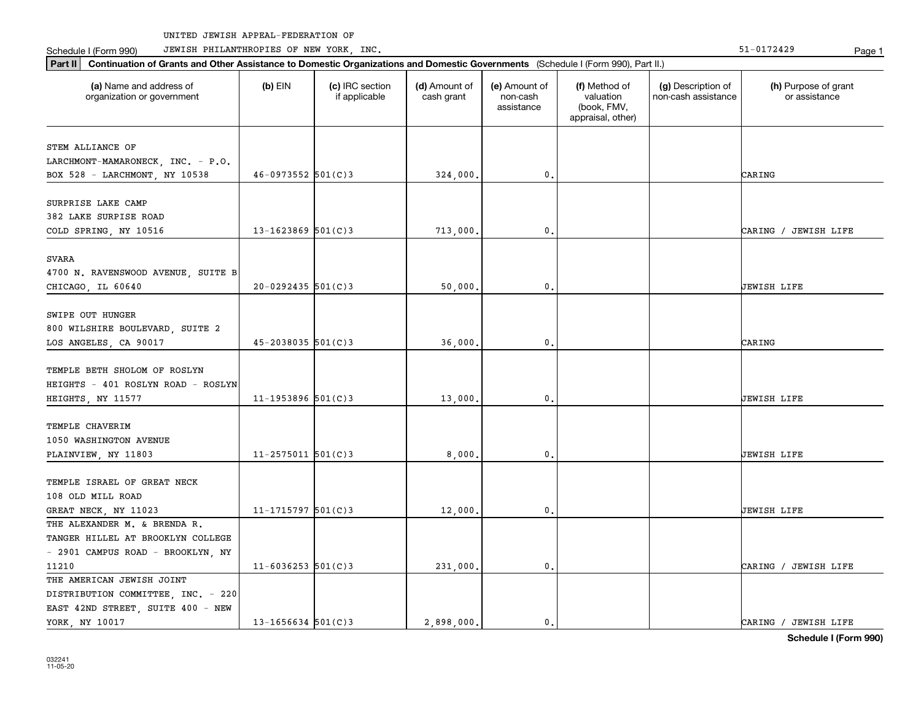Part II | Continuation of Grants and Other Assistance to Domestic Organizations and Domestic Governments (Schedule I (Form 990), Part II.)

Schedule I (Form 990) JEWISH PHILANTHROPIES OF NEW YORK, INC. New York in the state of the state of the State of the State of the State of the State of the State of the State of the State of the State of the State of the

| (a) Name and address of<br>organization or government                                                           | $(b)$ EIN              | (c) IRC section<br>if applicable | (d) Amount of<br>cash grant | (e) Amount of<br>non-cash<br>assistance | (f) Method of<br>valuation<br>(book, FMV,<br>appraisal, other) | (g) Description of<br>non-cash assistance | (h) Purpose of grant<br>or assistance |
|-----------------------------------------------------------------------------------------------------------------|------------------------|----------------------------------|-----------------------------|-----------------------------------------|----------------------------------------------------------------|-------------------------------------------|---------------------------------------|
| STEM ALLIANCE OF<br>LARCHMONT-MAMARONECK, INC. - P.O.<br>BOX 528 - LARCHMONT, NY 10538                          | $46 - 0973552$ 501(C)3 |                                  | 324,000.                    | $\mathbf{0}$ .                          |                                                                |                                           | CARING                                |
| SURPRISE LAKE CAMP<br>382 LAKE SURPISE ROAD<br>COLD SPRING, NY 10516                                            | $13 - 1623869$ 501(C)3 |                                  | 713,000.                    | 0.                                      |                                                                |                                           | CARING / JEWISH LIFE                  |
| SVARA<br>4700 N. RAVENSWOOD AVENUE, SUITE B<br>CHICAGO, IL 60640                                                | $20 - 0292435$ 501(C)3 |                                  | 50,000.                     | $\mathbf{0}$ .                          |                                                                |                                           | <b>JEWISH LIFE</b>                    |
| SWIPE OUT HUNGER<br>800 WILSHIRE BOULEVARD, SUITE 2<br>LOS ANGELES, CA 90017                                    | $45 - 2038035$ 501(C)3 |                                  | 36,000.                     | $\mathbf{0}$ .                          |                                                                |                                           | CARING                                |
| TEMPLE BETH SHOLOM OF ROSLYN<br>HEIGHTS - 401 ROSLYN ROAD - ROSLYN<br>HEIGHTS, NY 11577                         | $11 - 1953896$ 501(C)3 |                                  | 13,000.                     | $\mathbf{0}$ .                          |                                                                |                                           | <b>JEWISH LIFE</b>                    |
| TEMPLE CHAVERIM<br>1050 WASHINGTON AVENUE<br>PLAINVIEW, NY 11803                                                | $11 - 2575011$ 501(C)3 |                                  | 8,000,                      | $\mathbf{0}$ .                          |                                                                |                                           | <b>JEWISH LIFE</b>                    |
| TEMPLE ISRAEL OF GREAT NECK<br>108 OLD MILL ROAD<br>GREAT NECK, NY 11023                                        | $11 - 1715797$ 501(C)3 |                                  | 12,000.                     | $\mathbf{0}$ .                          |                                                                |                                           | <b>JEWISH LIFE</b>                    |
| THE ALEXANDER M. & BRENDA R.<br>TANGER HILLEL AT BROOKLYN COLLEGE<br>- 2901 CAMPUS ROAD - BROOKLYN, NY<br>11210 | $11 - 6036253$ 501(C)3 |                                  | 231,000.                    | $\mathbf{0}$ .                          |                                                                |                                           | CARING / JEWISH LIFE                  |
| THE AMERICAN JEWISH JOINT<br>DISTRIBUTION COMMITTEE, INC. - 220<br>EAST 42ND STREET, SUITE 400 - NEW            |                        |                                  |                             |                                         |                                                                |                                           |                                       |

YORK, NY 10017 13 TOROGO 2,898,000. 2,898,000. 0. 0. CARING / JEWISH LIFE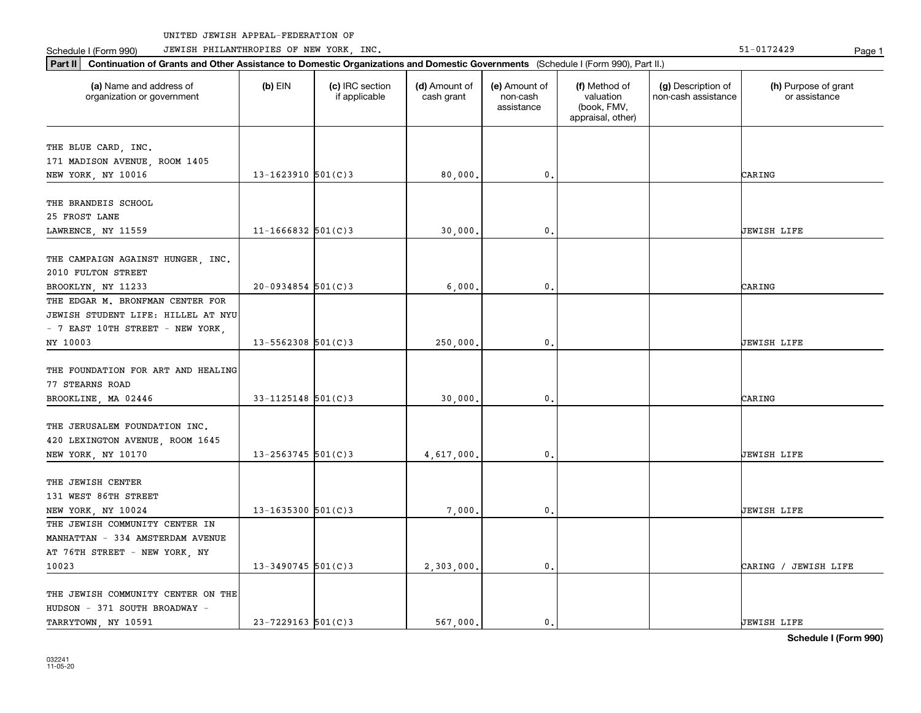Part II | Continuation of Grants and Other Assistance to Domestic Organizations and Domestic Governments (Schedule I (Form 990), Part II.)

Schedule I (Form 990) JEWISH PHILANTHROPIES OF NEW YORK, INC. New York in the state of the state of the State of the State of the State of the State of the State of the State of the State of the State of the State of the

| (a) Name and address of<br>organization or government | $(b)$ EIN              | (c) IRC section<br>if applicable | (d) Amount of<br>cash grant | (e) Amount of<br>non-cash<br>assistance | (f) Method of<br>valuation<br>(book, FMV,<br>appraisal, other) | (g) Description of<br>non-cash assistance | (h) Purpose of grant<br>or assistance |
|-------------------------------------------------------|------------------------|----------------------------------|-----------------------------|-----------------------------------------|----------------------------------------------------------------|-------------------------------------------|---------------------------------------|
| THE BLUE CARD, INC.                                   |                        |                                  |                             |                                         |                                                                |                                           |                                       |
| 171 MADISON AVENUE, ROOM 1405                         |                        |                                  |                             |                                         |                                                                |                                           |                                       |
| NEW YORK, NY 10016                                    | $13 - 1623910$ 501(C)3 |                                  | 80,000,                     | $\mathbf{0}$ .                          |                                                                |                                           | CARING                                |
|                                                       |                        |                                  |                             |                                         |                                                                |                                           |                                       |
| THE BRANDEIS SCHOOL                                   |                        |                                  |                             |                                         |                                                                |                                           |                                       |
| 25 FROST LANE                                         |                        |                                  |                             |                                         |                                                                |                                           |                                       |
| LAWRENCE, NY 11559                                    | $11 - 1666832$ 501(C)3 |                                  | 30,000.                     | 0.                                      |                                                                |                                           | <b>JEWISH LIFE</b>                    |
|                                                       |                        |                                  |                             |                                         |                                                                |                                           |                                       |
| THE CAMPAIGN AGAINST HUNGER, INC.                     |                        |                                  |                             |                                         |                                                                |                                           |                                       |
| 2010 FULTON STREET                                    |                        |                                  |                             |                                         |                                                                |                                           |                                       |
| BROOKLYN, NY 11233                                    | $20 - 0934854$ 501(C)3 |                                  | 6,000                       | $\mathbf 0$ .                           |                                                                |                                           | CARING                                |
| THE EDGAR M. BRONFMAN CENTER FOR                      |                        |                                  |                             |                                         |                                                                |                                           |                                       |
| JEWISH STUDENT LIFE: HILLEL AT NYU                    |                        |                                  |                             |                                         |                                                                |                                           |                                       |
| - 7 EAST 10TH STREET - NEW YORK,                      |                        |                                  |                             |                                         |                                                                |                                           |                                       |
| NY 10003                                              | $13 - 5562308$ 501(C)3 |                                  | 250,000,                    | $\mathbf{0}$                            |                                                                |                                           | JEWISH LIFE                           |
|                                                       |                        |                                  |                             |                                         |                                                                |                                           |                                       |
| THE FOUNDATION FOR ART AND HEALING                    |                        |                                  |                             |                                         |                                                                |                                           |                                       |
| 77 STEARNS ROAD                                       |                        |                                  |                             |                                         |                                                                |                                           |                                       |
| BROOKLINE, MA 02446                                   | $33 - 1125148$ 501(C)3 |                                  | 30,000,                     | $\mathbf{0}$ .                          |                                                                |                                           | CARING                                |
|                                                       |                        |                                  |                             |                                         |                                                                |                                           |                                       |
| THE JERUSALEM FOUNDATION INC.                         |                        |                                  |                             |                                         |                                                                |                                           |                                       |
| 420 LEXINGTON AVENUE, ROOM 1645                       |                        |                                  |                             |                                         |                                                                |                                           |                                       |
| NEW YORK, NY 10170                                    | $13 - 2563745$ 501(C)3 |                                  | 4,617,000,                  | 0.                                      |                                                                |                                           | UEWISH LIFE                           |
| THE JEWISH CENTER                                     |                        |                                  |                             |                                         |                                                                |                                           |                                       |
| 131 WEST 86TH STREET                                  |                        |                                  |                             |                                         |                                                                |                                           |                                       |
|                                                       | 13-1635300 $501(C)$ 3  |                                  |                             | 0.                                      |                                                                |                                           | JEWISH LIFE                           |
| NEW YORK, NY 10024<br>THE JEWISH COMMUNITY CENTER IN  |                        |                                  | 7,000,                      |                                         |                                                                |                                           |                                       |
|                                                       |                        |                                  |                             |                                         |                                                                |                                           |                                       |
| MANHATTAN - 334 AMSTERDAM AVENUE                      |                        |                                  |                             |                                         |                                                                |                                           |                                       |
| AT 76TH STREET - NEW YORK, NY                         |                        |                                  |                             |                                         |                                                                |                                           |                                       |
| 10023                                                 | $13 - 3490745$ 501(C)3 |                                  | 2,303,000.                  | $\mathbf{0}$ .                          |                                                                |                                           | CARING / JEWISH LIFE                  |
| THE JEWISH COMMUNITY CENTER ON THE                    |                        |                                  |                             |                                         |                                                                |                                           |                                       |
| HUDSON - 371 SOUTH BROADWAY -                         |                        |                                  |                             |                                         |                                                                |                                           |                                       |
| TARRYTOWN, NY 10591                                   | $23 - 7229163$ 501(C)3 |                                  | 567 000.                    | 0.                                      |                                                                |                                           | <b>JEWISH LIFE</b>                    |
|                                                       |                        |                                  |                             |                                         |                                                                |                                           |                                       |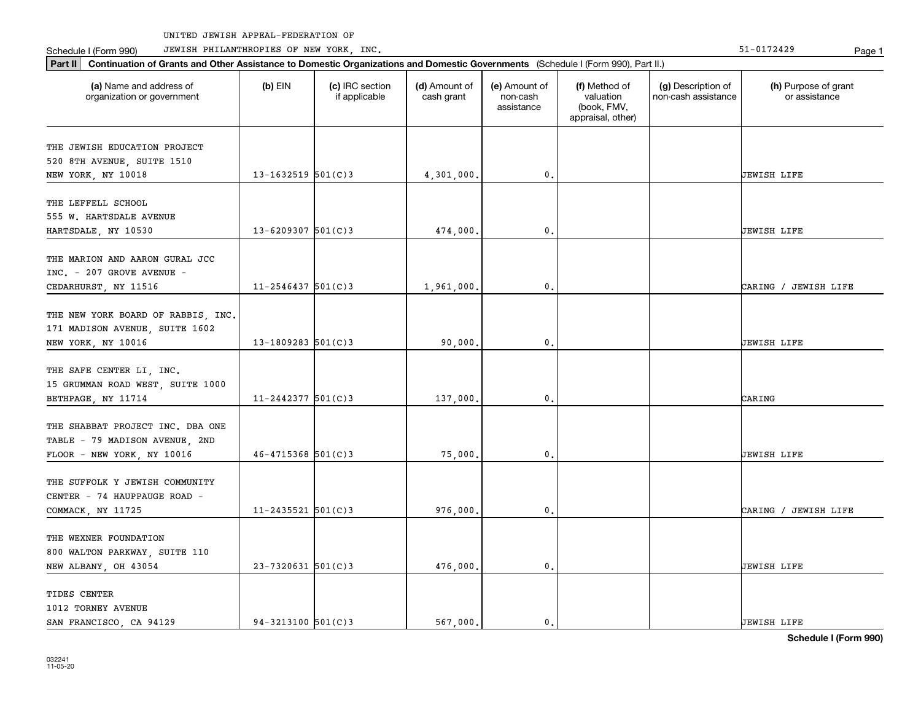Part II | Continuation of Grants and Other Assistance to Domestic Organizations and Domestic Governments (Schedule I (Form 990), Part II.)

Schedule I (Form 990) JEWISH PHILANTHROPIES OF NEW YORK, INC. New York in the state of the state of the State of the State of the State of the State of the State of the State of the State of the State of the State of the

| (a) Name and address of<br>organization or government                                            | $(b)$ EIN                | (c) IRC section<br>if applicable | (d) Amount of<br>cash grant | (e) Amount of<br>non-cash<br>assistance | (f) Method of<br>valuation<br>(book, FMV,<br>appraisal, other) | (g) Description of<br>non-cash assistance | (h) Purpose of grant<br>or assistance |
|--------------------------------------------------------------------------------------------------|--------------------------|----------------------------------|-----------------------------|-----------------------------------------|----------------------------------------------------------------|-------------------------------------------|---------------------------------------|
| THE JEWISH EDUCATION PROJECT<br>520 8TH AVENUE, SUITE 1510<br>NEW YORK, NY 10018                 | $13 - 1632519$ $501(C)3$ |                                  | 4,301,000.                  | $\mathbf{0}$ .                          |                                                                |                                           | JEWISH LIFE                           |
| THE LEFFELL SCHOOL<br>555 W. HARTSDALE AVENUE<br>HARTSDALE, NY 10530                             | $13 - 6209307$ 501(C)3   |                                  | 474,000.                    | $\mathbf 0$ .                           |                                                                |                                           | JEWISH LIFE                           |
| THE MARION AND AARON GURAL JCC<br>INC. - 207 GROVE AVENUE -<br>CEDARHURST, NY 11516              | $11 - 2546437$ 501(C)3   |                                  | 1,961,000.                  | 0.                                      |                                                                |                                           | CARING / JEWISH LIFE                  |
| THE NEW YORK BOARD OF RABBIS, INC.<br>171 MADISON AVENUE, SUITE 1602<br>NEW YORK, NY 10016       | $13 - 1809283$ 501(C)3   |                                  | 90,000,                     | $\mathbf{0}$ .                          |                                                                |                                           | JEWISH LIFE                           |
| THE SAFE CENTER LI, INC.<br>15 GRUMMAN ROAD WEST, SUITE 1000<br>BETHPAGE, NY 11714               | $11 - 2442377$ 501(C)3   |                                  | 137,000.                    | $\mathfrak o$ .                         |                                                                |                                           | CARING                                |
| THE SHABBAT PROJECT INC. DBA ONE<br>TABLE - 79 MADISON AVENUE, 2ND<br>FLOOR - NEW YORK, NY 10016 | $46 - 4715368$ 501(C)3   |                                  | 75,000.                     | 0.                                      |                                                                |                                           | JEWISH LIFE                           |
| THE SUFFOLK Y JEWISH COMMUNITY<br>CENTER - 74 HAUPPAUGE ROAD -<br>COMMACK, NY 11725              | $11 - 2435521$ 501(C)3   |                                  | 976,000.                    | 0.                                      |                                                                |                                           | CARING / JEWISH LIFE                  |
| THE WEXNER FOUNDATION<br>800 WALTON PARKWAY, SUITE 110<br>NEW ALBANY, OH 43054                   | $23 - 7320631$ 501(C)3   |                                  | 476,000.                    | $\mathbf{0}$ .                          |                                                                |                                           | JEWISH LIFE                           |
| TIDES CENTER<br>1012 TORNEY AVENUE<br>SAN FRANCISCO, CA 94129                                    | $94 - 3213100$ 501(C)3   |                                  | 567.000.                    | $\mathbf{0}$ .                          |                                                                |                                           | <b>JEWISH LIFE</b>                    |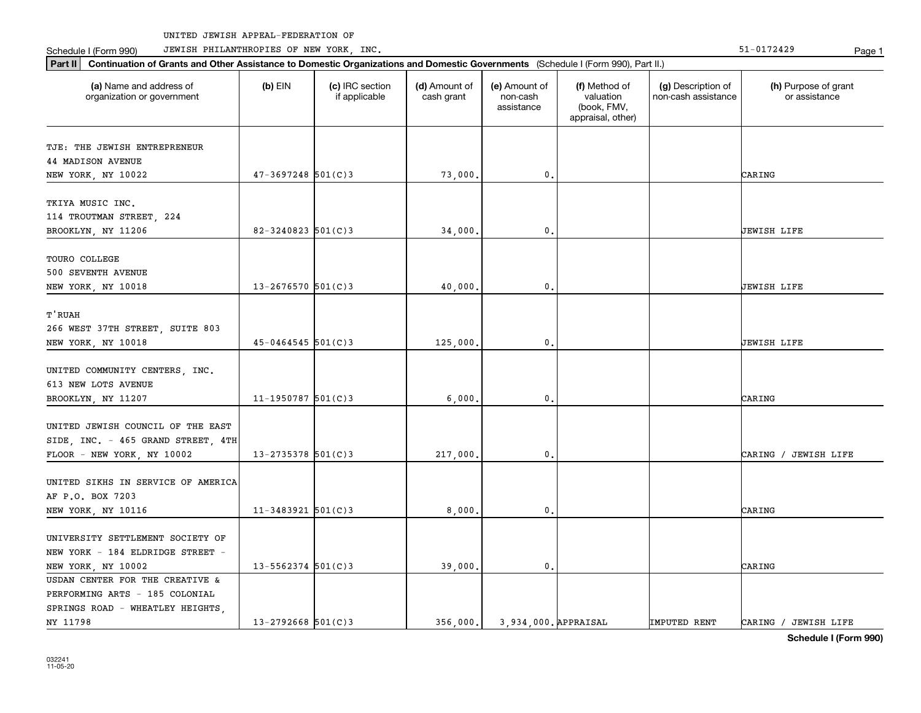Schedule I (Form 990) JEWISH PHILANTHROPIES OF NEW YORK, INC. New York in the state of the state of the State of the State of the State of the State of the State of the State of the State of the State of the State of the

032241 11-05-20

| Part II   Continuation of Grants and Other Assistance to Domestic Organizations and Domestic Governments (Schedule I (Form 990), Part II.) |                        |                                  |                             |                                         |                                                                |                                           |                                       |  |  |
|--------------------------------------------------------------------------------------------------------------------------------------------|------------------------|----------------------------------|-----------------------------|-----------------------------------------|----------------------------------------------------------------|-------------------------------------------|---------------------------------------|--|--|
| (a) Name and address of<br>organization or government                                                                                      | $(b)$ EIN              | (c) IRC section<br>if applicable | (d) Amount of<br>cash grant | (e) Amount of<br>non-cash<br>assistance | (f) Method of<br>valuation<br>(book, FMV,<br>appraisal, other) | (g) Description of<br>non-cash assistance | (h) Purpose of grant<br>or assistance |  |  |
| TJE: THE JEWISH ENTREPRENEUR                                                                                                               |                        |                                  |                             |                                         |                                                                |                                           |                                       |  |  |
| <b>44 MADISON AVENUE</b>                                                                                                                   |                        |                                  |                             |                                         |                                                                |                                           |                                       |  |  |
| NEW YORK, NY 10022                                                                                                                         | $47 - 3697248$ 501(C)3 |                                  | 73,000.                     | $\mathbf{0}$                            |                                                                |                                           | CARING                                |  |  |
| TKIYA MUSIC INC.<br>114 TROUTMAN STREET, 224<br>BROOKLYN, NY 11206                                                                         | $82 - 3240823$ 501(C)3 |                                  | 34,000,                     | 0                                       |                                                                |                                           | <b>JEWISH LIFE</b>                    |  |  |
|                                                                                                                                            |                        |                                  |                             |                                         |                                                                |                                           |                                       |  |  |
| TOURO COLLEGE<br>500 SEVENTH AVENUE<br>NEW YORK, NY 10018                                                                                  | 13-2676570 $501(C)3$   |                                  | 40,000.                     | 0                                       |                                                                |                                           | <b>JEWISH LIFE</b>                    |  |  |
| T'RUAH<br>266 WEST 37TH STREET, SUITE 803<br>NEW YORK, NY 10018                                                                            | $45 - 0464545$ 501(C)3 |                                  | 125,000.                    | $\mathbf{0}$                            |                                                                |                                           | <b>JEWISH LIFE</b>                    |  |  |
| UNITED COMMUNITY CENTERS, INC.<br>613 NEW LOTS AVENUE                                                                                      |                        |                                  |                             |                                         |                                                                |                                           |                                       |  |  |
| BROOKLYN, NY 11207                                                                                                                         | $11 - 1950787$ 501(C)3 |                                  | 6,000                       | 0                                       |                                                                |                                           | CARING                                |  |  |
| UNITED JEWISH COUNCIL OF THE EAST<br>SIDE, INC. - 465 GRAND STREET, 4TH<br>FLOOR - NEW YORK, NY 10002                                      | $13 - 2735378$ 501(C)3 |                                  | 217,000.                    | $\mathbf{0}$                            |                                                                |                                           | CARING / JEWISH LIFE                  |  |  |
| UNITED SIKHS IN SERVICE OF AMERICA<br>AF P.O. BOX 7203<br>NEW YORK, NY 10116                                                               | $11 - 3483921$ 501(C)3 |                                  | 8,000                       | 0.                                      |                                                                |                                           | CARING                                |  |  |
|                                                                                                                                            |                        |                                  |                             |                                         |                                                                |                                           |                                       |  |  |
| UNIVERSITY SETTLEMENT SOCIETY OF<br>NEW YORK - 184 ELDRIDGE STREET -<br>NEW YORK, NY 10002                                                 | $13 - 5562374$ 501(C)3 |                                  | 39,000.                     | $\mathbf{0}$                            |                                                                |                                           | CARING                                |  |  |
| USDAN CENTER FOR THE CREATIVE &<br>PERFORMING ARTS - 185 COLONIAL<br>SPRINGS ROAD - WHEATLEY HEIGHTS,<br>NY 11798                          | $13 - 2792668$ 501(C)3 |                                  | 356,000.                    | 3.934.000. APPRAISAL                    |                                                                | <b>IMPUTED RENT</b>                       | CARING / JEWISH LIFE                  |  |  |
|                                                                                                                                            |                        |                                  |                             |                                         |                                                                |                                           |                                       |  |  |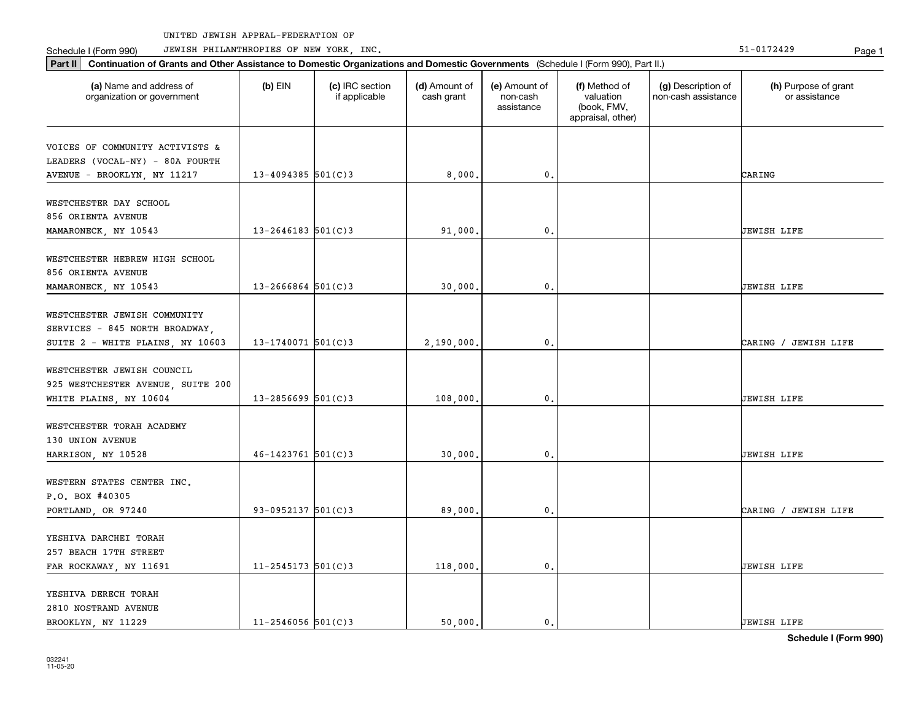Part II | Continuation of Grants and Other Assistance to Domestic Organizations and Domestic Governments (Schedule I (Form 990), Part II.)

Schedule I (Form 990) JEWISH PHILANTHROPIES OF NEW YORK, INC. New York in the state of the state of the State of the State of the State of the State of the State of the State of the State of the State of the State of the

| (a) Name and address of<br>organization or government                                              | $(b)$ EIN              | (c) IRC section<br>if applicable | (d) Amount of<br>cash grant | (e) Amount of<br>non-cash<br>assistance | (f) Method of<br>valuation<br>(book, FMV,<br>appraisal, other) | (g) Description of<br>non-cash assistance | (h) Purpose of grant<br>or assistance |
|----------------------------------------------------------------------------------------------------|------------------------|----------------------------------|-----------------------------|-----------------------------------------|----------------------------------------------------------------|-------------------------------------------|---------------------------------------|
| VOICES OF COMMUNITY ACTIVISTS &<br>LEADERS (VOCAL-NY) - 80A FOURTH<br>AVENUE - BROOKLYN, NY 11217  | $13 - 4094385$ 501(C)3 |                                  | 8,000.                      | $\mathbf{0}$ .                          |                                                                |                                           | CARING                                |
| WESTCHESTER DAY SCHOOL<br>856 ORIENTA AVENUE<br>MAMARONECK, NY 10543                               | $13 - 2646183$ 501(C)3 |                                  | 91,000.                     | $\mathbf{0}$                            |                                                                |                                           | <b>JEWISH LIFE</b>                    |
| WESTCHESTER HEBREW HIGH SCHOOL<br>856 ORIENTA AVENUE<br>MAMARONECK, NY 10543                       | $13 - 2666864$ 501(C)3 |                                  | 30,000.                     | $\mathbf 0$ .                           |                                                                |                                           | UEWISH LIFE                           |
| WESTCHESTER JEWISH COMMUNITY<br>SERVICES - 845 NORTH BROADWAY,<br>SUITE 2 - WHITE PLAINS, NY 10603 | $13 - 1740071$ 501(C)3 |                                  | 2,190,000.                  | $\mathbf 0$ .                           |                                                                |                                           | CARING / JEWISH LIFE                  |
| WESTCHESTER JEWISH COUNCIL<br>925 WESTCHESTER AVENUE, SUITE 200<br>WHITE PLAINS, NY 10604          | $13 - 2856699$ 501(C)3 |                                  | 108,000.                    | $\mathbf{0}$                            |                                                                |                                           | JEWISH LIFE                           |
| WESTCHESTER TORAH ACADEMY<br>130 UNION AVENUE<br>HARRISON, NY 10528                                | $46 - 1423761$ 501(C)3 |                                  | 30,000.                     | $\mathbf 0$ .                           |                                                                |                                           | <b>JEWISH LIFE</b>                    |
| WESTERN STATES CENTER INC.<br>P.O. BOX #40305<br>PORTLAND, OR 97240                                | 93-0952137 $501(C)$ 3  |                                  | 89,000.                     | $\mathbf 0$ .                           |                                                                |                                           | CARING / JEWISH LIFE                  |
| YESHIVA DARCHEI TORAH<br>257 BEACH 17TH STREET<br>FAR ROCKAWAY, NY 11691                           | $11 - 2545173$ 501(C)3 |                                  | 118,000.                    | 0.                                      |                                                                |                                           | JEWISH LIFE                           |
| YESHIVA DERECH TORAH<br>2810 NOSTRAND AVENUE                                                       |                        |                                  |                             |                                         |                                                                |                                           |                                       |

BROOKLYN, NY 11229 11-2546056 501(C)3 50,000. 0. 0.

**Schedule I (Form 990)**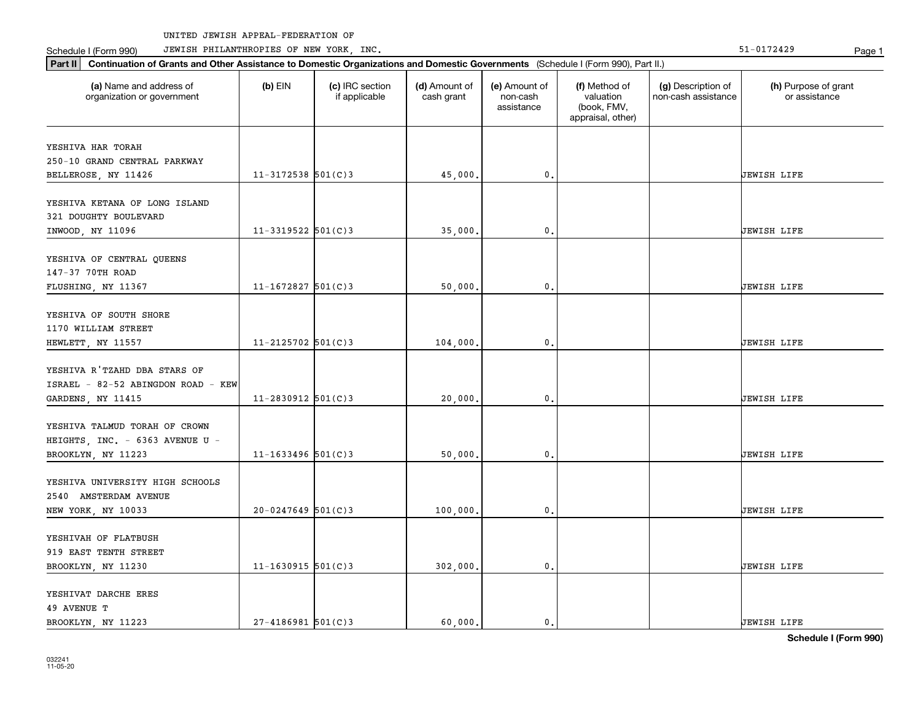Part II | Continuation of Grants and Other Assistance to Domestic Organizations and Domestic Governments (Schedule I (Form 990), Part II.)

Schedule I (Form 990) JEWISH PHILANTHROPIES OF NEW YORK, INC. New York in the state of the state of the State of the State of the State of the State of the State of the State of the State of the State of the State of the

| (a) Name and address of<br>organization or government                                   | $(b)$ EIN              | (c) IRC section<br>if applicable | (d) Amount of<br>cash grant | (e) Amount of<br>non-cash<br>assistance | (f) Method of<br>valuation<br>(book, FMV,<br>appraisal, other) | (g) Description of<br>non-cash assistance | (h) Purpose of grant<br>or assistance |
|-----------------------------------------------------------------------------------------|------------------------|----------------------------------|-----------------------------|-----------------------------------------|----------------------------------------------------------------|-------------------------------------------|---------------------------------------|
| YESHIVA HAR TORAH                                                                       |                        |                                  |                             |                                         |                                                                |                                           |                                       |
| 250-10 GRAND CENTRAL PARKWAY                                                            |                        |                                  |                             |                                         |                                                                |                                           |                                       |
| BELLEROSE, NY 11426                                                                     | $11 - 3172538$ 501(C)3 |                                  | 45,000.                     | $\mathbf 0$ .                           |                                                                |                                           | JEWISH LIFE                           |
| YESHIVA KETANA OF LONG ISLAND<br>321 DOUGHTY BOULEVARD                                  |                        |                                  |                             |                                         |                                                                |                                           |                                       |
| INWOOD, NY 11096                                                                        | $11 - 3319522$ 501(C)3 |                                  | 35,000.                     | $\mathbf{0}$                            |                                                                |                                           | <b>JEWISH LIFE</b>                    |
| YESHIVA OF CENTRAL QUEENS<br>147-37 70TH ROAD<br>FLUSHING, NY 11367                     | $11 - 1672827$ 501(C)3 |                                  | 50,000,                     | 0.                                      |                                                                |                                           | JEWISH LIFE                           |
| YESHIVA OF SOUTH SHORE<br>1170 WILLIAM STREET<br>HEWLETT, NY 11557                      | $11 - 2125702$ 501(C)3 |                                  | 104,000.                    | $\mathfrak o$ .                         |                                                                |                                           | JEWISH LIFE                           |
| YESHIVA R'TZAHD DBA STARS OF<br>ISRAEL - 82-52 ABINGDON ROAD - KEW<br>GARDENS, NY 11415 | $11 - 2830912$ 501(C)3 |                                  | 20,000,                     | $\mathbf{0}$ .                          |                                                                |                                           | JEWISH LIFE                           |
| YESHIVA TALMUD TORAH OF CROWN<br>HEIGHTS, INC. - 6363 AVENUE U -<br>BROOKLYN, NY 11223  | $11 - 1633496$ 501(C)3 |                                  | 50,000,                     | $\mathbf{0}$ .                          |                                                                |                                           | JEWISH LIFE                           |
| YESHIVA UNIVERSITY HIGH SCHOOLS<br>2540 AMSTERDAM AVENUE<br>NEW YORK, NY 10033          | $20 - 0247649$ 501(C)3 |                                  | 100,000.                    | 0.                                      |                                                                |                                           | JEWISH LIFE                           |
| YESHIVAH OF FLATBUSH<br>919 EAST TENTH STREET<br>BROOKLYN, NY 11230                     | $11 - 1630915$ 501(C)3 |                                  | 302,000.                    | 0.                                      |                                                                |                                           | JEWISH LIFE                           |
| YESHIVAT DARCHE ERES<br>49 AVENUE T<br>BROOKLYN, NY 11223                               | $27 - 4186981$ 501(C)3 |                                  | 60.000.                     | $\mathbf{0}$ .                          |                                                                |                                           | <b>JEWISH LIFE</b>                    |

**Schedule I (Form 990)**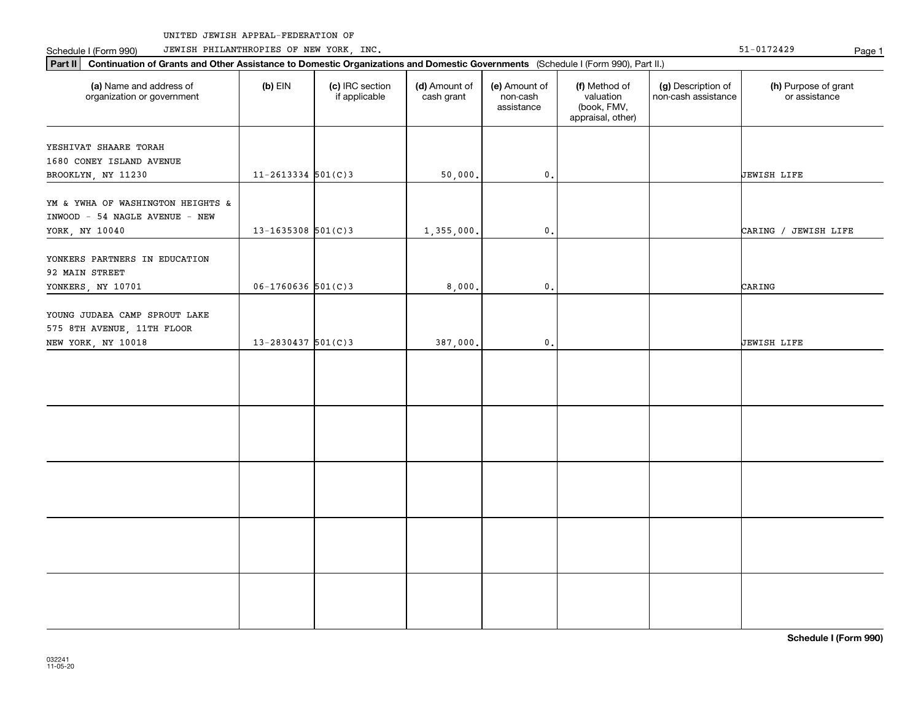Schedule I (Form 990) Page 1 JEWISH PHILANTHROPIES OF NEW YORK, INC.

| Continuation of Grants and Other Assistance to Domestic Organizations and Domestic Governments (Schedule I (Form 990), Part II.)<br>$ $ Part II |                        |                                  |                             |                                         |                                                                |                                           |                                       |  |  |  |
|-------------------------------------------------------------------------------------------------------------------------------------------------|------------------------|----------------------------------|-----------------------------|-----------------------------------------|----------------------------------------------------------------|-------------------------------------------|---------------------------------------|--|--|--|
| (a) Name and address of<br>organization or government                                                                                           | $(b)$ EIN              | (c) IRC section<br>if applicable | (d) Amount of<br>cash grant | (e) Amount of<br>non-cash<br>assistance | (f) Method of<br>valuation<br>(book, FMV,<br>appraisal, other) | (g) Description of<br>non-cash assistance | (h) Purpose of grant<br>or assistance |  |  |  |
| YESHIVAT SHAARE TORAH<br>1680 CONEY ISLAND AVENUE<br>BROOKLYN, NY 11230                                                                         | $11 - 2613334$ 501(C)3 |                                  | 50,000.                     | $\mathfrak o$ .                         |                                                                |                                           | <b>JEWISH LIFE</b>                    |  |  |  |
| YM & YWHA OF WASHINGTON HEIGHTS &<br>INWOOD - 54 NAGLE AVENUE - NEW<br>YORK, NY 10040                                                           | $13 - 1635308$ 501(C)3 |                                  | 1,355,000.                  | $\mathfrak o$ .                         |                                                                |                                           | CARING / JEWISH LIFE                  |  |  |  |
| YONKERS PARTNERS IN EDUCATION<br>92 MAIN STREET<br>YONKERS, NY 10701                                                                            | $06 - 1760636$ 501(C)3 |                                  | 8,000,                      | $\mathbf{0}$ .                          |                                                                |                                           | CARING                                |  |  |  |
| YOUNG JUDAEA CAMP SPROUT LAKE<br>575 8TH AVENUE, 11TH FLOOR<br>NEW YORK, NY 10018                                                               | $13 - 2830437$ 501(C)3 |                                  | 387,000.                    | $\mathfrak o$ .                         |                                                                |                                           | JEWISH LIFE                           |  |  |  |
|                                                                                                                                                 |                        |                                  |                             |                                         |                                                                |                                           |                                       |  |  |  |
|                                                                                                                                                 |                        |                                  |                             |                                         |                                                                |                                           |                                       |  |  |  |
|                                                                                                                                                 |                        |                                  |                             |                                         |                                                                |                                           |                                       |  |  |  |
|                                                                                                                                                 |                        |                                  |                             |                                         |                                                                |                                           |                                       |  |  |  |
|                                                                                                                                                 |                        |                                  |                             |                                         |                                                                |                                           |                                       |  |  |  |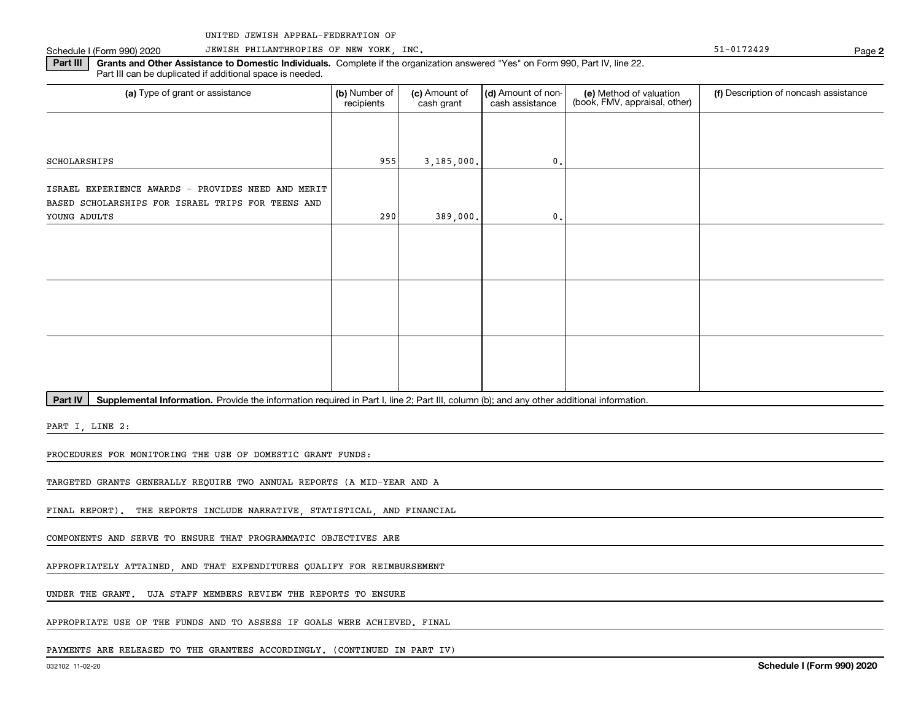# Schedule I (Form 990) 2020 JEWISH PHILANTHROPIES OF NEW YORK, INC. Sand the control of the state of the state of the Page Page

**2**

Part III | Grants and Other Assistance to Domestic Individuals. Complete if the organization answered "Yes" on Form 990, Part IV, line 22. Part III can be duplicated if additional space is needed.

| (a) Type of grant or assistance                                                                         | (b) Number of<br>recipients | (c) Amount of<br>cash grant | (d) Amount of non-<br>cash assistance | (e) Method of valuation<br>(book, FMV, appraisal, other) | (f) Description of noncash assistance |
|---------------------------------------------------------------------------------------------------------|-----------------------------|-----------------------------|---------------------------------------|----------------------------------------------------------|---------------------------------------|
|                                                                                                         |                             |                             |                                       |                                                          |                                       |
| SCHOLARSHIPS                                                                                            | 955                         | 3,185,000.                  | 0.                                    |                                                          |                                       |
| ISRAEL EXPERIENCE AWARDS - PROVIDES NEED AND MERIT<br>BASED SCHOLARSHIPS FOR ISRAEL TRIPS FOR TEENS AND |                             |                             |                                       |                                                          |                                       |
| YOUNG ADULTS                                                                                            | 290                         | 389,000.                    | 0.                                    |                                                          |                                       |
|                                                                                                         |                             |                             |                                       |                                                          |                                       |
|                                                                                                         |                             |                             |                                       |                                                          |                                       |
|                                                                                                         |                             |                             |                                       |                                                          |                                       |

Part IV | Supplemental Information. Provide the information required in Part I, line 2; Part III, column (b); and any other additional information.

PART I, LINE 2:

PROCEDURES FOR MONITORING THE USE OF DOMESTIC GRANT FUNDS:

TARGETED GRANTS GENERALLY REQUIRE TWO ANNUAL REPORTS (A MID-YEAR AND A

FINAL REPORT). THE REPORTS INCLUDE NARRATIVE, STATISTICAL, AND FINANCIAL

COMPONENTS AND SERVE TO ENSURE THAT PROGRAMMATIC OBJECTIVES ARE

APPROPRIATELY ATTAINED, AND THAT EXPENDITURES QUALIFY FOR REIMBURSEMENT

UNDER THE GRANT. UJA STAFF MEMBERS REVIEW THE REPORTS TO ENSURE

APPROPRIATE USE OF THE FUNDS AND TO ASSESS IF GOALS WERE ACHIEVED. FINAL

PAYMENTS ARE RELEASED TO THE GRANTEES ACCORDINGLY. (CONTINUED IN PART IV)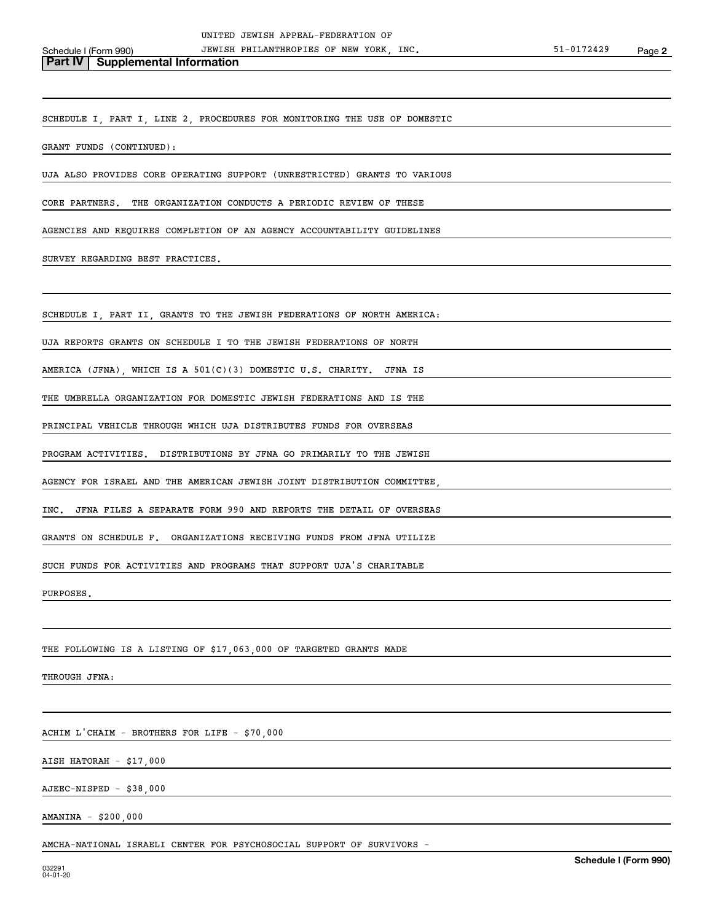**Part IV** Supplemental Information

SCHEDULE I, PART I, LINE 2, PROCEDURES FOR MONITORING THE USE OF DOMESTIC

GRANT FUNDS (CONTINUED):

UJA ALSO PROVIDES CORE OPERATING SUPPORT (UNRESTRICTED) GRANTS TO VARIOUS

CORE PARTNERS. THE ORGANIZATION CONDUCTS A PERIODIC REVIEW OF THESE

AGENCIES AND REQUIRES COMPLETION OF AN AGENCY ACCOUNTABILITY GUIDELINES

SURVEY REGARDING BEST PRACTICES.

SCHEDULE I, PART II, GRANTS TO THE JEWISH FEDERATIONS OF NORTH AMERICA:

UJA REPORTS GRANTS ON SCHEDULE I TO THE JEWISH FEDERATIONS OF NORTH

AMERICA (JFNA), WHICH IS A 501(C)(3) DOMESTIC U.S. CHARITY. JFNA IS

THE UMBRELLA ORGANIZATION FOR DOMESTIC JEWISH FEDERATIONS AND IS THE

PRINCIPAL VEHICLE THROUGH WHICH UJA DISTRIBUTES FUNDS FOR OVERSEAS

PROGRAM ACTIVITIES. DISTRIBUTIONS BY JFNA GO PRIMARILY TO THE JEWISH

AGENCY FOR ISRAEL AND THE AMERICAN JEWISH JOINT DISTRIBUTION COMMITTEE,

INC. JFNA FILES A SEPARATE FORM 990 AND REPORTS THE DETAIL OF OVERSEAS

GRANTS ON SCHEDULE F. ORGANIZATIONS RECEIVING FUNDS FROM JFNA UTILIZE

SUCH FUNDS FOR ACTIVITIES AND PROGRAMS THAT SUPPORT UJA'S CHARITABLE

PURPOSES.

THE FOLLOWING IS A LISTING OF \$17,063,000 OF TARGETED GRANTS MADE

THROUGH JFNA:

ACHIM L'CHAIM - BROTHERS FOR LIFE - \$70,000

AISH HATORAH - \$17,000

AJEEC-NISPED - \$38,000

AMANINA - \$200,000

AMCHA-NATIONAL ISRAELI CENTER FOR PSYCHOSOCIAL SUPPORT OF SURVIVORS -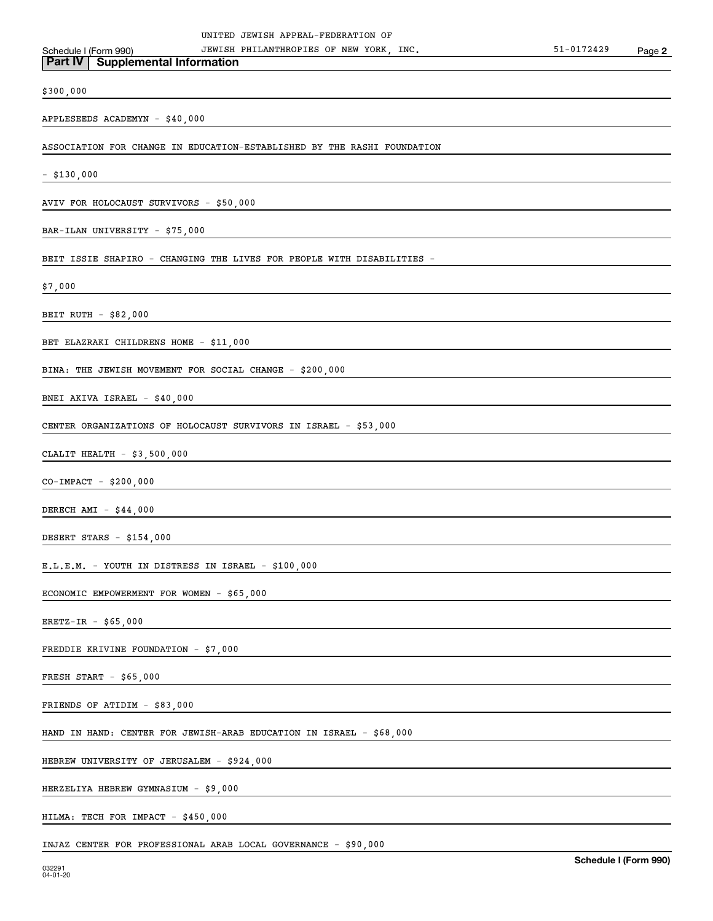# \$300,000

### APPLESEEDS ACADEMYN - \$40,000

**Part IV Supplemental Information**

ASSOCIATION FOR CHANGE IN EDUCATION-ESTABLISHED BY THE RASHI FOUNDATION

- \$130,000

AVIV FOR HOLOCAUST SURVIVORS - \$50,000

BAR-ILAN UNIVERSITY - \$75,000

BEIT ISSIE SHAPIRO - CHANGING THE LIVES FOR PEOPLE WITH DISABILITIES -

\$7,000

BEIT RUTH - \$82,000

BET ELAZRAKI CHILDRENS HOME - \$11,000

BINA: THE JEWISH MOVEMENT FOR SOCIAL CHANGE - \$200,000

BNEI AKIVA ISRAEL - \$40,000

CENTER ORGANIZATIONS OF HOLOCAUST SURVIVORS IN ISRAEL - \$53,000

CLALIT HEALTH - \$3,500,000

CO-IMPACT - \$200,000

DERECH AMI - \$44,000

DESERT STARS - \$154,000

E.L.E.M. - YOUTH IN DISTRESS IN ISRAEL - \$100,000

ECONOMIC EMPOWERMENT FOR WOMEN - \$65,000

ERETZ-IR - \$65,000

FREDDIE KRIVINE FOUNDATION - \$7,000

FRESH START - \$65,000

FRIENDS OF ATIDIM - \$83,000

HAND IN HAND: CENTER FOR JEWISH-ARAB EDUCATION IN ISRAEL - \$68,000

HEBREW UNIVERSITY OF JERUSALEM - \$924,000

HERZELIYA HEBREW GYMNASIUM - \$9,000

HILMA: TECH FOR IMPACT - \$450,000

INJAZ CENTER FOR PROFESSIONAL ARAB LOCAL GOVERNANCE - \$90,000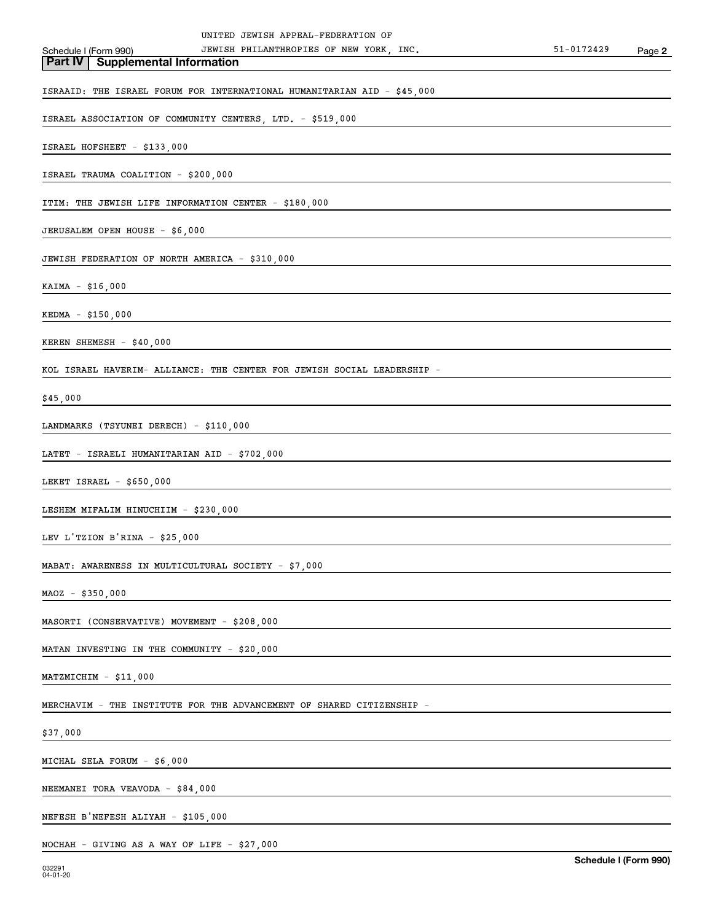| UNITED JEWISH APPEAL-FEDERATION OF                                      |            |        |
|-------------------------------------------------------------------------|------------|--------|
| JEWISH PHILANTHROPIES OF NEW YORK, INC.<br>Schedule I (Form 990)        | 51-0172429 | Page 2 |
| <b>Part IV   Supplemental Information</b>                               |            |        |
| ISRAAID: THE ISRAEL FORUM FOR INTERNATIONAL HUMANITARIAN AID - \$45,000 |            |        |
| ISRAEL ASSOCIATION OF COMMUNITY CENTERS, LTD. - \$519,000               |            |        |
| ISRAEL HOFSHEET - \$133,000                                             |            |        |
| ISRAEL TRAUMA COALITION - \$200,000                                     |            |        |
| ITIM: THE JEWISH LIFE INFORMATION CENTER - \$180,000                    |            |        |
| JERUSALEM OPEN HOUSE - \$6,000                                          |            |        |
| JEWISH FEDERATION OF NORTH AMERICA - \$310,000                          |            |        |
| KAIMA - \$16,000                                                        |            |        |
| KEDMA - \$150,000                                                       |            |        |
| KEREN SHEMESH - \$40,000                                                |            |        |
| KOL ISRAEL HAVERIM- ALLIANCE: THE CENTER FOR JEWISH SOCIAL LEADERSHIP - |            |        |
| \$45,000                                                                |            |        |
| LANDMARKS (TSYUNEI DERECH) - \$110,000                                  |            |        |
| LATET - ISRAELI HUMANITARIAN AID - \$702,000                            |            |        |
| LEKET ISRAEL - \$650,000                                                |            |        |
| LESHEM MIFALIM HINUCHIIM - \$230,000                                    |            |        |
| LEV L'TZION B'RINA - \$25,000                                           |            |        |
| MABAT: AWARENESS IN MULTICULTURAL SOCIETY - \$7,000                     |            |        |
| $MAOZ - $350,000$                                                       |            |        |
| MASORTI (CONSERVATIVE) MOVEMENT - \$208,000                             |            |        |
| MATAN INVESTING IN THE COMMUNITY - \$20,000                             |            |        |
| $MATZMICHIM - $11,000$                                                  |            |        |
| MERCHAVIM - THE INSTITUTE FOR THE ADVANCEMENT OF SHARED CITIZENSHIP -   |            |        |
| \$37,000                                                                |            |        |
| MICHAL SELA FORUM - \$6,000                                             |            |        |
| NEEMANEI TORA VEAVODA - \$84,000                                        |            |        |
| NEFESH B'NEFESH ALIYAH - \$105,000                                      |            |        |
| NOCHAH - GIVING AS A WAY OF LIFE - \$27,000                             |            |        |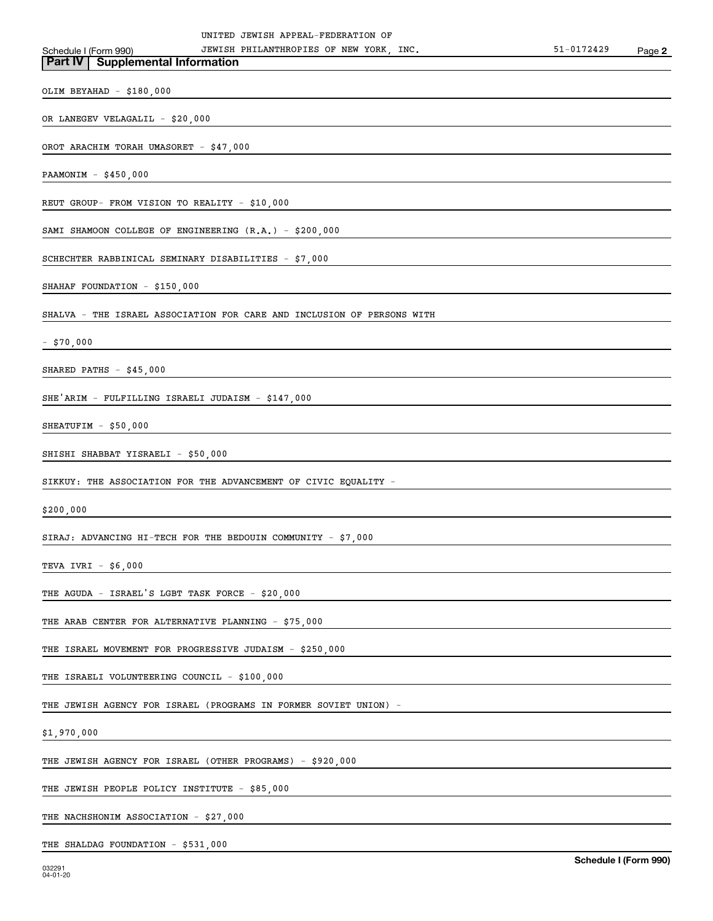| JEWISH PHILANTHROPIES OF NEW YORK, INC.<br>Schedule I (Form 990)       | 51-0172429 | Page 2 |
|------------------------------------------------------------------------|------------|--------|
| <b>Part IV   Supplemental Information</b>                              |            |        |
| OLIM BEYAHAD - \$180,000                                               |            |        |
| OR LANEGEV VELAGALIL - \$20,000                                        |            |        |
| OROT ARACHIM TORAH UMASORET - \$47,000                                 |            |        |
| PAAMONIM $-$ \$450,000                                                 |            |        |
|                                                                        |            |        |
| REUT GROUP- FROM VISION TO REALITY - \$10,000                          |            |        |
| SAMI SHAMOON COLLEGE OF ENGINEERING (R.A.) - \$200,000                 |            |        |
| SCHECHTER RABBINICAL SEMINARY DISABILITIES - \$7,000                   |            |        |
| SHAHAF FOUNDATION - \$150,000                                          |            |        |
| SHALVA - THE ISRAEL ASSOCIATION FOR CARE AND INCLUSION OF PERSONS WITH |            |        |
| $-$ \$70,000                                                           |            |        |
| SHARED PATHS $-$ \$45,000                                              |            |        |
|                                                                        |            |        |
| SHE'ARIM - FULFILLING ISRAELI JUDAISM - \$147,000                      |            |        |
| SHEATUFIM $-$ \$50,000                                                 |            |        |
| SHISHI SHABBAT YISRAELI - \$50,000                                     |            |        |
| SIKKUY: THE ASSOCIATION FOR THE ADVANCEMENT OF CIVIC EQUALITY -        |            |        |
| \$200,000                                                              |            |        |
| SIRAJ: ADVANCING HI-TECH FOR THE BEDOUIN COMMUNITY - $$7,000$          |            |        |
| TEVA IVRI - \$6,000                                                    |            |        |
|                                                                        |            |        |
| THE AGUDA - ISRAEL'S LGBT TASK FORCE - \$20,000                        |            |        |
| THE ARAB CENTER FOR ALTERNATIVE PLANNING - \$75,000                    |            |        |
| THE ISRAEL MOVEMENT FOR PROGRESSIVE JUDAISM - \$250,000                |            |        |
| THE ISRAELI VOLUNTEERING COUNCIL - \$100,000                           |            |        |
| THE JEWISH AGENCY FOR ISRAEL (PROGRAMS IN FORMER SOVIET UNION) -       |            |        |
| \$1,970,000                                                            |            |        |
| THE JEWISH AGENCY FOR ISRAEL (OTHER PROGRAMS) - \$920,000              |            |        |
|                                                                        |            |        |
| THE JEWISH PEOPLE POLICY INSTITUTE - \$85,000                          |            |        |
| THE NACHSHONIM ASSOCIATION - \$27,000                                  |            |        |

THE SHALDAG FOUNDATION - \$531,000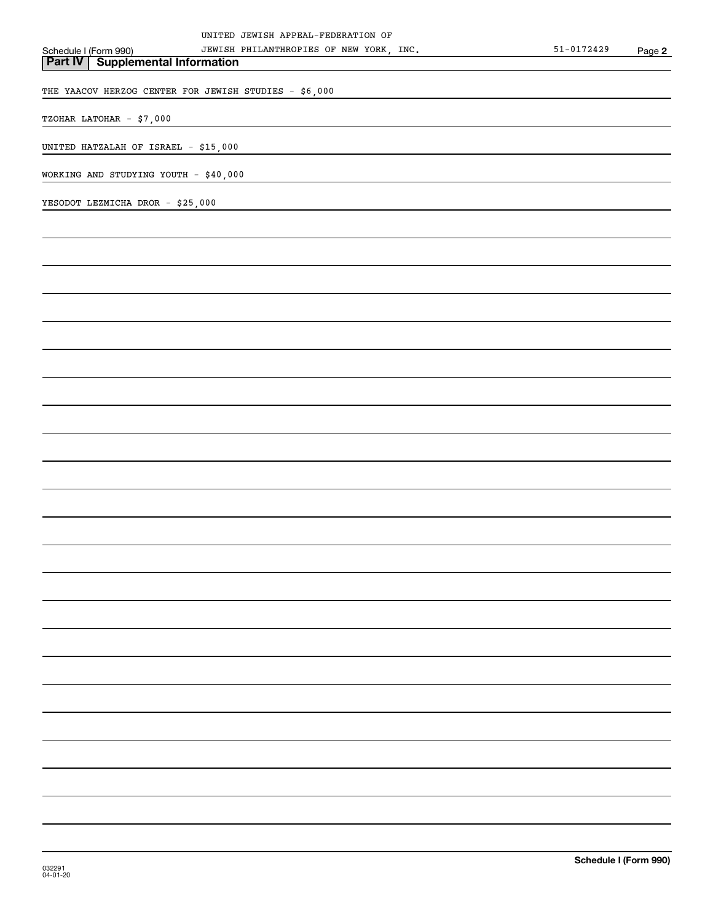| UNITED JEWISH APPEAL-FEDERATION OF                               |                |        |
|------------------------------------------------------------------|----------------|--------|
| JEWISH PHILANTHROPIES OF NEW YORK, INC.<br>Schedule I (Form 990) | $51 - 0172429$ | Page 2 |
| <b>Supplemental Information</b><br><b>Part IV</b>                |                |        |
|                                                                  |                |        |
| THE YAACOV HERZOG CENTER FOR JEWISH STUDIES - \$6,000            |                |        |
|                                                                  |                |        |
| TZOHAR LATOHAR - \$7,000                                         |                |        |
|                                                                  |                |        |
| UNITED HATZALAH OF ISRAEL - \$15,000                             |                |        |
|                                                                  |                |        |
| WORKING AND STUDYING YOUTH - \$40,000                            |                |        |
|                                                                  |                |        |
| YESODOT LEZMICHA DROR - \$25,000                                 |                |        |
|                                                                  |                |        |
|                                                                  |                |        |
|                                                                  |                |        |
|                                                                  |                |        |
|                                                                  |                |        |
|                                                                  |                |        |
|                                                                  |                |        |
|                                                                  |                |        |
|                                                                  |                |        |
|                                                                  |                |        |
|                                                                  |                |        |
|                                                                  |                |        |
|                                                                  |                |        |
|                                                                  |                |        |
|                                                                  |                |        |
|                                                                  |                |        |
|                                                                  |                |        |
|                                                                  |                |        |
|                                                                  |                |        |
|                                                                  |                |        |
|                                                                  |                |        |
|                                                                  |                |        |
|                                                                  |                |        |
|                                                                  |                |        |
|                                                                  |                |        |
|                                                                  |                |        |
|                                                                  |                |        |
|                                                                  |                |        |
|                                                                  |                |        |
|                                                                  |                |        |
|                                                                  |                |        |
|                                                                  |                |        |
|                                                                  |                |        |
|                                                                  |                |        |
|                                                                  |                |        |
|                                                                  |                |        |
|                                                                  |                |        |
|                                                                  |                |        |
|                                                                  |                |        |
|                                                                  |                |        |
|                                                                  |                |        |
|                                                                  |                |        |
|                                                                  |                |        |
|                                                                  |                |        |
|                                                                  |                |        |
|                                                                  |                |        |
|                                                                  |                |        |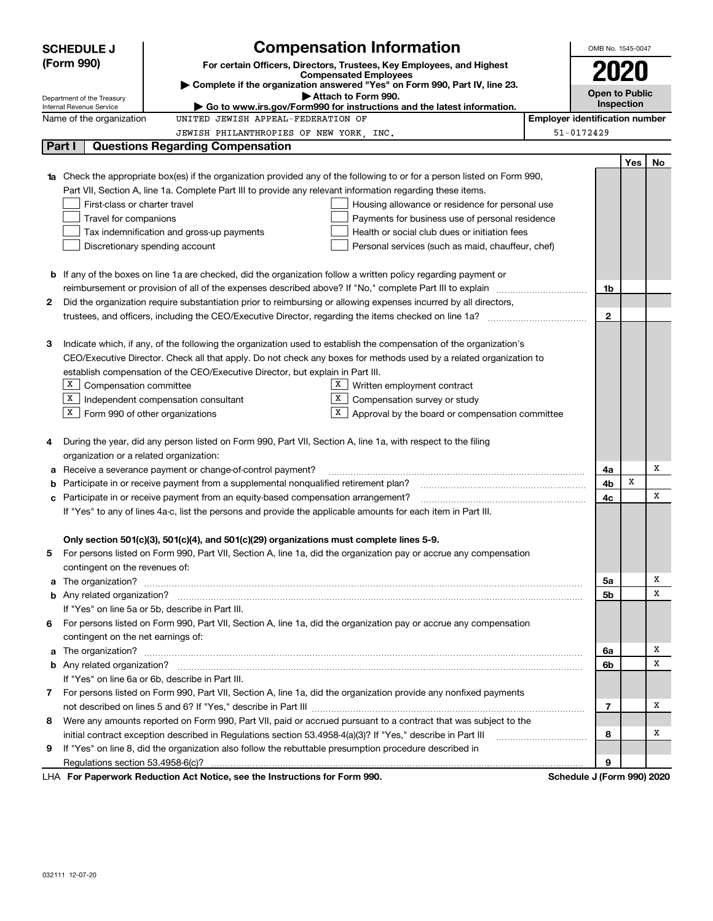|    | <b>SCHEDULE J</b>                                                        |                                                                                                                        | OMB No. 1545-0047 |                                       |     |    |
|----|--------------------------------------------------------------------------|------------------------------------------------------------------------------------------------------------------------|-------------------|---------------------------------------|-----|----|
|    | (Form 990)                                                               | <b>Compensation Information</b><br>For certain Officers, Directors, Trustees, Key Employees, and Highest               |                   |                                       |     |    |
|    |                                                                          | <b>Compensated Employees</b>                                                                                           |                   | 2020                                  |     |    |
|    |                                                                          | Complete if the organization answered "Yes" on Form 990, Part IV, line 23.<br>Attach to Form 990.                      |                   | <b>Open to Public</b>                 |     |    |
|    | Department of the Treasury<br>Internal Revenue Service                   | $\blacktriangleright$ Go to www.irs.gov/Form990 for instructions and the latest information.                           |                   | <b>Inspection</b>                     |     |    |
|    | Name of the organization                                                 | UNITED JEWISH APPEAL-FEDERATION OF                                                                                     |                   | <b>Employer identification number</b> |     |    |
|    |                                                                          | JEWISH PHILANTHROPIES OF NEW YORK, INC.                                                                                |                   | 51-0172429                            |     |    |
|    | Part I                                                                   | <b>Questions Regarding Compensation</b>                                                                                |                   |                                       |     |    |
|    |                                                                          |                                                                                                                        |                   |                                       | Yes | No |
|    |                                                                          | Check the appropriate box(es) if the organization provided any of the following to or for a person listed on Form 990, |                   |                                       |     |    |
|    |                                                                          | Part VII, Section A, line 1a. Complete Part III to provide any relevant information regarding these items.             |                   |                                       |     |    |
|    | First-class or charter travel                                            | Housing allowance or residence for personal use                                                                        |                   |                                       |     |    |
|    | Travel for companions<br>Payments for business use of personal residence |                                                                                                                        |                   |                                       |     |    |
|    |                                                                          | Tax indemnification and gross-up payments<br>Health or social club dues or initiation fees                             |                   |                                       |     |    |
|    |                                                                          | Discretionary spending account<br>Personal services (such as maid, chauffeur, chef)                                    |                   |                                       |     |    |
|    |                                                                          |                                                                                                                        |                   |                                       |     |    |
|    |                                                                          | <b>b</b> If any of the boxes on line 1a are checked, did the organization follow a written policy regarding payment or |                   |                                       |     |    |
|    |                                                                          |                                                                                                                        |                   | 1b                                    |     |    |
| 2  |                                                                          | Did the organization require substantiation prior to reimbursing or allowing expenses incurred by all directors,       |                   |                                       |     |    |
|    |                                                                          |                                                                                                                        |                   | $\mathbf{2}$                          |     |    |
|    |                                                                          |                                                                                                                        |                   |                                       |     |    |
| з  |                                                                          | Indicate which, if any, of the following the organization used to establish the compensation of the organization's     |                   |                                       |     |    |
|    |                                                                          | CEO/Executive Director. Check all that apply. Do not check any boxes for methods used by a related organization to     |                   |                                       |     |    |
|    |                                                                          | establish compensation of the CEO/Executive Director, but explain in Part III.                                         |                   |                                       |     |    |
|    | X Compensation committee                                                 | X <sub>1</sub><br>Written employment contract                                                                          |                   |                                       |     |    |
|    | X                                                                        | X  <br>Independent compensation consultant<br>Compensation survey or study                                             |                   |                                       |     |    |
|    | $X$ Form 990 of other organizations                                      | Approval by the board or compensation committee                                                                        |                   |                                       |     |    |
|    |                                                                          |                                                                                                                        |                   |                                       |     |    |
| 4  |                                                                          | During the year, did any person listed on Form 990, Part VII, Section A, line 1a, with respect to the filing           |                   |                                       |     |    |
|    | organization or a related organization:                                  |                                                                                                                        |                   |                                       |     |    |
| а  |                                                                          | Receive a severance payment or change-of-control payment?                                                              |                   | 4a                                    |     | Х  |
|    |                                                                          | Participate in or receive payment from a supplemental nonqualified retirement plan?                                    |                   | 4b                                    | x   |    |
|    |                                                                          | Participate in or receive payment from an equity-based compensation arrangement?                                       |                   | 4с                                    |     | X  |
|    |                                                                          | If "Yes" to any of lines 4a-c, list the persons and provide the applicable amounts for each item in Part III.          |                   |                                       |     |    |
|    |                                                                          |                                                                                                                        |                   |                                       |     |    |
|    |                                                                          | Only section 501(c)(3), 501(c)(4), and 501(c)(29) organizations must complete lines 5-9.                               |                   |                                       |     |    |
| 5  |                                                                          | For persons listed on Form 990, Part VII, Section A, line 1a, did the organization pay or accrue any compensation      |                   |                                       |     |    |
|    | contingent on the revenues of:                                           |                                                                                                                        |                   |                                       |     |    |
| a  |                                                                          |                                                                                                                        |                   | 5a                                    |     | Х  |
|    |                                                                          |                                                                                                                        |                   | 5b                                    |     | X  |
|    |                                                                          | If "Yes" on line 5a or 5b, describe in Part III.                                                                       |                   |                                       |     |    |
| 6. |                                                                          | For persons listed on Form 990, Part VII, Section A, line 1a, did the organization pay or accrue any compensation      |                   |                                       |     |    |
|    | contingent on the net earnings of:                                       |                                                                                                                        |                   |                                       |     |    |
| a  |                                                                          |                                                                                                                        |                   | 6a                                    |     | Х  |
|    |                                                                          |                                                                                                                        |                   | 6b                                    |     | X  |
|    |                                                                          | If "Yes" on line 6a or 6b, describe in Part III.                                                                       |                   |                                       |     |    |
|    |                                                                          | 7 For persons listed on Form 990, Part VII, Section A, line 1a, did the organization provide any nonfixed payments     |                   |                                       |     |    |
|    |                                                                          |                                                                                                                        |                   | 7                                     |     | Х  |
| 8  |                                                                          | Were any amounts reported on Form 990, Part VII, paid or accrued pursuant to a contract that was subject to the        |                   |                                       |     |    |
|    |                                                                          | initial contract exception described in Regulations section 53.4958-4(a)(3)? If "Yes," describe in Part III            |                   | 8                                     |     | Х  |
| 9  |                                                                          | If "Yes" on line 8, did the organization also follow the rebuttable presumption procedure described in                 |                   |                                       |     |    |
|    |                                                                          |                                                                                                                        |                   | 9                                     |     |    |
|    |                                                                          | LHA For Paperwork Reduction Act Notice, see the Instructions for Form 990.                                             |                   | Schedule J (Form 990) 2020            |     |    |

032111 12-07-20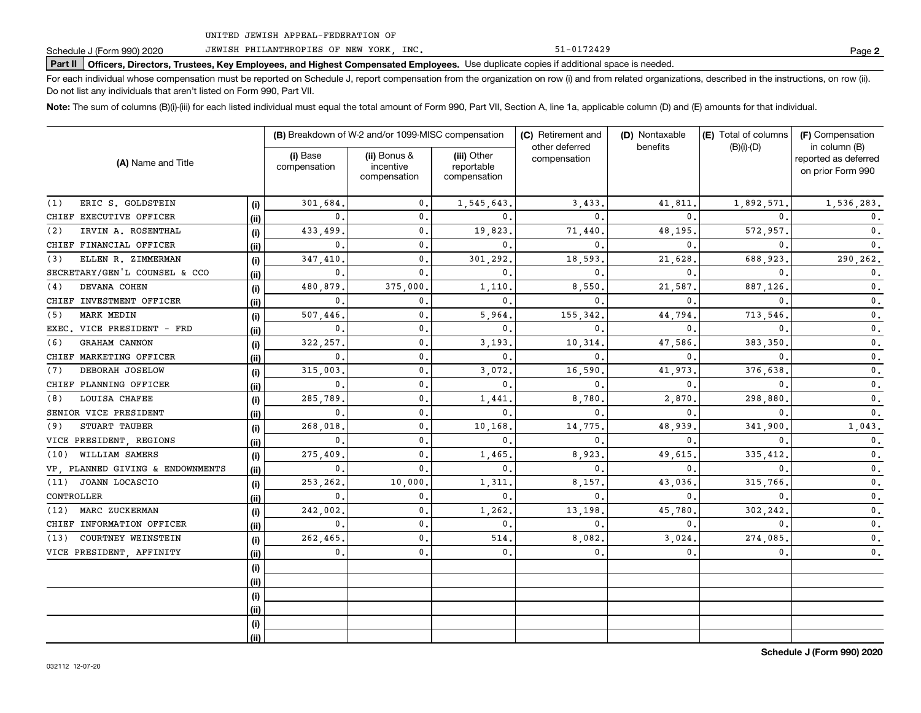Schedule J (Form 990) 2020 JEWISH PHILANTHROPIES OF NEW YORK, INC. 51-0172429 51-0172429

Part II | Officers, Directors, Trustees, Key Employees, and Highest Compensated Employees. Use duplicate copies if additional space is needed.

For each individual whose compensation must be reported on Schedule J, report compensation from the organization on row (i) and from related organizations, described in the instructions, on row (ii). Do not list any individuals that aren't listed on Form 990, Part VII.

Note: The sum of columns (B)(i)-(iii) for each listed individual must equal the total amount of Form 990, Part VII, Section A, line 1a, applicable column (D) and (E) amounts for that individual.

| (A) Name and Title               |      |                          | (B) Breakdown of W-2 and/or 1099-MISC compensation |                                           | (C) Retirement and             | (D) Nontaxable | (E) Total of columns | (F) Compensation                                           |  |
|----------------------------------|------|--------------------------|----------------------------------------------------|-------------------------------------------|--------------------------------|----------------|----------------------|------------------------------------------------------------|--|
|                                  |      | (i) Base<br>compensation | (ii) Bonus &<br>incentive<br>compensation          | (iii) Other<br>reportable<br>compensation | other deferred<br>compensation | benefits       | $(B)(i)-(D)$         | in column (B)<br>reported as deferred<br>on prior Form 990 |  |
| ERIC S. GOLDSTEIN<br>(1)         | (i)  | 301,684.                 | $\mathbf{0}$ .                                     | 1,545,643.                                | 3,433                          | 41,811         | 1,892,571            | 1,536,283.                                                 |  |
| CHIEF EXECUTIVE OFFICER          | (i)  | 0.                       | $\mathbf{0}$ .                                     | $\mathbf{0}$ .                            | 0.                             | 0              | $\mathbf{0}$ .       | $\mathbf{0}$ .                                             |  |
| IRVIN A. ROSENTHAL<br>(2)        | (i)  | 433,499.                 | 0.                                                 | 19,823                                    | 71,440                         | 48,195         | 572,957              | 0.                                                         |  |
| CHIEF FINANCIAL OFFICER          | (ii) | 0.                       | $\mathbf{0}$ .                                     | $\mathbf{0}$ .                            | 0.                             | 0              | $\mathbf{0}$ .       | $\mathbf{0}$ .                                             |  |
| ELLEN R. ZIMMERMAN<br>(3)        | (i)  | 347,410                  | $\mathbf{0}$ .                                     | 301,292.                                  | 18,593                         | 21,628         | 688,923              | 290,262.                                                   |  |
| SECRETARY/GEN'L COUNSEL & CCO    | (ii) | 0.                       | $\mathbf{0}$ .                                     | 0.                                        | $\mathbf 0$ .                  | 0              | $\mathbf{0}$ .       | 0.                                                         |  |
| DEVANA COHEN<br>(4)              | (i)  | 480,879.                 | 375,000                                            | 1,110                                     | 8,550                          | 21,587.        | 887.126.             | 0.                                                         |  |
| CHIEF INVESTMENT OFFICER         | (i)  | 0.                       | 0.                                                 | 0.                                        | 0.                             | 0              | 0.                   | 0.                                                         |  |
| MARK MEDIN<br>(5)                | (i)  | 507,446                  | 0.                                                 | 5,964.                                    | 155,342                        | 44,794         | 713,546              | 0.                                                         |  |
| EXEC. VICE PRESIDENT - FRD       | (ii) | 0.                       | 0.                                                 | 0.                                        | 0.                             | 0              | 0.                   | 0.                                                         |  |
| GRAHAM CANNON<br>(6)             | (i)  | 322, 257.                | 0.                                                 | 3,193,                                    | 10,314                         | 47,586         | 383,350              | 0.                                                         |  |
| CHIEF MARKETING OFFICER          | (ii) | 0.                       | 0.                                                 | $\mathbf{0}$ .                            | $\mathbf 0$ .                  | 0              | $\mathbf{0}$         | 0.                                                         |  |
| DEBORAH JOSELOW<br>(7)           | (i)  | 315,003.                 | 0.                                                 | 3,072,                                    | 16,590                         | 41,973         | 376.638              | 0.                                                         |  |
| CHIEF PLANNING OFFICER           | (ii) | 0.                       | 0.                                                 | $\mathbf{0}$ .                            | 0.                             | $\mathbf{0}$ . | $\mathbf{0}$         | 0.                                                         |  |
| LOUISA CHAFEE<br>(8)             | (i)  | 285.789.                 | 0.                                                 | 1,441                                     | 8,780                          | 2,870          | 298,880              | 0.                                                         |  |
| SENIOR VICE PRESIDENT            | (ii) | 0.                       | 0.                                                 | $\mathbf{0}$ .                            | 0.                             | $\mathbf{0}$ . | 0.                   | 0.                                                         |  |
| STUART TAUBER<br>(9)             | (i)  | 268,018                  | 0.                                                 | 10,168                                    | 14,775                         | 48,939         | 341,900              | 1,043.                                                     |  |
| VICE PRESIDENT, REGIONS          | (ii) | 0.                       | $\mathbf{0}$ .                                     | 0.                                        | 0.                             | $\mathbf 0$ .  | 0.                   | 0.                                                         |  |
| WILLIAM SAMERS<br>(10)           | (i)  | 275,409.                 | 0.                                                 | 1,465.                                    | 8,923                          | 49,615         | 335,412              | 0.                                                         |  |
| VP, PLANNED GIVING & ENDOWNMENTS | (ii) | 0.                       | $\mathbf{0}$ .                                     | 0.                                        | 0.                             | $\mathbf{0}$ . | $\mathbf{0}$         | 0.                                                         |  |
| JOANN LOCASCIO<br>(11)           | (i)  | 253,262.                 | 10,000                                             | 1,311                                     | 8,157                          | 43,036         | 315,766              | 0.                                                         |  |
| CONTROLLER                       | (i)  | 0.                       | $\mathbf{0}$ .                                     | 0.                                        | 0.                             | $\mathbf 0$ .  | 0.                   | 0.                                                         |  |
| MARC ZUCKERMAN<br>(12)           | (i)  | 242,002.                 | 0.                                                 | 1,262.                                    | 13,198                         | 45,780         | 302,242.             | 0.                                                         |  |
| CHIEF INFORMATION OFFICER        | (ii) | 0.                       | $\mathbf{0}$ .                                     | 0.                                        | $\mathbf 0$ .                  | $\mathbf 0$ .  | 0.                   | 0.                                                         |  |
| COURTNEY WEINSTEIN<br>(13)       | (i)  | 262,465                  | $\mathbf{0}$ .                                     | 514.                                      | 8,082                          | 3,024.         | 274,085.             | 0.                                                         |  |
| VICE PRESIDENT, AFFINITY         | (ii) | 0.                       | $\mathbf{0}$ .                                     | $\mathfrak{o}$ .                          | 0,                             | 0.             | 0.                   | $\mathbf 0$ .                                              |  |
|                                  | (i)  |                          |                                                    |                                           |                                |                |                      |                                                            |  |
|                                  | (ii) |                          |                                                    |                                           |                                |                |                      |                                                            |  |
|                                  | (i)  |                          |                                                    |                                           |                                |                |                      |                                                            |  |
|                                  | (ii) |                          |                                                    |                                           |                                |                |                      |                                                            |  |
|                                  | (i)  |                          |                                                    |                                           |                                |                |                      |                                                            |  |
|                                  | (ii) |                          |                                                    |                                           |                                |                |                      |                                                            |  |

**Schedule J (Form 990) 2020**

51-0172429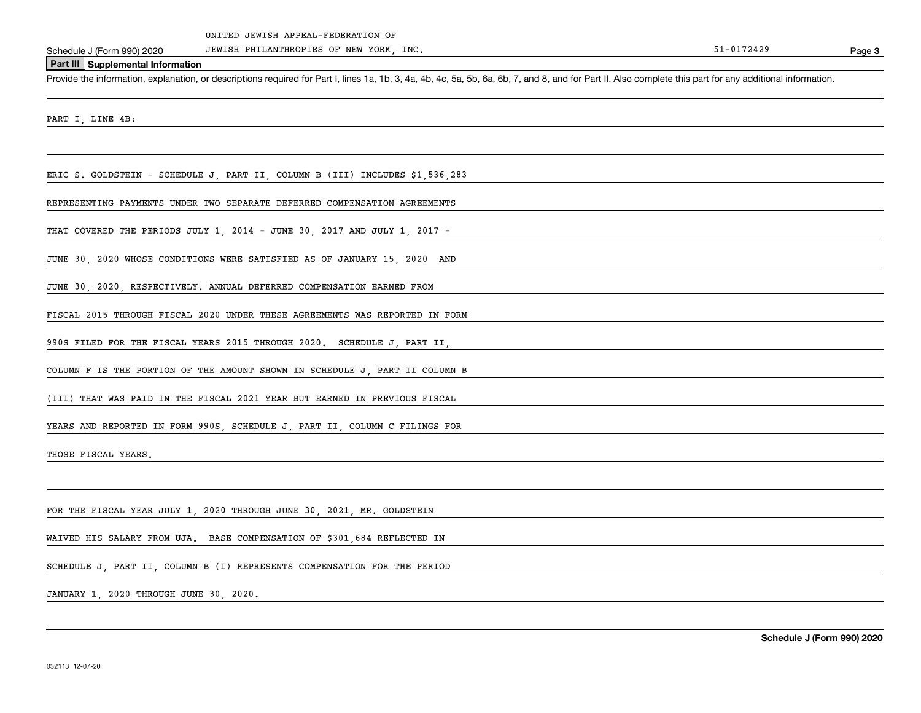Schedule J (Form 990) 2020 JEWISH PHILANTHROPIES OF NEW YORK, INC. Schedule J (Form 990) 2020 JEWISH Page

Page 3

### **Part III Supplemental Information**

Provide the information, explanation, or descriptions required for Part I, lines 1a, 1b, 3, 4a, 4b, 4c, 5a, 5b, 6a, 6b, 7, and 8, and for Part II. Also complete this part for any additional information.

PART I, LINE 4B:

ERIC S. GOLDSTEIN - SCHEDULE J, PART II, COLUMN B (III) INCLUDES \$1,536,283

REPRESENTING PAYMENTS UNDER TWO SEPARATE DEFERRED COMPENSATION AGREEMENTS

THAT COVERED THE PERIODS JULY 1, 2014 - JUNE 30, 2017 AND JULY 1, 2017 -

JUNE 30, 2020 WHOSE CONDITIONS WERE SATISFIED AS OF JANUARY 15, 2020 AND

JUNE 30, 2020, RESPECTIVELY. ANNUAL DEFERRED COMPENSATION EARNED FROM

FISCAL 2015 THROUGH FISCAL 2020 UNDER THESE AGREEMENTS WAS REPORTED IN FORM

990S FILED FOR THE FISCAL YEARS 2015 THROUGH 2020. SCHEDULE J, PART II,

COLUMN F IS THE PORTION OF THE AMOUNT SHOWN IN SCHEDULE J, PART II COLUMN B

(III) THAT WAS PAID IN THE FISCAL 2021 YEAR BUT EARNED IN PREVIOUS FISCAL

YEARS AND REPORTED IN FORM 990S, SCHEDULE J, PART II, COLUMN C FILINGS FOR

THOSE FISCAL YEARS.

FOR THE FISCAL YEAR JULY 1 2020 THROUGH JUNE 30 2021 MR. GOLDSTEIN

WAIVED HIS SALARY FROM UJA. BASE COMPENSATION OF \$301,684 REFLECTED IN

SCHEDULE J, PART II, COLUMN B (I) REPRESENTS COMPENSATION FOR THE PERIOD

JANUARY 1, 2020 THROUGH JUNE 30, 2020.

**Schedule J (Form 990) 2020**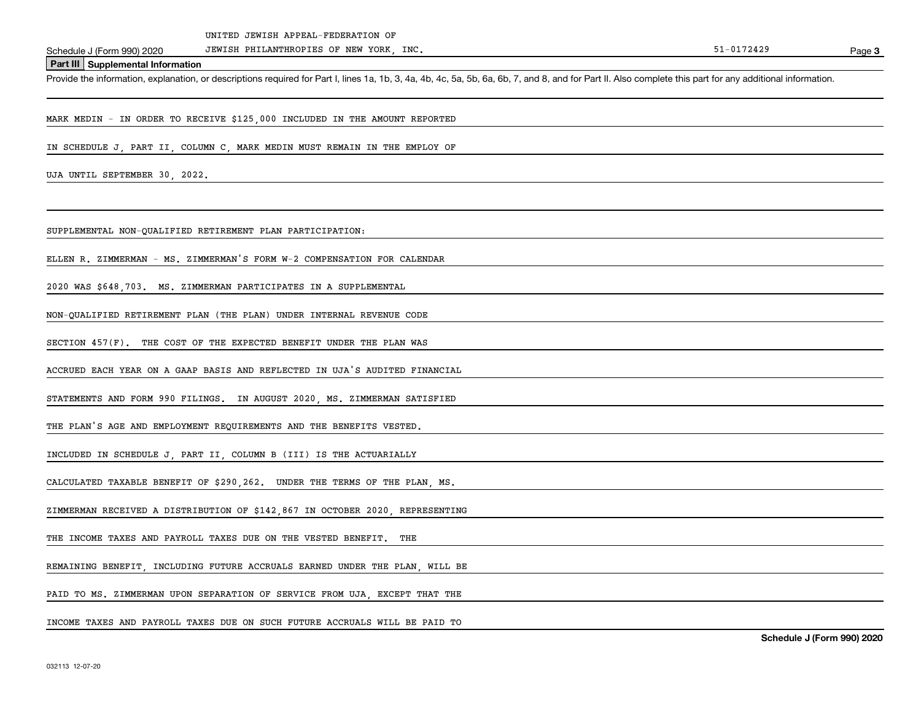Schedule J (Form 990) 2020 JEWISH PHILANTHROPIES OF NEW YORK, INC. Schedule J (Form 990) 2020 JEWISH Page

Page 3

**Part III Supplemental Information**

Provide the information, explanation, or descriptions required for Part I, lines 1a, 1b, 3, 4a, 4b, 4c, 5a, 5b, 6a, 6b, 7, and 8, and for Part II. Also complete this part for any additional information.

MARK MEDIN - IN ORDER TO RECEIVE \$125,000 INCLUDED IN THE AMOUNT REPORTED

IN SCHEDULE J, PART II, COLUMN C, MARK MEDIN MUST REMAIN IN THE EMPLOY OF

UJA UNTIL SEPTEMBER 30, 2022.

SUPPLEMENTAL NON-QUALIFIED RETIREMENT PLAN PARTICIPATION:

ELLEN R. ZIMMERMAN - MS. ZIMMERMAN'S FORM W-2 COMPENSATION FOR CALENDAR

2020 WAS \$648,703. MS. ZIMMERMAN PARTICIPATES IN A SUPPLEMENTAL

NON-QUALIFIED RETIREMENT PLAN (THE PLAN) UNDER INTERNAL REVENUE CODE

SECTION 457(F). THE COST OF THE EXPECTED BENEFIT UNDER THE PLAN WAS

ACCRUED EACH YEAR ON A GAAP BASIS AND REFLECTED IN UJA'S AUDITED FINANCIAL

STATEMENTS AND FORM 990 FILINGS. IN AUGUST 2020, MS. ZIMMERMAN SATISFIED

THE PLAN'S AGE AND EMPLOYMENT REQUIREMENTS AND THE BENEFITS VESTED.

INCLUDED IN SCHEDULE J, PART II, COLUMN B (III) IS THE ACTUARIALLY

CALCULATED TAXABLE BENEFIT OF \$290, 262. UNDER THE TERMS OF THE PLAN MS.

ZIMMERMAN RECEIVED A DISTRIBUTION OF \$142,867 IN OCTOBER 2020, REPRESENTING

THE INCOME TAXES AND PAYROLL TAXES DUE ON THE VESTED BENEFIT. THE

REMAINING BENEFIT, INCLUDING FUTURE ACCRUALS EARNED UNDER THE PLAN, WILL BE

PAID TO MS. ZIMMERMAN UPON SEPARATION OF SERVICE FROM UJA EXCEPT THAT THE

INCOME TAXES AND PAYROLL TAXES DUE ON SUCH FUTURE ACCRUALS WILL BE PAID TO

**Schedule J (Form 990) 2020**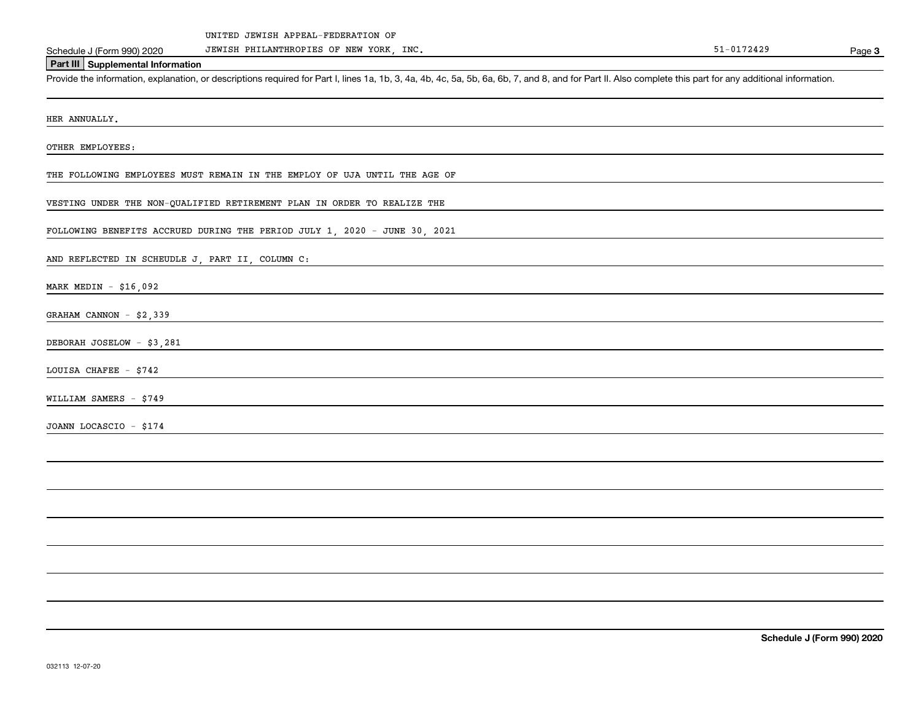Schedule J (Form 990) 2020 JEWISH PHILANTHROPIES OF NEW YORK, INC. Schedule J (Form 990) 2020 JEWISH Page

**Page 3** 

**Part III Supplemental Information**

Provide the information, explanation, or descriptions required for Part I, lines 1a, 1b, 3, 4a, 4b, 4c, 5a, 5b, 6a, 6b, 7, and 8, and for Part II. Also complete this part for any additional information.

HER ANNUALLY.

OTHER EMPLOYEES:

THE FOLLOWING EMPLOYEES MUST REMAIN IN THE EMPLOY OF UJA UNTIL THE AGE OF

VESTING UNDER THE NON-QUALIFIED RETIREMENT PLAN IN ORDER TO REALIZE THE

FOLLOWING BENEFITS ACCRUED DURING THE PERIOD JULY 1, 2020 - JUNE 30, 2021

AND REFLECTED IN SCHEUDLE J, PART II, COLUMN C:

MARK MEDIN - \$16,092

GRAHAM CANNON - \$2,339

DEBORAH JOSELOW - \$3,281

LOUISA CHAFEE - \$742

WILLIAM SAMERS - \$749

JOANN LOCASCIO - \$174

**Schedule J (Form 990) 2020**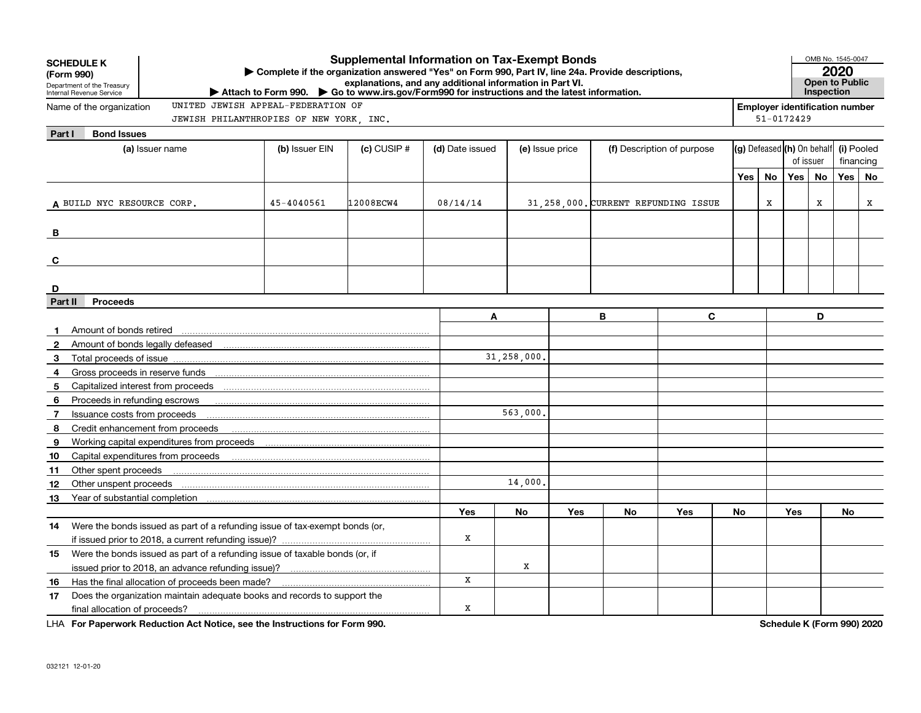|              | <b>Supplemental Information on Tax-Exempt Bonds</b><br><b>SCHEDULE K</b><br>Complete if the organization answered "Yes" on Form 990, Part IV, line 24a. Provide descriptions,<br>(Form 990)<br>explanations, and any additional information in Part VI.<br>Department of the Treasury<br>▶ Attach to Form 990. ▶ Go to www.irs.gov/Form990 for instructions and the latest information.<br>Internal Revenue Service |            |           |                 |                 |     |                                     |                            |                                       |                            |                |           | OMB No. 1545-0047<br>2020<br><b>Open to Public</b><br><b>Inspection</b> |            |  |  |
|--------------|---------------------------------------------------------------------------------------------------------------------------------------------------------------------------------------------------------------------------------------------------------------------------------------------------------------------------------------------------------------------------------------------------------------------|------------|-----------|-----------------|-----------------|-----|-------------------------------------|----------------------------|---------------------------------------|----------------------------|----------------|-----------|-------------------------------------------------------------------------|------------|--|--|
|              | UNITED JEWISH APPEAL-FEDERATION OF<br>Name of the organization                                                                                                                                                                                                                                                                                                                                                      |            |           |                 |                 |     |                                     |                            | <b>Employer identification number</b> |                            |                |           |                                                                         |            |  |  |
|              | JEWISH PHILANTHROPIES OF NEW YORK, INC.                                                                                                                                                                                                                                                                                                                                                                             |            |           |                 |                 |     |                                     |                            |                                       |                            | $51 - 0172429$ |           |                                                                         |            |  |  |
| Part I       | <b>Bond Issues</b>                                                                                                                                                                                                                                                                                                                                                                                                  |            |           |                 |                 |     |                                     |                            |                                       |                            |                |           |                                                                         |            |  |  |
|              | (a) Issuer name<br>(b) Issuer EIN<br>$(c)$ CUSIP $#$                                                                                                                                                                                                                                                                                                                                                                |            |           | (d) Date issued | (e) Issue price |     |                                     | (f) Description of purpose |                                       | (g) Defeased (h) On behalf |                | of issuer |                                                                         | (i) Pooled |  |  |
|              |                                                                                                                                                                                                                                                                                                                                                                                                                     |            |           |                 |                 |     |                                     |                            |                                       |                            |                |           | financing                                                               |            |  |  |
|              |                                                                                                                                                                                                                                                                                                                                                                                                                     |            |           |                 |                 |     |                                     |                            | Yes                                   | No                         | Yes            | <b>No</b> | Yes                                                                     | No         |  |  |
|              |                                                                                                                                                                                                                                                                                                                                                                                                                     |            |           |                 |                 |     |                                     |                            |                                       |                            |                |           |                                                                         |            |  |  |
|              | A BUILD NYC RESOURCE CORP.                                                                                                                                                                                                                                                                                                                                                                                          | 45-4040561 | 12008ECW4 | 08/14/14        |                 |     | 31.258.000. CURRENT REFUNDING ISSUE |                            |                                       | X                          |                | X         |                                                                         | x          |  |  |
|              |                                                                                                                                                                                                                                                                                                                                                                                                                     |            |           |                 |                 |     |                                     |                            |                                       |                            |                |           |                                                                         |            |  |  |
| B            |                                                                                                                                                                                                                                                                                                                                                                                                                     |            |           |                 |                 |     |                                     |                            |                                       |                            |                |           |                                                                         |            |  |  |
| C            |                                                                                                                                                                                                                                                                                                                                                                                                                     |            |           |                 |                 |     |                                     |                            |                                       |                            |                |           |                                                                         |            |  |  |
|              |                                                                                                                                                                                                                                                                                                                                                                                                                     |            |           |                 |                 |     |                                     |                            |                                       |                            |                |           |                                                                         |            |  |  |
| D            |                                                                                                                                                                                                                                                                                                                                                                                                                     |            |           |                 |                 |     |                                     |                            |                                       |                            |                |           |                                                                         |            |  |  |
| Part II      | <b>Proceeds</b>                                                                                                                                                                                                                                                                                                                                                                                                     |            |           |                 |                 |     |                                     |                            |                                       |                            |                |           |                                                                         |            |  |  |
|              |                                                                                                                                                                                                                                                                                                                                                                                                                     |            |           | Α               |                 |     | В                                   | C                          |                                       |                            |                | D         |                                                                         |            |  |  |
|              | Amount of bonds retired                                                                                                                                                                                                                                                                                                                                                                                             |            |           |                 |                 |     |                                     |                            |                                       |                            |                |           |                                                                         |            |  |  |
| $\mathbf{2}$ |                                                                                                                                                                                                                                                                                                                                                                                                                     |            |           |                 |                 |     |                                     |                            |                                       |                            |                |           |                                                                         |            |  |  |
| 3            |                                                                                                                                                                                                                                                                                                                                                                                                                     |            |           |                 | 31,258,000,     |     |                                     |                            |                                       |                            |                |           |                                                                         |            |  |  |
| 4            |                                                                                                                                                                                                                                                                                                                                                                                                                     |            |           |                 |                 |     |                                     |                            |                                       |                            |                |           |                                                                         |            |  |  |
| 5            |                                                                                                                                                                                                                                                                                                                                                                                                                     |            |           |                 |                 |     |                                     |                            |                                       |                            |                |           |                                                                         |            |  |  |
| 6            | Proceeds in refunding escrows                                                                                                                                                                                                                                                                                                                                                                                       |            |           |                 |                 |     |                                     |                            |                                       |                            |                |           |                                                                         |            |  |  |
| <b>7</b>     | Issuance costs from proceeds                                                                                                                                                                                                                                                                                                                                                                                        |            |           |                 | 563,000.        |     |                                     |                            |                                       |                            |                |           |                                                                         |            |  |  |
| 8            | Credit enhancement from proceeds                                                                                                                                                                                                                                                                                                                                                                                    |            |           |                 |                 |     |                                     |                            |                                       |                            |                |           |                                                                         |            |  |  |
| 9            |                                                                                                                                                                                                                                                                                                                                                                                                                     |            |           |                 |                 |     |                                     |                            |                                       |                            |                |           |                                                                         |            |  |  |
| 10           | Capital expenditures from proceeds                                                                                                                                                                                                                                                                                                                                                                                  |            |           |                 |                 |     |                                     |                            |                                       |                            |                |           |                                                                         |            |  |  |
| 11           | Other spent proceeds                                                                                                                                                                                                                                                                                                                                                                                                |            |           |                 |                 |     |                                     |                            |                                       |                            |                |           |                                                                         |            |  |  |
| 12           |                                                                                                                                                                                                                                                                                                                                                                                                                     |            |           |                 | 14,000.         |     |                                     |                            |                                       |                            |                |           |                                                                         |            |  |  |
| 13           | Year of substantial completion                                                                                                                                                                                                                                                                                                                                                                                      |            |           |                 |                 |     |                                     |                            |                                       |                            |                |           |                                                                         |            |  |  |
|              |                                                                                                                                                                                                                                                                                                                                                                                                                     |            |           | Yes             | No              | Yes | No                                  | Yes                        | No                                    |                            | Yes            |           | No                                                                      |            |  |  |
| 14           | Were the bonds issued as part of a refunding issue of tax-exempt bonds (or,                                                                                                                                                                                                                                                                                                                                         |            |           |                 |                 |     |                                     |                            |                                       |                            |                |           |                                                                         |            |  |  |
|              |                                                                                                                                                                                                                                                                                                                                                                                                                     |            |           | X               |                 |     |                                     |                            |                                       |                            |                |           |                                                                         |            |  |  |
| 15           | Were the bonds issued as part of a refunding issue of taxable bonds (or, if                                                                                                                                                                                                                                                                                                                                         |            |           |                 |                 |     |                                     |                            |                                       |                            |                |           |                                                                         |            |  |  |
|              |                                                                                                                                                                                                                                                                                                                                                                                                                     |            |           |                 | X               |     |                                     |                            |                                       |                            |                |           |                                                                         |            |  |  |
| 16           | Has the final allocation of proceeds been made?                                                                                                                                                                                                                                                                                                                                                                     |            |           | x               |                 |     |                                     |                            |                                       |                            |                |           |                                                                         |            |  |  |
| 17           | Does the organization maintain adequate books and records to support the                                                                                                                                                                                                                                                                                                                                            |            |           | X               |                 |     |                                     |                            |                                       |                            |                |           |                                                                         |            |  |  |
|              | final allocation of proceeds?                                                                                                                                                                                                                                                                                                                                                                                       |            |           |                 |                 |     |                                     |                            |                                       |                            |                |           |                                                                         |            |  |  |

**For Paperwork Reduction Act Notice, see the Instructions for Form 990. Schedule K (Form 990) 2020** LHA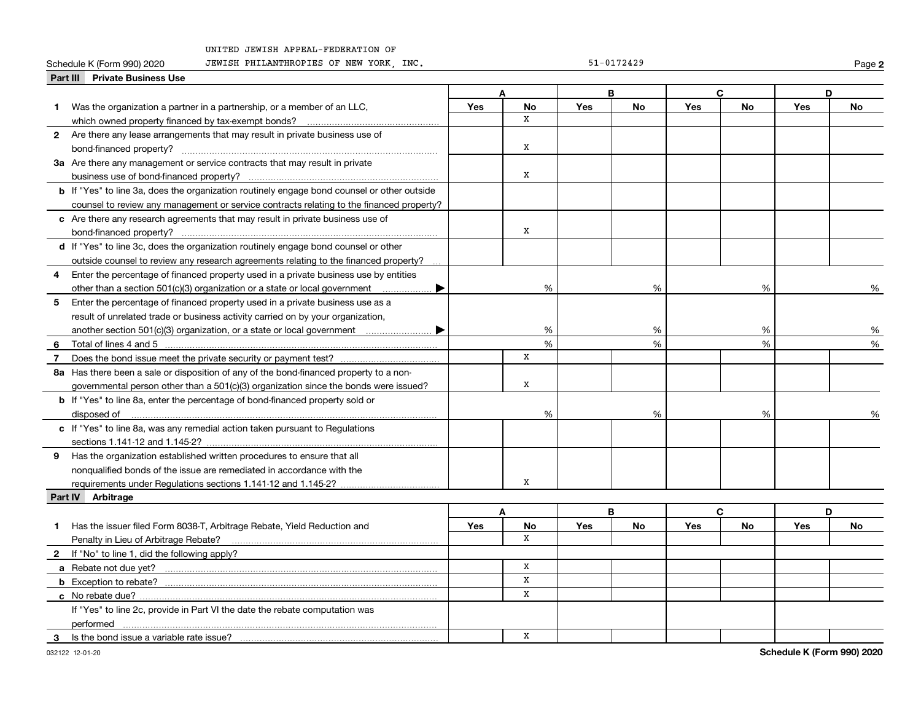# **Part III Private Business Use**

Schedule K (Form 990) 2020 Page JEWISH PHILANTHROPIES OF NEW YORK, INC. 51-0172429

**2**

|    | Part III Private Dusiness Ose                                                                      |            |              |            |    |            |    |            |      |
|----|----------------------------------------------------------------------------------------------------|------------|--------------|------------|----|------------|----|------------|------|
|    |                                                                                                    |            | A            |            | B  |            | C  |            | D    |
| 1. | Was the organization a partner in a partnership, or a member of an LLC,                            | Yes        | No           | <b>Yes</b> | No | Yes        | No | Yes        | No   |
|    | which owned property financed by tax-exempt bonds?                                                 |            | x            |            |    |            |    |            |      |
|    | 2 Are there any lease arrangements that may result in private business use of                      |            |              |            |    |            |    |            |      |
|    |                                                                                                    |            | X            |            |    |            |    |            |      |
|    | 3a Are there any management or service contracts that may result in private                        |            |              |            |    |            |    |            |      |
|    |                                                                                                    |            | X            |            |    |            |    |            |      |
|    | <b>b</b> If "Yes" to line 3a, does the organization routinely engage bond counsel or other outside |            |              |            |    |            |    |            |      |
|    | counsel to review any management or service contracts relating to the financed property?           |            |              |            |    |            |    |            |      |
|    | c Are there any research agreements that may result in private business use of                     |            |              |            |    |            |    |            |      |
|    | bond-financed property?                                                                            |            | x            |            |    |            |    |            |      |
|    | d If "Yes" to line 3c, does the organization routinely engage bond counsel or other                |            |              |            |    |            |    |            |      |
|    | outside counsel to review any research agreements relating to the financed property?               |            |              |            |    |            |    |            |      |
| 4  | Enter the percentage of financed property used in a private business use by entities               |            |              |            |    |            |    |            |      |
|    | other than a section $501(c)(3)$ organization or a state or local government                       |            | %            |            | %  |            | %  | %          |      |
| 5  | Enter the percentage of financed property used in a private business use as a                      |            |              |            |    |            |    |            |      |
|    | result of unrelated trade or business activity carried on by your organization,                    |            |              |            |    |            |    |            |      |
|    | another section 501(c)(3) organization, or a state or local government<br>▶                        |            | %            |            | %  |            | %  |            | %    |
| 6  |                                                                                                    |            | %            |            | %  |            | %  |            | %    |
| 7  |                                                                                                    |            | $\mathbf{x}$ |            |    |            |    |            |      |
|    | 8a Has there been a sale or disposition of any of the bond-financed property to a non-             |            |              |            |    |            |    |            |      |
|    | governmental person other than a 501(c)(3) organization since the bonds were issued?               |            | X            |            |    |            |    |            |      |
|    | <b>b</b> If "Yes" to line 8a, enter the percentage of bond-financed property sold or               |            |              |            |    |            |    |            |      |
|    |                                                                                                    |            | %            |            | %  |            | %  |            | $\%$ |
|    | c If "Yes" to line 8a, was any remedial action taken pursuant to Regulations                       |            |              |            |    |            |    |            |      |
|    |                                                                                                    |            |              |            |    |            |    |            |      |
|    | 9 Has the organization established written procedures to ensure that all                           |            |              |            |    |            |    |            |      |
|    | nonqualified bonds of the issue are remediated in accordance with the                              |            |              |            |    |            |    |            |      |
|    |                                                                                                    |            | X            |            |    |            |    |            |      |
|    | Part IV Arbitrage                                                                                  |            |              |            |    |            |    |            |      |
|    |                                                                                                    |            | A            |            | B  |            | C. |            | D    |
|    | Has the issuer filed Form 8038-T, Arbitrage Rebate, Yield Reduction and                            | <b>Yes</b> | No           | <b>Yes</b> | No | <b>Yes</b> | No | <b>Yes</b> | No   |
|    | Penalty in Lieu of Arbitrage Rebate?                                                               |            | $\mathbf{x}$ |            |    |            |    |            |      |
|    | 2 If "No" to line 1, did the following apply?                                                      |            |              |            |    |            |    |            |      |
|    |                                                                                                    |            | $\mathbf x$  |            |    |            |    |            |      |
|    |                                                                                                    |            | x            |            |    |            |    |            |      |
|    | c No rebate due?                                                                                   |            | $\mathbf x$  |            |    |            |    |            |      |
|    | If "Yes" to line 2c, provide in Part VI the date the rebate computation was                        |            |              |            |    |            |    |            |      |
|    |                                                                                                    |            |              |            |    |            |    |            |      |
| 3  | Is the bond issue a variable rate issue?                                                           |            | X            |            |    |            |    |            |      |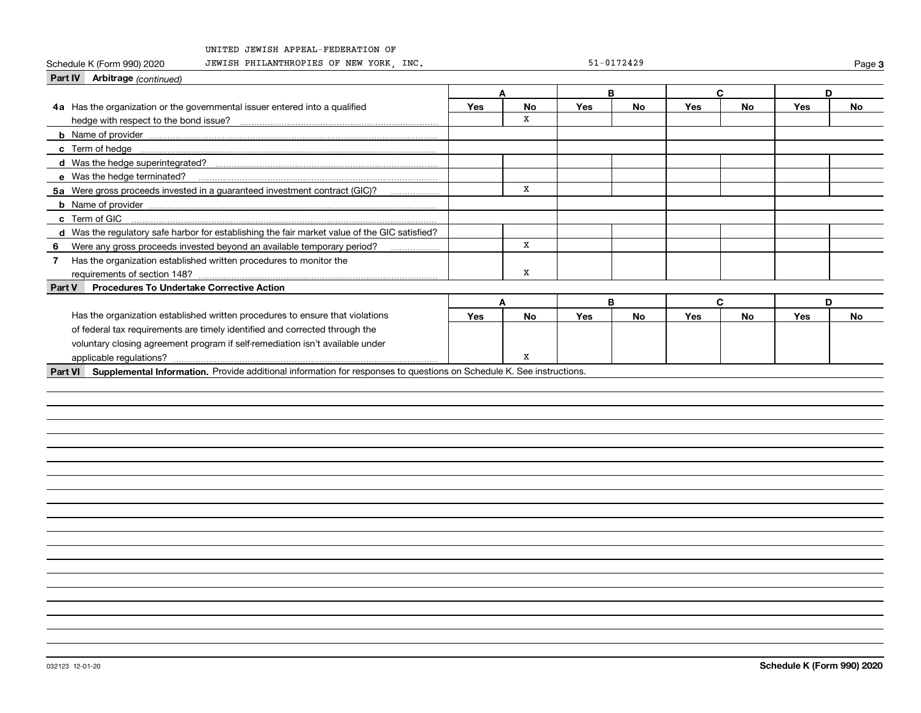Schedule K (Form 990) 2020 Page JEWISH PHILANTHROPIES OF NEW YORK, INC. 51-0172429

**3**

| Part IV Arbitrage (continued)                                                                                                |            |           |            |    |            |    |     |    |
|------------------------------------------------------------------------------------------------------------------------------|------------|-----------|------------|----|------------|----|-----|----|
|                                                                                                                              | A          |           |            | B  |            | C  | D   |    |
| 4a Has the organization or the governmental issuer entered into a qualified                                                  | <b>Yes</b> | <b>No</b> | <b>Yes</b> | No | <b>Yes</b> | No | Yes | No |
| hedge with respect to the bond issue?                                                                                        |            | x         |            |    |            |    |     |    |
|                                                                                                                              |            |           |            |    |            |    |     |    |
|                                                                                                                              |            |           |            |    |            |    |     |    |
|                                                                                                                              |            |           |            |    |            |    |     |    |
| e Was the hedge terminated?                                                                                                  |            |           |            |    |            |    |     |    |
| 5a Were gross proceeds invested in a guaranteed investment contract (GIC)?                                                   |            | x         |            |    |            |    |     |    |
|                                                                                                                              |            |           |            |    |            |    |     |    |
| c Term of GIC                                                                                                                |            |           |            |    |            |    |     |    |
| d Was the regulatory safe harbor for establishing the fair market value of the GIC satisfied?                                |            |           |            |    |            |    |     |    |
| Were any gross proceeds invested beyond an available temporary period?<br>6                                                  |            | X         |            |    |            |    |     |    |
| Has the organization established written procedures to monitor the<br>$\overline{7}$                                         |            |           |            |    |            |    |     |    |
| requirements of section 148?                                                                                                 |            | x         |            |    |            |    |     |    |
| <b>Procedures To Undertake Corrective Action</b><br>Part V                                                                   |            |           |            |    |            |    |     |    |
|                                                                                                                              |            | A         |            | B  |            | C  | D   |    |
| Has the organization established written procedures to ensure that violations                                                | <b>Yes</b> | No        | <b>Yes</b> | No | Yes        | No | Yes | No |
| of federal tax requirements are timely identified and corrected through the                                                  |            |           |            |    |            |    |     |    |
| voluntary closing agreement program if self-remediation isn't available under                                                |            |           |            |    |            |    |     |    |
| applicable regulations?                                                                                                      |            | x         |            |    |            |    |     |    |
| Part VI Supplemental Information. Provide additional information for responses to questions on Schedule K. See instructions. |            |           |            |    |            |    |     |    |
|                                                                                                                              |            |           |            |    |            |    |     |    |
|                                                                                                                              |            |           |            |    |            |    |     |    |
|                                                                                                                              |            |           |            |    |            |    |     |    |
|                                                                                                                              |            |           |            |    |            |    |     |    |
|                                                                                                                              |            |           |            |    |            |    |     |    |
|                                                                                                                              |            |           |            |    |            |    |     |    |
|                                                                                                                              |            |           |            |    |            |    |     |    |
|                                                                                                                              |            |           |            |    |            |    |     |    |
|                                                                                                                              |            |           |            |    |            |    |     |    |
|                                                                                                                              |            |           |            |    |            |    |     |    |
|                                                                                                                              |            |           |            |    |            |    |     |    |
|                                                                                                                              |            |           |            |    |            |    |     |    |
|                                                                                                                              |            |           |            |    |            |    |     |    |
|                                                                                                                              |            |           |            |    |            |    |     |    |
|                                                                                                                              |            |           |            |    |            |    |     |    |
|                                                                                                                              |            |           |            |    |            |    |     |    |
|                                                                                                                              |            |           |            |    |            |    |     |    |
|                                                                                                                              |            |           |            |    |            |    |     |    |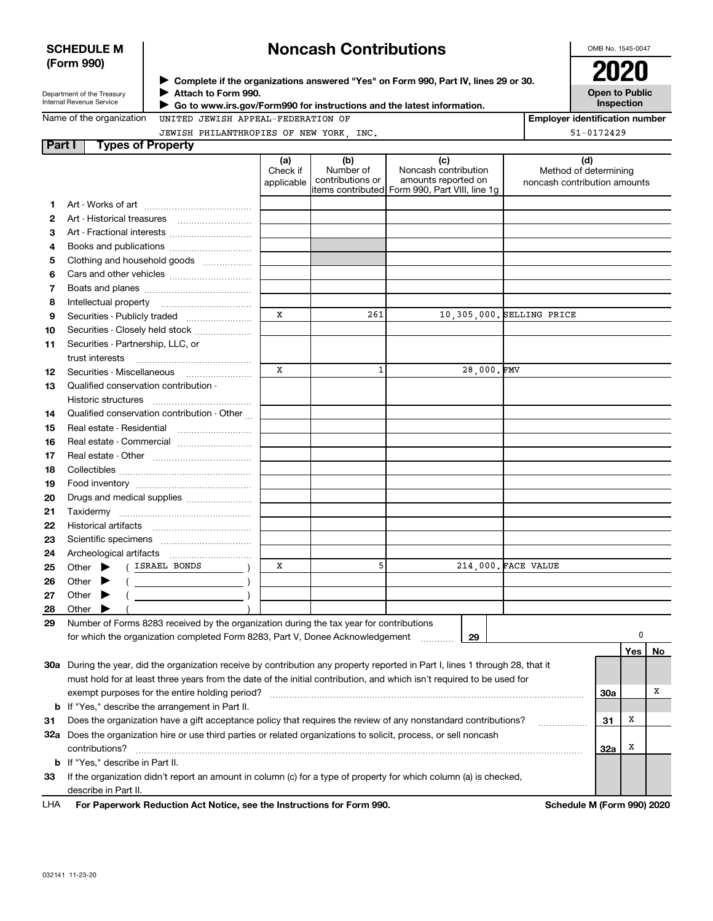## **SCHEDULE M (Form 990)**

# **Noncash Contributions**

OMB No. 1545-0047

**Employer identification number**

51-0172429

|  | , <i>.</i>                 |  |
|--|----------------------------|--|
|  | Department of the Treasury |  |

Internal Revenue Service

**Complete if the organizations answered "Yes" on Form 990, Part IV, lines 29 or 30.** <sup>J</sup>**2020 Attach to Form 990.** J

**Open to Public Inspection**

| Name of the organization |  |
|--------------------------|--|
|--------------------------|--|

 **Go to www.irs.gov/Form990 for instructions and the latest information.** J

UNITED JEWISH APPEAL-FEDERATION OF

| JEWISH PHILANTHROPIES OF NEW YORK, INC. |  |  |
|-----------------------------------------|--|--|

| <b>Part I</b> | <b>Types of Property</b>                                                                                                       |                               |                                      |                                                                                                      |                                                              |     |     |    |
|---------------|--------------------------------------------------------------------------------------------------------------------------------|-------------------------------|--------------------------------------|------------------------------------------------------------------------------------------------------|--------------------------------------------------------------|-----|-----|----|
|               |                                                                                                                                | (a)<br>Check if<br>applicable | (b)<br>Number of<br>contributions or | (c)<br>Noncash contribution<br>amounts reported on<br>items contributed Form 990, Part VIII, line 1g | (d)<br>Method of determining<br>noncash contribution amounts |     |     |    |
| 1             |                                                                                                                                |                               |                                      |                                                                                                      |                                                              |     |     |    |
| 2             |                                                                                                                                |                               |                                      |                                                                                                      |                                                              |     |     |    |
| З             | Art - Fractional interests                                                                                                     |                               |                                      |                                                                                                      |                                                              |     |     |    |
| 4             | Books and publications                                                                                                         |                               |                                      |                                                                                                      |                                                              |     |     |    |
| 5             | Clothing and household goods                                                                                                   |                               |                                      |                                                                                                      |                                                              |     |     |    |
| 6             |                                                                                                                                |                               |                                      |                                                                                                      |                                                              |     |     |    |
| 7             |                                                                                                                                |                               |                                      |                                                                                                      |                                                              |     |     |    |
| 8             |                                                                                                                                |                               |                                      |                                                                                                      |                                                              |     |     |    |
| 9             |                                                                                                                                | X                             | 261                                  |                                                                                                      | 10,305,000. SELLING PRICE                                    |     |     |    |
| 10            | Securities - Closely held stock                                                                                                |                               |                                      |                                                                                                      |                                                              |     |     |    |
| 11            | Securities - Partnership, LLC, or                                                                                              |                               |                                      |                                                                                                      |                                                              |     |     |    |
|               | trust interests                                                                                                                |                               |                                      |                                                                                                      |                                                              |     |     |    |
| 12            | Securities - Miscellaneous                                                                                                     | X                             | $\mathbf{1}$                         | 28,000.FMV                                                                                           |                                                              |     |     |    |
| 13            | Qualified conservation contribution -                                                                                          |                               |                                      |                                                                                                      |                                                              |     |     |    |
|               | Historic structures                                                                                                            |                               |                                      |                                                                                                      |                                                              |     |     |    |
| 14            | Qualified conservation contribution - Other                                                                                    |                               |                                      |                                                                                                      |                                                              |     |     |    |
| 15            | Real estate - Residential                                                                                                      |                               |                                      |                                                                                                      |                                                              |     |     |    |
| 16            |                                                                                                                                |                               |                                      |                                                                                                      |                                                              |     |     |    |
| 17            |                                                                                                                                |                               |                                      |                                                                                                      |                                                              |     |     |    |
| 18            |                                                                                                                                |                               |                                      |                                                                                                      |                                                              |     |     |    |
| 19            |                                                                                                                                |                               |                                      |                                                                                                      |                                                              |     |     |    |
| 20            | Drugs and medical supplies                                                                                                     |                               |                                      |                                                                                                      |                                                              |     |     |    |
| 21            |                                                                                                                                |                               |                                      |                                                                                                      |                                                              |     |     |    |
| 22            |                                                                                                                                |                               |                                      |                                                                                                      |                                                              |     |     |    |
| 23            |                                                                                                                                |                               |                                      |                                                                                                      |                                                              |     |     |    |
| 24            |                                                                                                                                |                               |                                      |                                                                                                      |                                                              |     |     |    |
| 25            | ( ISRAEL BONDS<br>Other<br>▶                                                                                                   | х                             | 5                                    |                                                                                                      | 214,000. FACE VALUE                                          |     |     |    |
| 26            | Other<br>▶                                                                                                                     |                               |                                      |                                                                                                      |                                                              |     |     |    |
| 27            | Other<br>▶                                                                                                                     |                               |                                      |                                                                                                      |                                                              |     |     |    |
| 28            | Other                                                                                                                          |                               |                                      |                                                                                                      |                                                              |     |     |    |
| 29            | Number of Forms 8283 received by the organization during the tax year for contributions                                        |                               |                                      |                                                                                                      |                                                              |     |     |    |
|               | for which the organization completed Form 8283, Part V, Donee Acknowledgement                                                  |                               |                                      | 29                                                                                                   |                                                              |     | 0   |    |
|               |                                                                                                                                |                               |                                      |                                                                                                      |                                                              |     | Yes | No |
|               | 30a During the year, did the organization receive by contribution any property reported in Part I, lines 1 through 28, that it |                               |                                      |                                                                                                      |                                                              |     |     |    |
|               | must hold for at least three years from the date of the initial contribution, and which isn't required to be used for          |                               |                                      |                                                                                                      |                                                              |     |     |    |
|               | exempt purposes for the entire holding period?                                                                                 |                               |                                      |                                                                                                      |                                                              | 30a |     | х  |
|               | <b>b</b> If "Yes," describe the arrangement in Part II.                                                                        |                               |                                      |                                                                                                      |                                                              |     |     |    |
| 31            | Does the organization have a gift acceptance policy that requires the review of any nonstandard contributions?                 |                               |                                      |                                                                                                      |                                                              | 31  | X   |    |
|               | 32a Does the organization hire or use third parties or related organizations to solicit, process, or sell noncash              |                               |                                      |                                                                                                      |                                                              |     |     |    |
|               | contributions?                                                                                                                 |                               |                                      |                                                                                                      |                                                              | 32a | X   |    |
|               | <b>b</b> If "Yes," describe in Part II.                                                                                        |                               |                                      |                                                                                                      |                                                              |     |     |    |
| 33            | If the organization didn't report an amount in column (c) for a type of property for which column (a) is checked,              |                               |                                      |                                                                                                      |                                                              |     |     |    |
|               | describe in Part II.                                                                                                           |                               |                                      |                                                                                                      |                                                              |     |     |    |

**For Paperwork Reduction Act Notice, see the Instructions for Form 990. Schedule M (Form 990) 2020** LHA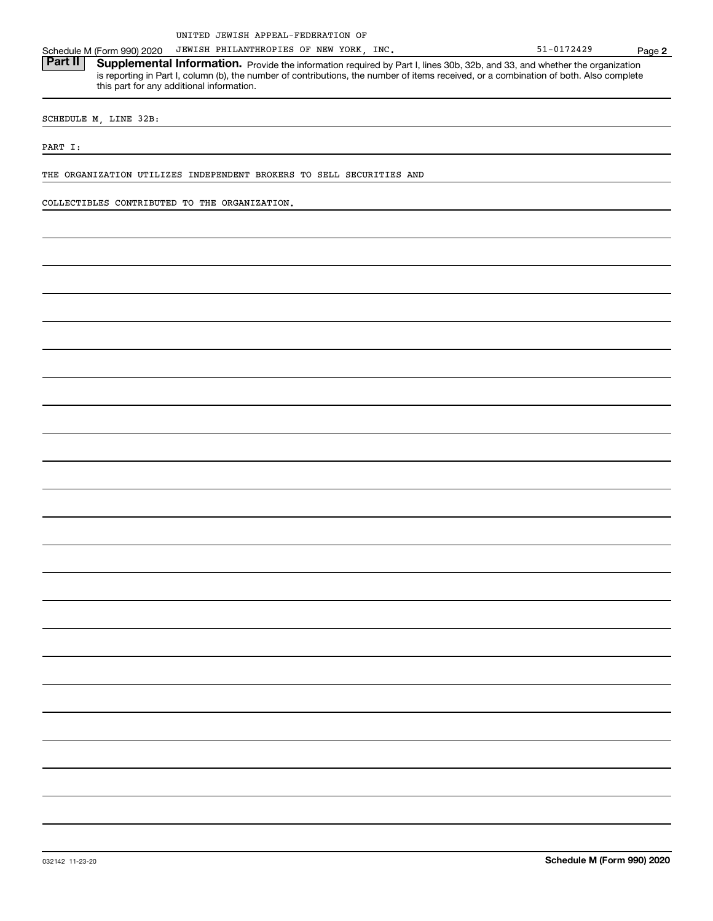Schedule M (Form 990) 2020 JEWISH PHILANTHROPIES OF NEW YORK, INC. The State of the S1-0172429 Page

Part II | Supplemental Information. Provide the information required by Part I, lines 30b, 32b, and 33, and whether the organization is reporting in Part I, column (b), the number of contributions, the number of items received, or a combination of both. Also complete this part for any additional information.

SCHEDULE M, LINE 32B:

PART I:

THE ORGANIZATION UTILIZES INDEPENDENT BROKERS TO SELL SECURITIES AND

COLLECTIBLES CONTRIBUTED TO THE ORGANIZATION.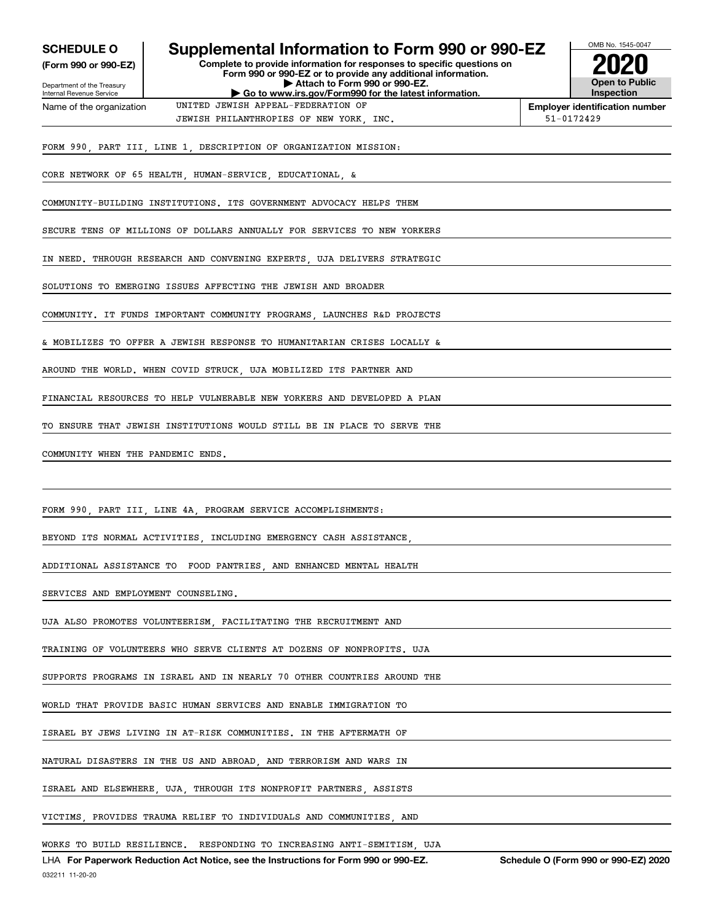| <b>SCHEDULE O</b>                                      | Supplemental Information to Form 990 or 990-EZ                                                                                         | OMB No. 1545-0047                                                                                        |
|--------------------------------------------------------|----------------------------------------------------------------------------------------------------------------------------------------|----------------------------------------------------------------------------------------------------------|
| (Form 990 or 990-EZ)                                   | Complete to provide information for responses to specific questions on<br>Form 990 or 990-EZ or to provide any additional information. |                                                                                                          |
| Department of the Treasury<br>Internal Revenue Service | Attach to Form 990 or 990-EZ.<br>Go to www.irs.gov/Form990 for the latest information.                                                 | <b>Open to Public</b><br><b>Inspection</b>                                                               |
| Name of the organization                               | UNITED JEWISH APPEAL-FEDERATION OF                                                                                                     | <b>Employer identification number</b><br>51-0172429                                                      |
|                                                        | JEWISH PHILANTHROPIES OF NEW YORK, INC.                                                                                                |                                                                                                          |
|                                                        | FORM 990, PART III, LINE 1, DESCRIPTION OF ORGANIZATION MISSION:                                                                       |                                                                                                          |
|                                                        | CORE NETWORK OF 65 HEALTH HUMAN-SERVICE EDUCATIONAL &                                                                                  |                                                                                                          |
|                                                        | COMMUNITY-BUILDING INSTITUTIONS. ITS GOVERNMENT ADVOCACY HELPS THEM                                                                    |                                                                                                          |
|                                                        | SECURE TENS OF MILLIONS OF DOLLARS ANNUALLY FOR SERVICES TO NEW YORKERS                                                                |                                                                                                          |
|                                                        | IN NEED. THROUGH RESEARCH AND CONVENING EXPERTS, UJA DELIVERS STRATEGIC                                                                |                                                                                                          |
|                                                        | SOLUTIONS TO EMERGING ISSUES AFFECTING THE JEWISH AND BROADER                                                                          |                                                                                                          |
|                                                        | COMMUNITY. IT FUNDS IMPORTANT COMMUNITY PROGRAMS LAUNCHES R&D PROJECTS                                                                 |                                                                                                          |
|                                                        | & MOBILIZES TO OFFER A JEWISH RESPONSE TO HUMANITARIAN CRISES LOCALLY &                                                                |                                                                                                          |
|                                                        | AROUND THE WORLD. WHEN COVID STRUCK, UJA MOBILIZED ITS PARTNER AND                                                                     |                                                                                                          |
|                                                        | FINANCIAL RESOURCES TO HELP VULNERABLE NEW YORKERS AND DEVELOPED A PLAN                                                                |                                                                                                          |
|                                                        | TO ENSURE THAT JEWISH INSTITUTIONS WOULD STILL BE IN PLACE TO SERVE THE                                                                |                                                                                                          |
| COMMUNITY WHEN THE PANDEMIC ENDS.                      |                                                                                                                                        |                                                                                                          |
|                                                        |                                                                                                                                        |                                                                                                          |
|                                                        | FORM 990, PART III, LINE 4A, PROGRAM SERVICE ACCOMPLISHMENTS:                                                                          |                                                                                                          |
|                                                        | BEYOND ITS NORMAL ACTIVITIES INCLUDING EMERGENCY CASH ASSISTANCE                                                                       |                                                                                                          |
|                                                        | ADDITIONAL ASSISTANCE TO FOOD PANTRIES, AND ENHANCED MENTAL HEALTH                                                                     |                                                                                                          |
| SERVICES AND EMPLOYMENT COUNSELING.                    |                                                                                                                                        |                                                                                                          |
|                                                        | UJA ALSO PROMOTES VOLUNTEERISM, FACILITATING THE RECRUITMENT AND                                                                       |                                                                                                          |
|                                                        | TRAINING OF VOLUNTEERS WHO SERVE CLIENTS AT DOZENS OF NONPROFITS. UJA                                                                  |                                                                                                          |
|                                                        | SUPPORTS PROGRAMS IN ISRAEL AND IN NEARLY 70 OTHER COUNTRIES AROUND THE                                                                |                                                                                                          |
|                                                        | WORLD THAT PROVIDE BASIC HUMAN SERVICES AND ENABLE IMMIGRATION TO                                                                      |                                                                                                          |
|                                                        | ISRAEL BY JEWS LIVING IN AT-RISK COMMUNITIES. IN THE AFTERMATH OF                                                                      |                                                                                                          |
|                                                        | NATURAL DISASTERS IN THE US AND ABROAD, AND TERRORISM AND WARS IN                                                                      |                                                                                                          |
|                                                        | ISRAEL AND ELSEWHERE, UJA, THROUGH ITS NONPROFIT PARTNERS, ASSISTS                                                                     |                                                                                                          |
|                                                        | VICTIMS, PROVIDES TRAUMA RELIEF TO INDIVIDUALS AND COMMUNITIES, AND                                                                    |                                                                                                          |
|                                                        | WORKS TO BUILD RESILIENCE. RESPONDING TO INCREASING ANTI-SEMITISM, UJA                                                                 | $\overline{11.05}$ $\overline{000}$ $\overline{000}$ $\overline{000}$ $\overline{000}$ $\overline{0000}$ |

032211 11-20-20 LHA For Paperwork Reduction Act Notice, see the Instructions for Form 990 or 990-EZ. Schedule O (Form 990 or 990-EZ) 2020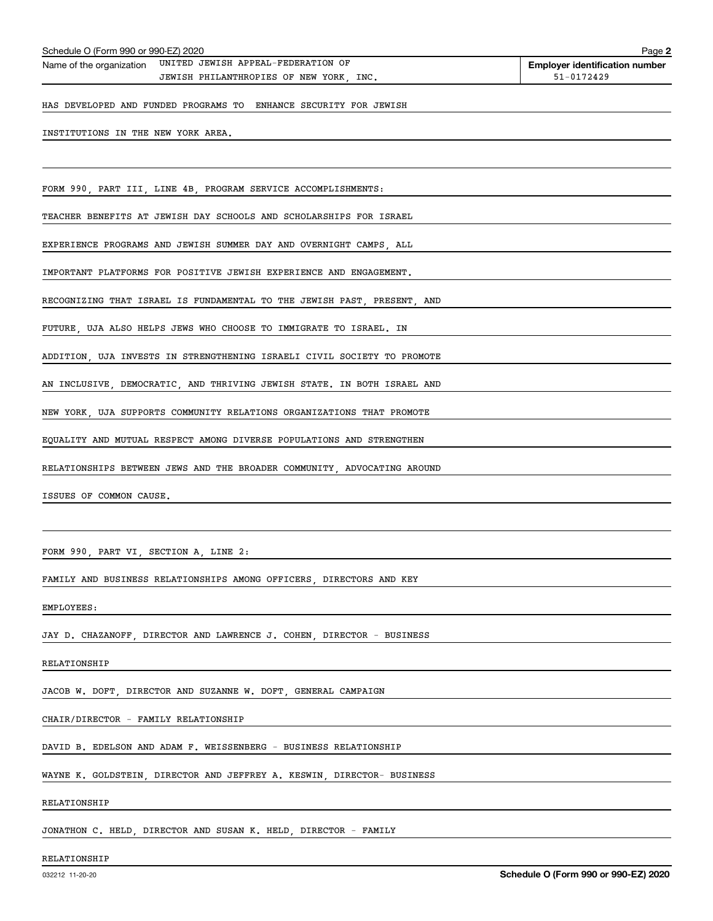|                                       | Name of the organization UNITED JEWISH APPEAL-FEDERATION OF             |            |
|---------------------------------------|-------------------------------------------------------------------------|------------|
|                                       | JEWISH PHILANTHROPIES OF NEW YORK, INC.                                 | 51-0172429 |
|                                       | HAS DEVELOPED AND FUNDED PROGRAMS TO ENHANCE SECURITY FOR JEWISH        |            |
| INSTITUTIONS IN THE NEW YORK AREA.    |                                                                         |            |
|                                       |                                                                         |            |
|                                       | FORM 990, PART III, LINE 4B, PROGRAM SERVICE ACCOMPLISHMENTS:           |            |
|                                       | TEACHER BENEFITS AT JEWISH DAY SCHOOLS AND SCHOLARSHIPS FOR ISRAEL      |            |
|                                       | EXPERIENCE PROGRAMS AND JEWISH SUMMER DAY AND OVERNIGHT CAMPS, ALL      |            |
|                                       | IMPORTANT PLATFORMS FOR POSITIVE JEWISH EXPERIENCE AND ENGAGEMENT.      |            |
|                                       | RECOGNIZING THAT ISRAEL IS FUNDAMENTAL TO THE JEWISH PAST, PRESENT, AND |            |
|                                       | FUTURE, UJA ALSO HELPS JEWS WHO CHOOSE TO IMMIGRATE TO ISRAEL. IN       |            |
|                                       | ADDITION, UJA INVESTS IN STRENGTHENING ISRAELI CIVIL SOCIETY TO PROMOTE |            |
|                                       | AN INCLUSIVE, DEMOCRATIC, AND THRIVING JEWISH STATE. IN BOTH ISRAEL AND |            |
|                                       | NEW YORK, UJA SUPPORTS COMMUNITY RELATIONS ORGANIZATIONS THAT PROMOTE   |            |
|                                       | EQUALITY AND MUTUAL RESPECT AMONG DIVERSE POPULATIONS AND STRENGTHEN    |            |
|                                       | RELATIONSHIPS BETWEEN JEWS AND THE BROADER COMMUNITY, ADVOCATING AROUND |            |
| ISSUES OF COMMON CAUSE.               |                                                                         |            |
|                                       |                                                                         |            |
| FORM 990, PART VI, SECTION A, LINE 2: |                                                                         |            |
|                                       | FAMILY AND BUSINESS RELATIONSHIPS AMONG OFFICERS, DIRECTORS AND KEY     |            |
| EMPLOYEES:                            |                                                                         |            |
|                                       | JAY D. CHAZANOFF, DIRECTOR AND LAWRENCE J. COHEN, DIRECTOR - BUSINESS   |            |
| RELATIONSHIP                          |                                                                         |            |
|                                       | JACOB W. DOFT, DIRECTOR AND SUZANNE W. DOFT, GENERAL CAMPAIGN           |            |
| CHAIR/DIRECTOR - FAMILY RELATIONSHIP  |                                                                         |            |

DAVID B. EDELSON AND ADAM F. WEISSENBERG - BUSINESS RELATIONSHIP

WAYNE K. GOLDSTEIN, DIRECTOR AND JEFFREY A. KESWIN, DIRECTOR- BUSINESS

RELATIONSHIP

JONATHON C. HELD, DIRECTOR AND SUSAN K. HELD, DIRECTOR - FAMILY

### RELATIONSHIP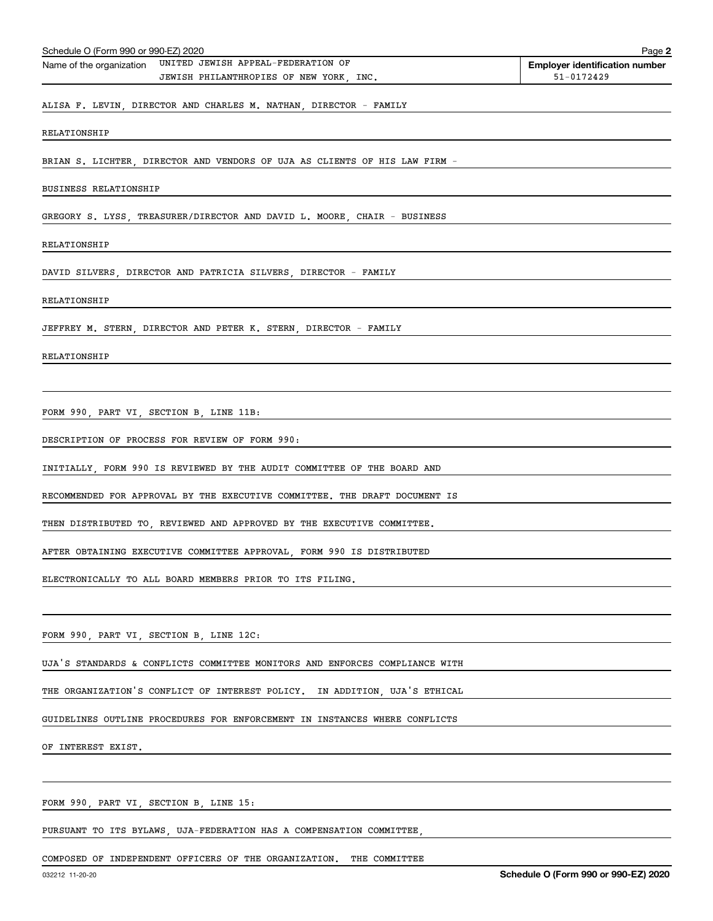| Schedule O (Form 990 or 990-EZ) 2020                                                                      | Page 2                                              |
|-----------------------------------------------------------------------------------------------------------|-----------------------------------------------------|
| UNITED JEWISH APPEAL-FEDERATION OF<br>Name of the organization<br>JEWISH PHILANTHROPIES OF NEW YORK, INC. | <b>Employer identification number</b><br>51-0172429 |
| ALISA F. LEVIN, DIRECTOR AND CHARLES M. NATHAN, DIRECTOR - FAMILY                                         |                                                     |
| RELATIONSHIP                                                                                              |                                                     |
| BRIAN S. LICHTER, DIRECTOR AND VENDORS OF UJA AS CLIENTS OF HIS LAW FIRM -                                |                                                     |
| <b>BUSINESS RELATIONSHIP</b>                                                                              |                                                     |
| GREGORY S. LYSS, TREASURER/DIRECTOR AND DAVID L. MOORE, CHAIR - BUSINESS                                  |                                                     |
| RELATIONSHIP                                                                                              |                                                     |
| DAVID SILVERS, DIRECTOR AND PATRICIA SILVERS, DIRECTOR - FAMILY                                           |                                                     |
| RELATIONSHIP                                                                                              |                                                     |
| JEFFREY M. STERN, DIRECTOR AND PETER K. STERN, DIRECTOR - FAMILY                                          |                                                     |
| RELATIONSHIP                                                                                              |                                                     |
|                                                                                                           |                                                     |
| FORM 990, PART VI, SECTION B, LINE 11B:                                                                   |                                                     |
| DESCRIPTION OF PROCESS FOR REVIEW OF FORM 990:                                                            |                                                     |
| INITIALLY, FORM 990 IS REVIEWED BY THE AUDIT COMMITTEE OF THE BOARD AND                                   |                                                     |
| RECOMMENDED FOR APPROVAL BY THE EXECUTIVE COMMITTEE. THE DRAFT DOCUMENT IS                                |                                                     |
| THEN DISTRIBUTED TO, REVIEWED AND APPROVED BY THE EXECUTIVE COMMITTEE.                                    |                                                     |
| AFTER OBTAINING EXECUTIVE COMMITTEE APPROVAL, FORM 990 IS DISTRIBUTED                                     |                                                     |
| ELECTRONICALLY TO ALL BOARD MEMBERS PRIOR TO ITS FILING.                                                  |                                                     |
|                                                                                                           |                                                     |
| FORM 990, PART VI, SECTION B, LINE 12C:                                                                   |                                                     |
| UJA'S STANDARDS & CONFLICTS COMMITTEE MONITORS AND ENFORCES COMPLIANCE WITH                               |                                                     |
| THE ORGANIZATION'S CONFLICT OF INTEREST POLICY. IN ADDITION, UJA'S ETHICAL                                |                                                     |
| GUIDELINES OUTLINE PROCEDURES FOR ENFORCEMENT IN INSTANCES WHERE CONFLICTS                                |                                                     |
| OF INTEREST EXIST.                                                                                        |                                                     |
|                                                                                                           |                                                     |
| FORM 990, PART VI, SECTION B, LINE 15:                                                                    |                                                     |
| PURSUANT TO ITS BYLAWS, UJA-FEDERATION HAS A COMPENSATION COMMITTEE,                                      |                                                     |
|                                                                                                           |                                                     |

COMPOSED OF INDEPENDENT OFFICERS OF THE ORGANIZATION. THE COMMITTEE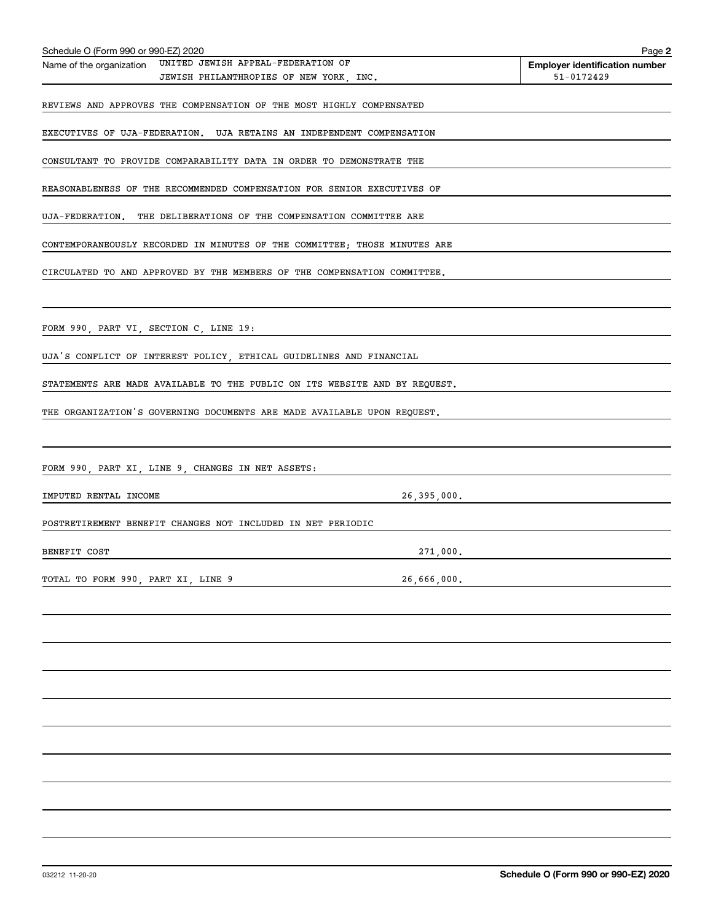| Schedule O (Form 990 or 990-EZ) 2020                                                                   | Page 2                                              |
|--------------------------------------------------------------------------------------------------------|-----------------------------------------------------|
| Name of the organization UNITED JEWISH APPEAL-FEDERATION OF<br>JEWISH PHILANTHROPIES OF NEW YORK, INC. | <b>Employer identification number</b><br>51-0172429 |
| REVIEWS AND APPROVES THE COMPENSATION OF THE MOST HIGHLY COMPENSATED                                   |                                                     |
| EXECUTIVES OF UJA-FEDERATION. UJA RETAINS AN INDEPENDENT COMPENSATION                                  |                                                     |
| CONSULTANT TO PROVIDE COMPARABILITY DATA IN ORDER TO DEMONSTRATE THE                                   |                                                     |
| REASONABLENESS OF THE RECOMMENDED COMPENSATION FOR SENIOR EXECUTIVES OF                                |                                                     |
| UJA-FEDERATION. THE DELIBERATIONS OF THE COMPENSATION COMMITTEE ARE                                    |                                                     |
|                                                                                                        |                                                     |
| CONTEMPORANEOUSLY RECORDED IN MINUTES OF THE COMMITTEE; THOSE MINUTES ARE                              |                                                     |
| CIRCULATED TO AND APPROVED BY THE MEMBERS OF THE COMPENSATION COMMITTEE.                               |                                                     |
|                                                                                                        |                                                     |
| FORM 990, PART VI, SECTION C, LINE 19:                                                                 |                                                     |
| UJA'S CONFLICT OF INTEREST POLICY, ETHICAL GUIDELINES AND FINANCIAL                                    |                                                     |
| STATEMENTS ARE MADE AVAILABLE TO THE PUBLIC ON ITS WEBSITE AND BY REQUEST.                             |                                                     |
| THE ORGANIZATION'S GOVERNING DOCUMENTS ARE MADE AVAILABLE UPON REQUEST.                                |                                                     |
|                                                                                                        |                                                     |
| FORM 990, PART XI, LINE 9, CHANGES IN NET ASSETS:                                                      |                                                     |
| IMPUTED RENTAL INCOME<br>26,395,000.                                                                   |                                                     |
| POSTRETIREMENT BENEFIT CHANGES NOT INCLUDED IN NET PERIODIC                                            |                                                     |
| 271,000.<br>BENEFIT COST                                                                               |                                                     |
| TOTAL TO FORM 990, PART XI, LINE 9<br>26,666,000.                                                      |                                                     |
|                                                                                                        |                                                     |
|                                                                                                        |                                                     |
|                                                                                                        |                                                     |
|                                                                                                        |                                                     |
|                                                                                                        |                                                     |
|                                                                                                        |                                                     |
|                                                                                                        |                                                     |
|                                                                                                        |                                                     |
|                                                                                                        |                                                     |
|                                                                                                        |                                                     |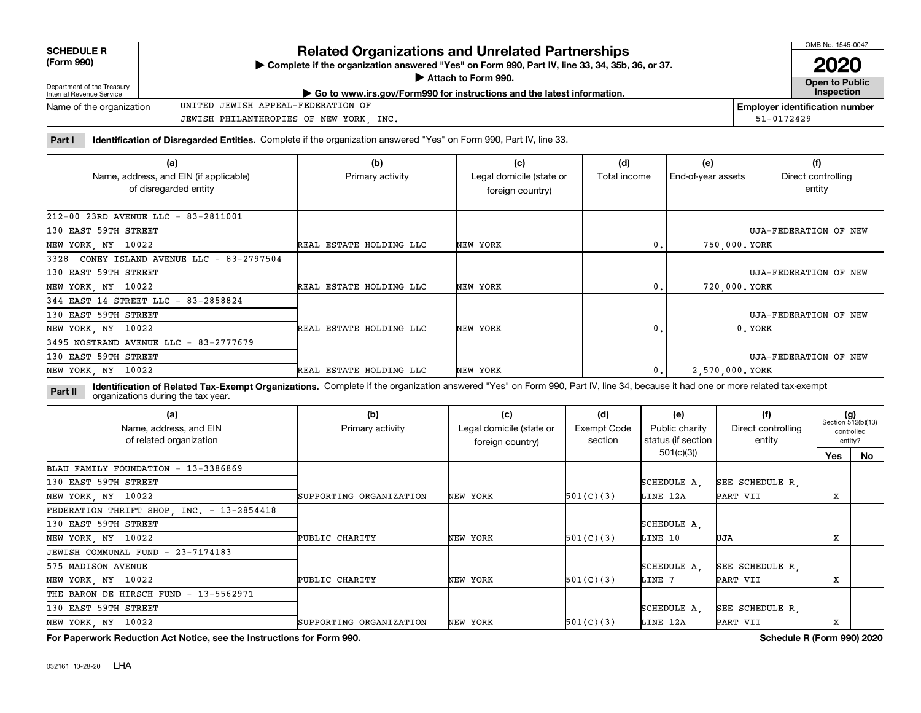| <b>SCHEDULE R</b>       |  |
|-------------------------|--|
| $T_{\text{max}}$ $0.00$ |  |

# **Related Organizations and Unrelated Partnerships**

**(Form 990) Complete if the organization answered "Yes" on Form 990, Part IV, line 33, 34, 35b, 36, or 37.** |

 $\blacktriangleright$ 

OMB No. 1545-0047 **2020**

| Department of the Treasury<br>Internal Revenue Service | Attach to Form 990.<br>Go to www.irs.gov/Form990 for instructions and the latest information. |            | Open to Public<br><b>Inspection</b> |
|--------------------------------------------------------|-----------------------------------------------------------------------------------------------|------------|-------------------------------------|
| Name of the organization                               | UNITED JEWISH APPEAL-FEDERATION OF                                                            |            | Employer identification number      |
|                                                        | JEWISH PHILANTHROPIES OF NEW YORK<br>INC                                                      | 51-0172429 |                                     |

Part I ldentification of Disregarded Entities. Complete if the organization answered "Yes" on Form 990, Part IV, line 33.

| (a)<br>Name, address, and EIN (if applicable)<br>of disregarded entity | (b)<br>Primary activity | (c)<br>Legal domicile (state or<br>foreign country) | (d)<br>Total income | (e)<br>End-of-year assets | (f)<br>Direct controlling<br>entity |
|------------------------------------------------------------------------|-------------------------|-----------------------------------------------------|---------------------|---------------------------|-------------------------------------|
| 212-00 23RD AVENUE LLC - 83-2811001                                    |                         |                                                     |                     |                           |                                     |
| 130 EAST 59TH STREET                                                   |                         |                                                     |                     |                           | UJA-FEDERATION OF NEW               |
| NEW YORK, NY 10022                                                     | REAL ESTATE HOLDING LLC | NEW YORK                                            | 0.                  | 750,000. YORK             |                                     |
| CONEY ISLAND AVENUE LLC - 83-2797504<br>3328                           |                         |                                                     |                     |                           |                                     |
| 130 EAST 59TH STREET                                                   |                         |                                                     |                     |                           | UJA-FEDERATION OF NEW               |
| NEW YORK, NY 10022                                                     | REAL ESTATE HOLDING LLC | NEW YORK                                            | 0.                  | 720,000. YORK             |                                     |
| 344 EAST 14 STREET LLC - 83-2858824                                    |                         |                                                     |                     |                           |                                     |
| 130 EAST 59TH STREET                                                   |                         |                                                     |                     |                           | UJA-FEDERATION OF NEW               |
| NEW YORK, NY 10022                                                     | REAL ESTATE HOLDING LLC | NEW YORK                                            | 0.                  |                           | 0.YORK                              |
| 3495 NOSTRAND AVENUE LLC - 83-2777679                                  |                         |                                                     |                     |                           |                                     |
| 130 EAST 59TH STREET                                                   |                         |                                                     |                     |                           | UJA-FEDERATION OF NEW               |
| NEW YORK, NY 10022                                                     | REAL ESTATE HOLDING LLC | NEW YORK                                            | 0.                  | 2.570.000. YORK           |                                     |

**Part II Identification of Related Tax-Exempt Organizations.** Complete if the organization answered "Yes" on Form 990, Part IV, line 34, because it had one or more related tax-exempt<br> **Part II** Organizations during the tax organizations during the tax year.

| (a)<br>Name, address, and EIN<br>of related organization | (b)<br>Primary activity | (c)<br>Legal domicile (state or<br>foreign country) | (d)<br>Exempt Code<br>section | (e)<br>Public charity<br>status (if section | (f)<br>Direct controlling<br>entity | $(g)$<br>Section 512(b)(13)<br>controlled<br>entity? |    |
|----------------------------------------------------------|-------------------------|-----------------------------------------------------|-------------------------------|---------------------------------------------|-------------------------------------|------------------------------------------------------|----|
|                                                          |                         |                                                     |                               | 501(c)(3)                                   |                                     | Yes                                                  | No |
| BLAU FAMILY FOUNDATION - 13-3386869                      |                         |                                                     |                               |                                             |                                     |                                                      |    |
| 130 EAST 59TH STREET                                     |                         |                                                     |                               | SCHEDULE A.                                 | SEE SCHEDULE R.                     |                                                      |    |
| NEW YORK, NY 10022                                       | SUPPORTING ORGANIZATION | NEW YORK                                            | 501(C)(3)                     | LINE 12A                                    | PART VII                            | x                                                    |    |
| FEDERATION THRIFT SHOP, INC. - 13-2854418                |                         |                                                     |                               |                                             |                                     |                                                      |    |
| 130 EAST 59TH STREET                                     |                         |                                                     |                               | SCHEDULE A,                                 |                                     |                                                      |    |
| NEW YORK, NY 10022                                       | PUBLIC CHARITY          | NEW YORK                                            | 501(C)(3)                     | LINE 10                                     | UJA                                 | x                                                    |    |
| JEWISH COMMUNAL FUND - 23-7174183                        |                         |                                                     |                               |                                             |                                     |                                                      |    |
| 575 MADISON AVENUE                                       |                         |                                                     |                               | SCHEDULE A.                                 | SEE SCHEDULE R.                     |                                                      |    |
| NEW YORK, NY 10022                                       | PUBLIC CHARITY          | NEW YORK                                            | 501(C)(3)                     | LINE 7                                      | PART VII                            | x                                                    |    |
| THE BARON DE HIRSCH FUND - 13-5562971                    |                         |                                                     |                               |                                             |                                     |                                                      |    |
| 130 EAST 59TH STREET                                     |                         |                                                     |                               | SCHEDULE A.                                 | SEE SCHEDULE R.                     |                                                      |    |
| NEW YORK, NY 10022                                       | SUPPORTING ORGANIZATION | NEW YORK                                            | 501(C)(3)                     | LINE 12A                                    | PART VII                            | x                                                    |    |

**For Paperwork Reduction Act Notice, see the Instructions for Form 990. Schedule R (Form 990) 2020**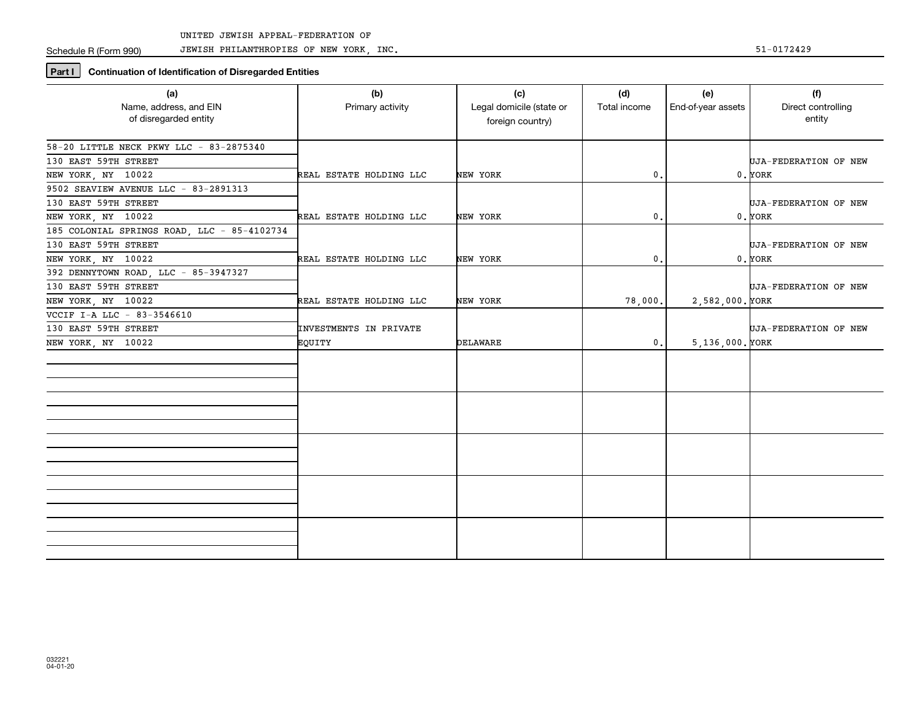JEWISH PHILANTHROPIES OF NEW YORK, INC.

# **Part I** Continuation of Identification of Disregarded Entities

| (a)<br>Name, address, and EIN<br>of disregarded entity                                    | (b)<br>Primary activity          | (c)<br>Legal domicile (state or<br>foreign country) | (d)<br>Total income | (e)<br>End-of-year assets | (f)<br>Direct controlling<br>entity |
|-------------------------------------------------------------------------------------------|----------------------------------|-----------------------------------------------------|---------------------|---------------------------|-------------------------------------|
| 58-20 LITTLE NECK PKWY LLC - 83-2875340<br>130 EAST 59TH STREET<br>NEW YORK, NY 10022     | REAL ESTATE HOLDING LLC          | NEW YORK                                            | $\mathbf{0}$ .      |                           | UJA-FEDERATION OF NEW<br>$0.$ YORK  |
| 9502 SEAVIEW AVENUE LLC - 83-2891313<br>130 EAST 59TH STREET<br>NEW YORK, NY 10022        | REAL ESTATE HOLDING LLC          | NEW YORK                                            | $^{\rm 0}$ .        |                           | UJA-FEDERATION OF NEW<br>$0.$ YORK  |
| 185 COLONIAL SPRINGS ROAD, LLC - 85-4102734<br>130 EAST 59TH STREET<br>NEW YORK, NY 10022 | REAL ESTATE HOLDING LLC          | NEW YORK                                            | $\mathbf{0}$ .      |                           | UJA-FEDERATION OF NEW<br>$0.$ YORK  |
| 392 DENNYTOWN ROAD, LLC - 85-3947327<br>130 EAST 59TH STREET<br>NEW YORK, NY 10022        | REAL ESTATE HOLDING LLC          | NEW YORK                                            | 78,000.             | 2,582,000. YORK           | UJA-FEDERATION OF NEW               |
| VCCIF I-A LLC - 83-3546610<br>130 EAST 59TH STREET<br>NEW YORK, NY 10022                  | INVESTMENTS IN PRIVATE<br>EQUITY | DELAWARE                                            | $\mathbf 0$ .       | $5, 136, 000.$ YORK       | UJA-FEDERATION OF NEW               |
|                                                                                           |                                  |                                                     |                     |                           |                                     |
|                                                                                           |                                  |                                                     |                     |                           |                                     |
|                                                                                           |                                  |                                                     |                     |                           |                                     |
|                                                                                           |                                  |                                                     |                     |                           |                                     |
|                                                                                           |                                  |                                                     |                     |                           |                                     |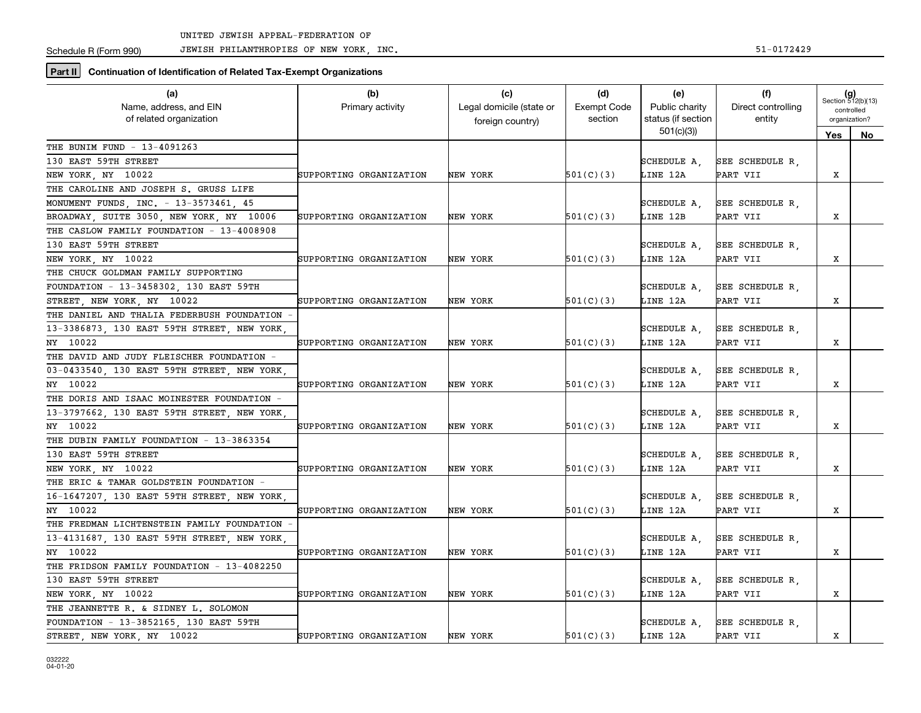JEWISH PHILANTHROPIES OF NEW YORK, INC. 51-0172429

**Part II** Continuation of Identification of Related Tax-Exempt Organizations

| (a)                                         | (b)                     | (c)                      | (d)                | (e)                | (f)                |                             |            |
|---------------------------------------------|-------------------------|--------------------------|--------------------|--------------------|--------------------|-----------------------------|------------|
| Name, address, and EIN                      | Primary activity        | Legal domicile (state or | <b>Exempt Code</b> | Public charity     | Direct controlling | $(g)$<br>Section 512(b)(13) |            |
| of related organization                     |                         | foreign country)         | section            | status (if section | entity             | organization?               | controlled |
|                                             |                         |                          |                    | 501(c)(3)          |                    | Yes                         | No         |
| THE BUNIM FUND - 13-4091263                 |                         |                          |                    |                    |                    |                             |            |
| 130 EAST 59TH STREET                        |                         |                          |                    | SCHEDULE A,        | SEE SCHEDULE R.    |                             |            |
| NEW YORK, NY 10022                          | SUPPORTING ORGANIZATION | NEW YORK                 | 501(C)(3)          | LINE 12A           | PART VII           | X                           |            |
| THE CAROLINE AND JOSEPH S. GRUSS LIFE       |                         |                          |                    |                    |                    |                             |            |
| MONUMENT FUNDS, INC. - 13-3573461, 45       |                         |                          |                    | SCHEDULE A,        | SEE SCHEDULE R,    |                             |            |
| BROADWAY, SUITE 3050, NEW YORK, NY 10006    | SUPPORTING ORGANIZATION | NEW YORK                 | 501(C)(3)          | LINE 12B           | PART VII           | х                           |            |
| THE CASLOW FAMILY FOUNDATION - 13-4008908   |                         |                          |                    |                    |                    |                             |            |
| 130 EAST 59TH STREET                        |                         |                          |                    | SCHEDULE A.        | SEE SCHEDULE R.    |                             |            |
| NEW YORK, NY 10022                          | SUPPORTING ORGANIZATION | NEW YORK                 | 501(C)(3)          | LINE 12A           | PART VII           | X                           |            |
| THE CHUCK GOLDMAN FAMILY SUPPORTING         |                         |                          |                    |                    |                    |                             |            |
| FOUNDATION - 13-3458302, 130 EAST 59TH      |                         |                          |                    | SCHEDULE A.        | SEE SCHEDULE R,    |                             |            |
| STREET, NEW YORK, NY 10022                  | SUPPORTING ORGANIZATION | NEW YORK                 | 501(C)(3)          | LINE 12A           | PART VII           | X                           |            |
| THE DANIEL AND THALIA FEDERBUSH FOUNDATION  |                         |                          |                    |                    |                    |                             |            |
| 13-3386873, 130 EAST 59TH STREET, NEW YORK  |                         |                          |                    | SCHEDULE A.        | SEE SCHEDULE R.    |                             |            |
| NY 10022                                    | SUPPORTING ORGANIZATION | NEW YORK                 | 501(C)(3)          | LINE 12A           | PART VII           | X                           |            |
| THE DAVID AND JUDY FLEISCHER FOUNDATION -   |                         |                          |                    |                    |                    |                             |            |
| 03-0433540, 130 EAST 59TH STREET, NEW YORK  |                         |                          |                    | SCHEDULE A.        | SEE SCHEDULE R.    |                             |            |
| NY 10022                                    | SUPPORTING ORGANIZATION | NEW YORK                 | 501(C)(3)          | LINE 12A           | PART VII           | X                           |            |
| THE DORIS AND ISAAC MOINESTER FOUNDATION -  |                         |                          |                    |                    |                    |                             |            |
| 13-3797662, 130 EAST 59TH STREET, NEW YORK, |                         |                          |                    | SCHEDULE A.        | SEE SCHEDULE R.    |                             |            |
| NY 10022                                    | SUPPORTING ORGANIZATION | NEW YORK                 | 501(C)(3)          | LINE 12A           | PART VII           | X                           |            |
| THE DUBIN FAMILY FOUNDATION - 13-3863354    |                         |                          |                    |                    |                    |                             |            |
| 130 EAST 59TH STREET                        |                         |                          |                    | SCHEDULE A,        | SEE SCHEDULE R,    |                             |            |
| NEW YORK, NY 10022                          | SUPPORTING ORGANIZATION | NEW YORK                 | 501(C)(3)          | LINE 12A           | PART VII           | X                           |            |
| THE ERIC & TAMAR GOLDSTEIN FOUNDATION -     |                         |                          |                    |                    |                    |                             |            |
| 16-1647207, 130 EAST 59TH STREET, NEW YORK, |                         |                          |                    | SCHEDULE A,        | SEE SCHEDULE R,    |                             |            |
| NY 10022                                    | SUPPORTING ORGANIZATION | NEW YORK                 | 501(C)(3)          | LINE 12A           | PART VII           | х                           |            |
| THE FREDMAN LICHTENSTEIN FAMILY FOUNDATION  |                         |                          |                    |                    |                    |                             |            |
| 13-4131687, 130 EAST 59TH STREET, NEW YORK, |                         |                          |                    | SCHEDULE A.        | SEE SCHEDULE R.    |                             |            |
| NY 10022                                    | SUPPORTING ORGANIZATION | NEW YORK                 | 501(C)(3)          | LINE 12A           | PART VII           | X                           |            |
| THE FRIDSON FAMILY FOUNDATION - 13-4082250  |                         |                          |                    |                    |                    |                             |            |
| 130 EAST 59TH STREET                        |                         |                          |                    | SCHEDULE A.        | SEE SCHEDULE R.    |                             |            |
| NEW YORK, NY 10022                          | SUPPORTING ORGANIZATION | NEW YORK                 | 501(C)(3)          | LINE 12A           | PART VII           | X                           |            |
| THE JEANNETTE R. & SIDNEY L. SOLOMON        |                         |                          |                    |                    |                    |                             |            |
| FOUNDATION - 13-3852165, 130 EAST 59TH      |                         |                          |                    | SCHEDULE A,        | SEE SCHEDULE R,    |                             |            |
| STREET, NEW YORK, NY 10022                  | SUPPORTING ORGANIZATION | NEW YORK                 | 501(C)(3)          | LINE 12A           | PART VII           | x                           |            |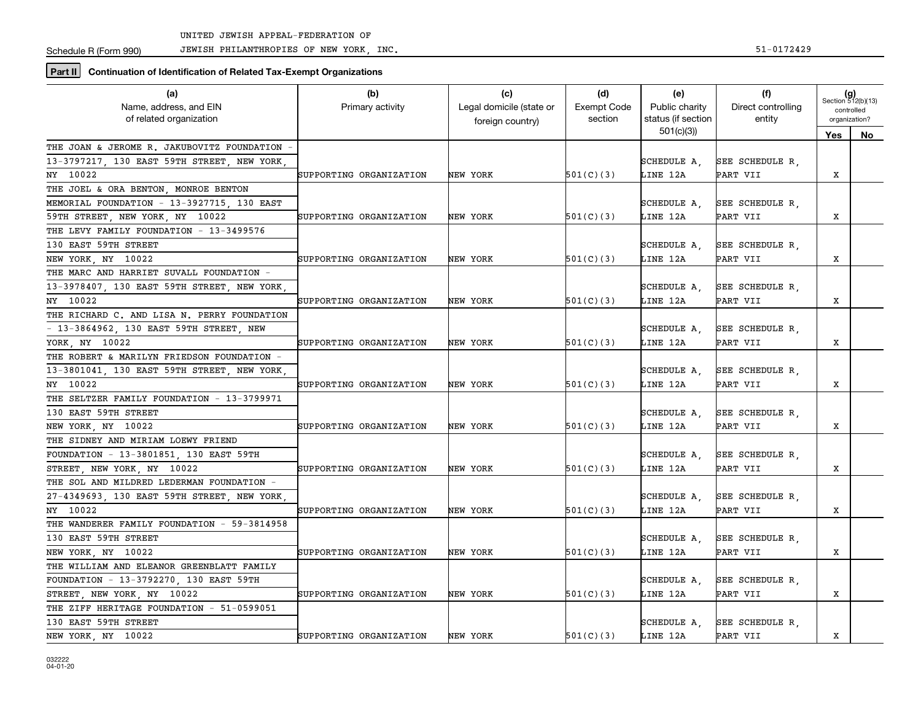JEWISH PHILANTHROPIES OF NEW YORK, INC. 51-0172429

**Part II** Continuation of Identification of Related Tax-Exempt Organizations

| (a)                                         | (b)                     | (c)                      | (d)                | (e)                | (f)                | $(g)$<br>Section 512(b)(13) |               |
|---------------------------------------------|-------------------------|--------------------------|--------------------|--------------------|--------------------|-----------------------------|---------------|
| Name, address, and EIN                      | Primary activity        | Legal domicile (state or | <b>Exempt Code</b> | Public charity     | Direct controlling | controlled                  |               |
| of related organization                     |                         | foreign country)         | section            | status (if section | entity             |                             | organization? |
|                                             |                         |                          |                    | 501(c)(3)          |                    | Yes                         | No            |
| THE JOAN & JEROME R. JAKUBOVITZ FOUNDATION  |                         |                          |                    |                    |                    |                             |               |
| 13-3797217, 130 EAST 59TH STREET, NEW YORK  |                         |                          |                    | SCHEDULE A,        | SEE SCHEDULE R.    |                             |               |
| NY 10022                                    | SUPPORTING ORGANIZATION | NEW YORK                 | 501(C)(3)          | LINE 12A           | PART VII           | X                           |               |
| THE JOEL & ORA BENTON, MONROE BENTON        |                         |                          |                    |                    |                    |                             |               |
| MEMORIAL FOUNDATION - 13-3927715, 130 EAST  |                         |                          |                    | SCHEDULE A.        | SEE SCHEDULE R.    |                             |               |
| 59TH STREET, NEW YORK, NY 10022             | SUPPORTING ORGANIZATION | NEW YORK                 | 501(C)(3)          | LINE 12A           | PART VII           | X                           |               |
| THE LEVY FAMILY FOUNDATION - 13-3499576     |                         |                          |                    |                    |                    |                             |               |
| 130 EAST 59TH STREET                        |                         |                          |                    | SCHEDULE A.        | SEE SCHEDULE R.    |                             |               |
| NEW YORK, NY 10022                          | SUPPORTING ORGANIZATION | NEW YORK                 | 501(C)(3)          | LINE 12A           | PART VII           | Х                           |               |
| THE MARC AND HARRIET SUVALL FOUNDATION -    |                         |                          |                    |                    |                    |                             |               |
| 13-3978407, 130 EAST 59TH STREET, NEW YORK, |                         |                          |                    | SCHEDULE A,        | SEE SCHEDULE R.    |                             |               |
| NY 10022                                    | SUPPORTING ORGANIZATION | NEW YORK                 | 501(C)(3)          | LINE 12A           | PART VII           | X                           |               |
| THE RICHARD C. AND LISA N. PERRY FOUNDATION |                         |                          |                    |                    |                    |                             |               |
| - 13-3864962, 130 EAST 59TH STREET, NEW     |                         |                          |                    | SCHEDULE A.        | SEE SCHEDULE R.    |                             |               |
| YORK NY 10022                               | SUPPORTING ORGANIZATION | NEW YORK                 | 501(C)(3)          | LINE 12A           | PART VII           | х                           |               |
| THE ROBERT & MARILYN FRIEDSON FOUNDATION -  |                         |                          |                    |                    |                    |                             |               |
| 13-3801041, 130 EAST 59TH STREET, NEW YORK  |                         |                          |                    | SCHEDULE A.        | SEE SCHEDULE R,    |                             |               |
| NY 10022                                    | SUPPORTING ORGANIZATION | NEW YORK                 | 501(C)(3)          | LINE 12A           | PART VII           | X                           |               |
| THE SELTZER FAMILY FOUNDATION - 13-3799971  |                         |                          |                    |                    |                    |                             |               |
| 130 EAST 59TH STREET                        |                         |                          |                    | SCHEDULE A,        | SEE SCHEDULE R.    |                             |               |
| NEW YORK, NY 10022                          | SUPPORTING ORGANIZATION | NEW YORK                 | 501(C)(3)          | LINE 12A           | PART VII           | X                           |               |
| THE SIDNEY AND MIRIAM LOEWY FRIEND          |                         |                          |                    |                    |                    |                             |               |
| FOUNDATION - 13-3801851, 130 EAST 59TH      |                         |                          |                    | SCHEDULE A.        | SEE SCHEDULE R,    |                             |               |
| STREET, NEW YORK, NY 10022                  | SUPPORTING ORGANIZATION | NEW YORK                 | 501(C)(3)          | LINE 12A           | PART VII           | X                           |               |
| THE SOL AND MILDRED LEDERMAN FOUNDATION -   |                         |                          |                    |                    |                    |                             |               |
| 27-4349693, 130 EAST 59TH STREET, NEW YORK, |                         |                          |                    | SCHEDULE A,        | SEE SCHEDULE R.    |                             |               |
| NY 10022                                    | SUPPORTING ORGANIZATION | NEW YORK                 | 501(C)(3)          | LINE 12A           | PART VII           | X                           |               |
| THE WANDERER FAMILY FOUNDATION - 59-3814958 |                         |                          |                    |                    |                    |                             |               |
| 130 EAST 59TH STREET                        |                         |                          |                    | SCHEDULE A,        | SEE SCHEDULE R.    |                             |               |
| NEW YORK, NY 10022                          | SUPPORTING ORGANIZATION | NEW YORK                 | 501(C)(3)          | LINE 12A           | PART VII           | X                           |               |
| THE WILLIAM AND ELEANOR GREENBLATT FAMILY   |                         |                          |                    |                    |                    |                             |               |
| FOUNDATION - 13-3792270, 130 EAST 59TH      |                         |                          |                    | SCHEDULE A.        | SEE SCHEDULE R.    |                             |               |
| STREET, NEW YORK, NY 10022                  | SUPPORTING ORGANIZATION | NEW YORK                 | 501(C)(3)          | LINE 12A           | PART VII           | X                           |               |
| THE ZIFF HERITAGE FOUNDATION - 51-0599051   |                         |                          |                    |                    |                    |                             |               |
| 130 EAST 59TH STREET                        |                         |                          |                    | SCHEDULE A,        | SEE SCHEDULE R,    |                             |               |
| NEW YORK, NY 10022                          | SUPPORTING ORGANIZATION | NEW YORK                 | 501(C)(3)          | LINE 12A           | PART VII           | x                           |               |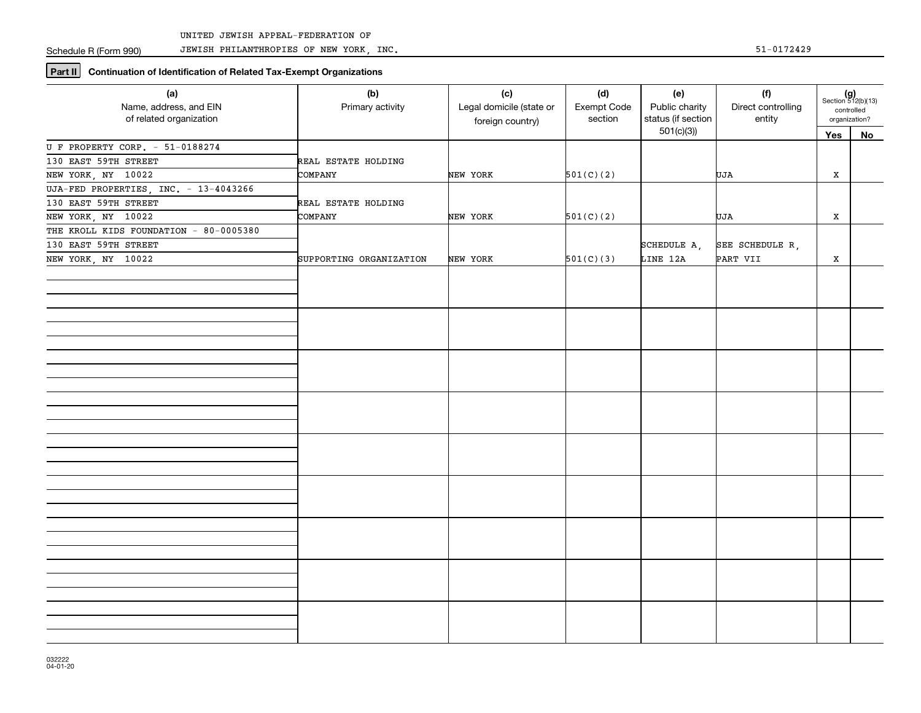JEWISH PHILANTHROPIES OF NEW YORK, INC. 51-0172429

**Part II** Continuation of Identification of Related Tax-Exempt Organizations

| (a)<br>Name, address, and EIN<br>of related organization | (b)<br>Primary activity | (c)<br>Legal domicile (state or<br>foreign country) | (d)<br>Exempt Code<br>section | (e)<br>Public charity<br>status (if section | (f)<br>Direct controlling<br>entity | $(g)$<br>Section 512(b)(13)<br>controlled<br>organization? |    |
|----------------------------------------------------------|-------------------------|-----------------------------------------------------|-------------------------------|---------------------------------------------|-------------------------------------|------------------------------------------------------------|----|
|                                                          |                         |                                                     |                               | 501(c)(3)                                   |                                     | Yes                                                        | No |
| U F PROPERTY CORP. - 51-0188274                          |                         |                                                     |                               |                                             |                                     |                                                            |    |
| 130 EAST 59TH STREET                                     | REAL ESTATE HOLDING     |                                                     |                               |                                             |                                     |                                                            |    |
| NEW YORK, NY 10022                                       | COMPANY                 | NEW YORK                                            | 501(C)(2)                     |                                             | UJA                                 | X                                                          |    |
| UJA-FED PROPERTIES, INC. - 13-4043266                    |                         |                                                     |                               |                                             |                                     |                                                            |    |
| 130 EAST 59TH STREET                                     | REAL ESTATE HOLDING     |                                                     |                               |                                             |                                     |                                                            |    |
| NEW YORK, NY 10022                                       | COMPANY                 | NEW YORK                                            | 501(C)(2)                     |                                             | UJA                                 | х                                                          |    |
| THE KROLL KIDS FOUNDATION - 80-0005380                   |                         |                                                     |                               |                                             |                                     |                                                            |    |
| 130 EAST 59TH STREET                                     |                         |                                                     |                               | SCHEDULE A,                                 | SEE SCHEDULE R,                     |                                                            |    |
| NEW YORK, NY 10022                                       | SUPPORTING ORGANIZATION | NEW YORK                                            | 501(C)(3)                     | LINE 12A                                    | PART VII                            | Х                                                          |    |
|                                                          |                         |                                                     |                               |                                             |                                     |                                                            |    |
|                                                          |                         |                                                     |                               |                                             |                                     |                                                            |    |
|                                                          |                         |                                                     |                               |                                             |                                     |                                                            |    |
|                                                          |                         |                                                     |                               |                                             |                                     |                                                            |    |
|                                                          |                         |                                                     |                               |                                             |                                     |                                                            |    |
|                                                          |                         |                                                     |                               |                                             |                                     |                                                            |    |
|                                                          |                         |                                                     |                               |                                             |                                     |                                                            |    |
|                                                          |                         |                                                     |                               |                                             |                                     |                                                            |    |
|                                                          |                         |                                                     |                               |                                             |                                     |                                                            |    |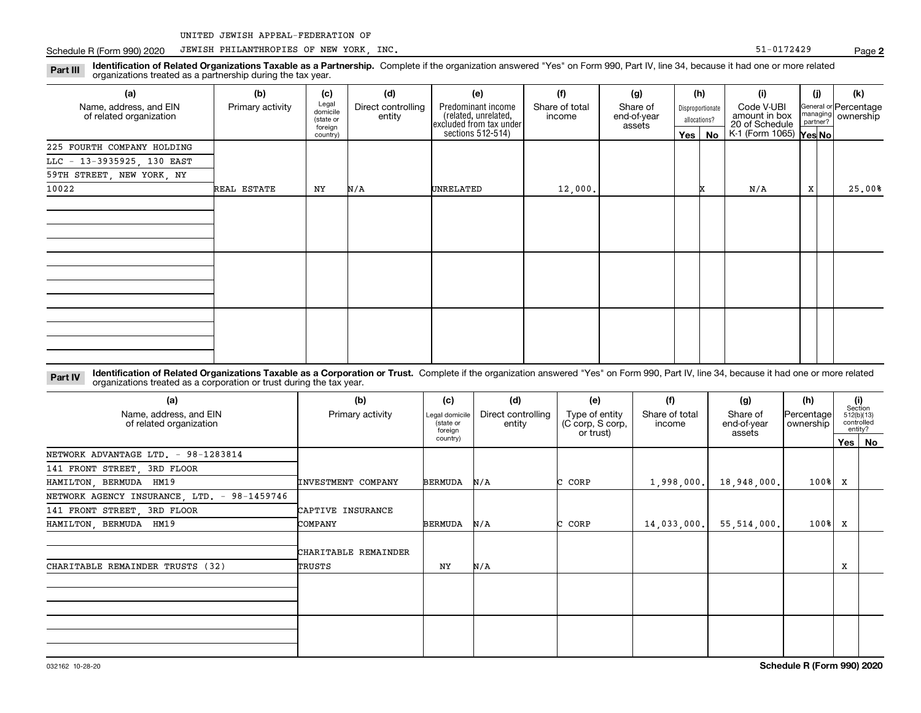# Schedule R (Form 990) 2020 JEWISH PHILANTHROPIES OF NEW YORK, INC. Same of the state of the state of the S1-0172429

Part III Identification of Related Organizations Taxable as a Partnership. Complete if the organization answered "Yes" on Form 990, Part IV, line 34, because it had one or more related<br>examples the organizations tracted as organizations treated as a partnership during the tax year.

| (a)                                               | (b)              | (c)                                       | (d)                          | (e)                                                                                        | (f)                      | (g)                               |            | (h)                              | (i)                                           | (i) | (k)                                         |
|---------------------------------------------------|------------------|-------------------------------------------|------------------------------|--------------------------------------------------------------------------------------------|--------------------------|-----------------------------------|------------|----------------------------------|-----------------------------------------------|-----|---------------------------------------------|
| Name, address, and EIN<br>of related organization | Primary activity | Legal<br>domicile<br>(state or<br>foreign | Direct controlling<br>entity | Predominant income<br>(related, unrelated,<br>excluded from tax under<br>sections 512-514) | Share of total<br>income | Share of<br>end-of-year<br>assets |            | Disproportionate<br>allocations? | Code V-UBI<br>amount in box<br>20 of Schedule |     | General or Percentage<br>managing ownership |
|                                                   |                  | country)                                  |                              |                                                                                            |                          |                                   | $Yes \mid$ | No                               | K-1 (Form 1065) <b>Yes No</b>                 |     |                                             |
| 225 FOURTH COMPANY HOLDING                        |                  |                                           |                              |                                                                                            |                          |                                   |            |                                  |                                               |     |                                             |
| LLC - 13-3935925, 130 EAST                        |                  |                                           |                              |                                                                                            |                          |                                   |            |                                  |                                               |     |                                             |
| 59TH STREET, NEW YORK, NY                         |                  |                                           |                              |                                                                                            |                          |                                   |            |                                  |                                               |     |                                             |
| 10022                                             | REAL ESTATE      | ΝY                                        | N/A                          | <b>UNRELATED</b>                                                                           | 12,000.                  |                                   |            |                                  | N/A                                           | X   | 25.00%                                      |
|                                                   |                  |                                           |                              |                                                                                            |                          |                                   |            |                                  |                                               |     |                                             |
|                                                   |                  |                                           |                              |                                                                                            |                          |                                   |            |                                  |                                               |     |                                             |
|                                                   |                  |                                           |                              |                                                                                            |                          |                                   |            |                                  |                                               |     |                                             |
|                                                   |                  |                                           |                              |                                                                                            |                          |                                   |            |                                  |                                               |     |                                             |
|                                                   |                  |                                           |                              |                                                                                            |                          |                                   |            |                                  |                                               |     |                                             |
|                                                   |                  |                                           |                              |                                                                                            |                          |                                   |            |                                  |                                               |     |                                             |
|                                                   |                  |                                           |                              |                                                                                            |                          |                                   |            |                                  |                                               |     |                                             |
|                                                   |                  |                                           |                              |                                                                                            |                          |                                   |            |                                  |                                               |     |                                             |
|                                                   |                  |                                           |                              |                                                                                            |                          |                                   |            |                                  |                                               |     |                                             |
|                                                   |                  |                                           |                              |                                                                                            |                          |                                   |            |                                  |                                               |     |                                             |
|                                                   |                  |                                           |                              |                                                                                            |                          |                                   |            |                                  |                                               |     |                                             |
|                                                   |                  |                                           |                              |                                                                                            |                          |                                   |            |                                  |                                               |     |                                             |

Part IV Identification of Related Organizations Taxable as a Corporation or Trust. Complete if the organization answered "Yes" on Form 990, Part IV, line 34, because it had one or more related organizations treated as a corporation or trust during the tax year.

| (a)<br>Name, address, and EIN<br>of related organization | (b)<br>Primary activity        | (d)<br>(c)<br>Direct controlling<br>Legal domicile<br>(state or<br>entity<br>foreian |     | (e)<br>Type of entity<br>(C corp, S corp,<br>or trust) | (f)<br>Share of total<br>income | (g)<br>Share of<br>end-of-year<br>assets | (h)<br> Percentage <br>ownership | (i)<br>Section<br>512(b)(13)<br>controlled<br>entity? |          |
|----------------------------------------------------------|--------------------------------|--------------------------------------------------------------------------------------|-----|--------------------------------------------------------|---------------------------------|------------------------------------------|----------------------------------|-------------------------------------------------------|----------|
|                                                          |                                | country)                                                                             |     |                                                        |                                 |                                          |                                  |                                                       | Yes   No |
| NETWORK ADVANTAGE LTD. - 98-1283814                      |                                |                                                                                      |     |                                                        |                                 |                                          |                                  |                                                       |          |
| 141 FRONT STREET, 3RD FLOOR                              |                                |                                                                                      |     |                                                        |                                 |                                          |                                  |                                                       |          |
| HAMILTON, BERMUDA HM19                                   | INVESTMENT COMPANY             | <b>BERMUDA</b>                                                                       | N/A | CORP                                                   | 1,998,000.                      | 18,948,000,                              | 100%                             | x                                                     |          |
| NETWORK AGENCY INSURANCE, LTD. - 98-1459746              |                                |                                                                                      |     |                                                        |                                 |                                          |                                  |                                                       |          |
| 141 FRONT STREET, 3RD FLOOR                              | CAPTIVE INSURANCE              |                                                                                      |     |                                                        |                                 |                                          |                                  |                                                       |          |
| HAMILTON, BERMUDA HM19                                   | COMPANY                        | <b>BERMUDA</b>                                                                       | N/A | CORP                                                   | 14,033,000.                     | 55, 514, 000.                            | $100$ <sup>8</sup>               | X                                                     |          |
| CHARITABLE REMAINDER TRUSTS (32)                         | CHARITABLE REMAINDER<br>TRUSTS | NY                                                                                   | N/A |                                                        |                                 |                                          |                                  | х                                                     |          |
|                                                          |                                |                                                                                      |     |                                                        |                                 |                                          |                                  |                                                       |          |
|                                                          |                                |                                                                                      |     |                                                        |                                 |                                          |                                  |                                                       |          |
|                                                          |                                |                                                                                      |     |                                                        |                                 |                                          |                                  |                                                       |          |
|                                                          |                                |                                                                                      |     |                                                        |                                 |                                          |                                  |                                                       |          |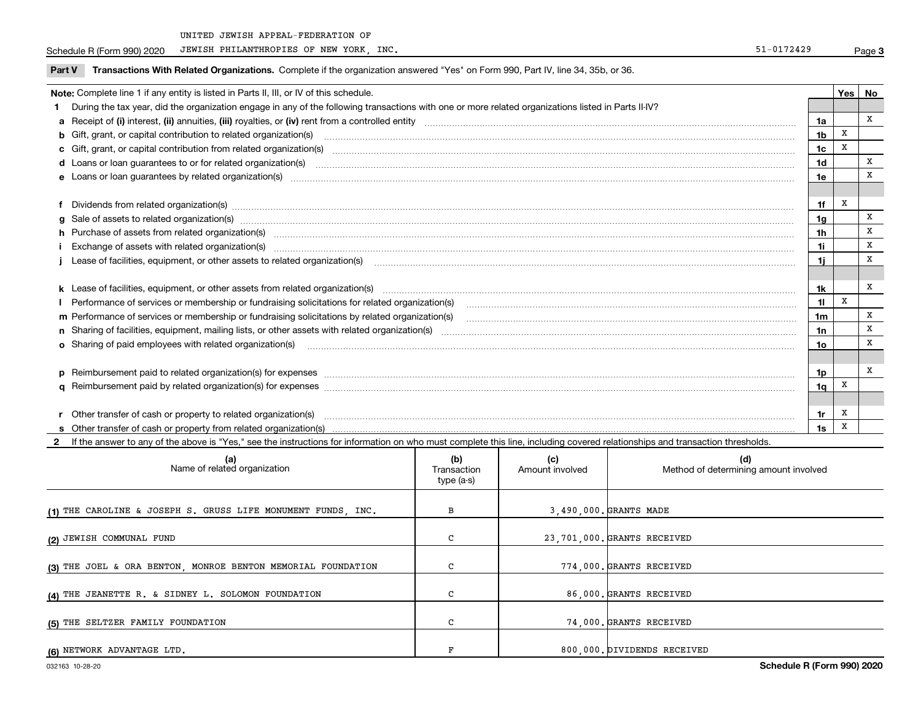Schedule R (Form 990) 2020 JEWISH PHILANTHROPIES OF NEW YORK, INC. Same of the state of the state of the S1-0172429

**2** If the answer to any of the above is "Yes," see the instructions for information on who must complete this line, including covered relationships and transaction thresholds.

| (a)<br>Name of related organization                          | (b)<br>Transaction<br>type (a-s) | (c)<br>Amount involved | (d)<br>Method of determining amount involved |
|--------------------------------------------------------------|----------------------------------|------------------------|----------------------------------------------|
| (1) THE CAROLINE & JOSEPH S. GRUSS LIFE MONUMENT FUNDS, INC. | в                                |                        | 3,490,000. GRANTS MADE                       |
| (2) JEWISH COMMUNAL FUND                                     | C                                |                        | 23,701,000. GRANTS RECEIVED                  |
| (3) THE JOEL & ORA BENTON, MONROE BENTON MEMORIAL FOUNDATION | C                                |                        | 774,000. GRANTS RECEIVED                     |
| (4) THE JEANETTE R. & SIDNEY L. SOLOMON FOUNDATION           | C                                |                        | 86.000. GRANTS RECEIVED                      |
| (5) THE SELTZER FAMILY FOUNDATION                            | C                                |                        | 74.000. GRANTS RECEIVED                      |
| (6) NETWORK ADVANTAGE LTD.                                   |                                  |                        | 800,000. DIVIDENDS RECEIVED                  |

Page 3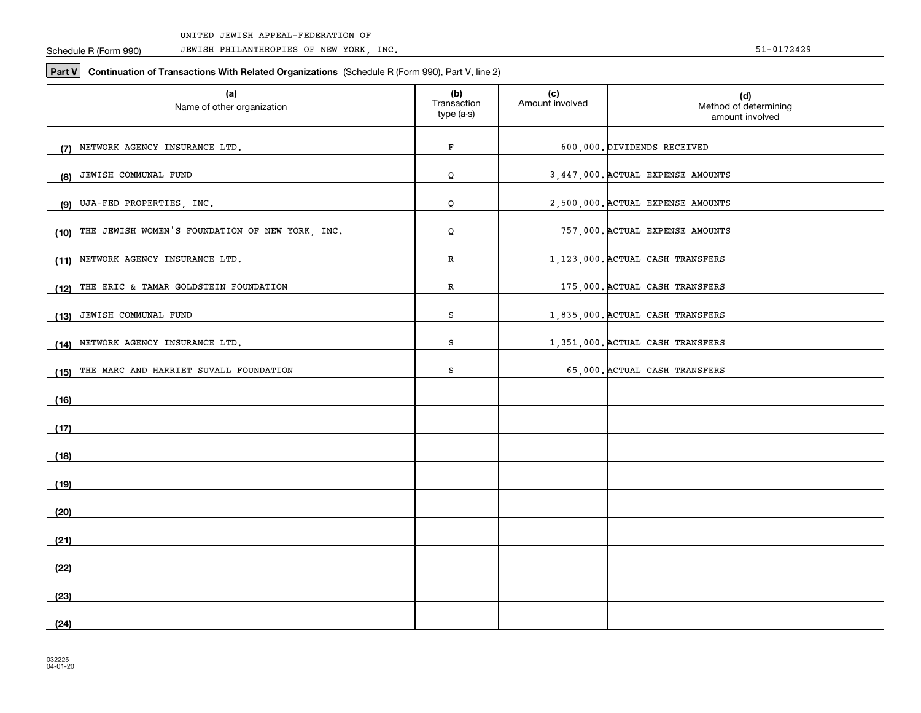Schedule R (Form 990)

JEWISH PHILANTHROPIES OF NEW YORK, INC. 51-0172429

**Part V** Continuation of Transactions With Related Organizations (Schedule R (Form 990), Part V, line 2)

| (a)<br>Name of other organization                       | (b)<br>Transaction<br>type (a-s) | (c)<br>Amount involved | (d)<br>Method of determining<br>amount involved |
|---------------------------------------------------------|----------------------------------|------------------------|-------------------------------------------------|
| (7) NETWORK AGENCY INSURANCE LTD.                       | F                                |                        | 600,000. DIVIDENDS RECEIVED                     |
| JEWISH COMMUNAL FUND<br>(8)                             | Q                                |                        | 3,447,000. ACTUAL EXPENSE AMOUNTS               |
| UJA-FED PROPERTIES, INC.<br>(9)                         | Q                                |                        | 2,500,000. ACTUAL EXPENSE AMOUNTS               |
| THE JEWISH WOMEN'S FOUNDATION OF NEW YORK, INC.<br>(10) | Q                                |                        | 757,000. ACTUAL EXPENSE AMOUNTS                 |
| (11) NETWORK AGENCY INSURANCE LTD.                      | R                                |                        | 1,123,000. ACTUAL CASH TRANSFERS                |
| THE ERIC & TAMAR GOLDSTEIN FOUNDATION<br>(12)           | R                                |                        | 175,000. ACTUAL CASH TRANSFERS                  |
| JEWISH COMMUNAL FUND<br>(13)                            | S                                |                        | 1,835,000. ACTUAL CASH TRANSFERS                |
| (14) NETWORK AGENCY INSURANCE LTD.                      | s                                |                        | 1,351,000. ACTUAL CASH TRANSFERS                |
| (15) THE MARC AND HARRIET SUVALL FOUNDATION             | S                                |                        | 65,000. ACTUAL CASH TRANSFERS                   |
| (16)                                                    |                                  |                        |                                                 |
| (17)                                                    |                                  |                        |                                                 |
| (18)                                                    |                                  |                        |                                                 |
| (19)                                                    |                                  |                        |                                                 |
| (20)                                                    |                                  |                        |                                                 |
| (21)                                                    |                                  |                        |                                                 |
| (22)                                                    |                                  |                        |                                                 |
| (23)                                                    |                                  |                        |                                                 |
| (24)                                                    |                                  |                        |                                                 |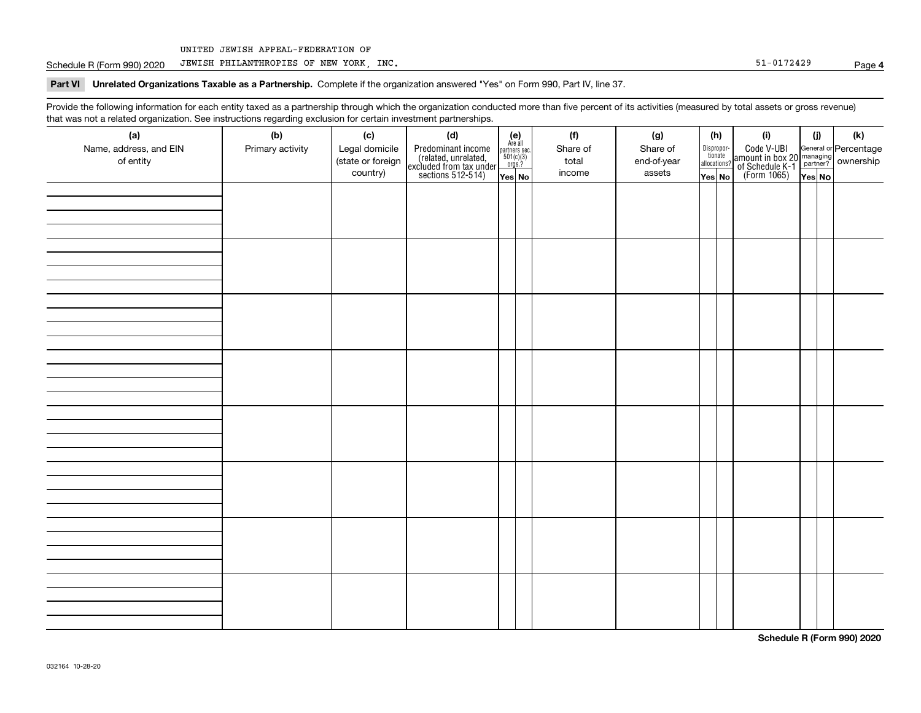Schedule R (Form 990) 2020 JEWISH PHILANTHROPIES OF NEW YORK, INC. Same of the state of the state of the S1-0172429

## **4**

Part VI Unrelated Organizations Taxable as a Partnership. Complete if the organization answered "Yes" on Form 990, Part IV, line 37.

Provide the following information for each entity taxed as a partnership through which the organization conducted more than five percent of its activities (measured by total assets or gross revenue) that was not a related organization. See instructions regarding exclusion for certain investment partnerships.

| - - - - -<br>(a)<br>Name, address, and EIN<br>of entity | . - J- .<br>----- <del>-</del> -------<br>(b)<br>Primary activity | (c)<br>Legal domicile<br>(state or foreign<br>country) | (d)<br>Predominant income<br>(related, unrelated,<br>excluded from tax under<br>sections 512-514) | (e)<br>Are all<br>partners sec.<br>$501(c)(3)$<br>orgs.?<br>Yes No | (f)<br>Share of<br>total<br>income | (g)<br>Share of<br>end-of-year<br>assets | allocations? | (h)<br>Dispropor-<br>tionate<br>Yes No | (i)<br>Code V-UBI<br>amount in box 20 managing<br>of Schedule K-1<br>(Form 1065)<br>$\overline{Yes}$ No | (i)<br>Yes No | $\left( \mathsf{k}\right)$ |
|---------------------------------------------------------|-------------------------------------------------------------------|--------------------------------------------------------|---------------------------------------------------------------------------------------------------|--------------------------------------------------------------------|------------------------------------|------------------------------------------|--------------|----------------------------------------|---------------------------------------------------------------------------------------------------------|---------------|----------------------------|
|                                                         |                                                                   |                                                        |                                                                                                   |                                                                    |                                    |                                          |              |                                        |                                                                                                         |               |                            |
|                                                         |                                                                   |                                                        |                                                                                                   |                                                                    |                                    |                                          |              |                                        |                                                                                                         |               |                            |
|                                                         |                                                                   |                                                        |                                                                                                   |                                                                    |                                    |                                          |              |                                        |                                                                                                         |               |                            |
|                                                         |                                                                   |                                                        |                                                                                                   |                                                                    |                                    |                                          |              |                                        |                                                                                                         |               |                            |
|                                                         |                                                                   |                                                        |                                                                                                   |                                                                    |                                    |                                          |              |                                        |                                                                                                         |               |                            |
|                                                         |                                                                   |                                                        |                                                                                                   |                                                                    |                                    |                                          |              |                                        |                                                                                                         |               |                            |
|                                                         |                                                                   |                                                        |                                                                                                   |                                                                    |                                    |                                          |              |                                        |                                                                                                         |               |                            |
|                                                         |                                                                   |                                                        |                                                                                                   |                                                                    |                                    |                                          |              |                                        |                                                                                                         |               |                            |

**Schedule R (Form 990) 2020**